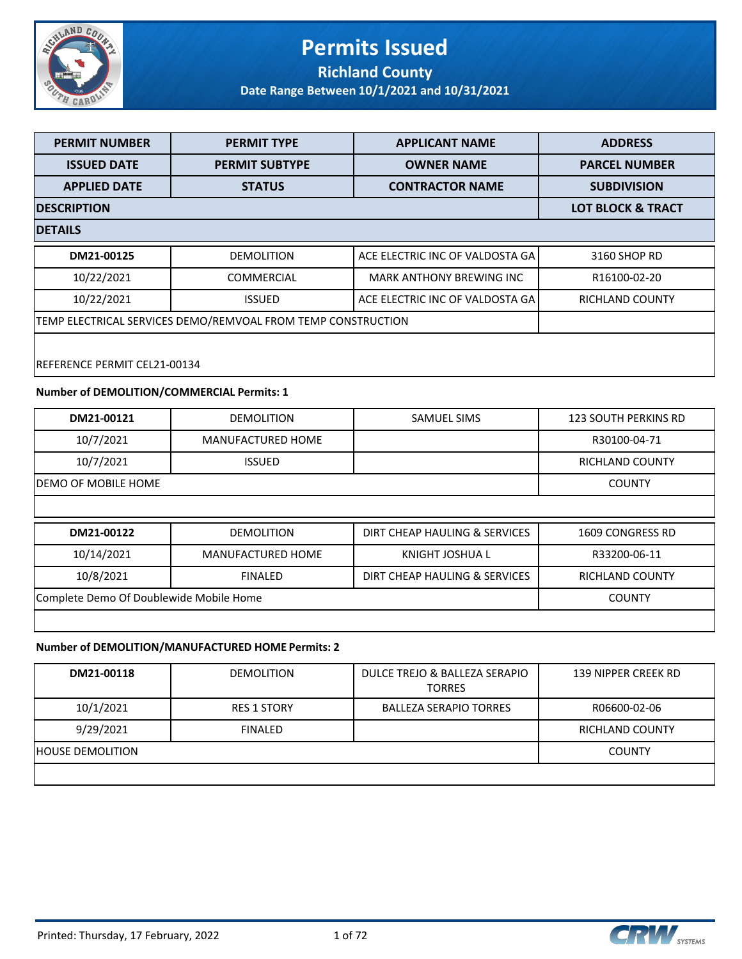

#### **Permits Issued Richland County**

**Date Range Between 10/1/2021 and 10/31/2021**

| <b>PERMIT NUMBER</b>                                         | <b>PERMIT TYPE</b>    | <b>APPLICANT NAME</b>           | <b>ADDRESS</b>               |  |
|--------------------------------------------------------------|-----------------------|---------------------------------|------------------------------|--|
| <b>ISSUED DATE</b>                                           | <b>PERMIT SUBTYPE</b> | <b>OWNER NAME</b>               | <b>PARCEL NUMBER</b>         |  |
| <b>APPLIED DATE</b>                                          | <b>STATUS</b>         | <b>CONTRACTOR NAME</b>          | <b>SUBDIVISION</b>           |  |
| <b>DESCRIPTION</b>                                           |                       |                                 | <b>LOT BLOCK &amp; TRACT</b> |  |
| <b>DETAILS</b>                                               |                       |                                 |                              |  |
| DM21-00125                                                   | <b>DEMOLITION</b>     | ACE ELECTRIC INC OF VALDOSTA GA | 3160 SHOP RD                 |  |
| 10/22/2021                                                   | <b>COMMERCIAL</b>     | <b>MARK ANTHONY BREWING INC</b> | R16100-02-20                 |  |
| 10/22/2021                                                   | <b>ISSUED</b>         | ACE ELECTRIC INC OF VALDOSTA GA | RICHLAND COUNTY              |  |
| TEMP ELECTRICAL SERVICES DEMO/REMVOAL FROM TEMP CONSTRUCTION |                       |                                 |                              |  |
|                                                              |                       |                                 |                              |  |
| REFERENCE PERMIT CEL21-00134                                 |                       |                                 |                              |  |

#### **Number of DEMOLITION/COMMERCIAL Permits: 1**

| DM21-00121                              | <b>DEMOLITION</b>        | <b>SAMUEL SIMS</b>            | <b>123 SOUTH PERKINS RD</b> |
|-----------------------------------------|--------------------------|-------------------------------|-----------------------------|
| 10/7/2021                               | <b>MANUFACTURED HOME</b> |                               | R30100-04-71                |
| 10/7/2021                               | <b>ISSUED</b>            |                               | RICHLAND COUNTY             |
| DEMO OF MOBILE HOME                     |                          |                               | <b>COUNTY</b>               |
|                                         |                          |                               |                             |
| DM21-00122                              | <b>DEMOLITION</b>        | DIRT CHEAP HAULING & SERVICES | 1609 CONGRESS RD            |
| 10/14/2021                              | <b>MANUFACTURED HOME</b> | KNIGHT JOSHUA L               | R33200-06-11                |
| 10/8/2021                               | <b>FINALED</b>           | DIRT CHEAP HAULING & SERVICES | RICHLAND COUNTY             |
| Complete Demo Of Doublewide Mobile Home |                          |                               | <b>COUNTY</b>               |
|                                         |                          |                               |                             |

#### **Number of DEMOLITION/MANUFACTURED HOME Permits: 2**

| DM21-00118              | <b>DEMOLITION</b>  | DULCE TREJO & BALLEZA SERAPIO<br><b>TORRES</b> | 139 NIPPER CREEK RD    |
|-------------------------|--------------------|------------------------------------------------|------------------------|
| 10/1/2021               | <b>RES 1 STORY</b> | <b>BALLEZA SERAPIO TORRES</b>                  | R06600-02-06           |
| 9/29/2021               | <b>FINALED</b>     |                                                | <b>RICHLAND COUNTY</b> |
| <b>HOUSE DEMOLITION</b> |                    |                                                | <b>COUNTY</b>          |
|                         |                    |                                                |                        |

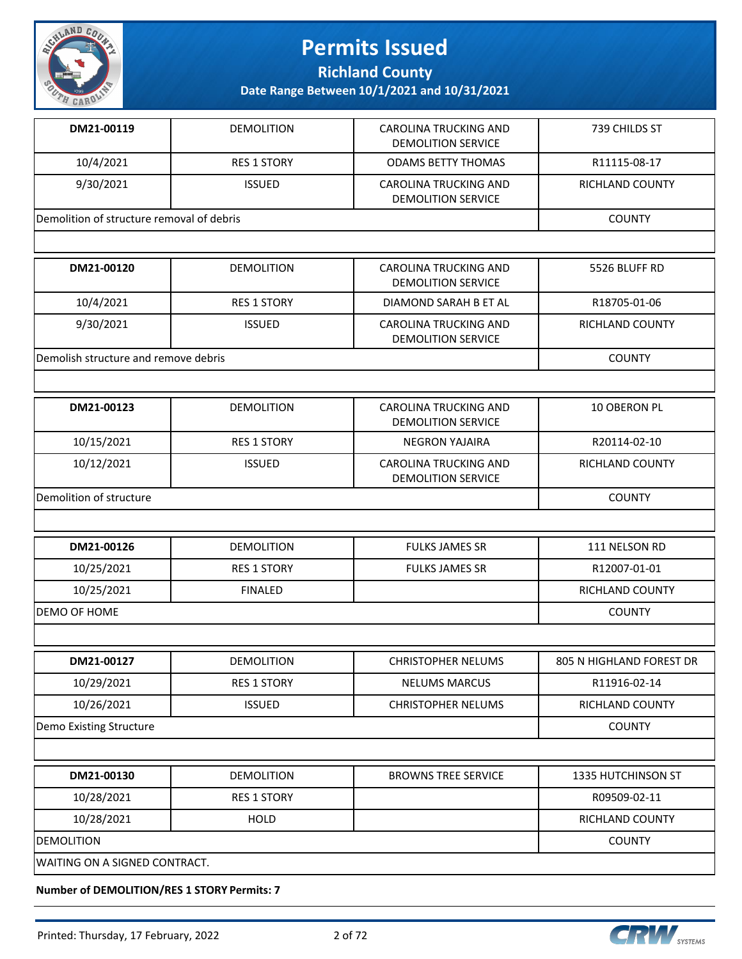

**Richland County**

**Date Range Between 10/1/2021 and 10/31/2021**

| DM21-00119                                | <b>DEMOLITION</b>  | <b>CAROLINA TRUCKING AND</b><br><b>DEMOLITION SERVICE</b> | 739 CHILDS ST                   |
|-------------------------------------------|--------------------|-----------------------------------------------------------|---------------------------------|
| 10/4/2021                                 | <b>RES 1 STORY</b> | <b>ODAMS BETTY THOMAS</b>                                 | R11115-08-17                    |
| 9/30/2021                                 | <b>ISSUED</b>      | <b>CAROLINA TRUCKING AND</b><br><b>DEMOLITION SERVICE</b> | RICHLAND COUNTY                 |
| Demolition of structure removal of debris |                    |                                                           | <b>COUNTY</b>                   |
|                                           |                    |                                                           |                                 |
| DM21-00120                                | <b>DEMOLITION</b>  | CAROLINA TRUCKING AND<br><b>DEMOLITION SERVICE</b>        | 5526 BLUFF RD                   |
| 10/4/2021                                 | <b>RES 1 STORY</b> | DIAMOND SARAH B ET AL                                     | R18705-01-06                    |
| 9/30/2021                                 | <b>ISSUED</b>      | CAROLINA TRUCKING AND<br><b>DEMOLITION SERVICE</b>        | RICHLAND COUNTY                 |
| Demolish structure and remove debris      |                    |                                                           | <b>COUNTY</b>                   |
|                                           |                    |                                                           |                                 |
| DM21-00123                                | <b>DEMOLITION</b>  | CAROLINA TRUCKING AND<br><b>DEMOLITION SERVICE</b>        | 10 OBERON PL                    |
| 10/15/2021                                | <b>RES 1 STORY</b> | <b>NEGRON YAJAIRA</b>                                     | R20114-02-10                    |
| 10/12/2021                                | <b>ISSUED</b>      | <b>CAROLINA TRUCKING AND</b><br><b>DEMOLITION SERVICE</b> | <b>RICHLAND COUNTY</b>          |
| Demolition of structure                   | <b>COUNTY</b>      |                                                           |                                 |
|                                           |                    |                                                           |                                 |
| DM21-00126                                | <b>DEMOLITION</b>  | <b>FULKS JAMES SR</b>                                     | 111 NELSON RD                   |
| 10/25/2021                                | <b>RES 1 STORY</b> | <b>FULKS JAMES SR</b>                                     | R12007-01-01                    |
| 10/25/2021                                | <b>FINALED</b>     |                                                           | RICHLAND COUNTY                 |
| DEMO OF HOME                              |                    |                                                           | <b>COUNTY</b>                   |
|                                           |                    |                                                           |                                 |
| DM21-00127                                | <b>DEMOLITION</b>  | <b>CHRISTOPHER NELUMS</b>                                 | <b>805 N HIGHLAND FOREST DR</b> |
| 10/29/2021                                | <b>RES 1 STORY</b> | <b>NELUMS MARCUS</b>                                      | R11916-02-14                    |
| 10/26/2021                                | <b>ISSUED</b>      | <b>CHRISTOPHER NELUMS</b>                                 | RICHLAND COUNTY                 |
| Demo Existing Structure                   |                    |                                                           | <b>COUNTY</b>                   |
|                                           |                    |                                                           |                                 |
| DM21-00130                                | <b>DEMOLITION</b>  | <b>BROWNS TREE SERVICE</b>                                | 1335 HUTCHINSON ST              |
| 10/28/2021                                | <b>RES 1 STORY</b> |                                                           | R09509-02-11                    |
| 10/28/2021                                | <b>HOLD</b>        |                                                           | RICHLAND COUNTY                 |
| <b>DEMOLITION</b>                         |                    |                                                           | <b>COUNTY</b>                   |
| WAITING ON A SIGNED CONTRACT.             |                    |                                                           |                                 |

**Number of DEMOLITION/RES 1 STORY Permits: 7**

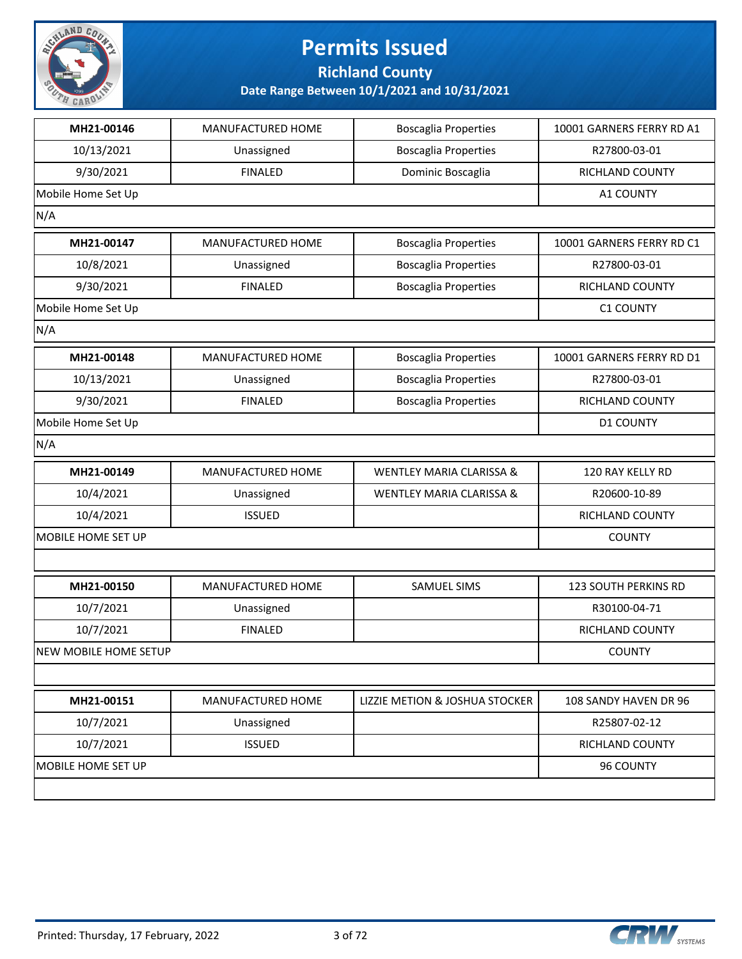

**Richland County**

| MH21-00146            | MANUFACTURED HOME | <b>Boscaglia Properties</b>         | 10001 GARNERS FERRY RD A1 |
|-----------------------|-------------------|-------------------------------------|---------------------------|
| 10/13/2021            | Unassigned        | <b>Boscaglia Properties</b>         | R27800-03-01              |
| 9/30/2021             | <b>FINALED</b>    | Dominic Boscaglia                   | RICHLAND COUNTY           |
| Mobile Home Set Up    |                   |                                     | A1 COUNTY                 |
| N/A                   |                   |                                     |                           |
| MH21-00147            | MANUFACTURED HOME | <b>Boscaglia Properties</b>         | 10001 GARNERS FERRY RD C1 |
| 10/8/2021             | Unassigned        | <b>Boscaglia Properties</b>         | R27800-03-01              |
| 9/30/2021             | <b>FINALED</b>    | <b>Boscaglia Properties</b>         | RICHLAND COUNTY           |
| Mobile Home Set Up    |                   |                                     | <b>C1 COUNTY</b>          |
| N/A                   |                   |                                     |                           |
| MH21-00148            | MANUFACTURED HOME | <b>Boscaglia Properties</b>         | 10001 GARNERS FERRY RD D1 |
| 10/13/2021            | Unassigned        | <b>Boscaglia Properties</b>         | R27800-03-01              |
| 9/30/2021             | <b>FINALED</b>    | <b>Boscaglia Properties</b>         | RICHLAND COUNTY           |
| Mobile Home Set Up    |                   |                                     | <b>D1 COUNTY</b>          |
| N/A                   |                   |                                     |                           |
| MH21-00149            | MANUFACTURED HOME | <b>WENTLEY MARIA CLARISSA &amp;</b> | 120 RAY KELLY RD          |
| 10/4/2021             | Unassigned        | <b>WENTLEY MARIA CLARISSA &amp;</b> | R20600-10-89              |
| 10/4/2021             | <b>ISSUED</b>     |                                     | RICHLAND COUNTY           |
| MOBILE HOME SET UP    |                   |                                     | <b>COUNTY</b>             |
|                       |                   |                                     |                           |
| MH21-00150            | MANUFACTURED HOME | SAMUEL SIMS                         | 123 SOUTH PERKINS RD      |
| 10/7/2021             | Unassigned        |                                     | R30100-04-71              |
| 10/7/2021             | <b>FINALED</b>    |                                     | RICHLAND COUNTY           |
| NEW MOBILE HOME SETUP |                   |                                     | <b>COUNTY</b>             |
|                       |                   |                                     |                           |
| MH21-00151            | MANUFACTURED HOME | LIZZIE METION & JOSHUA STOCKER      | 108 SANDY HAVEN DR 96     |
| 10/7/2021             | Unassigned        |                                     | R25807-02-12              |
| 10/7/2021             | <b>ISSUED</b>     |                                     | RICHLAND COUNTY           |
| MOBILE HOME SET UP    |                   |                                     | 96 COUNTY                 |
|                       |                   |                                     |                           |
|                       |                   |                                     |                           |

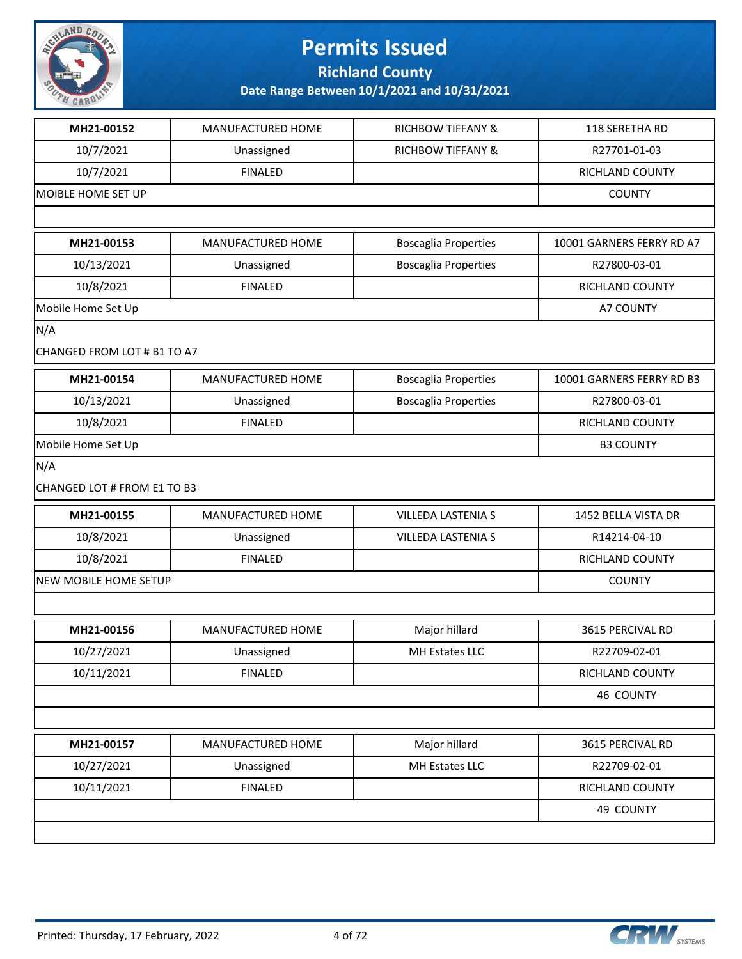

**Richland County**

| MH21-00152                  | MANUFACTURED HOME | <b>RICHBOW TIFFANY &amp;</b> | 118 SERETHA RD            |
|-----------------------------|-------------------|------------------------------|---------------------------|
| 10/7/2021                   | Unassigned        | <b>RICHBOW TIFFANY &amp;</b> | R27701-01-03              |
| 10/7/2021                   | <b>FINALED</b>    |                              | <b>RICHLAND COUNTY</b>    |
| MOIBLE HOME SET UP          |                   |                              | <b>COUNTY</b>             |
|                             |                   |                              |                           |
| MH21-00153                  | MANUFACTURED HOME | <b>Boscaglia Properties</b>  | 10001 GARNERS FERRY RD A7 |
| 10/13/2021                  | Unassigned        | <b>Boscaglia Properties</b>  | R27800-03-01              |
| 10/8/2021                   | <b>FINALED</b>    |                              | RICHLAND COUNTY           |
| Mobile Home Set Up          |                   |                              | A7 COUNTY                 |
| N/A                         |                   |                              |                           |
| CHANGED FROM LOT # B1 TO A7 |                   |                              |                           |
| MH21-00154                  | MANUFACTURED HOME | <b>Boscaglia Properties</b>  | 10001 GARNERS FERRY RD B3 |
| 10/13/2021                  | Unassigned        | <b>Boscaglia Properties</b>  | R27800-03-01              |
| 10/8/2021                   | <b>FINALED</b>    |                              | RICHLAND COUNTY           |
| Mobile Home Set Up          |                   |                              | <b>B3 COUNTY</b>          |
| N/A                         |                   |                              |                           |
| CHANGED LOT # FROM E1 TO B3 |                   |                              |                           |
| MH21-00155                  | MANUFACTURED HOME | <b>VILLEDA LASTENIA S</b>    | 1452 BELLA VISTA DR       |
| 10/8/2021                   | Unassigned        | VILLEDA LASTENIA S           | R14214-04-10              |
| 10/8/2021                   | <b>FINALED</b>    |                              | RICHLAND COUNTY           |
| NEW MOBILE HOME SETUP       |                   |                              | <b>COUNTY</b>             |
|                             |                   |                              |                           |
| MH21-00156                  | MANUFACTURED HOME | Major hillard                | 3615 PERCIVAL RD          |
| 10/27/2021                  | Unassigned        | MH Estates LLC               | R22709-02-01              |
| 10/11/2021                  | <b>FINALED</b>    |                              | RICHLAND COUNTY           |
|                             |                   |                              | 46 COUNTY                 |
|                             |                   |                              |                           |
| MH21-00157                  | MANUFACTURED HOME | Major hillard                | 3615 PERCIVAL RD          |
| 10/27/2021                  | Unassigned        | MH Estates LLC               | R22709-02-01              |
| 10/11/2021                  | <b>FINALED</b>    |                              | RICHLAND COUNTY           |
|                             |                   |                              | 49 COUNTY                 |
|                             |                   |                              |                           |

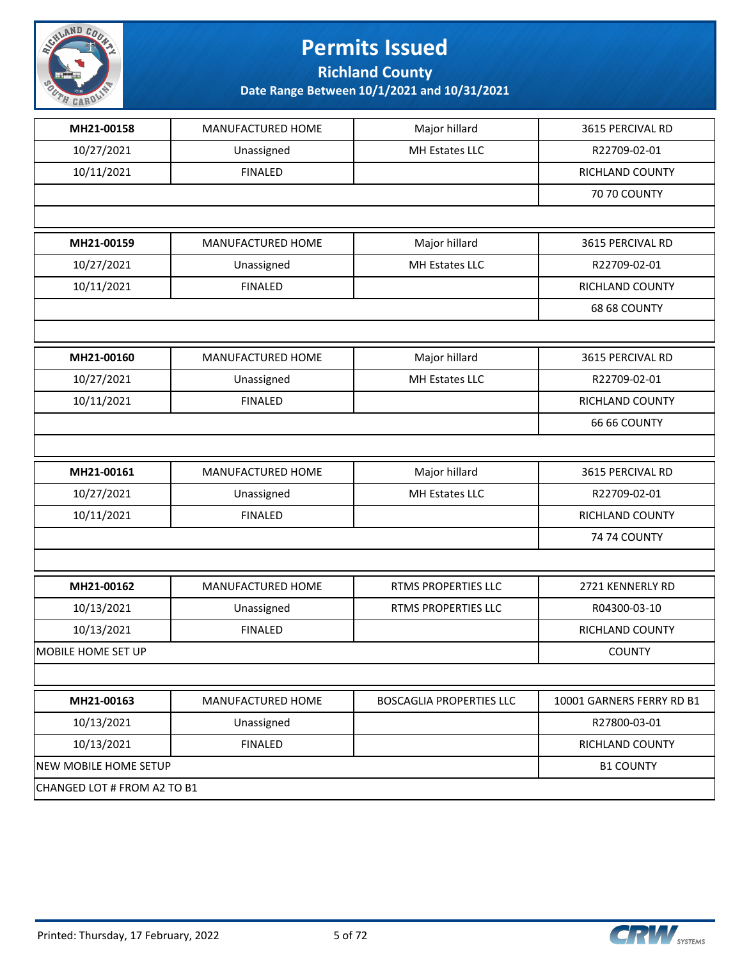

**Richland County**

| MH Estates LLC<br>10/27/2021<br>Unassigned<br>R22709-02-01<br>10/11/2021<br>RICHLAND COUNTY<br><b>FINALED</b><br><b>70 70 COUNTY</b><br>MH21-00159<br>MANUFACTURED HOME<br>Major hillard<br>3615 PERCIVAL RD<br>10/27/2021<br>MH Estates LLC<br>R22709-02-01<br>Unassigned<br>10/11/2021<br><b>FINALED</b><br>RICHLAND COUNTY<br>68 68 COUNTY<br>MH21-00160<br>Major hillard<br>MANUFACTURED HOME<br>3615 PERCIVAL RD<br>MH Estates LLC<br>10/27/2021<br>R22709-02-01<br>Unassigned<br>10/11/2021<br><b>FINALED</b><br>RICHLAND COUNTY<br><b>66 66 COUNTY</b><br>Major hillard<br>MH21-00161<br>MANUFACTURED HOME<br>3615 PERCIVAL RD<br>10/27/2021<br>MH Estates LLC<br>R22709-02-01<br>Unassigned<br>10/11/2021<br><b>FINALED</b><br>RICHLAND COUNTY<br><b>74 74 COUNTY</b><br>MH21-00162<br>MANUFACTURED HOME<br>RTMS PROPERTIES LLC<br>2721 KENNERLY RD<br>10/13/2021<br>Unassigned<br>RTMS PROPERTIES LLC<br>R04300-03-10<br>10/13/2021<br><b>FINALED</b><br>RICHLAND COUNTY<br><b>COUNTY</b><br>MH21-00163<br>MANUFACTURED HOME<br><b>BOSCAGLIA PROPERTIES LLC</b><br>10001 GARNERS FERRY RD B1<br>10/13/2021<br>R27800-03-01<br>Unassigned<br>10/13/2021<br><b>FINALED</b><br>RICHLAND COUNTY<br><b>B1 COUNTY</b> | MH21-00158            | MANUFACTURED HOME | Major hillard | 3615 PERCIVAL RD |
|--------------------------------------------------------------------------------------------------------------------------------------------------------------------------------------------------------------------------------------------------------------------------------------------------------------------------------------------------------------------------------------------------------------------------------------------------------------------------------------------------------------------------------------------------------------------------------------------------------------------------------------------------------------------------------------------------------------------------------------------------------------------------------------------------------------------------------------------------------------------------------------------------------------------------------------------------------------------------------------------------------------------------------------------------------------------------------------------------------------------------------------------------------------------------------------------------------------------------|-----------------------|-------------------|---------------|------------------|
|                                                                                                                                                                                                                                                                                                                                                                                                                                                                                                                                                                                                                                                                                                                                                                                                                                                                                                                                                                                                                                                                                                                                                                                                                          |                       |                   |               |                  |
|                                                                                                                                                                                                                                                                                                                                                                                                                                                                                                                                                                                                                                                                                                                                                                                                                                                                                                                                                                                                                                                                                                                                                                                                                          |                       |                   |               |                  |
|                                                                                                                                                                                                                                                                                                                                                                                                                                                                                                                                                                                                                                                                                                                                                                                                                                                                                                                                                                                                                                                                                                                                                                                                                          |                       |                   |               |                  |
|                                                                                                                                                                                                                                                                                                                                                                                                                                                                                                                                                                                                                                                                                                                                                                                                                                                                                                                                                                                                                                                                                                                                                                                                                          |                       |                   |               |                  |
|                                                                                                                                                                                                                                                                                                                                                                                                                                                                                                                                                                                                                                                                                                                                                                                                                                                                                                                                                                                                                                                                                                                                                                                                                          |                       |                   |               |                  |
|                                                                                                                                                                                                                                                                                                                                                                                                                                                                                                                                                                                                                                                                                                                                                                                                                                                                                                                                                                                                                                                                                                                                                                                                                          |                       |                   |               |                  |
|                                                                                                                                                                                                                                                                                                                                                                                                                                                                                                                                                                                                                                                                                                                                                                                                                                                                                                                                                                                                                                                                                                                                                                                                                          |                       |                   |               |                  |
|                                                                                                                                                                                                                                                                                                                                                                                                                                                                                                                                                                                                                                                                                                                                                                                                                                                                                                                                                                                                                                                                                                                                                                                                                          |                       |                   |               |                  |
|                                                                                                                                                                                                                                                                                                                                                                                                                                                                                                                                                                                                                                                                                                                                                                                                                                                                                                                                                                                                                                                                                                                                                                                                                          |                       |                   |               |                  |
|                                                                                                                                                                                                                                                                                                                                                                                                                                                                                                                                                                                                                                                                                                                                                                                                                                                                                                                                                                                                                                                                                                                                                                                                                          |                       |                   |               |                  |
|                                                                                                                                                                                                                                                                                                                                                                                                                                                                                                                                                                                                                                                                                                                                                                                                                                                                                                                                                                                                                                                                                                                                                                                                                          |                       |                   |               |                  |
|                                                                                                                                                                                                                                                                                                                                                                                                                                                                                                                                                                                                                                                                                                                                                                                                                                                                                                                                                                                                                                                                                                                                                                                                                          |                       |                   |               |                  |
|                                                                                                                                                                                                                                                                                                                                                                                                                                                                                                                                                                                                                                                                                                                                                                                                                                                                                                                                                                                                                                                                                                                                                                                                                          |                       |                   |               |                  |
|                                                                                                                                                                                                                                                                                                                                                                                                                                                                                                                                                                                                                                                                                                                                                                                                                                                                                                                                                                                                                                                                                                                                                                                                                          |                       |                   |               |                  |
|                                                                                                                                                                                                                                                                                                                                                                                                                                                                                                                                                                                                                                                                                                                                                                                                                                                                                                                                                                                                                                                                                                                                                                                                                          |                       |                   |               |                  |
|                                                                                                                                                                                                                                                                                                                                                                                                                                                                                                                                                                                                                                                                                                                                                                                                                                                                                                                                                                                                                                                                                                                                                                                                                          |                       |                   |               |                  |
|                                                                                                                                                                                                                                                                                                                                                                                                                                                                                                                                                                                                                                                                                                                                                                                                                                                                                                                                                                                                                                                                                                                                                                                                                          |                       |                   |               |                  |
|                                                                                                                                                                                                                                                                                                                                                                                                                                                                                                                                                                                                                                                                                                                                                                                                                                                                                                                                                                                                                                                                                                                                                                                                                          |                       |                   |               |                  |
|                                                                                                                                                                                                                                                                                                                                                                                                                                                                                                                                                                                                                                                                                                                                                                                                                                                                                                                                                                                                                                                                                                                                                                                                                          |                       |                   |               |                  |
|                                                                                                                                                                                                                                                                                                                                                                                                                                                                                                                                                                                                                                                                                                                                                                                                                                                                                                                                                                                                                                                                                                                                                                                                                          |                       |                   |               |                  |
|                                                                                                                                                                                                                                                                                                                                                                                                                                                                                                                                                                                                                                                                                                                                                                                                                                                                                                                                                                                                                                                                                                                                                                                                                          |                       |                   |               |                  |
|                                                                                                                                                                                                                                                                                                                                                                                                                                                                                                                                                                                                                                                                                                                                                                                                                                                                                                                                                                                                                                                                                                                                                                                                                          |                       |                   |               |                  |
|                                                                                                                                                                                                                                                                                                                                                                                                                                                                                                                                                                                                                                                                                                                                                                                                                                                                                                                                                                                                                                                                                                                                                                                                                          | MOBILE HOME SET UP    |                   |               |                  |
|                                                                                                                                                                                                                                                                                                                                                                                                                                                                                                                                                                                                                                                                                                                                                                                                                                                                                                                                                                                                                                                                                                                                                                                                                          |                       |                   |               |                  |
|                                                                                                                                                                                                                                                                                                                                                                                                                                                                                                                                                                                                                                                                                                                                                                                                                                                                                                                                                                                                                                                                                                                                                                                                                          |                       |                   |               |                  |
|                                                                                                                                                                                                                                                                                                                                                                                                                                                                                                                                                                                                                                                                                                                                                                                                                                                                                                                                                                                                                                                                                                                                                                                                                          |                       |                   |               |                  |
|                                                                                                                                                                                                                                                                                                                                                                                                                                                                                                                                                                                                                                                                                                                                                                                                                                                                                                                                                                                                                                                                                                                                                                                                                          |                       |                   |               |                  |
|                                                                                                                                                                                                                                                                                                                                                                                                                                                                                                                                                                                                                                                                                                                                                                                                                                                                                                                                                                                                                                                                                                                                                                                                                          | NEW MOBILE HOME SETUP |                   |               |                  |
| CHANGED LOT # FROM A2 TO B1                                                                                                                                                                                                                                                                                                                                                                                                                                                                                                                                                                                                                                                                                                                                                                                                                                                                                                                                                                                                                                                                                                                                                                                              |                       |                   |               |                  |

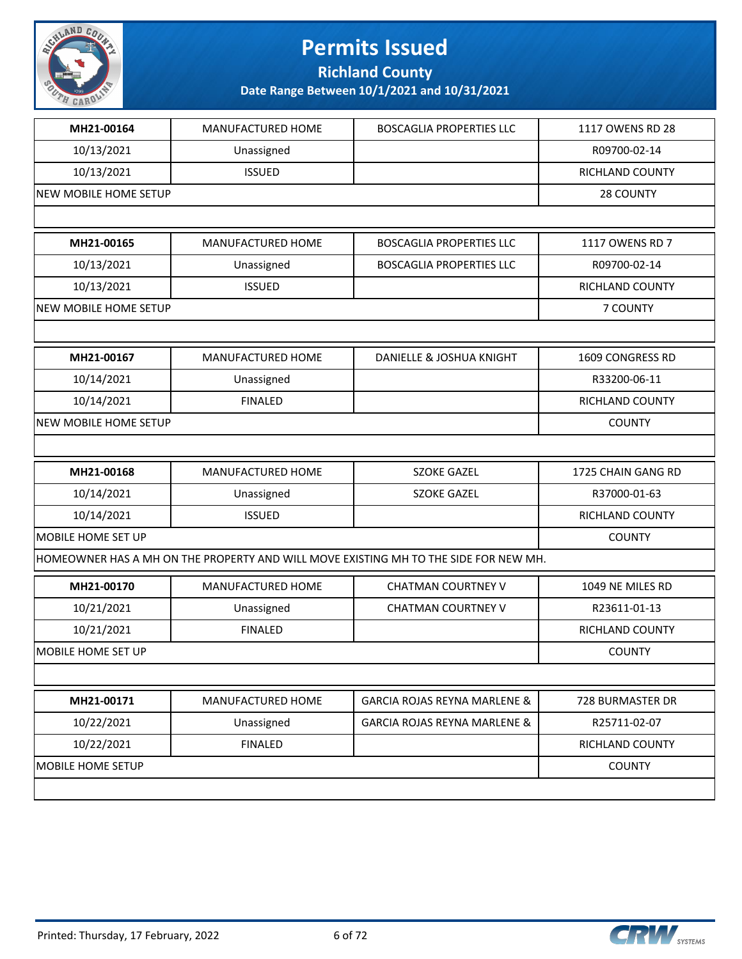

**Richland County**

| MH21-00164                   | MANUFACTURED HOME | <b>BOSCAGLIA PROPERTIES LLC</b>                                                      | 1117 OWENS RD 28   |
|------------------------------|-------------------|--------------------------------------------------------------------------------------|--------------------|
| 10/13/2021                   | Unassigned        |                                                                                      | R09700-02-14       |
| 10/13/2021                   | <b>ISSUED</b>     |                                                                                      | RICHLAND COUNTY    |
| NEW MOBILE HOME SETUP        |                   |                                                                                      | 28 COUNTY          |
|                              |                   |                                                                                      |                    |
| MH21-00165                   | MANUFACTURED HOME | <b>BOSCAGLIA PROPERTIES LLC</b>                                                      | 1117 OWENS RD 7    |
| 10/13/2021                   | Unassigned        | <b>BOSCAGLIA PROPERTIES LLC</b>                                                      | R09700-02-14       |
| 10/13/2021                   | <b>ISSUED</b>     |                                                                                      | RICHLAND COUNTY    |
| NEW MOBILE HOME SETUP        |                   |                                                                                      | 7 COUNTY           |
|                              |                   |                                                                                      |                    |
| MH21-00167                   | MANUFACTURED HOME | DANIELLE & JOSHUA KNIGHT                                                             | 1609 CONGRESS RD   |
| 10/14/2021                   | Unassigned        |                                                                                      | R33200-06-11       |
| 10/14/2021                   | <b>FINALED</b>    |                                                                                      | RICHLAND COUNTY    |
| <b>NEW MOBILE HOME SETUP</b> |                   |                                                                                      | <b>COUNTY</b>      |
|                              |                   |                                                                                      |                    |
| MH21-00168                   | MANUFACTURED HOME | <b>SZOKE GAZEL</b>                                                                   | 1725 CHAIN GANG RD |
| 10/14/2021                   | Unassigned        | <b>SZOKE GAZEL</b>                                                                   | R37000-01-63       |
| 10/14/2021                   | <b>ISSUED</b>     |                                                                                      | RICHLAND COUNTY    |
| MOBILE HOME SET UP           |                   |                                                                                      | <b>COUNTY</b>      |
|                              |                   | HOMEOWNER HAS A MH ON THE PROPERTY AND WILL MOVE EXISTING MH TO THE SIDE FOR NEW MH. |                    |
| MH21-00170                   | MANUFACTURED HOME | <b>CHATMAN COURTNEY V</b>                                                            | 1049 NE MILES RD   |
| 10/21/2021                   | Unassigned        | <b>CHATMAN COURTNEY V</b>                                                            | R23611-01-13       |
| 10/21/2021                   | <b>FINALED</b>    |                                                                                      | RICHLAND COUNTY    |
| <b>MOBILE HOME SET UP</b>    |                   |                                                                                      | <b>COUNTY</b>      |
|                              |                   |                                                                                      |                    |
| MH21-00171                   |                   | <b>GARCIA ROJAS REYNA MARLENE &amp;</b>                                              | 728 BURMASTER DR   |
|                              | MANUFACTURED HOME |                                                                                      |                    |
| 10/22/2021                   | Unassigned        | <b>GARCIA ROJAS REYNA MARLENE &amp;</b>                                              | R25711-02-07       |
| 10/22/2021                   | <b>FINALED</b>    |                                                                                      | RICHLAND COUNTY    |
| MOBILE HOME SETUP            |                   |                                                                                      | <b>COUNTY</b>      |

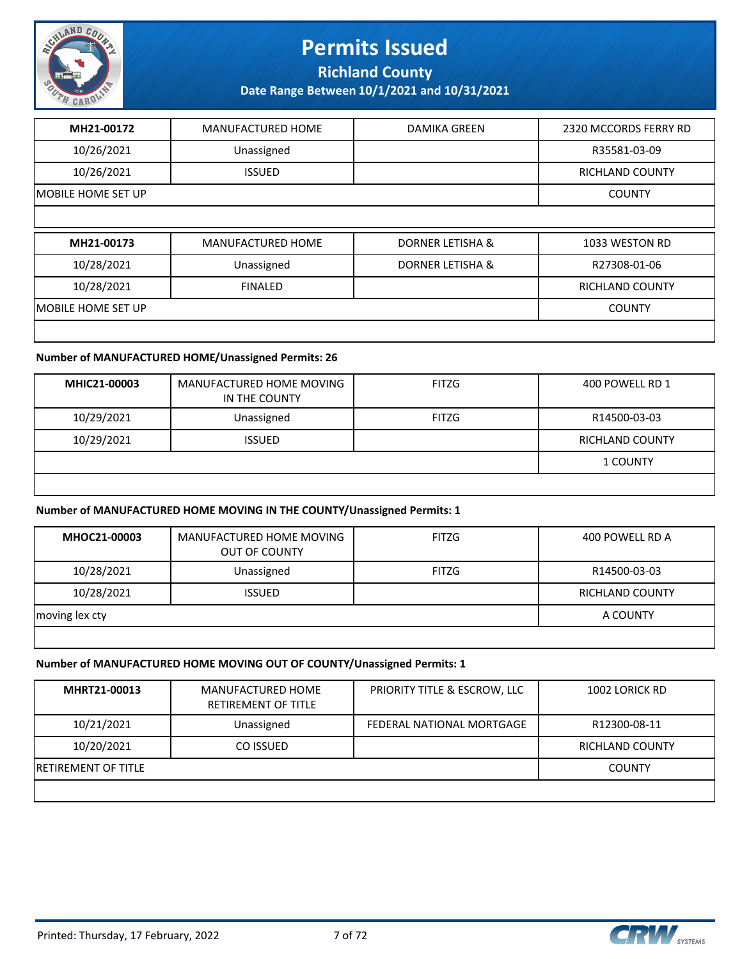

**Richland County**

**Date Range Between 10/1/2021 and 10/31/2021**

| MH21-00172          | <b>MANUFACTURED HOME</b> | <b>DAMIKA GREEN</b>         | 2320 MCCORDS FERRY RD  |
|---------------------|--------------------------|-----------------------------|------------------------|
| 10/26/2021          | Unassigned               |                             | R35581-03-09           |
| 10/26/2021          | <b>ISSUED</b>            |                             | <b>RICHLAND COUNTY</b> |
| IMOBILE HOME SET UP |                          |                             | <b>COUNTY</b>          |
|                     |                          |                             |                        |
| MH21-00173          | <b>MANUFACTURED HOME</b> | <b>DORNER LETISHA &amp;</b> | 1033 WESTON RD         |
| 10/28/2021          | Unassigned               | DORNER LETISHA &            | R27308-01-06           |
|                     |                          |                             |                        |
| 10/28/2021          | <b>FINALED</b>           |                             | <b>RICHLAND COUNTY</b> |
| IMOBILE HOME SET UP |                          |                             | <b>COUNTY</b>          |

#### **Number of MANUFACTURED HOME/Unassigned Permits: 26**

| MHIC21-00003 | MANUFACTURED HOME MOVING<br>IN THE COUNTY | <b>FITZG</b> | 400 POWELL RD 1 |
|--------------|-------------------------------------------|--------------|-----------------|
| 10/29/2021   | Unassigned                                | <b>FITZG</b> | R14500-03-03    |
| 10/29/2021   | <b>ISSUED</b>                             |              | RICHLAND COUNTY |
|              |                                           |              | <b>1 COUNTY</b> |
|              |                                           |              |                 |

#### **Number of MANUFACTURED HOME MOVING IN THE COUNTY/Unassigned Permits: 1**

| MHOC21-00003   | MANUFACTURED HOME MOVING<br>OUT OF COUNTY | FITZG        | 400 POWELL RD A        |
|----------------|-------------------------------------------|--------------|------------------------|
| 10/28/2021     | Unassigned                                | <b>FITZG</b> | R14500-03-03           |
| 10/28/2021     | <b>ISSUED</b>                             |              | <b>RICHLAND COUNTY</b> |
| moving lex cty |                                           |              | A COUNTY               |

#### **Number of MANUFACTURED HOME MOVING OUT OF COUNTY/Unassigned Permits: 1**

| MHRT21-00013         | MANUFACTURED HOME<br><b>RETIREMENT OF TITLE</b> | PRIORITY TITLE & ESCROW, LLC | 1002 LORICK RD         |
|----------------------|-------------------------------------------------|------------------------------|------------------------|
| 10/21/2021           | Unassigned                                      | FEDERAL NATIONAL MORTGAGE    | R12300-08-11           |
| 10/20/2021           | CO ISSUED                                       |                              | <b>RICHLAND COUNTY</b> |
| IRETIREMENT OF TITLE |                                                 |                              | <b>COUNTY</b>          |
|                      |                                                 |                              |                        |

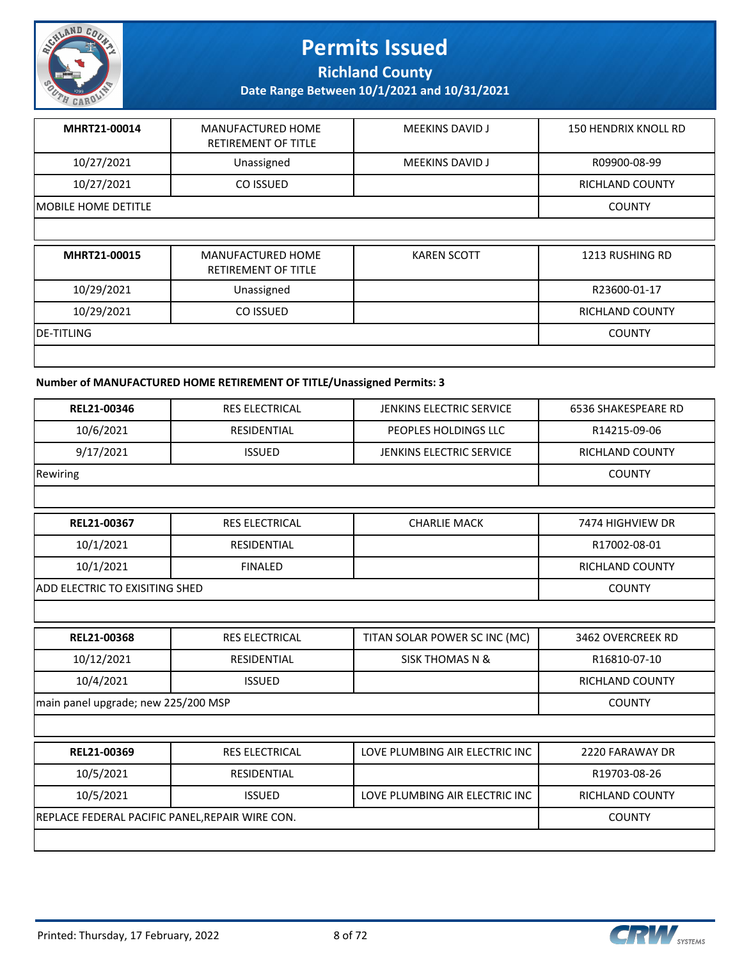

**Richland County**

**Date Range Between 10/1/2021 and 10/31/2021**

| MHRT21-00014                | MANUFACTURED HOME<br><b>RETIREMENT OF TITLE</b> | <b>MEEKINS DAVID J</b> | 150 HENDRIX KNOLL RD |
|-----------------------------|-------------------------------------------------|------------------------|----------------------|
| 10/27/2021                  | Unassigned                                      | <b>MEEKINS DAVID J</b> | R09900-08-99         |
| 10/27/2021                  | CO ISSUED                                       |                        | RICHLAND COUNTY      |
| <b>IMOBILE HOME DETITLE</b> |                                                 |                        | <b>COUNTY</b>        |
|                             |                                                 |                        |                      |

| MHRT21-00015 | MANUFACTURED HOME<br>RETIREMENT OF TITLE | KAREN SCOTT | 1213 RUSHING RD |
|--------------|------------------------------------------|-------------|-----------------|
| 10/29/2021   | Unassigned                               |             | R23600-01-17    |
| 10/29/2021   | CO ISSUED                                |             | RICHLAND COUNTY |
| IDE-TITLING  |                                          |             | <b>COUNTY</b>   |
|              |                                          |             |                 |

#### **Number of MANUFACTURED HOME RETIREMENT OF TITLE/Unassigned Permits: 3**

| REL21-00346                                     | <b>RES ELECTRICAL</b> | <b>JENKINS ELECTRIC SERVICE</b> | <b>6536 SHAKESPEARE RD</b> |
|-------------------------------------------------|-----------------------|---------------------------------|----------------------------|
| 10/6/2021                                       | <b>RESIDENTIAL</b>    | PEOPLES HOLDINGS LLC            | R14215-09-06               |
| 9/17/2021                                       | <b>ISSUED</b>         | <b>JENKINS ELECTRIC SERVICE</b> | <b>RICHLAND COUNTY</b>     |
| Rewiring                                        |                       |                                 | <b>COUNTY</b>              |
|                                                 |                       |                                 |                            |
| REL21-00367                                     | <b>RES ELECTRICAL</b> | <b>CHARLIE MACK</b>             | 7474 HIGHVIEW DR           |
| 10/1/2021                                       | <b>RESIDENTIAL</b>    |                                 | R17002-08-01               |
| 10/1/2021                                       | <b>FINALED</b>        |                                 | RICHLAND COUNTY            |
| <b>ADD ELECTRIC TO EXISITING SHED</b>           |                       |                                 | <b>COUNTY</b>              |
|                                                 |                       |                                 |                            |
| REL21-00368                                     | <b>RES ELECTRICAL</b> | TITAN SOLAR POWER SC INC (MC)   | 3462 OVERCREEK RD          |
| 10/12/2021                                      | <b>RESIDENTIAL</b>    | <b>SISK THOMAS N &amp;</b>      | R16810-07-10               |
| 10/4/2021                                       | <b>ISSUED</b>         |                                 | <b>RICHLAND COUNTY</b>     |
| main panel upgrade; new 225/200 MSP             |                       |                                 | <b>COUNTY</b>              |
|                                                 |                       |                                 |                            |
| REL21-00369                                     | <b>RES ELECTRICAL</b> | LOVE PLUMBING AIR ELECTRIC INC  | 2220 FARAWAY DR            |
| 10/5/2021                                       | <b>RESIDENTIAL</b>    |                                 | R19703-08-26               |
| 10/5/2021                                       | <b>ISSUED</b>         | LOVE PLUMBING AIR ELECTRIC INC  | RICHLAND COUNTY            |
| REPLACE FEDERAL PACIFIC PANEL, REPAIR WIRE CON. | <b>COUNTY</b>         |                                 |                            |
|                                                 |                       |                                 |                            |

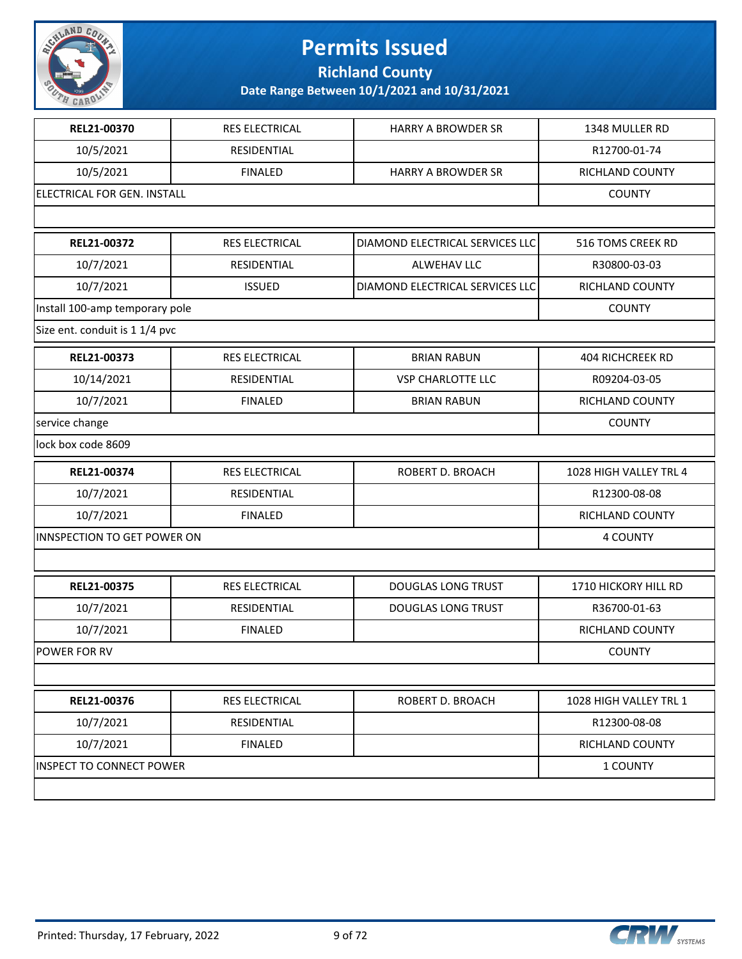

**Richland County**

| <b>RES ELECTRICAL</b>           | <b>HARRY A BROWDER SR</b>       | 1348 MULLER RD          |
|---------------------------------|---------------------------------|-------------------------|
| RESIDENTIAL                     |                                 | R12700-01-74            |
| <b>FINALED</b>                  | <b>HARRY A BROWDER SR</b>       | RICHLAND COUNTY         |
| ELECTRICAL FOR GEN. INSTALL     |                                 | <b>COUNTY</b>           |
|                                 |                                 |                         |
| <b>RES ELECTRICAL</b>           | DIAMOND ELECTRICAL SERVICES LLC | 516 TOMS CREEK RD       |
| RESIDENTIAL                     | ALWEHAV LLC                     | R30800-03-03            |
| <b>ISSUED</b>                   | DIAMOND ELECTRICAL SERVICES LLC | RICHLAND COUNTY         |
| Install 100-amp temporary pole  |                                 | <b>COUNTY</b>           |
| Size ent. conduit is 1 1/4 pvc  |                                 |                         |
| <b>RES ELECTRICAL</b>           | <b>BRIAN RABUN</b>              | <b>404 RICHCREEK RD</b> |
| RESIDENTIAL                     | <b>VSP CHARLOTTE LLC</b>        | R09204-03-05            |
| <b>FINALED</b>                  | <b>BRIAN RABUN</b>              | RICHLAND COUNTY         |
|                                 |                                 | <b>COUNTY</b>           |
|                                 |                                 |                         |
| RES ELECTRICAL                  | ROBERT D. BROACH                | 1028 HIGH VALLEY TRL 4  |
| RESIDENTIAL                     |                                 | R12300-08-08            |
| <b>FINALED</b>                  |                                 | RICHLAND COUNTY         |
| INNSPECTION TO GET POWER ON     |                                 |                         |
|                                 |                                 |                         |
| <b>RES ELECTRICAL</b>           | <b>DOUGLAS LONG TRUST</b>       | 1710 HICKORY HILL RD    |
| RESIDENTIAL                     | <b>DOUGLAS LONG TRUST</b>       | R36700-01-63            |
| <b>FINALED</b>                  |                                 | RICHLAND COUNTY         |
|                                 |                                 | <b>COUNTY</b>           |
|                                 |                                 |                         |
| RES ELECTRICAL                  | ROBERT D. BROACH                | 1028 HIGH VALLEY TRL 1  |
| RESIDENTIAL                     |                                 | R12300-08-08            |
| <b>FINALED</b>                  |                                 | RICHLAND COUNTY         |
| <b>INSPECT TO CONNECT POWER</b> |                                 |                         |
|                                 |                                 | 1 COUNTY                |
|                                 |                                 |                         |

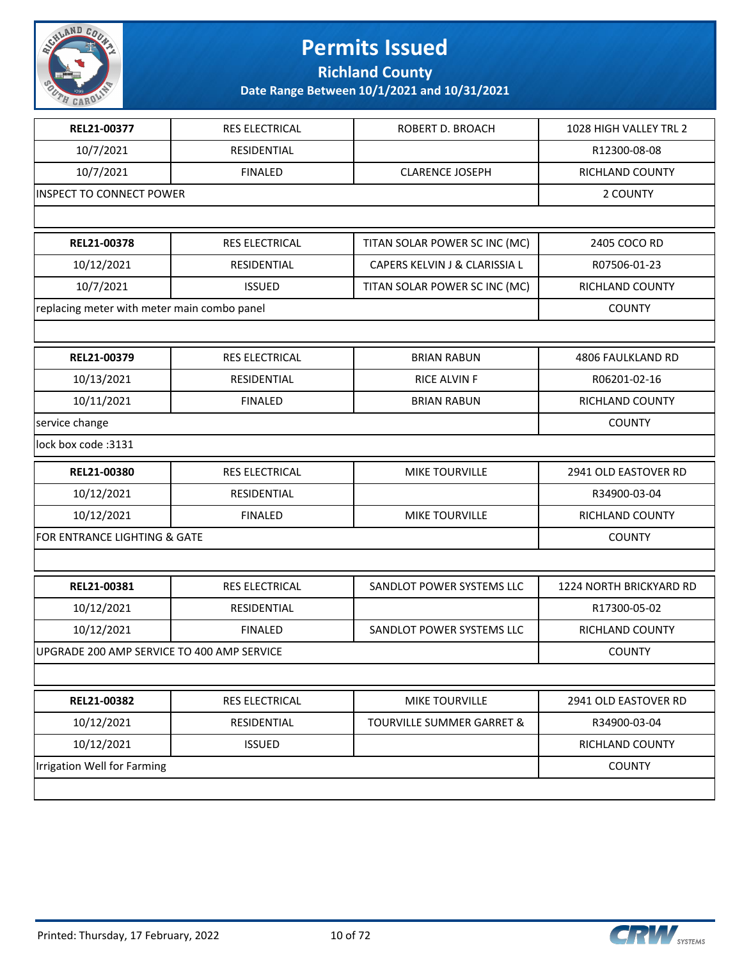

**Richland County**

| REL21-00377                                 | RES ELECTRICAL        | ROBERT D. BROACH              | 1028 HIGH VALLEY TRL 2  |
|---------------------------------------------|-----------------------|-------------------------------|-------------------------|
| 10/7/2021                                   | RESIDENTIAL           |                               | R12300-08-08            |
| 10/7/2021                                   | <b>FINALED</b>        | <b>CLARENCE JOSEPH</b>        | RICHLAND COUNTY         |
| <b>INSPECT TO CONNECT POWER</b>             |                       |                               | 2 COUNTY                |
|                                             |                       |                               |                         |
| REL21-00378                                 | <b>RES ELECTRICAL</b> | TITAN SOLAR POWER SC INC (MC) | 2405 COCO RD            |
| 10/12/2021                                  | <b>RESIDENTIAL</b>    | CAPERS KELVIN J & CLARISSIA L | R07506-01-23            |
| 10/7/2021                                   | <b>ISSUED</b>         | TITAN SOLAR POWER SC INC (MC) | RICHLAND COUNTY         |
| replacing meter with meter main combo panel |                       |                               | <b>COUNTY</b>           |
|                                             |                       |                               |                         |
| REL21-00379                                 | RES ELECTRICAL        | <b>BRIAN RABUN</b>            | 4806 FAULKLAND RD       |
| 10/13/2021                                  | RESIDENTIAL           | <b>RICE ALVIN F</b>           | R06201-02-16            |
| 10/11/2021                                  | <b>FINALED</b>        | <b>BRIAN RABUN</b>            | RICHLAND COUNTY         |
| service change                              |                       |                               | <b>COUNTY</b>           |
| lock box code: 3131                         |                       |                               |                         |
| REL21-00380                                 | RES ELECTRICAL        | <b>MIKE TOURVILLE</b>         | 2941 OLD EASTOVER RD    |
| 10/12/2021                                  | RESIDENTIAL           |                               | R34900-03-04            |
| 10/12/2021                                  | <b>FINALED</b>        | <b>MIKE TOURVILLE</b>         | RICHLAND COUNTY         |
| FOR ENTRANCE LIGHTING & GATE                |                       |                               | <b>COUNTY</b>           |
|                                             |                       |                               |                         |
| REL21-00381                                 | RES ELECTRICAL        | SANDLOT POWER SYSTEMS LLC     | 1224 NORTH BRICKYARD RD |
| 10/12/2021                                  | RESIDENTIAL           |                               | R17300-05-02            |
| 10/12/2021                                  | <b>FINALED</b>        | SANDLOT POWER SYSTEMS LLC     | RICHLAND COUNTY         |
| UPGRADE 200 AMP SERVICE TO 400 AMP SERVICE  |                       |                               | <b>COUNTY</b>           |
|                                             |                       |                               |                         |
| REL21-00382                                 | RES ELECTRICAL        | MIKE TOURVILLE                | 2941 OLD EASTOVER RD    |
| 10/12/2021                                  | RESIDENTIAL           | TOURVILLE SUMMER GARRET &     | R34900-03-04            |
| 10/12/2021                                  | <b>ISSUED</b>         |                               | RICHLAND COUNTY         |
| Irrigation Well for Farming                 | <b>COUNTY</b>         |                               |                         |
|                                             |                       |                               |                         |

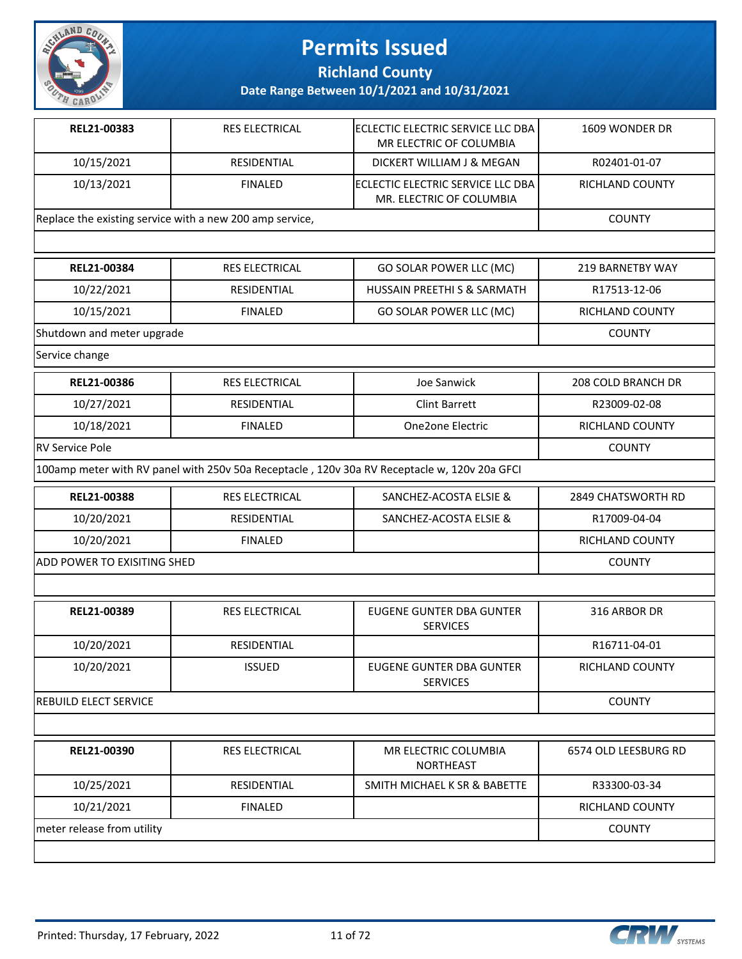

**Richland County**

**Date Range Between 10/1/2021 and 10/31/2021**

| REL21-00383                 | <b>RES ELECTRICAL</b>                                    | ECLECTIC ELECTRIC SERVICE LLC DBA<br>MR ELECTRIC OF COLUMBIA                                 | 1609 WONDER DR       |
|-----------------------------|----------------------------------------------------------|----------------------------------------------------------------------------------------------|----------------------|
| 10/15/2021                  | RESIDENTIAL                                              | DICKERT WILLIAM J & MEGAN                                                                    | R02401-01-07         |
| 10/13/2021                  | <b>FINALED</b>                                           | ECLECTIC ELECTRIC SERVICE LLC DBA<br>MR. ELECTRIC OF COLUMBIA                                | RICHLAND COUNTY      |
|                             | Replace the existing service with a new 200 amp service, |                                                                                              | <b>COUNTY</b>        |
|                             |                                                          |                                                                                              |                      |
| REL21-00384                 | <b>RES ELECTRICAL</b>                                    | GO SOLAR POWER LLC (MC)                                                                      | 219 BARNETBY WAY     |
| 10/22/2021                  | <b>RESIDENTIAL</b>                                       | HUSSAIN PREETHI S & SARMATH                                                                  | R17513-12-06         |
| 10/15/2021                  | <b>FINALED</b>                                           | GO SOLAR POWER LLC (MC)                                                                      | RICHLAND COUNTY      |
| Shutdown and meter upgrade  |                                                          |                                                                                              | <b>COUNTY</b>        |
| Service change              |                                                          |                                                                                              |                      |
| REL21-00386                 | <b>RES ELECTRICAL</b>                                    | Joe Sanwick                                                                                  | 208 COLD BRANCH DR   |
| 10/27/2021                  | RESIDENTIAL                                              | <b>Clint Barrett</b>                                                                         | R23009-02-08         |
| 10/18/2021                  | <b>FINALED</b>                                           | One2one Electric                                                                             | RICHLAND COUNTY      |
| <b>RV Service Pole</b>      |                                                          |                                                                                              | <b>COUNTY</b>        |
|                             |                                                          | 100amp meter with RV panel with 250v 50a Receptacle, 120v 30a RV Receptacle w, 120v 20a GFCI |                      |
| REL21-00388                 | RES ELECTRICAL                                           | SANCHEZ-ACOSTA ELSIE &                                                                       | 2849 CHATSWORTH RD   |
| 10/20/2021                  | RESIDENTIAL                                              | SANCHEZ-ACOSTA ELSIE &                                                                       | R17009-04-04         |
| 10/20/2021                  | <b>FINALED</b>                                           |                                                                                              | RICHLAND COUNTY      |
| ADD POWER TO EXISITING SHED |                                                          |                                                                                              | <b>COUNTY</b>        |
|                             |                                                          |                                                                                              |                      |
| REL21-00389                 | <b>RES ELECTRICAL</b>                                    | <b>EUGENE GUNTER DBA GUNTER</b><br><b>SERVICES</b>                                           | 316 ARBOR DR         |
| 10/20/2021                  | RESIDENTIAL                                              |                                                                                              | R16711-04-01         |
| 10/20/2021                  | <b>ISSUED</b>                                            | EUGENE GUNTER DBA GUNTER<br><b>SERVICES</b>                                                  | RICHLAND COUNTY      |
| REBUILD ELECT SERVICE       |                                                          |                                                                                              | <b>COUNTY</b>        |
|                             |                                                          |                                                                                              |                      |
| REL21-00390                 | RES ELECTRICAL                                           | MR ELECTRIC COLUMBIA<br><b>NORTHEAST</b>                                                     | 6574 OLD LEESBURG RD |
| 10/25/2021                  | RESIDENTIAL                                              | SMITH MICHAEL K SR & BABETTE                                                                 | R33300-03-34         |
| 10/21/2021                  | <b>FINALED</b>                                           |                                                                                              | RICHLAND COUNTY      |

meter release from utility and the country country country and the country country country country country country

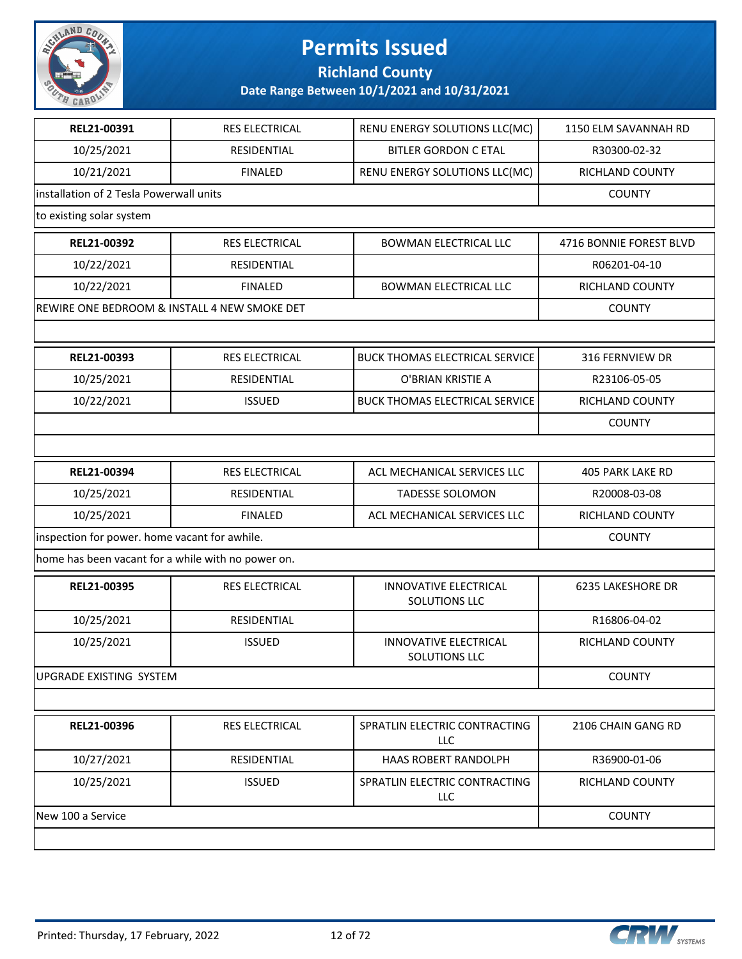

**Richland County**

| REL21-00391                                        | RES ELECTRICAL                               | RENU ENERGY SOLUTIONS LLC(MC)                 | 1150 ELM SAVANNAH RD    |
|----------------------------------------------------|----------------------------------------------|-----------------------------------------------|-------------------------|
| 10/25/2021                                         | RESIDENTIAL                                  | <b>BITLER GORDON C ETAL</b>                   | R30300-02-32            |
| 10/21/2021                                         | <b>FINALED</b>                               | RENU ENERGY SOLUTIONS LLC(MC)                 | RICHLAND COUNTY         |
| installation of 2 Tesla Powerwall units            |                                              |                                               | <b>COUNTY</b>           |
| to existing solar system                           |                                              |                                               |                         |
| REL21-00392                                        | <b>RES ELECTRICAL</b>                        | <b>BOWMAN ELECTRICAL LLC</b>                  | 4716 BONNIE FOREST BLVD |
| 10/22/2021                                         | RESIDENTIAL                                  |                                               | R06201-04-10            |
| 10/22/2021                                         | <b>FINALED</b>                               | <b>BOWMAN ELECTRICAL LLC</b>                  | RICHLAND COUNTY         |
|                                                    | REWIRE ONE BEDROOM & INSTALL 4 NEW SMOKE DET |                                               | <b>COUNTY</b>           |
|                                                    |                                              |                                               |                         |
| REL21-00393                                        | <b>RES ELECTRICAL</b>                        | <b>BUCK THOMAS ELECTRICAL SERVICE</b>         | 316 FERNVIEW DR         |
| 10/25/2021                                         | RESIDENTIAL                                  | O'BRIAN KRISTIE A                             | R23106-05-05            |
| 10/22/2021                                         | <b>ISSUED</b>                                | <b>BUCK THOMAS ELECTRICAL SERVICE</b>         | RICHLAND COUNTY         |
|                                                    |                                              |                                               | <b>COUNTY</b>           |
|                                                    |                                              |                                               |                         |
| REL21-00394                                        | RES ELECTRICAL                               | ACL MECHANICAL SERVICES LLC                   | 405 PARK LAKE RD        |
| 10/25/2021                                         | RESIDENTIAL                                  | <b>TADESSE SOLOMON</b>                        | R20008-03-08            |
| 10/25/2021                                         | <b>FINALED</b>                               | ACL MECHANICAL SERVICES LLC                   | RICHLAND COUNTY         |
| inspection for power. home vacant for awhile.      |                                              |                                               | <b>COUNTY</b>           |
| home has been vacant for a while with no power on. |                                              |                                               |                         |
| REL21-00395                                        | RES ELECTRICAL                               | <b>INNOVATIVE ELECTRICAL</b><br>SOLUTIONS LLC | 6235 LAKESHORE DR       |
| 10/25/2021                                         | RESIDENTIAL                                  |                                               | R16806-04-02            |
| 10/25/2021                                         | <b>ISSUED</b>                                | <b>INNOVATIVE ELECTRICAL</b><br>SOLUTIONS LLC | RICHLAND COUNTY         |
| UPGRADE EXISTING SYSTEM                            |                                              |                                               | <b>COUNTY</b>           |
|                                                    |                                              |                                               |                         |
| REL21-00396                                        | RES ELECTRICAL                               | SPRATLIN ELECTRIC CONTRACTING<br>LLC          | 2106 CHAIN GANG RD      |
| 10/27/2021                                         | RESIDENTIAL                                  | HAAS ROBERT RANDOLPH                          | R36900-01-06            |
| 10/25/2021                                         | <b>ISSUED</b>                                | SPRATLIN ELECTRIC CONTRACTING<br>LLC          | RICHLAND COUNTY         |
| New 100 a Service                                  |                                              |                                               | <b>COUNTY</b>           |
|                                                    |                                              |                                               |                         |

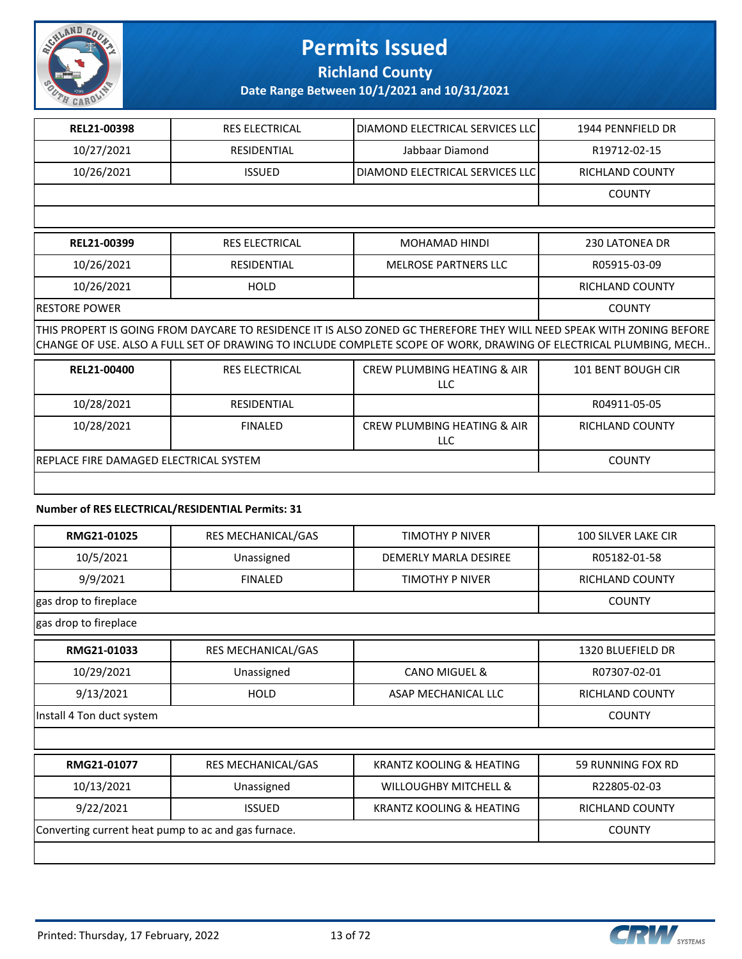

**Richland County**

**Date Range Between 10/1/2021 and 10/31/2021**

| REL21-00398                                                                                                                                                                                                                                | <b>RES ELECTRICAL</b> | DIAMOND ELECTRICAL SERVICES LLC                      | 1944 PENNFIELD DR         |  |  |
|--------------------------------------------------------------------------------------------------------------------------------------------------------------------------------------------------------------------------------------------|-----------------------|------------------------------------------------------|---------------------------|--|--|
| 10/27/2021                                                                                                                                                                                                                                 | <b>RESIDENTIAL</b>    | Jabbaar Diamond                                      | R19712-02-15              |  |  |
| 10/26/2021                                                                                                                                                                                                                                 | <b>ISSUED</b>         | DIAMOND ELECTRICAL SERVICES LLC                      | <b>RICHLAND COUNTY</b>    |  |  |
|                                                                                                                                                                                                                                            |                       |                                                      | <b>COUNTY</b>             |  |  |
|                                                                                                                                                                                                                                            |                       |                                                      |                           |  |  |
| REL21-00399                                                                                                                                                                                                                                | <b>RES ELECTRICAL</b> | MOHAMAD HINDI                                        | 230 LATONEA DR            |  |  |
| 10/26/2021                                                                                                                                                                                                                                 | <b>RESIDENTIAL</b>    | <b>MELROSE PARTNERS LLC</b>                          | R05915-03-09              |  |  |
| 10/26/2021                                                                                                                                                                                                                                 | <b>HOLD</b>           |                                                      | <b>RICHLAND COUNTY</b>    |  |  |
| RESTORE POWER                                                                                                                                                                                                                              | <b>COUNTY</b>         |                                                      |                           |  |  |
| THIS PROPERT IS GOING FROM DAYCARE TO RESIDENCE IT IS ALSO ZONED GC THEREFORE THEY WILL NEED SPEAK WITH ZONING BEFORE<br>CHANGE OF USE. ALSO A FULL SET OF DRAWING TO INCLUDE COMPLETE SCOPE OF WORK, DRAWING OF ELECTRICAL PLUMBING, MECH |                       |                                                      |                           |  |  |
| REL21-00400                                                                                                                                                                                                                                | <b>RES ELECTRICAL</b> | <b>CREW PLUMBING HEATING &amp; AIR</b><br><b>LLC</b> | <b>101 BENT BOUGH CIR</b> |  |  |
| 10/28/2021                                                                                                                                                                                                                                 | <b>RESIDENTIAL</b>    |                                                      | R04911-05-05              |  |  |
| 10/28/2021                                                                                                                                                                                                                                 | <b>FINALED</b>        | CREW PLUMBING HEATING & AIR<br><b>LLC</b>            | <b>RICHLAND COUNTY</b>    |  |  |
| REPLACE FIRE DAMAGED ELECTRICAL SYSTEM                                                                                                                                                                                                     | <b>COUNTY</b>         |                                                      |                           |  |  |
|                                                                                                                                                                                                                                            |                       |                                                      |                           |  |  |

#### **Number of RES ELECTRICAL/RESIDENTIAL Permits: 31**

| RMG21-01025           | RES MECHANICAL/GAS | TIMOTHY P NIVER       | <b>100 SILVER LAKE CIR</b> |
|-----------------------|--------------------|-----------------------|----------------------------|
| 10/5/2021             | Unassigned         | DEMERLY MARLA DESIREE | R05182-01-58               |
| 9/9/2021              | <b>FINALED</b>     | TIMOTHY P NIVER       | RICHLAND COUNTY            |
| gas drop to fireplace | <b>COUNTY</b>      |                       |                            |

gas drop to fireplace

| RMG21-01033               | RES MECHANICAL/GAS |                     | 1320 BLUEFIELD DR |
|---------------------------|--------------------|---------------------|-------------------|
| 10/29/2021                | Unassigned         | CANO MIGUEL &       | R07307-02-01      |
| 9/13/2021                 | <b>HOLD</b>        | ASAP MECHANICAL LLC | RICHLAND COUNTY   |
|                           | <b>COUNTY</b>      |                     |                   |
| Install 4 Ton duct system |                    |                     |                   |

| RMG21-01077                                         | <b>RES MECHANICAL/GAS</b> | KRANTZ KOOLING & HEATING         | 59 RUNNING FOX RD      |
|-----------------------------------------------------|---------------------------|----------------------------------|------------------------|
| 10/13/2021                                          | Unassigned                | <b>WILLOUGHBY MITCHELL &amp;</b> | R22805-02-03           |
| 9/22/2021                                           | <b>ISSUED</b>             | KRANTZ KOOLING & HEATING         | <b>RICHLAND COUNTY</b> |
| Converting current heat pump to ac and gas furnace. | <b>COUNTY</b>             |                                  |                        |
|                                                     |                           |                                  |                        |

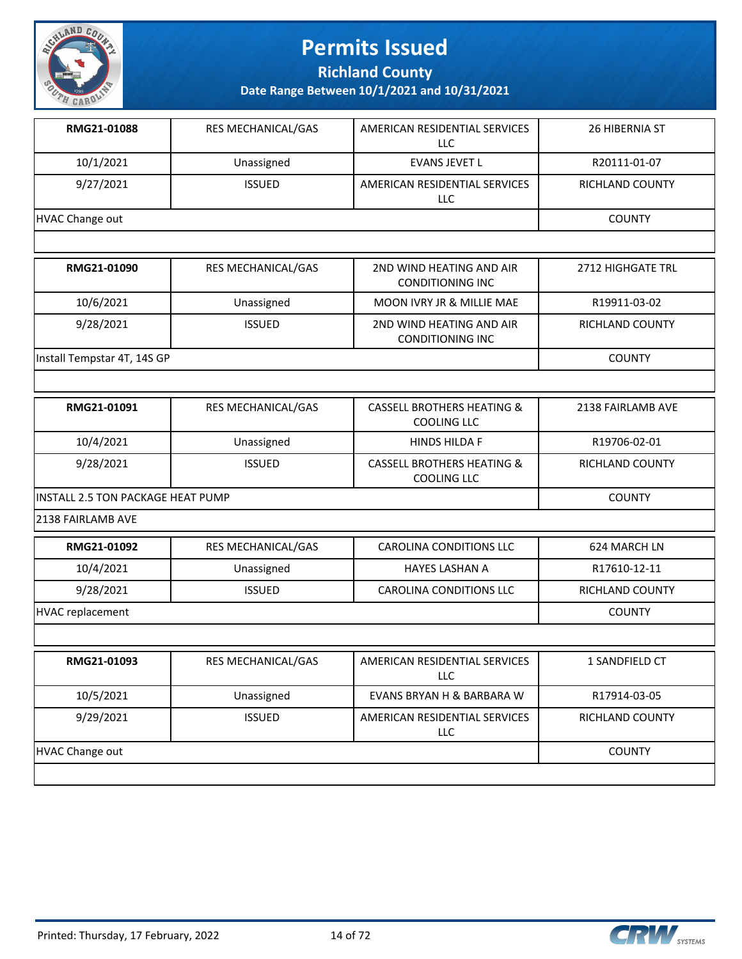

**Richland County**

| 10/1/2021<br>Unassigned<br>R20111-01-07<br><b>EVANS JEVET L</b><br>9/27/2021<br><b>ISSUED</b><br>AMERICAN RESIDENTIAL SERVICES<br>RICHLAND COUNTY<br>LLC<br><b>HVAC Change out</b><br><b>COUNTY</b><br>RMG21-01090<br>RES MECHANICAL/GAS<br>2ND WIND HEATING AND AIR<br>2712 HIGHGATE TRL<br><b>CONDITIONING INC</b><br>10/6/2021<br>Unassigned<br>MOON IVRY JR & MILLIE MAE<br>R19911-03-02<br>9/28/2021<br><b>ISSUED</b><br>2ND WIND HEATING AND AIR<br>RICHLAND COUNTY<br><b>CONDITIONING INC</b><br>Install Tempstar 4T, 14S GP<br><b>COUNTY</b><br>RMG21-01091<br>RES MECHANICAL/GAS<br><b>CASSELL BROTHERS HEATING &amp;</b><br>2138 FAIRLAMB AVE<br><b>COOLING LLC</b><br>10/4/2021<br>R19706-02-01<br><b>HINDS HILDA F</b><br>Unassigned<br>9/28/2021<br><b>ISSUED</b><br><b>CASSELL BROTHERS HEATING &amp;</b><br><b>RICHLAND COUNTY</b><br>COOLING LLC<br><b>COUNTY</b><br>INSTALL 2.5 TON PACKAGE HEAT PUMP<br>2138 FAIRLAMB AVE<br>RMG21-01092<br>RES MECHANICAL/GAS<br>CAROLINA CONDITIONS LLC<br>624 MARCH LN<br>10/4/2021<br>Unassigned<br><b>HAYES LASHAN A</b><br>R17610-12-11<br>9/28/2021<br><b>ISSUED</b><br>CAROLINA CONDITIONS LLC<br>RICHLAND COUNTY<br><b>HVAC replacement</b><br><b>COUNTY</b><br>AMERICAN RESIDENTIAL SERVICES<br>RMG21-01093<br>RES MECHANICAL/GAS<br>1 SANDFIELD CT<br>LLC<br>10/5/2021<br>Unassigned<br>EVANS BRYAN H & BARBARA W<br>R17914-03-05<br>9/29/2021<br><b>ISSUED</b><br>AMERICAN RESIDENTIAL SERVICES<br>RICHLAND COUNTY<br><b>LLC</b> | RMG21-01088            | RES MECHANICAL/GAS | AMERICAN RESIDENTIAL SERVICES<br><b>LLC</b> | 26 HIBERNIA ST |
|------------------------------------------------------------------------------------------------------------------------------------------------------------------------------------------------------------------------------------------------------------------------------------------------------------------------------------------------------------------------------------------------------------------------------------------------------------------------------------------------------------------------------------------------------------------------------------------------------------------------------------------------------------------------------------------------------------------------------------------------------------------------------------------------------------------------------------------------------------------------------------------------------------------------------------------------------------------------------------------------------------------------------------------------------------------------------------------------------------------------------------------------------------------------------------------------------------------------------------------------------------------------------------------------------------------------------------------------------------------------------------------------------------------------------------------------------------------------------------------------|------------------------|--------------------|---------------------------------------------|----------------|
|                                                                                                                                                                                                                                                                                                                                                                                                                                                                                                                                                                                                                                                                                                                                                                                                                                                                                                                                                                                                                                                                                                                                                                                                                                                                                                                                                                                                                                                                                                |                        |                    |                                             |                |
|                                                                                                                                                                                                                                                                                                                                                                                                                                                                                                                                                                                                                                                                                                                                                                                                                                                                                                                                                                                                                                                                                                                                                                                                                                                                                                                                                                                                                                                                                                |                        |                    |                                             |                |
|                                                                                                                                                                                                                                                                                                                                                                                                                                                                                                                                                                                                                                                                                                                                                                                                                                                                                                                                                                                                                                                                                                                                                                                                                                                                                                                                                                                                                                                                                                |                        |                    |                                             |                |
|                                                                                                                                                                                                                                                                                                                                                                                                                                                                                                                                                                                                                                                                                                                                                                                                                                                                                                                                                                                                                                                                                                                                                                                                                                                                                                                                                                                                                                                                                                |                        |                    |                                             |                |
|                                                                                                                                                                                                                                                                                                                                                                                                                                                                                                                                                                                                                                                                                                                                                                                                                                                                                                                                                                                                                                                                                                                                                                                                                                                                                                                                                                                                                                                                                                |                        |                    |                                             |                |
|                                                                                                                                                                                                                                                                                                                                                                                                                                                                                                                                                                                                                                                                                                                                                                                                                                                                                                                                                                                                                                                                                                                                                                                                                                                                                                                                                                                                                                                                                                |                        |                    |                                             |                |
|                                                                                                                                                                                                                                                                                                                                                                                                                                                                                                                                                                                                                                                                                                                                                                                                                                                                                                                                                                                                                                                                                                                                                                                                                                                                                                                                                                                                                                                                                                |                        |                    |                                             |                |
|                                                                                                                                                                                                                                                                                                                                                                                                                                                                                                                                                                                                                                                                                                                                                                                                                                                                                                                                                                                                                                                                                                                                                                                                                                                                                                                                                                                                                                                                                                |                        |                    |                                             |                |
|                                                                                                                                                                                                                                                                                                                                                                                                                                                                                                                                                                                                                                                                                                                                                                                                                                                                                                                                                                                                                                                                                                                                                                                                                                                                                                                                                                                                                                                                                                |                        |                    |                                             |                |
|                                                                                                                                                                                                                                                                                                                                                                                                                                                                                                                                                                                                                                                                                                                                                                                                                                                                                                                                                                                                                                                                                                                                                                                                                                                                                                                                                                                                                                                                                                |                        |                    |                                             |                |
|                                                                                                                                                                                                                                                                                                                                                                                                                                                                                                                                                                                                                                                                                                                                                                                                                                                                                                                                                                                                                                                                                                                                                                                                                                                                                                                                                                                                                                                                                                |                        |                    |                                             |                |
|                                                                                                                                                                                                                                                                                                                                                                                                                                                                                                                                                                                                                                                                                                                                                                                                                                                                                                                                                                                                                                                                                                                                                                                                                                                                                                                                                                                                                                                                                                |                        |                    |                                             |                |
|                                                                                                                                                                                                                                                                                                                                                                                                                                                                                                                                                                                                                                                                                                                                                                                                                                                                                                                                                                                                                                                                                                                                                                                                                                                                                                                                                                                                                                                                                                |                        |                    |                                             |                |
|                                                                                                                                                                                                                                                                                                                                                                                                                                                                                                                                                                                                                                                                                                                                                                                                                                                                                                                                                                                                                                                                                                                                                                                                                                                                                                                                                                                                                                                                                                |                        |                    |                                             |                |
|                                                                                                                                                                                                                                                                                                                                                                                                                                                                                                                                                                                                                                                                                                                                                                                                                                                                                                                                                                                                                                                                                                                                                                                                                                                                                                                                                                                                                                                                                                |                        |                    |                                             |                |
|                                                                                                                                                                                                                                                                                                                                                                                                                                                                                                                                                                                                                                                                                                                                                                                                                                                                                                                                                                                                                                                                                                                                                                                                                                                                                                                                                                                                                                                                                                |                        |                    |                                             |                |
|                                                                                                                                                                                                                                                                                                                                                                                                                                                                                                                                                                                                                                                                                                                                                                                                                                                                                                                                                                                                                                                                                                                                                                                                                                                                                                                                                                                                                                                                                                |                        |                    |                                             |                |
|                                                                                                                                                                                                                                                                                                                                                                                                                                                                                                                                                                                                                                                                                                                                                                                                                                                                                                                                                                                                                                                                                                                                                                                                                                                                                                                                                                                                                                                                                                |                        |                    |                                             |                |
|                                                                                                                                                                                                                                                                                                                                                                                                                                                                                                                                                                                                                                                                                                                                                                                                                                                                                                                                                                                                                                                                                                                                                                                                                                                                                                                                                                                                                                                                                                |                        |                    |                                             |                |
|                                                                                                                                                                                                                                                                                                                                                                                                                                                                                                                                                                                                                                                                                                                                                                                                                                                                                                                                                                                                                                                                                                                                                                                                                                                                                                                                                                                                                                                                                                |                        |                    |                                             |                |
|                                                                                                                                                                                                                                                                                                                                                                                                                                                                                                                                                                                                                                                                                                                                                                                                                                                                                                                                                                                                                                                                                                                                                                                                                                                                                                                                                                                                                                                                                                |                        |                    |                                             |                |
|                                                                                                                                                                                                                                                                                                                                                                                                                                                                                                                                                                                                                                                                                                                                                                                                                                                                                                                                                                                                                                                                                                                                                                                                                                                                                                                                                                                                                                                                                                |                        |                    |                                             |                |
|                                                                                                                                                                                                                                                                                                                                                                                                                                                                                                                                                                                                                                                                                                                                                                                                                                                                                                                                                                                                                                                                                                                                                                                                                                                                                                                                                                                                                                                                                                | <b>HVAC Change out</b> | <b>COUNTY</b>      |                                             |                |

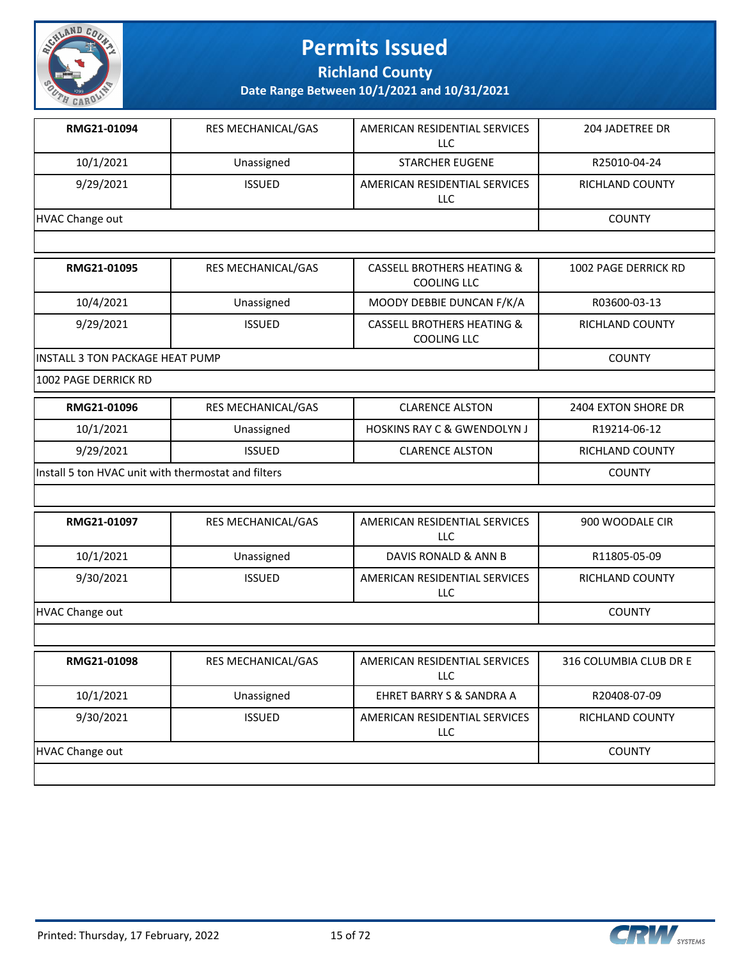

**Richland County**

**Date Range Between 10/1/2021 and 10/31/2021**

| RMG21-01094     | <b>RES MECHANICAL/GAS</b> | AMERICAN RESIDENTIAL SERVICES<br>LLC | 204 JADETREE DR |
|-----------------|---------------------------|--------------------------------------|-----------------|
| 10/1/2021       | Unassigned                | <b>STARCHER EUGENE</b>               | R25010-04-24    |
| 9/29/2021       | <b>ISSUED</b>             | AMERICAN RESIDENTIAL SERVICES<br>LLC | RICHLAND COUNTY |
| HVAC Change out |                           |                                      | <b>COUNTY</b>   |

| RMG21-01095                             | <b>RES MECHANICAL/GAS</b> | <b>CASSELL BROTHERS HEATING &amp;</b><br>COOLING LLC        | 1002 PAGE DERRICK RD |
|-----------------------------------------|---------------------------|-------------------------------------------------------------|----------------------|
| 10/4/2021                               | Unassigned                | MOODY DEBBIE DUNCAN F/K/A                                   | R03600-03-13         |
| 9/29/2021                               | <b>ISSUED</b>             | <b>CASSELL BROTHERS HEATING &amp;</b><br><b>COOLING LLC</b> | RICHLAND COUNTY      |
| <b>IINSTALL 3 TON PACKAGE HEAT PUMP</b> |                           |                                                             | <b>COUNTY</b>        |

1002 PAGE DERRICK RD

| RMG21-01096                                          | RES MECHANICAL/GAS | <b>CLARENCE ALSTON</b>                 | 2404 EXTON SHORE DR |
|------------------------------------------------------|--------------------|----------------------------------------|---------------------|
| 10/1/2021                                            | Unassigned         | <b>HOSKINS RAY C &amp; GWENDOLYN J</b> | R19214-06-12        |
| 9/29/2021                                            | <b>ISSUED</b>      | <b>CLARENCE ALSTON</b>                 | RICHLAND COUNTY     |
| linstall 5 ton HVAC unit with thermostat and filters |                    |                                        | <b>COUNTY</b>       |

| RMG21-01097            | <b>RES MECHANICAL/GAS</b> | AMERICAN RESIDENTIAL SERVICES<br>LLC | 900 WOODALE CIR |
|------------------------|---------------------------|--------------------------------------|-----------------|
| 10/1/2021              | Unassigned                | DAVIS RONALD & ANN B                 | R11805-05-09    |
| 9/30/2021              | <b>ISSUED</b>             | AMERICAN RESIDENTIAL SERVICES<br>LLC | RICHLAND COUNTY |
| <b>HVAC Change out</b> |                           |                                      | <b>COUNTY</b>   |

| RMG21-01098     | <b>RES MECHANICAL/GAS</b> | AMERICAN RESIDENTIAL SERVICES<br><b>LLC</b> | 316 COLUMBIA CLUB DR E |
|-----------------|---------------------------|---------------------------------------------|------------------------|
| 10/1/2021       | Unassigned                | EHRET BARRY S & SANDRA A                    | R20408-07-09           |
| 9/30/2021       | <b>ISSUED</b>             | AMERICAN RESIDENTIAL SERVICES<br>LLC        | RICHLAND COUNTY        |
| HVAC Change out |                           |                                             | <b>COUNTY</b>          |
|                 |                           |                                             |                        |

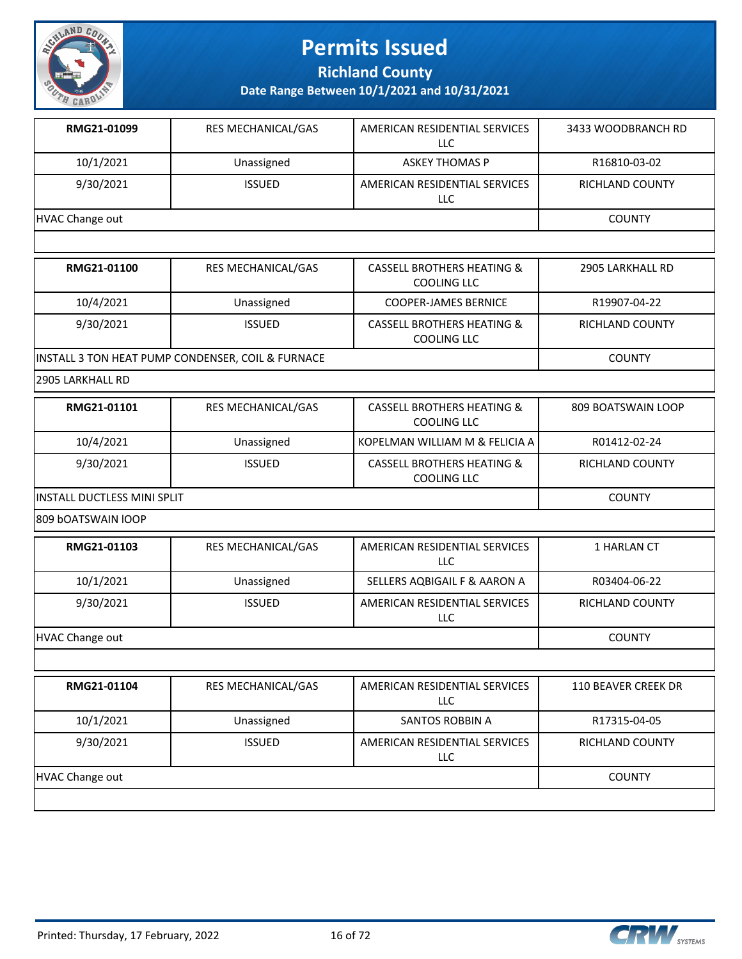

**Richland County**

**Date Range Between 10/1/2021 and 10/31/2021**

| RMG21-01099     | <b>RES MECHANICAL/GAS</b> | AMERICAN RESIDENTIAL SERVICES<br>LLC | 3433 WOODBRANCH RD |
|-----------------|---------------------------|--------------------------------------|--------------------|
| 10/1/2021       | Unassigned                | <b>ASKEY THOMAS P</b>                | R16810-03-02       |
| 9/30/2021       | <b>ISSUED</b>             | AMERICAN RESIDENTIAL SERVICES<br>LLC | RICHLAND COUNTY    |
| HVAC Change out |                           |                                      | <b>COUNTY</b>      |
|                 |                           |                                      |                    |

| RMG21-01100                                       | <b>RES MECHANICAL/GAS</b> | <b>CASSELL BROTHERS HEATING &amp;</b><br>COOLING LLC | 2905 LARKHALL RD       |
|---------------------------------------------------|---------------------------|------------------------------------------------------|------------------------|
| 10/4/2021                                         | Unassigned                | <b>COOPER-JAMES BERNICE</b>                          | R19907-04-22           |
| 9/30/2021                                         | <b>ISSUED</b>             | <b>CASSELL BROTHERS HEATING &amp;</b><br>COOLING LLC | <b>RICHLAND COUNTY</b> |
| INSTALL 3 TON HEAT PUMP CONDENSER, COIL & FURNACE |                           |                                                      | <b>COUNTY</b>          |

2905 LARKHALL RD

| RMG21-01101                  | <b>RES MECHANICAL/GAS</b> | CASSELL BROTHERS HEATING &<br>COOLING LLC            | 809 BOATSWAIN LOOP     |
|------------------------------|---------------------------|------------------------------------------------------|------------------------|
| 10/4/2021                    | Unassigned                | KOPELMAN WILLIAM M & FELICIA A                       | R01412-02-24           |
| 9/30/2021                    | <b>ISSUED</b>             | <b>CASSELL BROTHERS HEATING &amp;</b><br>COOLING LLC | <b>RICHLAND COUNTY</b> |
| IINSTALL DUCTLESS MINI SPLIT |                           |                                                      | <b>COUNTY</b>          |

809 bOATSWAIN lOOP

| RMG21-01103     | <b>RES MECHANICAL/GAS</b> | AMERICAN RESIDENTIAL SERVICES<br>LLC | 1 HARLAN CT     |
|-----------------|---------------------------|--------------------------------------|-----------------|
| 10/1/2021       | Unassigned                | SELLERS AQBIGAIL F & AARON A         | R03404-06-22    |
| 9/30/2021       | <b>ISSUED</b>             | AMERICAN RESIDENTIAL SERVICES<br>LLC | RICHLAND COUNTY |
| HVAC Change out |                           |                                      | <b>COUNTY</b>   |

| RMG21-01104     | <b>RES MECHANICAL/GAS</b> | AMERICAN RESIDENTIAL SERVICES<br>LLC        | <b>110 BEAVER CREEK DR</b> |
|-----------------|---------------------------|---------------------------------------------|----------------------------|
| 10/1/2021       | Unassigned                | SANTOS ROBBIN A                             | R17315-04-05               |
| 9/30/2021       | <b>ISSUED</b>             | AMERICAN RESIDENTIAL SERVICES<br><b>LLC</b> | <b>RICHLAND COUNTY</b>     |
| HVAC Change out |                           |                                             | <b>COUNTY</b>              |
|                 |                           |                                             |                            |

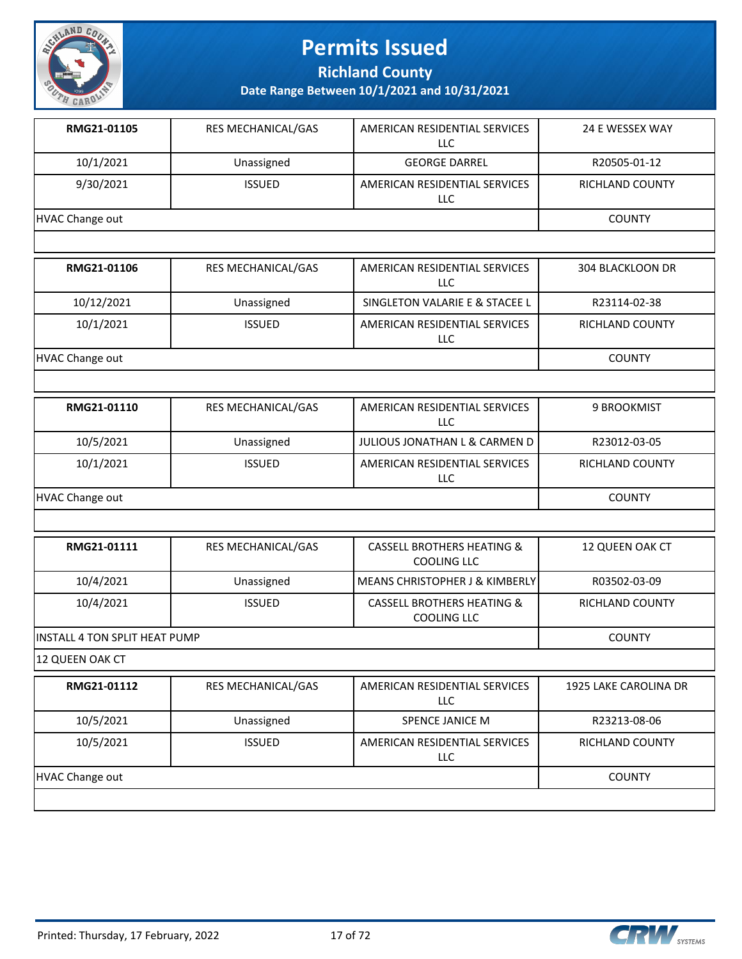

**Richland County**

**Date Range Between 10/1/2021 and 10/31/2021**

| RMG21-01105     | <b>RES MECHANICAL/GAS</b> | AMERICAN RESIDENTIAL SERVICES<br>LLC | 24 E WESSEX WAY        |
|-----------------|---------------------------|--------------------------------------|------------------------|
| 10/1/2021       | Unassigned                | <b>GEORGE DARREL</b>                 | R20505-01-12           |
| 9/30/2021       | <b>ISSUED</b>             | AMERICAN RESIDENTIAL SERVICES<br>LLC | <b>RICHLAND COUNTY</b> |
| HVAC Change out |                           |                                      | <b>COUNTY</b>          |
|                 |                           |                                      |                        |

| RMG21-01106     | <b>RES MECHANICAL/GAS</b> | AMERICAN RESIDENTIAL SERVICES<br>LLC        | 304 BLACKLOON DR       |
|-----------------|---------------------------|---------------------------------------------|------------------------|
| 10/12/2021      | Unassigned                | SINGLETON VALARIE E & STACEE L              | R23114-02-38           |
| 10/1/2021       | <b>ISSUED</b>             | AMERICAN RESIDENTIAL SERVICES<br><b>LLC</b> | <b>RICHLAND COUNTY</b> |
| HVAC Change out |                           |                                             | <b>COUNTY</b>          |

| RMG21-01110     | <b>RES MECHANICAL/GAS</b> | AMERICAN RESIDENTIAL SERVICES<br>LLC. | 9 BROOKMIST     |
|-----------------|---------------------------|---------------------------------------|-----------------|
| 10/5/2021       | Unassigned                | JULIOUS JONATHAN L & CARMEN D         | R23012-03-05    |
| 10/1/2021       | <b>ISSUED</b>             | AMERICAN RESIDENTIAL SERVICES<br>LLC  | RICHLAND COUNTY |
| HVAC Change out |                           |                                       | <b>COUNTY</b>   |

| RMG21-01111                          | <b>RES MECHANICAL/GAS</b> | CASSELL BROTHERS HEATING &<br>COOLING LLC            | 12 QUEEN OAK CT |
|--------------------------------------|---------------------------|------------------------------------------------------|-----------------|
| 10/4/2021                            | Unassigned                | I MEANS CHRISTOPHER J & KIMBERLYI                    | R03502-03-09    |
| 10/4/2021                            | <b>ISSUED</b>             | <b>CASSELL BROTHERS HEATING &amp;</b><br>COOLING LLC | RICHLAND COUNTY |
| <b>INSTALL 4 TON SPLIT HEAT PUMP</b> |                           |                                                      | <b>COUNTY</b>   |

12 QUEEN OAK CT

| RMG21-01112     | <b>RES MECHANICAL/GAS</b> | AMERICAN RESIDENTIAL SERVICES<br>LLC | 1925 LAKE CAROLINA DR  |
|-----------------|---------------------------|--------------------------------------|------------------------|
| 10/5/2021       | Unassigned                | SPENCE JANICE M                      | R23213-08-06           |
| 10/5/2021       | <b>ISSUED</b>             | AMERICAN RESIDENTIAL SERVICES<br>LLC | <b>RICHLAND COUNTY</b> |
| HVAC Change out |                           |                                      | <b>COUNTY</b>          |
|                 |                           |                                      |                        |

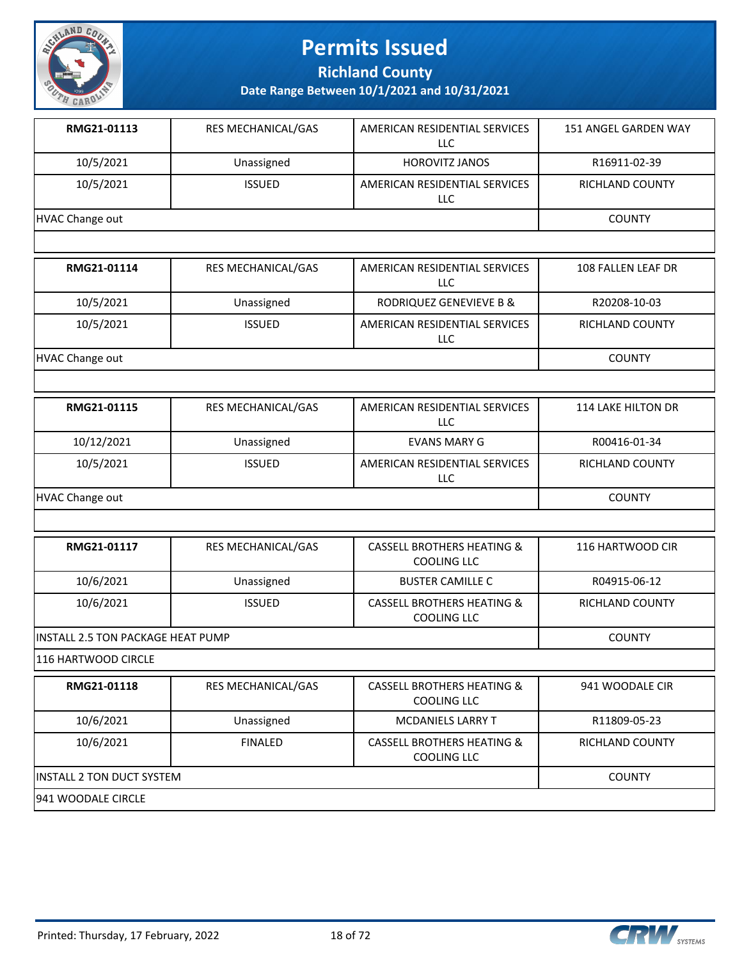

**Richland County**

**Date Range Between 10/1/2021 and 10/31/2021**

| RMG21-01113     | RES MECHANICAL/GAS        | AMERICAN RESIDENTIAL SERVICES<br>LLC. | 151 ANGEL GARDEN WAY   |
|-----------------|---------------------------|---------------------------------------|------------------------|
| 10/5/2021       | Unassigned                | <b>HOROVITZ JANOS</b>                 | R16911-02-39           |
| 10/5/2021       | <b>ISSUED</b>             | AMERICAN RESIDENTIAL SERVICES<br>LLC. | <b>RICHLAND COUNTY</b> |
| HVAC Change out |                           |                                       | <b>COUNTY</b>          |
|                 |                           |                                       |                        |
|                 |                           |                                       |                        |
| RMG21-01114     | <b>RES MECHANICAL/GAS</b> | AMERICAN RESIDENTIAL SERVICES<br>LLC. | 108 FALLEN LEAF DR     |
| 10/5/2021       | Unassigned                | RODRIQUEZ GENEVIEVE B &               | R20208-10-03           |
| 10/5/2021       | <b>ISSUED</b>             | AMERICAN RESIDENTIAL SERVICES<br>LLC. | <b>RICHLAND COUNTY</b> |

| RMG21-01115     | <b>RES MECHANICAL/GAS</b> | AMERICAN RESIDENTIAL SERVICES<br>LLC | <b>114 LAKE HILTON DR</b> |
|-----------------|---------------------------|--------------------------------------|---------------------------|
| 10/12/2021      | Unassigned                | EVANS MARY G                         | R00416-01-34              |
| 10/5/2021       | <b>ISSUED</b>             | AMERICAN RESIDENTIAL SERVICES<br>LLC | <b>RICHLAND COUNTY</b>    |
| HVAC Change out |                           |                                      | <b>COUNTY</b>             |

| RMG21-01117                               | <b>RES MECHANICAL/GAS</b> | CASSELL BROTHERS HEATING &<br>COOLING LLC            | 116 HARTWOOD CIR |
|-------------------------------------------|---------------------------|------------------------------------------------------|------------------|
| 10/6/2021                                 | Unassigned                | <b>BUSTER CAMILLE C</b>                              | R04915-06-12     |
| 10/6/2021                                 | <b>ISSUED</b>             | <b>CASSELL BROTHERS HEATING &amp;</b><br>COOLING LLC | RICHLAND COUNTY  |
| <b>IINSTALL 2.5 TON PACKAGE HEAT PUMP</b> |                           |                                                      | <b>COUNTY</b>    |

116 HARTWOOD CIRCLE

| RMG21-01118                | <b>RES MECHANICAL/GAS</b> | <b>CASSELL BROTHERS HEATING &amp;</b><br>COOLING LLC | 941 WOODALE CIR |
|----------------------------|---------------------------|------------------------------------------------------|-----------------|
| 10/6/2021                  | Unassigned                | <b>MCDANIELS LARRY T</b>                             | R11809-05-23    |
| 10/6/2021                  | FINAL FD                  | <b>CASSELL BROTHERS HEATING &amp;</b><br>COOLING LLC | RICHLAND COUNTY |
| IINSTALL 2 TON DUCT SYSTEM |                           |                                                      | <b>COUNTY</b>   |
| 1941 WOODALE CIRCLE        |                           |                                                      |                 |

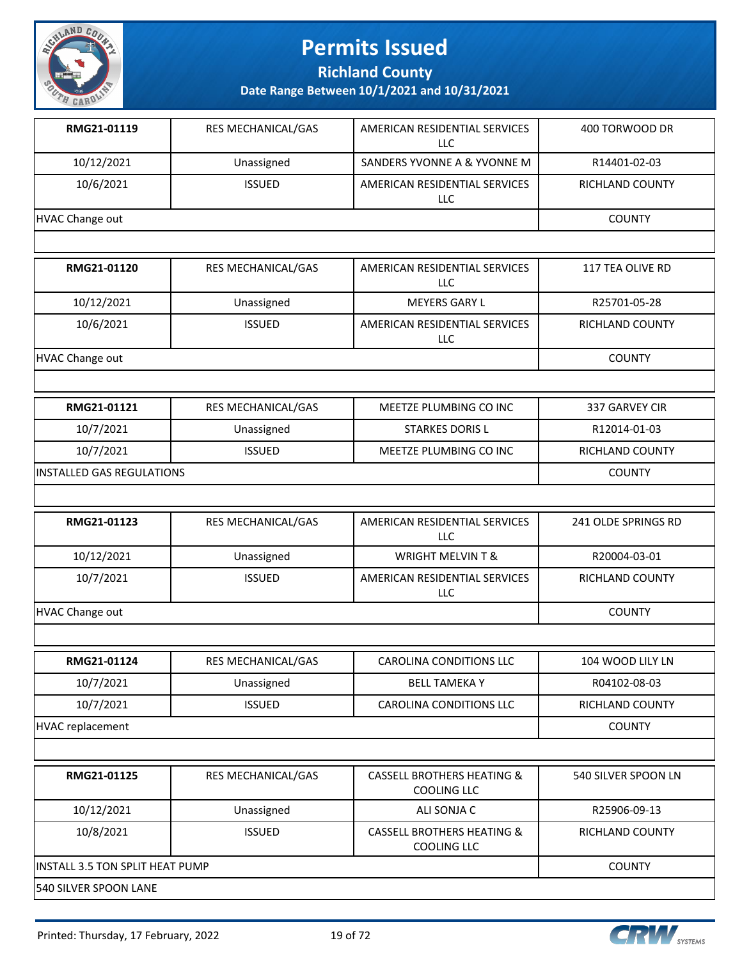

**Richland County**

| RMG21-01119     | <b>RES MECHANICAL/GAS</b> | AMERICAN RESIDENTIAL SERVICES<br><b>LLC</b> | 400 TORWOOD DR  |
|-----------------|---------------------------|---------------------------------------------|-----------------|
| 10/12/2021      | Unassigned                | SANDERS YVONNE A & YVONNE M                 | R14401-02-03    |
| 10/6/2021       | <b>ISSUED</b>             | AMERICAN RESIDENTIAL SERVICES<br>LLC        | RICHLAND COUNTY |
| HVAC Change out |                           |                                             | <b>COUNTY</b>   |
|                 |                           |                                             |                 |

| RMG21-01120     | <b>RES MECHANICAL/GAS</b> | AMERICAN RESIDENTIAL SERVICES<br>LLC | 117 TEA OLIVE RD |
|-----------------|---------------------------|--------------------------------------|------------------|
| 10/12/2021      | Unassigned                | MEYERS GARY L                        | R25701-05-28     |
| 10/6/2021       | <b>ISSUED</b>             | AMERICAN RESIDENTIAL SERVICES<br>LLC | RICHLAND COUNTY  |
| HVAC Change out | <b>COUNTY</b>             |                                      |                  |

| RMG21-01121                | <b>RES MECHANICAL/GAS</b> | MEETZE PLUMBING CO INC | 337 GARVEY CIR  |
|----------------------------|---------------------------|------------------------|-----------------|
| 10/7/2021                  | Unassigned                | <b>STARKES DORIS L</b> | R12014-01-03    |
| 10/7/2021                  | <b>ISSUED</b>             | MEETZE PLUMBING CO INC | RICHLAND COUNTY |
| IINSTALLED GAS REGULATIONS |                           |                        | <b>COUNTY</b>   |

| RMG21-01123     | <b>RES MECHANICAL/GAS</b> | AMERICAN RESIDENTIAL SERVICES<br>LLC | 241 OLDE SPRINGS RD |
|-----------------|---------------------------|--------------------------------------|---------------------|
| 10/12/2021      | Unassigned                | <b>WRIGHT MELVIN T &amp;</b>         | R20004-03-01        |
| 10/7/2021       | <b>ISSUED</b>             | AMERICAN RESIDENTIAL SERVICES<br>LLC | RICHLAND COUNTY     |
| HVAC Change out |                           |                                      | <b>COUNTY</b>       |

| RMG21-01124      | RES MECHANICAL/GAS | CAROLINA CONDITIONS LLC | 104 WOOD LILY LN |
|------------------|--------------------|-------------------------|------------------|
| 10/7/2021        | Unassigned         | <b>BELL TAMEKA Y</b>    | R04102-08-03     |
| 10/7/2021        | <b>ISSUED</b>      | CAROLINA CONDITIONS LLC | RICHLAND COUNTY  |
| HVAC replacement |                    |                         | <b>COUNTY</b>    |

| RMG21-01125                     | <b>RES MECHANICAL/GAS</b> | <b>CASSELL BROTHERS HEATING &amp;</b><br>COOLING LLC | 540 SILVER SPOON LN |
|---------------------------------|---------------------------|------------------------------------------------------|---------------------|
| 10/12/2021                      | Unassigned                | ALI SONJA C                                          | R25906-09-13        |
| 10/8/2021                       | <b>ISSUED</b>             | <b>CASSELL BROTHERS HEATING &amp;</b><br>COOLING LLC | RICHLAND COUNTY     |
| INSTALL 3.5 TON SPLIT HEAT PUMP |                           |                                                      | <b>COUNTY</b>       |
| 540 SILVER SPOON LANE           |                           |                                                      |                     |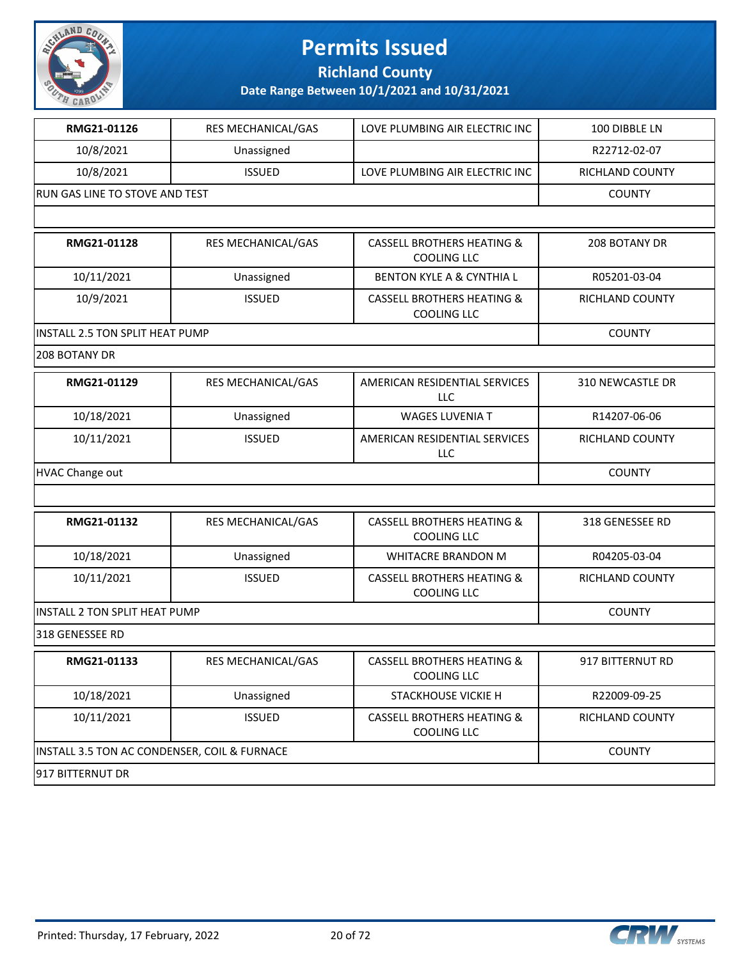

**Richland County**

| RMG21-01126                                  | RES MECHANICAL/GAS | LOVE PLUMBING AIR ELECTRIC INC                              | 100 DIBBLE LN    |
|----------------------------------------------|--------------------|-------------------------------------------------------------|------------------|
| 10/8/2021                                    | Unassigned         |                                                             | R22712-02-07     |
| 10/8/2021                                    | <b>ISSUED</b>      | LOVE PLUMBING AIR ELECTRIC INC                              | RICHLAND COUNTY  |
| RUN GAS LINE TO STOVE AND TEST               |                    |                                                             | <b>COUNTY</b>    |
|                                              |                    |                                                             |                  |
| RMG21-01128                                  | RES MECHANICAL/GAS | <b>CASSELL BROTHERS HEATING &amp;</b><br><b>COOLING LLC</b> | 208 BOTANY DR    |
| 10/11/2021                                   | Unassigned         | <b>BENTON KYLE A &amp; CYNTHIA L</b>                        | R05201-03-04     |
| 10/9/2021                                    | <b>ISSUED</b>      | <b>CASSELL BROTHERS HEATING &amp;</b><br><b>COOLING LLC</b> | RICHLAND COUNTY  |
| INSTALL 2.5 TON SPLIT HEAT PUMP              |                    |                                                             | <b>COUNTY</b>    |
| 208 BOTANY DR                                |                    |                                                             |                  |
| RMG21-01129                                  | RES MECHANICAL/GAS | AMERICAN RESIDENTIAL SERVICES<br><b>LLC</b>                 | 310 NEWCASTLE DR |
| 10/18/2021                                   | Unassigned         | <b>WAGES LUVENIA T</b>                                      | R14207-06-06     |
| 10/11/2021                                   | <b>ISSUED</b>      | AMERICAN RESIDENTIAL SERVICES<br>LLC                        | RICHLAND COUNTY  |
| <b>HVAC Change out</b>                       |                    |                                                             | <b>COUNTY</b>    |
|                                              |                    |                                                             |                  |
| RMG21-01132                                  | RES MECHANICAL/GAS | <b>CASSELL BROTHERS HEATING &amp;</b><br><b>COOLING LLC</b> | 318 GENESSEE RD  |
| 10/18/2021                                   | Unassigned         | WHITACRE BRANDON M                                          | R04205-03-04     |
| 10/11/2021                                   | <b>ISSUED</b>      | <b>CASSELL BROTHERS HEATING &amp;</b><br><b>COOLING LLC</b> | RICHLAND COUNTY  |
| INSTALL 2 TON SPLIT HEAT PUMP                |                    |                                                             | <b>COUNTY</b>    |
| 318 GENESSEE RD                              |                    |                                                             |                  |
| RMG21-01133                                  | RES MECHANICAL/GAS | <b>CASSELL BROTHERS HEATING &amp;</b><br><b>COOLING LLC</b> | 917 BITTERNUT RD |
| 10/18/2021                                   | Unassigned         | STACKHOUSE VICKIE H                                         | R22009-09-25     |
| 10/11/2021                                   | <b>ISSUED</b>      | <b>CASSELL BROTHERS HEATING &amp;</b><br>COOLING LLC        | RICHLAND COUNTY  |
| INSTALL 3.5 TON AC CONDENSER, COIL & FURNACE |                    |                                                             | <b>COUNTY</b>    |
| 917 BITTERNUT DR                             |                    |                                                             |                  |

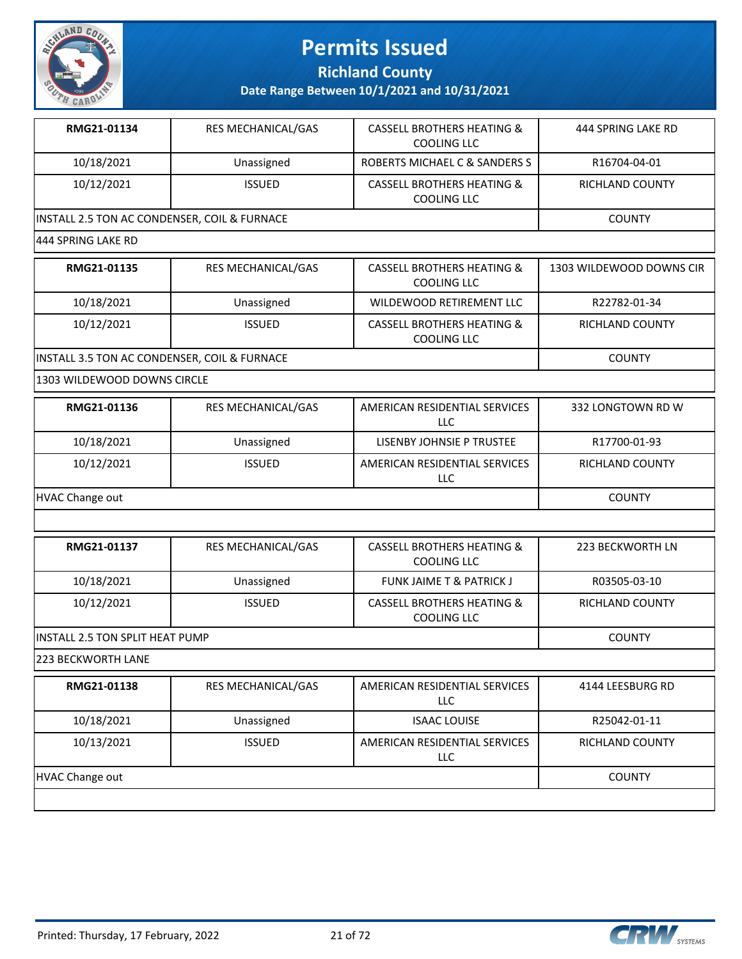

**Richland County**

**Date Range Between 10/1/2021 and 10/31/2021**

| RMG21-01134                                  | <b>RES MECHANICAL/GAS</b> | <b>CASSELL BROTHERS HEATING &amp;</b><br>COOLING LLC | 444 SPRING LAKE RD |  |
|----------------------------------------------|---------------------------|------------------------------------------------------|--------------------|--|
| 10/18/2021                                   | Unassigned                | ROBERTS MICHAEL C & SANDERS S                        | R16704-04-01       |  |
| 10/12/2021                                   | <b>ISSUED</b>             | <b>CASSELL BROTHERS HEATING &amp;</b><br>COOLING LLC | RICHLAND COUNTY    |  |
| INSTALL 2.5 TON AC CONDENSER, COIL & FURNACE |                           |                                                      | <b>COUNTY</b>      |  |
| 444 SPRING LAKE RD                           |                           |                                                      |                    |  |

| RMG21-01135                                  | <b>RES MECHANICAL/GAS</b> | <b>CASSELL BROTHERS HEATING &amp;</b><br><b>COOLING LLC</b> | 1303 WILDEWOOD DOWNS CIR |
|----------------------------------------------|---------------------------|-------------------------------------------------------------|--------------------------|
| 10/18/2021                                   | Unassigned                | WILDEWOOD RETIREMENT LLC                                    | R22782-01-34             |
| 10/12/2021                                   | <b>ISSUED</b>             | <b>CASSELL BROTHERS HEATING &amp;</b><br><b>COOLING LLC</b> | RICHLAND COUNTY          |
| INSTALL 3.5 TON AC CONDENSER, COIL & FURNACE |                           |                                                             | <b>COUNTY</b>            |

1303 WILDEWOOD DOWNS CIRCLE

| RMG21-01136     | <b>RES MECHANICAL/GAS</b> | AMERICAN RESIDENTIAL SERVICES<br>LLC | 332 LONGTOWN RD W |
|-----------------|---------------------------|--------------------------------------|-------------------|
| 10/18/2021      | Unassigned                | LISENBY JOHNSIE P TRUSTEE            | R17700-01-93      |
| 10/12/2021      | <b>ISSUED</b>             | AMERICAN RESIDENTIAL SERVICES<br>LLC | RICHLAND COUNTY   |
| HVAC Change out |                           |                                      | <b>COUNTY</b>     |

| RMG21-01137                      | <b>RES MECHANICAL/GAS</b> | <b>CASSELL BROTHERS HEATING &amp;</b><br>COOLING LLC | 223 BECKWORTH LN       |
|----------------------------------|---------------------------|------------------------------------------------------|------------------------|
| 10/18/2021                       | Unassigned                | <b>FUNK JAIME T &amp; PATRICK J</b>                  | R03505-03-10           |
| 10/12/2021                       | <b>ISSUED</b>             | <b>CASSELL BROTHERS HEATING &amp;</b><br>COOLING LLC | <b>RICHLAND COUNTY</b> |
| IINSTALL 2.5 TON SPLIT HEAT PUMP |                           |                                                      | <b>COUNTY</b>          |

223 BECKWORTH LANE

| RMG21-01138     | <b>RES MECHANICAL/GAS</b> | AMERICAN RESIDENTIAL SERVICES<br>LLC | 4144 LEESBURG RD       |
|-----------------|---------------------------|--------------------------------------|------------------------|
| 10/18/2021      | Unassigned                | <b>ISAAC LOUISE</b>                  | R25042-01-11           |
| 10/13/2021      | <b>ISSUED</b>             | AMERICAN RESIDENTIAL SERVICES<br>LLC | <b>RICHLAND COUNTY</b> |
| HVAC Change out |                           |                                      | <b>COUNTY</b>          |
|                 |                           |                                      |                        |



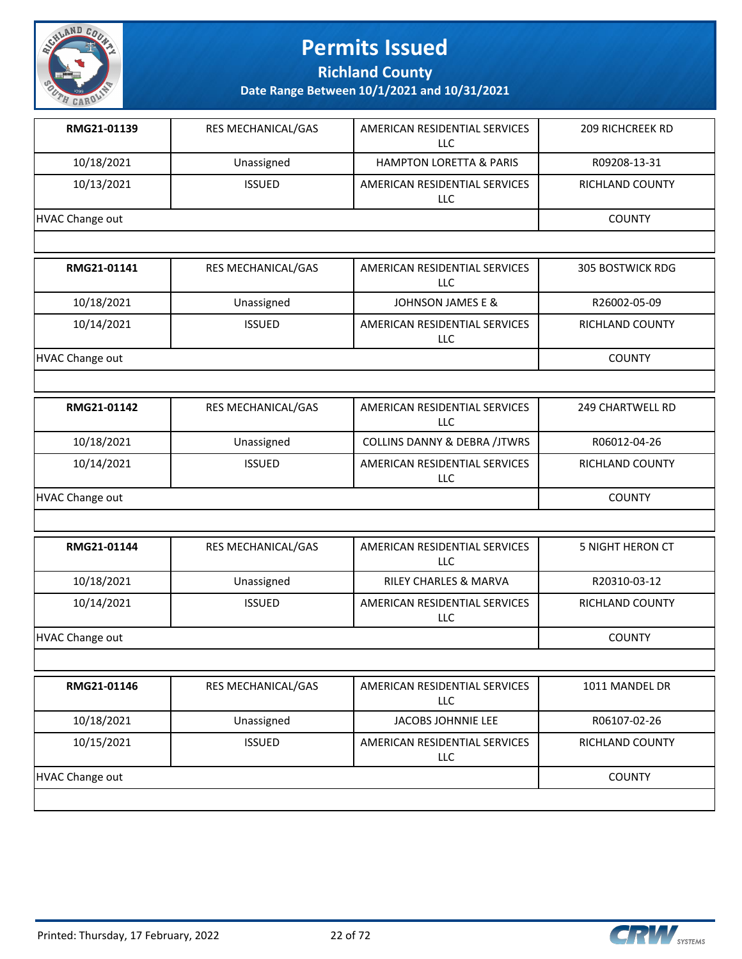

**Richland County**

| RMG21-01139     | <b>RES MECHANICAL/GAS</b> | AMERICAN RESIDENTIAL SERVICES<br>LLC | <b>209 RICHCREEK RD</b> |
|-----------------|---------------------------|--------------------------------------|-------------------------|
| 10/18/2021      | Unassigned                | <b>HAMPTON LORETTA &amp; PARIS</b>   | R09208-13-31            |
| 10/13/2021      | <b>ISSUED</b>             | AMERICAN RESIDENTIAL SERVICES<br>LLC | RICHLAND COUNTY         |
| HVAC Change out |                           |                                      | <b>COUNTY</b>           |
|                 |                           |                                      |                         |

| RMG21-01141     | RES MECHANICAL/GAS | AMERICAN RESIDENTIAL SERVICES<br>LLC | <b>305 BOSTWICK RDG</b> |
|-----------------|--------------------|--------------------------------------|-------------------------|
| 10/18/2021      | Unassigned         | JOHNSON JAMES E &                    | R26002-05-09            |
| 10/14/2021      | <b>ISSUED</b>      | AMERICAN RESIDENTIAL SERVICES<br>LLC | <b>RICHLAND COUNTY</b>  |
| HVAC Change out |                    |                                      | <b>COUNTY</b>           |

| RMG21-01142     | <b>RES MECHANICAL/GAS</b> | AMERICAN RESIDENTIAL SERVICES<br>LLC    | 249 CHARTWELL RD       |
|-----------------|---------------------------|-----------------------------------------|------------------------|
| 10/18/2021      | Unassigned                | <b>COLLINS DANNY &amp; DEBRA /JTWRS</b> | R06012-04-26           |
| 10/14/2021      | <b>ISSUED</b>             | AMERICAN RESIDENTIAL SERVICES<br>LLC    | <b>RICHLAND COUNTY</b> |
| HVAC Change out |                           |                                         | <b>COUNTY</b>          |

| RMG21-01144     | RES MECHANICAL/GAS | AMERICAN RESIDENTIAL SERVICES<br>LLC | 5 NIGHT HERON CT       |
|-----------------|--------------------|--------------------------------------|------------------------|
| 10/18/2021      | Unassigned         | <b>RILEY CHARLES &amp; MARVA</b>     | R20310-03-12           |
| 10/14/2021      | <b>ISSUED</b>      | AMERICAN RESIDENTIAL SERVICES<br>LLC | <b>RICHLAND COUNTY</b> |
| HVAC Change out |                    |                                      | <b>COUNTY</b>          |

| RMG21-01146     | <b>RES MECHANICAL/GAS</b> | AMERICAN RESIDENTIAL SERVICES<br>LLC. | 1011 MANDEL DR         |
|-----------------|---------------------------|---------------------------------------|------------------------|
| 10/18/2021      | Unassigned                | JACOBS JOHNNIE LEE                    | R06107-02-26           |
| 10/15/2021      | <b>ISSUED</b>             | AMERICAN RESIDENTIAL SERVICES<br>LLC. | <b>RICHLAND COUNTY</b> |
| HVAC Change out |                           |                                       | <b>COUNTY</b>          |
|                 |                           |                                       |                        |

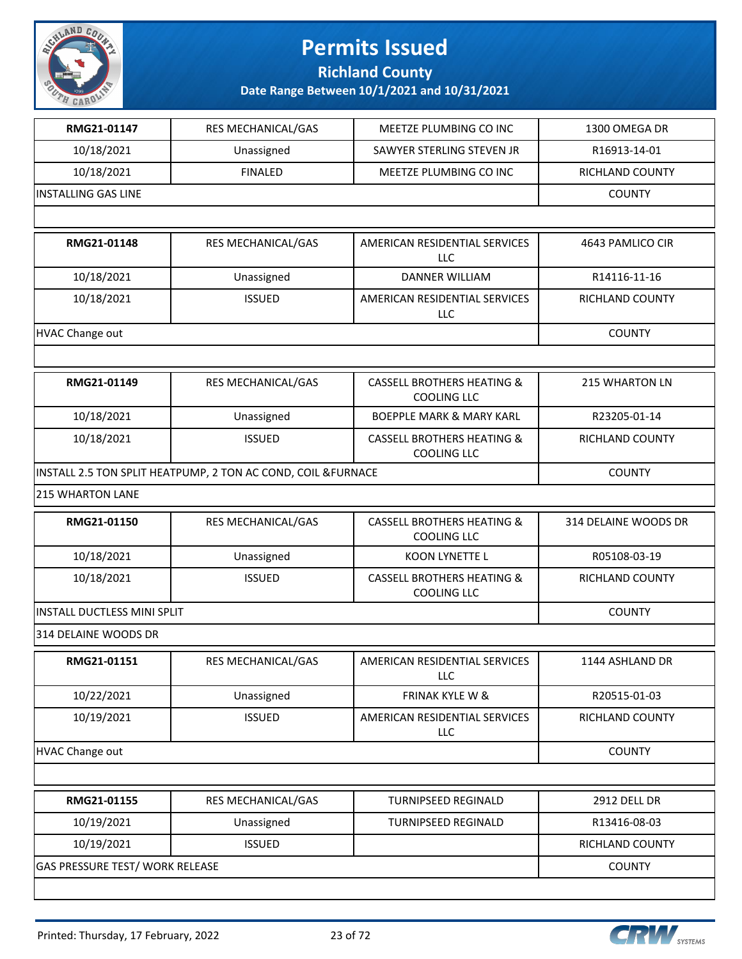

#### **Richland County**

| RMG21-01147                 | RES MECHANICAL/GAS                                           | MEETZE PLUMBING CO INC                                      | 1300 OMEGA DR         |  |
|-----------------------------|--------------------------------------------------------------|-------------------------------------------------------------|-----------------------|--|
| 10/18/2021                  | Unassigned                                                   | SAWYER STERLING STEVEN JR                                   | R16913-14-01          |  |
| 10/18/2021                  | <b>FINALED</b>                                               | MEETZE PLUMBING CO INC                                      | RICHLAND COUNTY       |  |
| <b>INSTALLING GAS LINE</b>  | <b>COUNTY</b>                                                |                                                             |                       |  |
|                             |                                                              |                                                             |                       |  |
| RMG21-01148                 | RES MECHANICAL/GAS                                           | AMERICAN RESIDENTIAL SERVICES<br><b>LLC</b>                 | 4643 PAMLICO CIR      |  |
| 10/18/2021                  | Unassigned                                                   | <b>DANNER WILLIAM</b>                                       | R14116-11-16          |  |
| 10/18/2021                  | <b>ISSUED</b>                                                | AMERICAN RESIDENTIAL SERVICES<br>LLC                        | RICHLAND COUNTY       |  |
| <b>HVAC Change out</b>      |                                                              |                                                             | <b>COUNTY</b>         |  |
|                             |                                                              |                                                             |                       |  |
| RMG21-01149                 | RES MECHANICAL/GAS                                           | <b>CASSELL BROTHERS HEATING &amp;</b><br><b>COOLING LLC</b> | <b>215 WHARTON LN</b> |  |
| 10/18/2021                  | Unassigned                                                   | <b>BOEPPLE MARK &amp; MARY KARL</b>                         | R23205-01-14          |  |
| 10/18/2021                  | <b>ISSUED</b>                                                | <b>CASSELL BROTHERS HEATING &amp;</b><br><b>COOLING LLC</b> | RICHLAND COUNTY       |  |
|                             | INSTALL 2.5 TON SPLIT HEATPUMP, 2 TON AC COND, COIL &FURNACE |                                                             | <b>COUNTY</b>         |  |
| <b>215 WHARTON LANE</b>     |                                                              |                                                             |                       |  |
| RMG21-01150                 | RES MECHANICAL/GAS                                           | <b>CASSELL BROTHERS HEATING &amp;</b><br><b>COOLING LLC</b> | 314 DELAINE WOODS DR  |  |
| 10/18/2021                  | Unassigned                                                   | KOON LYNETTE L                                              | R05108-03-19          |  |
| 10/18/2021                  | <b>ISSUED</b>                                                | <b>CASSELL BROTHERS HEATING &amp;</b><br><b>COOLING LLC</b> | RICHLAND COUNTY       |  |
| INSTALL DUCTLESS MINI SPLIT | <b>COUNTY</b>                                                |                                                             |                       |  |
| 314 DELAINE WOODS DR        |                                                              |                                                             |                       |  |
| RMG21-01151                 | <b>RES MECHANICAL/GAS</b>                                    | AMERICAN RESIDENTIAL SERVICES<br>LLC                        | 1144 ASHLAND DR       |  |
| 10/22/2021                  | Unassigned                                                   | FRINAK KYLE W &                                             | R20515-01-03          |  |
| 10/19/2021                  | <b>ISSUED</b>                                                | AMERICAN RESIDENTIAL SERVICES<br>LLC                        | RICHLAND COUNTY       |  |
| <b>HVAC Change out</b>      |                                                              |                                                             | <b>COUNTY</b>         |  |
|                             |                                                              |                                                             |                       |  |
| RMG21-01155                 | RES MECHANICAL/GAS                                           | <b>TURNIPSEED REGINALD</b>                                  | <b>2912 DELL DR</b>   |  |
| 10/19/2021                  | Unassigned                                                   | TURNIPSEED REGINALD                                         | R13416-08-03          |  |
| 10/19/2021                  | <b>ISSUED</b>                                                |                                                             | RICHLAND COUNTY       |  |
|                             | GAS PRESSURE TEST/ WORK RELEASE                              |                                                             |                       |  |
|                             |                                                              |                                                             |                       |  |

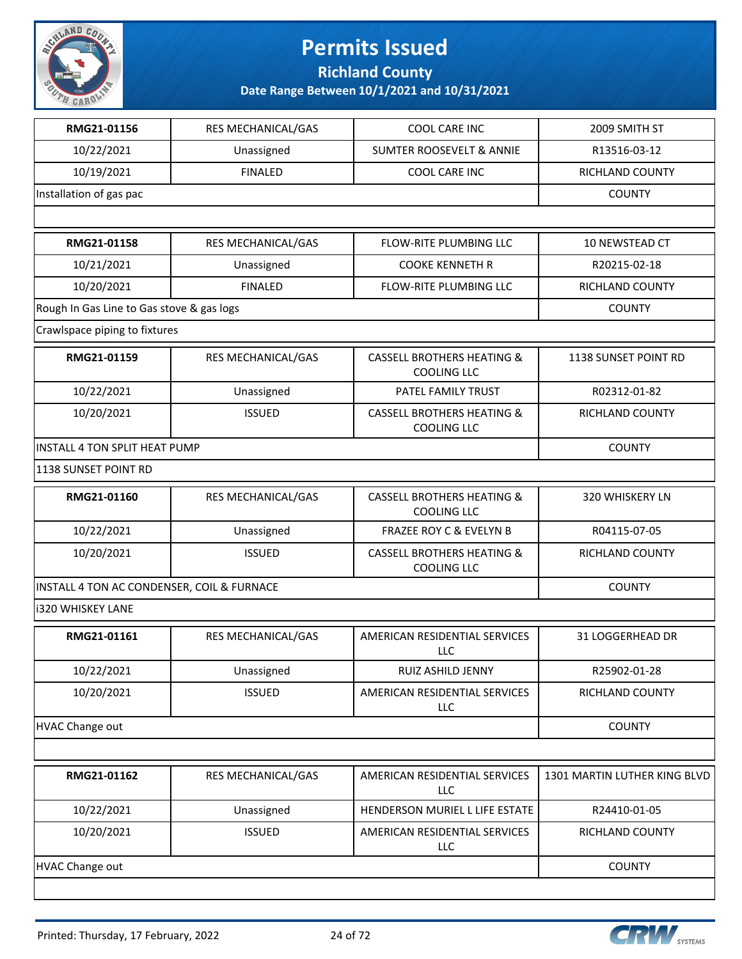

**Richland County**

| RMG21-01156                                | RES MECHANICAL/GAS | COOL CARE INC                                               | 2009 SMITH ST                |
|--------------------------------------------|--------------------|-------------------------------------------------------------|------------------------------|
| 10/22/2021                                 | Unassigned         | <b>SUMTER ROOSEVELT &amp; ANNIE</b>                         | R13516-03-12                 |
| 10/19/2021                                 | <b>FINALED</b>     | COOL CARE INC                                               | RICHLAND COUNTY              |
| Installation of gas pac                    |                    |                                                             | <b>COUNTY</b>                |
|                                            |                    |                                                             |                              |
| RMG21-01158                                | RES MECHANICAL/GAS | <b>FLOW-RITE PLUMBING LLC</b>                               | 10 NEWSTEAD CT               |
| 10/21/2021                                 | Unassigned         | <b>COOKE KENNETH R</b>                                      | R20215-02-18                 |
| 10/20/2021                                 | <b>FINALED</b>     | FLOW-RITE PLUMBING LLC                                      | RICHLAND COUNTY              |
| Rough In Gas Line to Gas stove & gas logs  |                    |                                                             | <b>COUNTY</b>                |
| Crawlspace piping to fixtures              |                    |                                                             |                              |
| RMG21-01159                                | RES MECHANICAL/GAS | <b>CASSELL BROTHERS HEATING &amp;</b><br><b>COOLING LLC</b> | <b>1138 SUNSET POINT RD</b>  |
| 10/22/2021                                 | Unassigned         | PATEL FAMILY TRUST                                          | R02312-01-82                 |
| 10/20/2021                                 | <b>ISSUED</b>      | <b>CASSELL BROTHERS HEATING &amp;</b><br><b>COOLING LLC</b> | RICHLAND COUNTY              |
| <b>INSTALL 4 TON SPLIT HEAT PUMP</b>       |                    |                                                             | <b>COUNTY</b>                |
| 1138 SUNSET POINT RD                       |                    |                                                             |                              |
| RMG21-01160                                | RES MECHANICAL/GAS | <b>CASSELL BROTHERS HEATING &amp;</b><br><b>COOLING LLC</b> | 320 WHISKERY LN              |
| 10/22/2021                                 | Unassigned         | FRAZEE ROY C & EVELYN B                                     | R04115-07-05                 |
| 10/20/2021                                 | <b>ISSUED</b>      | <b>CASSELL BROTHERS HEATING &amp;</b><br><b>COOLING LLC</b> | RICHLAND COUNTY              |
| INSTALL 4 TON AC CONDENSER, COIL & FURNACE | <b>COUNTY</b>      |                                                             |                              |
| <b>i320 WHISKEY LANE</b>                   |                    |                                                             |                              |
| RMG21-01161                                | RES MECHANICAL/GAS | AMERICAN RESIDENTIAL SERVICES<br>LLC                        | 31 LOGGERHEAD DR             |
| 10/22/2021                                 | Unassigned         | RUIZ ASHILD JENNY                                           | R25902-01-28                 |
| 10/20/2021                                 | <b>ISSUED</b>      | AMERICAN RESIDENTIAL SERVICES<br>LLC                        | RICHLAND COUNTY              |
| <b>HVAC Change out</b>                     |                    |                                                             | <b>COUNTY</b>                |
|                                            |                    |                                                             |                              |
| RMG21-01162                                | RES MECHANICAL/GAS | AMERICAN RESIDENTIAL SERVICES<br>LLC                        | 1301 MARTIN LUTHER KING BLVD |
| 10/22/2021                                 | Unassigned         | HENDERSON MURIEL L LIFE ESTATE                              | R24410-01-05                 |
| 10/20/2021                                 | <b>ISSUED</b>      | AMERICAN RESIDENTIAL SERVICES<br>LLC                        | RICHLAND COUNTY              |
| <b>HVAC Change out</b>                     |                    |                                                             | <b>COUNTY</b>                |
|                                            |                    |                                                             |                              |

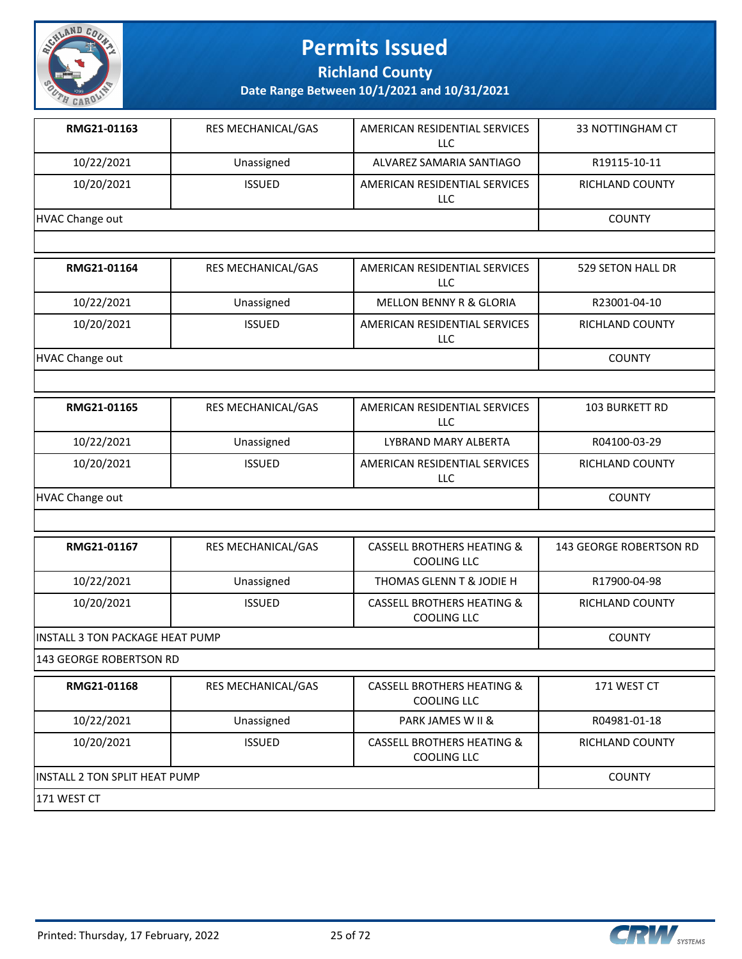

**Richland County**

**Date Range Between 10/1/2021 and 10/31/2021**

| RMG21-01163     | <b>RES MECHANICAL/GAS</b> | AMERICAN RESIDENTIAL SERVICES<br>LLC. | 33 NOTTINGHAM CT       |
|-----------------|---------------------------|---------------------------------------|------------------------|
| 10/22/2021      | Unassigned                | ALVAREZ SAMARIA SANTIAGO              | R19115-10-11           |
| 10/20/2021      | <b>ISSUED</b>             | AMERICAN RESIDENTIAL SERVICES<br>LLC  | <b>RICHLAND COUNTY</b> |
| HVAC Change out | <b>COUNTY</b>             |                                       |                        |
|                 |                           |                                       |                        |
| RMG21-01164     | <b>RES MECHANICAL/GAS</b> | AMERICAN RESIDENTIAL SERVICES<br>LLC. | 529 SETON HALL DR      |
| 10/22/2021      | Unassigned                | <b>MELLON BENNY R &amp; GLORIA</b>    | R23001-04-10           |

HVAC Change out **COUNTY** 

| RMG21-01165     | <b>RES MECHANICAL/GAS</b> | AMERICAN RESIDENTIAL SERVICES<br>LLC | <b>103 BURKETT RD</b>  |
|-----------------|---------------------------|--------------------------------------|------------------------|
| 10/22/2021      | Unassigned                | LYBRAND MARY ALBERTA                 | R04100-03-29           |
| 10/20/2021      | <b>ISSUED</b>             | AMERICAN RESIDENTIAL SERVICES<br>LLC | <b>RICHLAND COUNTY</b> |
| HVAC Change out |                           |                                      | <b>COUNTY</b>          |

LLC

10/20/2021 | ISSUED | AMERICAN RESIDENTIAL SERVICES

| RMG21-01167                      | <b>RES MECHANICAL/GAS</b> | CASSELL BROTHERS HEATING &<br><b>COOLING LLC</b>            | 143 GEORGE ROBERTSON RD |
|----------------------------------|---------------------------|-------------------------------------------------------------|-------------------------|
| 10/22/2021                       | Unassigned                | THOMAS GLENN T & JODIE H                                    | R17900-04-98            |
| 10/20/2021                       | <b>ISSUED</b>             | <b>CASSELL BROTHERS HEATING &amp;</b><br><b>COOLING LLC</b> | RICHLAND COUNTY         |
| IINSTALL 3 TON PACKAGE HEAT PUMP |                           |                                                             | <b>COUNTY</b>           |

143 GEORGE ROBERTSON RD

| RMG21-01168                           | <b>RES MECHANICAL/GAS</b> | <b>CASSELL BROTHERS HEATING &amp;</b><br>COOLING LLC | 171 WEST CT     |
|---------------------------------------|---------------------------|------------------------------------------------------|-----------------|
| 10/22/2021                            | Unassigned                | PARK JAMES W II &                                    | R04981-01-18    |
| 10/20/2021                            | <b>ISSUED</b>             | <b>CASSELL BROTHERS HEATING &amp;</b><br>COOLING LLC | RICHLAND COUNTY |
| <b>IINSTALL 2 TON SPLIT HEAT PUMP</b> | <b>COUNTY</b>             |                                                      |                 |
| 171 WEST CT                           |                           |                                                      |                 |



RICHLAND COUNTY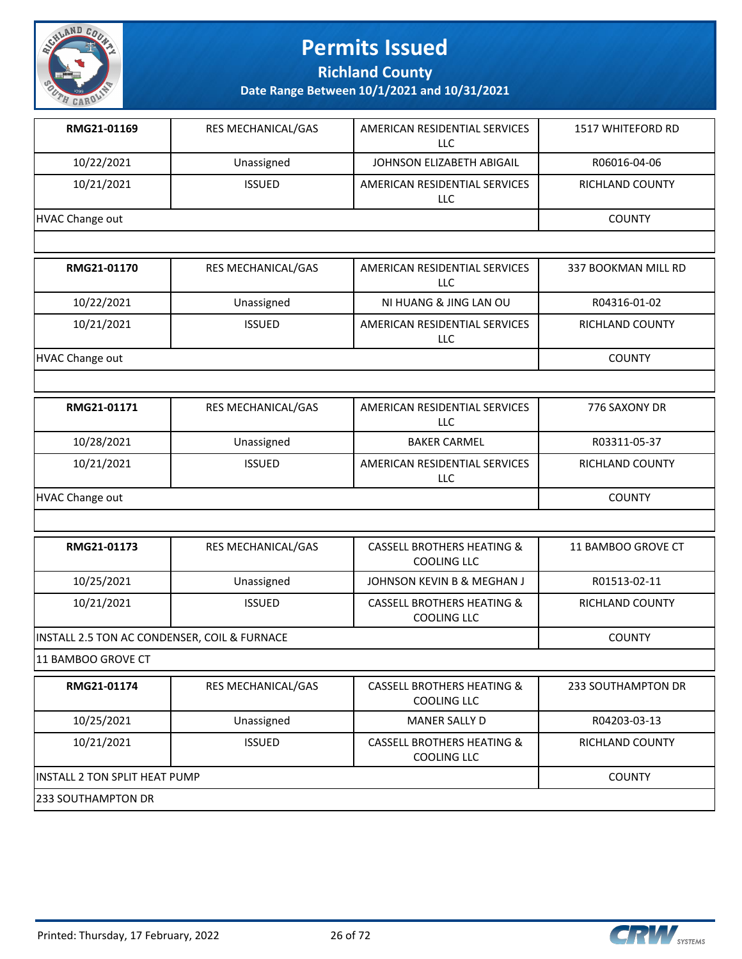

**Richland County**

**Date Range Between 10/1/2021 and 10/31/2021**

| RMG21-01169     | <b>RES MECHANICAL/GAS</b> | AMERICAN RESIDENTIAL SERVICES<br>LLC. | <b>1517 WHITEFORD RD</b> |
|-----------------|---------------------------|---------------------------------------|--------------------------|
| 10/22/2021      | Unassigned                | JOHNSON ELIZABETH ABIGAIL             | R06016-04-06             |
| 10/21/2021      | <b>ISSUED</b>             | AMERICAN RESIDENTIAL SERVICES<br>LLC. | <b>RICHLAND COUNTY</b>   |
| HVAC Change out | <b>COUNTY</b>             |                                       |                          |
|                 |                           |                                       |                          |
| RMG21-01170     | <b>RES MECHANICAL/GAS</b> | AMERICAN RESIDENTIAL SERVICES<br>LLC. | 337 BOOKMAN MILL RD      |
| 10/22/2021      | Unassigned                | NI HUANG & JING LAN OU                | R04316-01-02             |
| 10/21/2021      | <b>ISSUED</b>             | AMERICAN RESIDENTIAL SERVICES         | <b>RICHLAND COUNTY</b>   |

LLC

HVAC Change out COUNTY

| RMG21-01171     | <b>RES MECHANICAL/GAS</b> | AMERICAN RESIDENTIAL SERVICES<br>LLC | 776 SAXONY DR          |
|-----------------|---------------------------|--------------------------------------|------------------------|
| 10/28/2021      | Unassigned                | <b>BAKER CARMEL</b>                  | R03311-05-37           |
| 10/21/2021      | <b>ISSUED</b>             | AMERICAN RESIDENTIAL SERVICES<br>LLC | <b>RICHLAND COUNTY</b> |
| HVAC Change out |                           |                                      | <b>COUNTY</b>          |

| RMG21-01173                                  | <b>RES MECHANICAL/GAS</b> | <b>CASSELL BROTHERS HEATING &amp;</b><br>COOLING LLC | 11 BAMBOO GROVE CT     |
|----------------------------------------------|---------------------------|------------------------------------------------------|------------------------|
| 10/25/2021                                   | Unassigned                | JOHNSON KEVIN B & MEGHAN J                           | R01513-02-11           |
| 10/21/2021                                   | <b>ISSUED</b>             | <b>CASSELL BROTHERS HEATING &amp;</b><br>COOLING LLC | <b>RICHLAND COUNTY</b> |
| INSTALL 2.5 TON AC CONDENSER, COIL & FURNACE |                           |                                                      | <b>COUNTY</b>          |

11 BAMBOO GROVE CT

| RMG21-01174                           | <b>RES MECHANICAL/GAS</b> | CASSELL BROTHERS HEATING &<br>COOLING LLC            | 233 SOUTHAMPTON DR |
|---------------------------------------|---------------------------|------------------------------------------------------|--------------------|
| 10/25/2021                            | Unassigned                | <b>MANER SALLY D</b>                                 | R04203-03-13       |
| 10/21/2021                            | <b>ISSUED</b>             | <b>CASSELL BROTHERS HEATING &amp;</b><br>COOLING LLC | RICHLAND COUNTY    |
| <b>IINSTALL 2 TON SPLIT HEAT PUMP</b> | <b>COUNTY</b>             |                                                      |                    |
| 233 SOUTHAMPTON DR                    |                           |                                                      |                    |

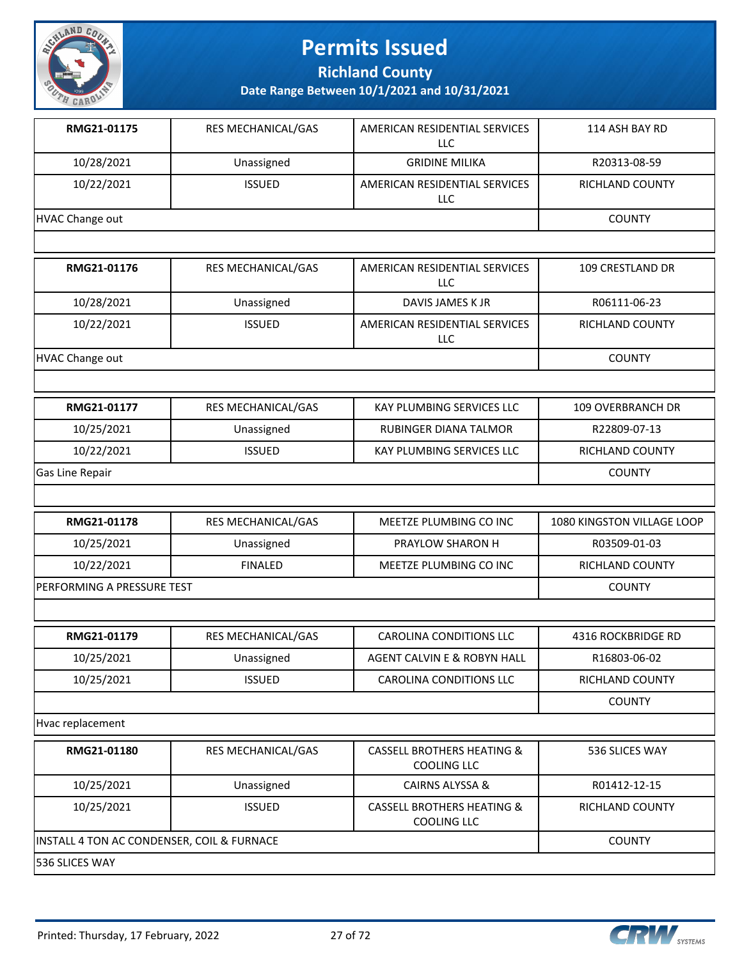

**Richland County**

**Date Range Between 10/1/2021 and 10/31/2021**

| RMG21-01175                | RES MECHANICAL/GAS | AMERICAN RESIDENTIAL SERVICES<br><b>LLC</b>          | 114 ASH BAY RD             |
|----------------------------|--------------------|------------------------------------------------------|----------------------------|
| 10/28/2021                 | Unassigned         | <b>GRIDINE MILIKA</b>                                | R20313-08-59               |
| 10/22/2021                 | <b>ISSUED</b>      | AMERICAN RESIDENTIAL SERVICES<br><b>LLC</b>          | RICHLAND COUNTY            |
| <b>HVAC Change out</b>     |                    |                                                      | <b>COUNTY</b>              |
|                            |                    |                                                      |                            |
| RMG21-01176                | RES MECHANICAL/GAS | AMERICAN RESIDENTIAL SERVICES<br>LLC                 | 109 CRESTLAND DR           |
| 10/28/2021                 | Unassigned         | DAVIS JAMES K JR                                     | R06111-06-23               |
| 10/22/2021                 | <b>ISSUED</b>      | AMERICAN RESIDENTIAL SERVICES<br>LLC                 | RICHLAND COUNTY            |
| <b>HVAC Change out</b>     |                    |                                                      | <b>COUNTY</b>              |
|                            |                    |                                                      |                            |
| RMG21-01177                | RES MECHANICAL/GAS | KAY PLUMBING SERVICES LLC                            | 109 OVERBRANCH DR          |
| 10/25/2021                 | Unassigned         | RUBINGER DIANA TALMOR                                | R22809-07-13               |
| 10/22/2021                 | <b>ISSUED</b>      | KAY PLUMBING SERVICES LLC                            | RICHLAND COUNTY            |
| Gas Line Repair            |                    |                                                      | <b>COUNTY</b>              |
|                            |                    |                                                      |                            |
| RMG21-01178                | RES MECHANICAL/GAS | MEETZE PLUMBING CO INC                               | 1080 KINGSTON VILLAGE LOOP |
| 10/25/2021                 | Unassigned         | PRAYLOW SHARON H                                     | R03509-01-03               |
| 10/22/2021                 | <b>FINALED</b>     | MEETZE PLUMBING CO INC                               | RICHLAND COUNTY            |
| PERFORMING A PRESSURE TEST |                    |                                                      | <b>COUNTY</b>              |
|                            |                    |                                                      |                            |
| RMG21-01179                | RES MECHANICAL/GAS | <b>CAROLINA CONDITIONS LLC</b>                       | 4316 ROCKBRIDGE RD         |
| 10/25/2021                 | Unassigned         | AGENT CALVIN E & ROBYN HALL                          | R16803-06-02               |
| 10/25/2021                 | <b>ISSUED</b>      | <b>CAROLINA CONDITIONS LLC</b>                       | RICHLAND COUNTY            |
|                            |                    |                                                      | <b>COUNTY</b>              |
| Hvac replacement           |                    |                                                      |                            |
| RMG21-01180                | RES MECHANICAL/GAS | <b>CASSELL BROTHERS HEATING &amp;</b><br>COOLING LLC | 536 SLICES WAY             |
| 10/25/2021                 | Unassigned         | CAIRNS ALYSSA &                                      | R01412-12-15               |

10/25/2021 ISSUED CASSELL BROTHERS HEATING & COOLING LLC RICHLAND COUNTY INSTALL 4 TON AC CONDENSER, COIL & FURNACE COUNTY COUNTY 536 SLICES WAY

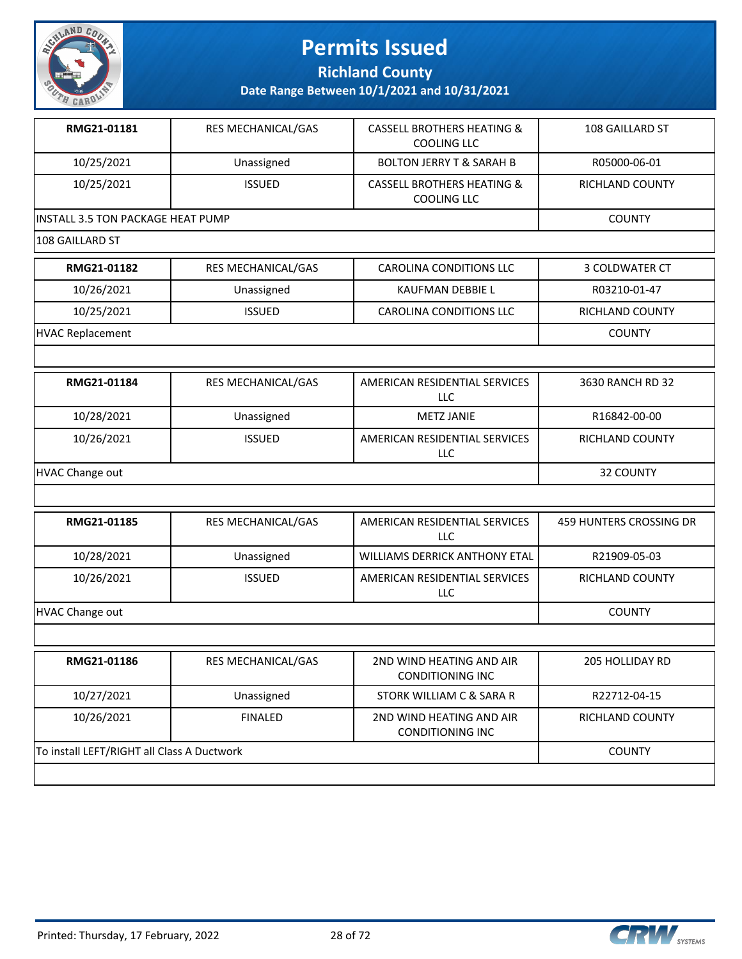

**Richland County**

| RMG21-01181                                | RES MECHANICAL/GAS | <b>CASSELL BROTHERS HEATING &amp;</b><br><b>COOLING LLC</b> | 108 GAILLARD ST         |
|--------------------------------------------|--------------------|-------------------------------------------------------------|-------------------------|
| 10/25/2021                                 | Unassigned         | <b>BOLTON JERRY T &amp; SARAH B</b>                         | R05000-06-01            |
| 10/25/2021                                 | <b>ISSUED</b>      | <b>CASSELL BROTHERS HEATING &amp;</b><br><b>COOLING LLC</b> | RICHLAND COUNTY         |
| INSTALL 3.5 TON PACKAGE HEAT PUMP          |                    |                                                             | <b>COUNTY</b>           |
| 108 GAILLARD ST                            |                    |                                                             |                         |
| RMG21-01182                                | RES MECHANICAL/GAS | <b>CAROLINA CONDITIONS LLC</b>                              | 3 COLDWATER CT          |
| 10/26/2021                                 | Unassigned         | KAUFMAN DEBBIE L                                            | R03210-01-47            |
| 10/25/2021                                 | <b>ISSUED</b>      | CAROLINA CONDITIONS LLC                                     | RICHLAND COUNTY         |
| <b>HVAC Replacement</b>                    |                    |                                                             | <b>COUNTY</b>           |
|                                            |                    |                                                             |                         |
| RMG21-01184                                | RES MECHANICAL/GAS | AMERICAN RESIDENTIAL SERVICES<br>LLC                        | 3630 RANCH RD 32        |
| 10/28/2021                                 | Unassigned         | <b>METZ JANIE</b>                                           | R16842-00-00            |
| 10/26/2021                                 | <b>ISSUED</b>      | AMERICAN RESIDENTIAL SERVICES<br><b>LLC</b>                 | RICHLAND COUNTY         |
| <b>HVAC Change out</b>                     | 32 COUNTY          |                                                             |                         |
|                                            |                    |                                                             |                         |
| RMG21-01185                                | RES MECHANICAL/GAS | AMERICAN RESIDENTIAL SERVICES<br><b>LLC</b>                 | 459 HUNTERS CROSSING DR |
| 10/28/2021                                 | Unassigned         | <b>WILLIAMS DERRICK ANTHONY ETAL</b>                        | R21909-05-03            |
| 10/26/2021                                 | <b>ISSUED</b>      | AMERICAN RESIDENTIAL SERVICES<br><b>LLC</b>                 | RICHLAND COUNTY         |
| <b>HVAC Change out</b>                     |                    |                                                             | <b>COUNTY</b>           |
|                                            |                    |                                                             |                         |
| RMG21-01186                                | RES MECHANICAL/GAS | 2ND WIND HEATING AND AIR<br><b>CONDITIONING INC</b>         | 205 HOLLIDAY RD         |
| 10/27/2021                                 | Unassigned         | STORK WILLIAM C & SARA R                                    | R22712-04-15            |
| 10/26/2021                                 | <b>FINALED</b>     | 2ND WIND HEATING AND AIR<br><b>CONDITIONING INC</b>         | RICHLAND COUNTY         |
| To install LEFT/RIGHT all Class A Ductwork | <b>COUNTY</b>      |                                                             |                         |
|                                            |                    |                                                             |                         |

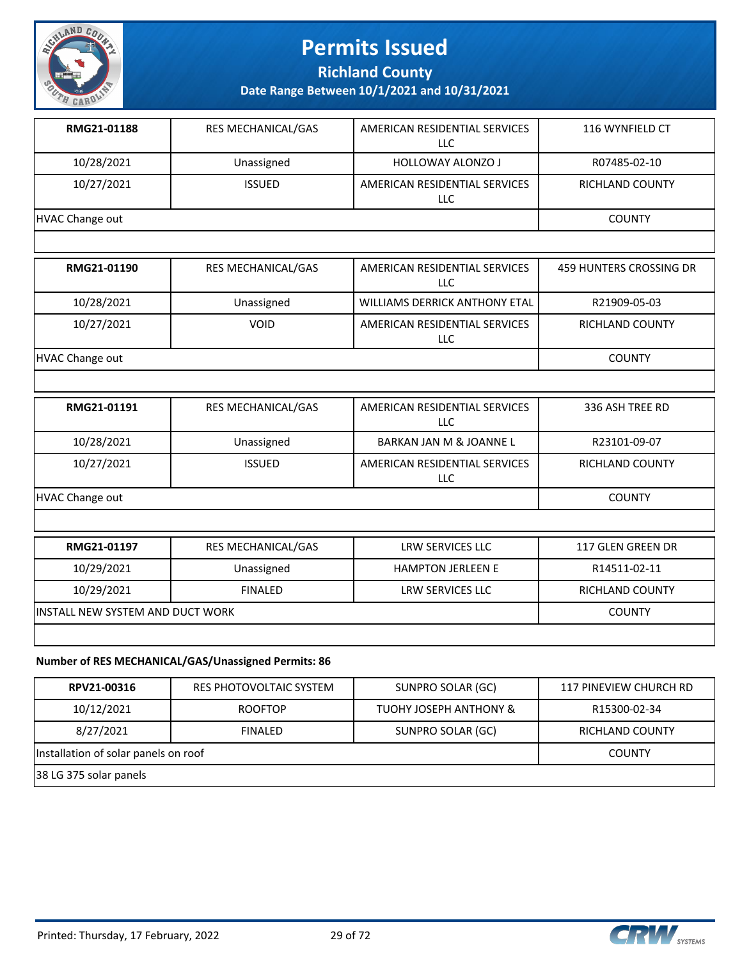

**Richland County**

**Date Range Between 10/1/2021 and 10/31/2021**

| RMG21-01188     | <b>RES MECHANICAL/GAS</b> | AMERICAN RESIDENTIAL SERVICES<br>LLC | 116 WYNFIELD CT |
|-----------------|---------------------------|--------------------------------------|-----------------|
| 10/28/2021      | Unassigned                | <b>HOLLOWAY ALONZO J</b>             | R07485-02-10    |
| 10/27/2021      | <b>ISSUED</b>             | AMERICAN RESIDENTIAL SERVICES<br>LLC | RICHLAND COUNTY |
| HVAC Change out |                           |                                      | <b>COUNTY</b>   |

| RMG21-01190     | <b>RES MECHANICAL/GAS</b> | AMERICAN RESIDENTIAL SERVICES<br>LLC | 459 HUNTERS CROSSING DR |
|-----------------|---------------------------|--------------------------------------|-------------------------|
| 10/28/2021      | Unassigned                | WILLIAMS DERRICK ANTHONY ETAL        | R21909-05-03            |
| 10/27/2021      | <b>VOID</b>               | AMERICAN RESIDENTIAL SERVICES<br>LLC | RICHLAND COUNTY         |
| HVAC Change out |                           |                                      | <b>COUNTY</b>           |

| RMG21-01191     | <b>RES MECHANICAL/GAS</b> | AMERICAN RESIDENTIAL SERVICES<br>LLC | 336 ASH TREE RD        |
|-----------------|---------------------------|--------------------------------------|------------------------|
| 10/28/2021      | Unassigned                | <b>BARKAN JAN M &amp; JOANNE L</b>   | R23101-09-07           |
| 10/27/2021      | <b>ISSUED</b>             | AMERICAN RESIDENTIAL SERVICES<br>LLC | <b>RICHLAND COUNTY</b> |
| HVAC Change out |                           |                                      | <b>COUNTY</b>          |

| RMG21-01197                      | <b>RES MECHANICAL/GAS</b> | LRW SERVICES LLC         | 117 GLEN GREEN DR |
|----------------------------------|---------------------------|--------------------------|-------------------|
| 10/29/2021                       | Unassigned                | <b>HAMPTON JERLEEN E</b> | R14511-02-11      |
| 10/29/2021                       | <b>FINALED</b>            | LRW SERVICES LLC         | RICHLAND COUNTY   |
| INSTALL NEW SYSTEM AND DUCT WORK |                           |                          | <b>COUNTY</b>     |
|                                  |                           |                          |                   |

#### **Number of RES MECHANICAL/GAS/Unassigned Permits: 86**

| RPV21-00316                          | RES PHOTOVOLTAIC SYSTEM | SUNPRO SOLAR (GC)                 | 117 PINEVIEW CHURCH RD |
|--------------------------------------|-------------------------|-----------------------------------|------------------------|
| 10/12/2021                           | <b>ROOFTOP</b>          | <b>TUOHY JOSEPH ANTHONY &amp;</b> | R15300-02-34           |
| 8/27/2021                            | <b>FINALED</b>          | SUNPRO SOLAR (GC)                 | RICHLAND COUNTY        |
| Installation of solar panels on roof | <b>COUNTY</b>           |                                   |                        |
| 38 LG 375 solar panels               |                         |                                   |                        |



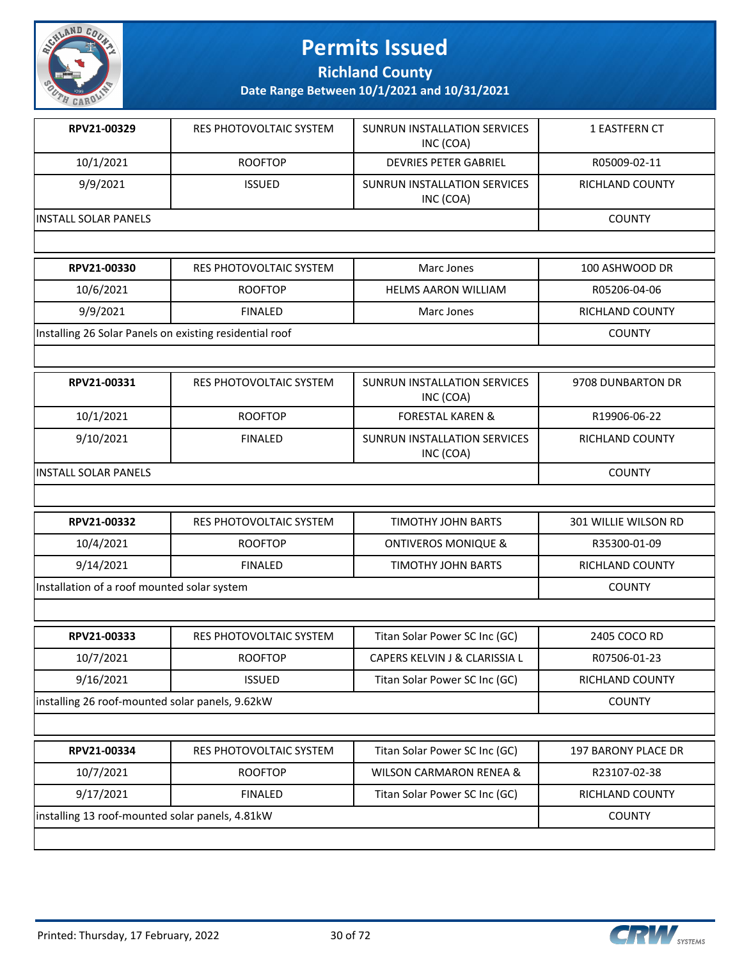

**Richland County**

| RPV21-00329           | RES PHOTOVOLTAIC SYSTEM | SUNRUN INSTALLATION SERVICES<br>INC (COA) | 1 EASTFERN CT          |
|-----------------------|-------------------------|-------------------------------------------|------------------------|
| 10/1/2021             | <b>ROOFTOP</b>          | <b>DEVRIES PETER GABRIEL</b>              | R05009-02-11           |
| 9/9/2021              | <b>ISSUED</b>           | SUNRUN INSTALLATION SERVICES<br>INC (COA) | <b>RICHLAND COUNTY</b> |
| IINSTALL SOLAR PANELS | <b>COUNTY</b>           |                                           |                        |

| <b>RPV21-00330</b>                                      | RES PHOTOVOLTAIC SYSTEM | Marc Jones                 | 100 ASHWOOD DR  |
|---------------------------------------------------------|-------------------------|----------------------------|-----------------|
| 10/6/2021                                               | <b>ROOFTOP</b>          | <b>HELMS AARON WILLIAM</b> | R05206-04-06    |
| 9/9/2021                                                | <b>FINALED</b>          | Marc Jones                 | RICHLAND COUNTY |
| Installing 26 Solar Panels on existing residential roof |                         |                            | <b>COUNTY</b>   |

| RPV21-00331           | RES PHOTOVOLTAIC SYSTEM | SUNRUN INSTALLATION SERVICES<br>INC (COA) | 9708 DUNBARTON DR |
|-----------------------|-------------------------|-------------------------------------------|-------------------|
| 10/1/2021             | <b>ROOFTOP</b>          | <b>FORESTAL KAREN &amp;</b>               | R19906-06-22      |
| 9/10/2021             | <b>FINALED</b>          | SUNRUN INSTALLATION SERVICES<br>INC (COA) | RICHLAND COUNTY   |
| IINSTALL SOLAR PANELS |                         |                                           | <b>COUNTY</b>     |

| RPV21-00332                                 | RES PHOTOVOLTAIC SYSTEM | TIMOTHY JOHN BARTS             | 301 WILLIE WILSON RD   |
|---------------------------------------------|-------------------------|--------------------------------|------------------------|
| 10/4/2021                                   | <b>ROOFTOP</b>          | <b>ONTIVEROS MONIQUE &amp;</b> | R35300-01-09           |
| 9/14/2021                                   | <b>FINALED</b>          | TIMOTHY JOHN BARTS             | <b>RICHLAND COUNTY</b> |
| Installation of a roof mounted solar system |                         |                                | <b>COUNTY</b>          |
|                                             |                         |                                |                        |

| RPV21-00333                                     | RES PHOTOVOLTAIC SYSTEM | Titan Solar Power SC Inc (GC) | 2405 COCO RD    |
|-------------------------------------------------|-------------------------|-------------------------------|-----------------|
| 10/7/2021                                       | <b>ROOFTOP</b>          | CAPERS KELVIN J & CLARISSIA L | R07506-01-23    |
| 9/16/2021                                       | <b>ISSUED</b>           | Titan Solar Power SC Inc (GC) | RICHLAND COUNTY |
| installing 26 roof-mounted solar panels, 9.62kW |                         |                               | <b>COUNTY</b>   |

| RPV21-00334                                     | RES PHOTOVOLTAIC SYSTEM | Titan Solar Power SC Inc (GC) | 197 BARONY PLACE DR |
|-------------------------------------------------|-------------------------|-------------------------------|---------------------|
| 10/7/2021                                       | <b>ROOFTOP</b>          | WILSON CARMARON RENEA &       | R23107-02-38        |
| 9/17/2021                                       | <b>FINALED</b>          | Titan Solar Power SC Inc (GC) | RICHLAND COUNTY     |
| installing 13 roof-mounted solar panels, 4.81kW |                         |                               | <b>COUNTY</b>       |
|                                                 |                         |                               |                     |

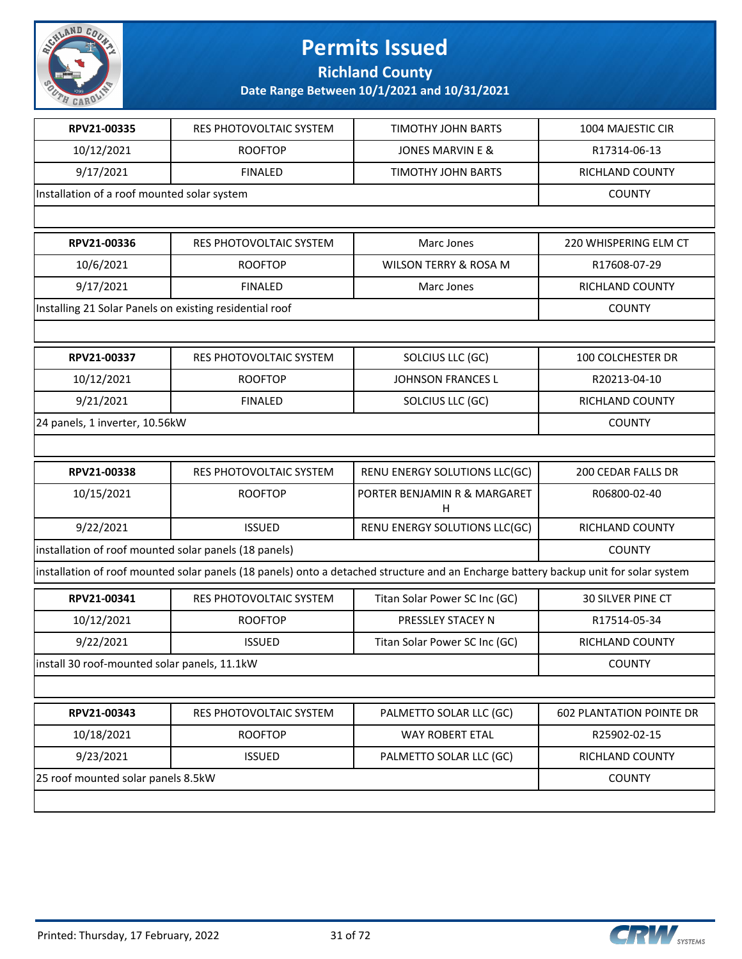

**Richland County**

| RPV21-00335                                             | RES PHOTOVOLTAIC SYSTEM        | <b>TIMOTHY JOHN BARTS</b>                                                                                                            | 1004 MAJESTIC CIR               |
|---------------------------------------------------------|--------------------------------|--------------------------------------------------------------------------------------------------------------------------------------|---------------------------------|
| 10/12/2021                                              | <b>ROOFTOP</b>                 | <b>JONES MARVIN E &amp;</b>                                                                                                          | R17314-06-13                    |
| 9/17/2021                                               | <b>FINALED</b>                 | TIMOTHY JOHN BARTS                                                                                                                   | RICHLAND COUNTY                 |
| Installation of a roof mounted solar system             |                                |                                                                                                                                      | <b>COUNTY</b>                   |
|                                                         |                                |                                                                                                                                      |                                 |
| RPV21-00336                                             | RES PHOTOVOLTAIC SYSTEM        | Marc Jones                                                                                                                           | 220 WHISPERING ELM CT           |
| 10/6/2021                                               | <b>ROOFTOP</b>                 | WILSON TERRY & ROSA M                                                                                                                | R17608-07-29                    |
| 9/17/2021                                               | <b>FINALED</b>                 | Marc Jones                                                                                                                           | RICHLAND COUNTY                 |
| Installing 21 Solar Panels on existing residential roof |                                |                                                                                                                                      | <b>COUNTY</b>                   |
|                                                         |                                |                                                                                                                                      |                                 |
| RPV21-00337                                             | RES PHOTOVOLTAIC SYSTEM        | SOLCIUS LLC (GC)                                                                                                                     | 100 COLCHESTER DR               |
| 10/12/2021                                              | <b>ROOFTOP</b>                 | <b>JOHNSON FRANCES L</b>                                                                                                             | R20213-04-10                    |
| 9/21/2021                                               | <b>FINALED</b>                 | SOLCIUS LLC (GC)                                                                                                                     | RICHLAND COUNTY                 |
| 24 panels, 1 inverter, 10.56kW                          |                                |                                                                                                                                      | <b>COUNTY</b>                   |
|                                                         |                                |                                                                                                                                      |                                 |
| RPV21-00338                                             | <b>RES PHOTOVOLTAIC SYSTEM</b> | RENU ENERGY SOLUTIONS LLC(GC)                                                                                                        | <b>200 CEDAR FALLS DR</b>       |
| 10/15/2021                                              | <b>ROOFTOP</b>                 | PORTER BENJAMIN R & MARGARET<br>н                                                                                                    | R06800-02-40                    |
| 9/22/2021                                               | <b>ISSUED</b>                  | RENU ENERGY SOLUTIONS LLC(GC)                                                                                                        | RICHLAND COUNTY                 |
| installation of roof mounted solar panels (18 panels)   |                                |                                                                                                                                      | <b>COUNTY</b>                   |
|                                                         |                                | installation of roof mounted solar panels (18 panels) onto a detached structure and an Encharge battery backup unit for solar system |                                 |
| RPV21-00341                                             | RES PHOTOVOLTAIC SYSTEM        | Titan Solar Power SC Inc (GC)                                                                                                        | 30 SILVER PINE CT               |
| 10/12/2021                                              | <b>ROOFTOP</b>                 | PRESSLEY STACEY N                                                                                                                    | R17514-05-34                    |
| 9/22/2021                                               | <b>ISSUED</b>                  | Titan Solar Power SC Inc (GC)                                                                                                        | RICHLAND COUNTY                 |
| install 30 roof-mounted solar panels, 11.1kW            |                                |                                                                                                                                      | <b>COUNTY</b>                   |
|                                                         |                                |                                                                                                                                      |                                 |
| RPV21-00343                                             | RES PHOTOVOLTAIC SYSTEM        | PALMETTO SOLAR LLC (GC)                                                                                                              | <b>602 PLANTATION POINTE DR</b> |
| 10/18/2021                                              | <b>ROOFTOP</b>                 | <b>WAY ROBERT ETAL</b>                                                                                                               | R25902-02-15                    |
| 9/23/2021                                               | <b>ISSUED</b>                  | PALMETTO SOLAR LLC (GC)                                                                                                              | RICHLAND COUNTY                 |
| 25 roof mounted solar panels 8.5kW                      |                                |                                                                                                                                      | <b>COUNTY</b>                   |
|                                                         |                                |                                                                                                                                      |                                 |

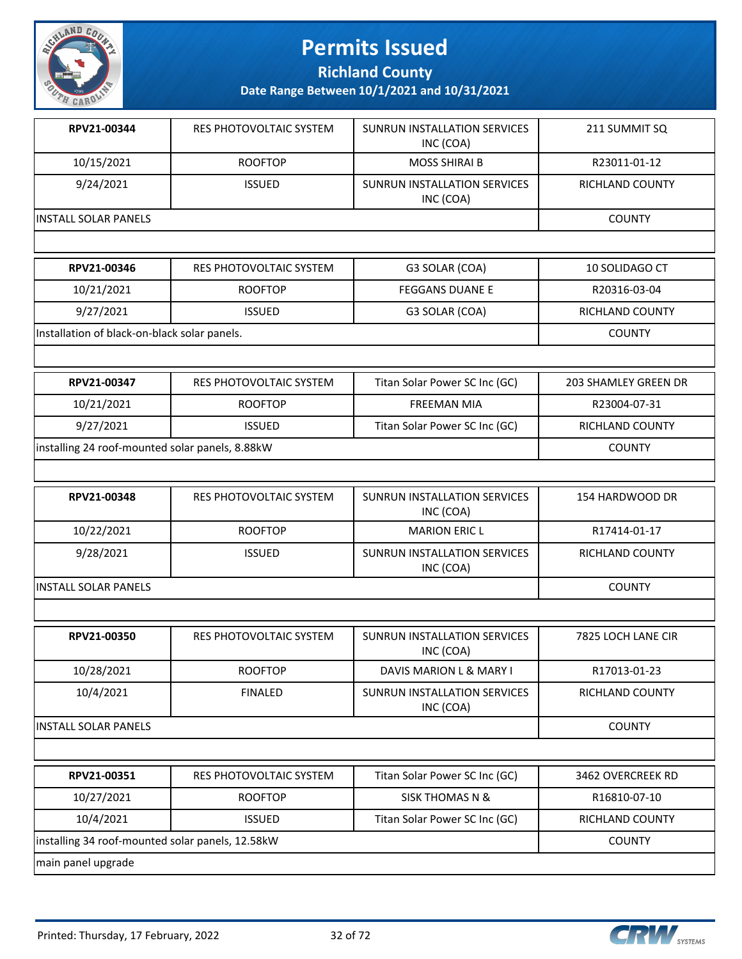

**Richland County**

**Date Range Between 10/1/2021 and 10/31/2021**

| 4.7772                                          |                                |                                                  |                        |
|-------------------------------------------------|--------------------------------|--------------------------------------------------|------------------------|
| RPV21-00344                                     | RES PHOTOVOLTAIC SYSTEM        | <b>SUNRUN INSTALLATION SERVICES</b><br>INC (COA) | 211 SUMMIT SQ          |
| 10/15/2021                                      | <b>ROOFTOP</b>                 | <b>MOSS SHIRAI B</b>                             | R23011-01-12           |
| 9/24/2021                                       | <b>ISSUED</b>                  | <b>SUNRUN INSTALLATION SERVICES</b><br>INC (COA) | <b>RICHLAND COUNTY</b> |
| <b>INSTALL SOLAR PANELS</b>                     | <b>COUNTY</b>                  |                                                  |                        |
| RPV21-00346                                     | RES PHOTOVOLTAIC SYSTEM        | G3 SOLAR (COA)                                   | 10 SOLIDAGO CT         |
| 10/21/2021                                      | <b>ROOFTOP</b>                 | <b>FEGGANS DUANE E</b>                           | R20316-03-04           |
| 9/27/2021                                       | <b>ISSUED</b>                  | G3 SOLAR (COA)                                   | RICHLAND COUNTY        |
| Installation of black-on-black solar panels.    | <b>COUNTY</b>                  |                                                  |                        |
|                                                 |                                |                                                  |                        |
| RPV21-00347                                     | RES PHOTOVOLTAIC SYSTEM        | Titan Solar Power SC Inc (GC)                    | 203 SHAMLEY GREEN DR   |
| 10/21/2021                                      | <b>ROOFTOP</b>                 | <b>FREEMAN MIA</b>                               | R23004-07-31           |
| 9/27/2021                                       | <b>ISSUED</b>                  | Titan Solar Power SC Inc (GC)                    | RICHLAND COUNTY        |
| installing 24 roof-mounted solar panels, 8.88kW | <b>COUNTY</b>                  |                                                  |                        |
|                                                 |                                |                                                  |                        |
| RPV21-00348                                     | <b>RES PHOTOVOLTAIC SYSTEM</b> | SUNRUN INSTALLATION SERVICES<br>INC (COA)        | 154 HARDWOOD DR        |
| 10/22/2021                                      | <b>ROOFTOP</b>                 | <b>MARION ERIC L</b>                             | R17414-01-17           |
| 9/28/2021                                       | <b>ISSUED</b>                  | <b>SUNRUN INSTALLATION SERVICES</b><br>INC (COA) | <b>RICHLAND COUNTY</b> |
| <b>INSTALL SOLAR PANELS</b>                     |                                |                                                  | <b>COUNTY</b>          |

| RPV21-00350           | <b>RES PHOTOVOLTAIC SYSTEM</b> | SUNRUN INSTALLATION SERVICES<br>INC (COA) | 7825 LOCH LANE CIR     |
|-----------------------|--------------------------------|-------------------------------------------|------------------------|
| 10/28/2021            | <b>ROOFTOP</b>                 | DAVIS MARION L & MARY I                   | R17013-01-23           |
| 10/4/2021             | <b>FINALED</b>                 | SUNRUN INSTALLATION SERVICES<br>INC (COA) | RICHLAND COUNTY        |
| IINSTALL SOLAR PANELS | <b>COUNTY</b>                  |                                           |                        |
|                       |                                |                                           |                        |
| RPV21-00351           | RES PHOTOVOLTAIC SYSTEM        | Titan Solar Power SC Inc (GC)             | 3462 OVERCREEK RD      |
| 10/27/2021            | <b>ROOFTOP</b>                 | <b>SISK THOMAS N &amp;</b>                | R16810-07-10           |
| 10/4/2021             | <b>ISSUED</b>                  | Titan Solar Power SC Inc (GC)             | <b>RICHLAND COUNTY</b> |

|installing 34 roof-mounted solar panels, 12.58kW county and the solar panel of the county county

main panel upgrade

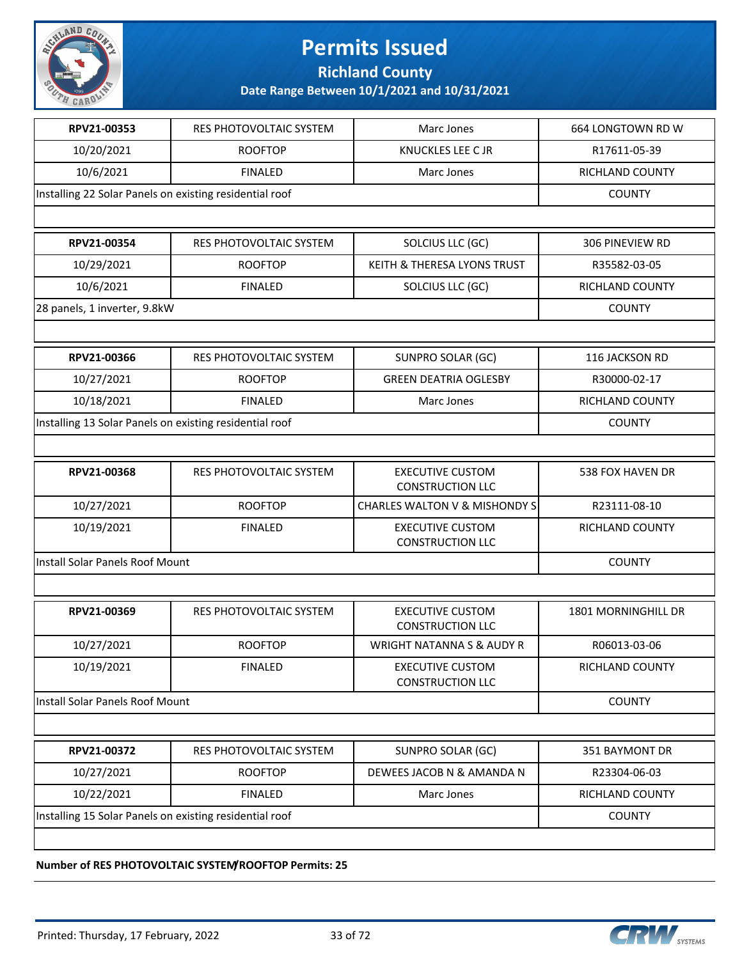

**Richland County**

**Date Range Between 10/1/2021 and 10/31/2021**

| RPV21-00353                                             | <b>RES PHOTOVOLTAIC SYSTEM</b>                          | Marc Jones                                         | 664 LONGTOWN RD W       |
|---------------------------------------------------------|---------------------------------------------------------|----------------------------------------------------|-------------------------|
| 10/20/2021                                              | <b>ROOFTOP</b>                                          | KNUCKLES LEE C JR                                  | R17611-05-39            |
| 10/6/2021                                               | <b>FINALED</b>                                          | Marc Jones                                         | RICHLAND COUNTY         |
| Installing 22 Solar Panels on existing residential roof |                                                         |                                                    | <b>COUNTY</b>           |
|                                                         |                                                         |                                                    |                         |
| RPV21-00354                                             | RES PHOTOVOLTAIC SYSTEM                                 | SOLCIUS LLC (GC)                                   | 306 PINEVIEW RD         |
| 10/29/2021                                              | <b>ROOFTOP</b>                                          | KEITH & THERESA LYONS TRUST                        | R35582-03-05            |
| 10/6/2021                                               | <b>FINALED</b>                                          | SOLCIUS LLC (GC)                                   | RICHLAND COUNTY         |
| 28 panels, 1 inverter, 9.8kW                            |                                                         |                                                    | <b>COUNTY</b>           |
|                                                         |                                                         |                                                    |                         |
| RPV21-00366                                             | <b>RES PHOTOVOLTAIC SYSTEM</b>                          | SUNPRO SOLAR (GC)                                  | 116 JACKSON RD          |
| 10/27/2021                                              | <b>ROOFTOP</b>                                          | <b>GREEN DEATRIA OGLESBY</b>                       | R30000-02-17            |
| 10/18/2021                                              | <b>FINALED</b>                                          | Marc Jones                                         | RICHLAND COUNTY         |
| Installing 13 Solar Panels on existing residential roof | <b>COUNTY</b>                                           |                                                    |                         |
|                                                         |                                                         |                                                    |                         |
| RPV21-00368                                             | <b>RES PHOTOVOLTAIC SYSTEM</b>                          | <b>EXECUTIVE CUSTOM</b><br><b>CONSTRUCTION LLC</b> | <b>538 FOX HAVEN DR</b> |
| 10/27/2021                                              | <b>ROOFTOP</b>                                          | CHARLES WALTON V & MISHONDY S                      | R23111-08-10            |
| 10/19/2021                                              | <b>FINALED</b>                                          | <b>EXECUTIVE CUSTOM</b><br><b>CONSTRUCTION LLC</b> | RICHLAND COUNTY         |
| Install Solar Panels Roof Mount                         | <b>COUNTY</b>                                           |                                                    |                         |
|                                                         |                                                         |                                                    |                         |
| RPV21-00369                                             | RES PHOTOVOLTAIC SYSTEM                                 | <b>EXECUTIVE CUSTOM</b><br><b>CONSTRUCTION LLC</b> | 1801 MORNINGHILL DR     |
| 10/27/2021                                              | <b>ROOFTOP</b>                                          | WRIGHT NATANNA S & AUDY R                          | R06013-03-06            |
| 10/19/2021                                              | <b>FINALED</b>                                          | <b>EXECUTIVE CUSTOM</b><br><b>CONSTRUCTION LLC</b> | RICHLAND COUNTY         |
| Install Solar Panels Roof Mount                         |                                                         |                                                    | <b>COUNTY</b>           |
|                                                         |                                                         |                                                    |                         |
| RPV21-00372                                             | RES PHOTOVOLTAIC SYSTEM                                 | SUNPRO SOLAR (GC)                                  | 351 BAYMONT DR          |
| 10/27/2021                                              | <b>ROOFTOP</b>                                          | DEWEES JACOB N & AMANDA N                          | R23304-06-03            |
| 10/22/2021                                              | <b>FINALED</b>                                          | Marc Jones                                         | <b>RICHLAND COUNTY</b>  |
|                                                         | Installing 15 Solar Panels on existing residential roof |                                                    |                         |
|                                                         |                                                         |                                                    |                         |

**Number of RES PHOTOVOLTAIC SYSTEM/ROOFTOP Permits: 25**

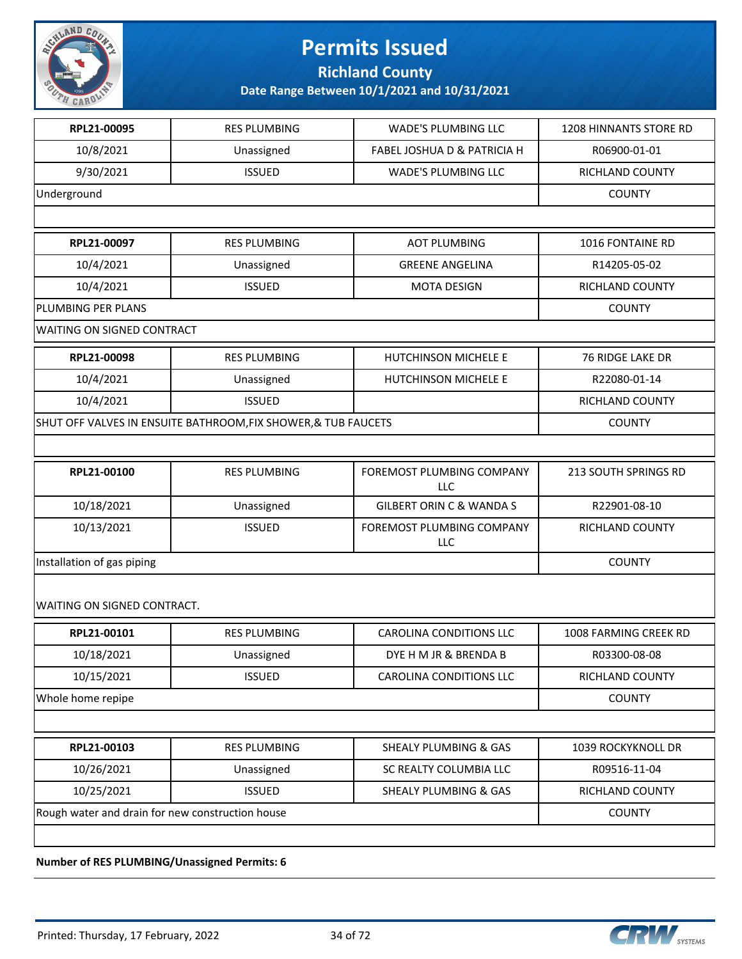

**Richland County**

**Date Range Between 10/1/2021 and 10/31/2021**

| RPL21-00095                                                    | <b>RES PLUMBING</b> | <b>WADE'S PLUMBING LLC</b>             | 1208 HINNANTS STORE RD |
|----------------------------------------------------------------|---------------------|----------------------------------------|------------------------|
| 10/8/2021                                                      | Unassigned          | <b>FABEL JOSHUA D &amp; PATRICIA H</b> | R06900-01-01           |
| 9/30/2021                                                      | <b>ISSUED</b>       | WADE'S PLUMBING LLC                    | RICHLAND COUNTY        |
| Underground                                                    | <b>COUNTY</b>       |                                        |                        |
|                                                                |                     |                                        |                        |
| RPL21-00097                                                    | <b>RES PLUMBING</b> | <b>AOT PLUMBING</b>                    | 1016 FONTAINE RD       |
| 10/4/2021                                                      | Unassigned          | <b>GREENE ANGELINA</b>                 | R14205-05-02           |
| 10/4/2021                                                      | <b>ISSUED</b>       | <b>MOTA DESIGN</b>                     | RICHLAND COUNTY        |
| PLUMBING PER PLANS                                             |                     |                                        | <b>COUNTY</b>          |
| WAITING ON SIGNED CONTRACT                                     |                     |                                        |                        |
| RPL21-00098                                                    | <b>RES PLUMBING</b> | HUTCHINSON MICHELE E                   | 76 RIDGE LAKE DR       |
| 10/4/2021                                                      | Unassigned          | HUTCHINSON MICHELE E                   | R22080-01-14           |
| 10/4/2021                                                      | <b>ISSUED</b>       |                                        | RICHLAND COUNTY        |
| SHUT OFF VALVES IN ENSUITE BATHROOM, FIX SHOWER, & TUB FAUCETS | <b>COUNTY</b>       |                                        |                        |
|                                                                |                     |                                        |                        |
| RPL21-00100                                                    | <b>RES PLUMBING</b> | FOREMOST PLUMBING COMPANY<br>LLC       | 213 SOUTH SPRINGS RD   |
| 10/18/2021                                                     | Unassigned          | <b>GILBERT ORIN C &amp; WANDA S</b>    | R22901-08-10           |
| 10/13/2021                                                     | <b>ISSUED</b>       | FOREMOST PLUMBING COMPANY<br>LLC       | RICHLAND COUNTY        |
| Installation of gas piping                                     | <b>COUNTY</b>       |                                        |                        |
| WAITING ON SIGNED CONTRACT.                                    |                     |                                        |                        |
| RPL21-00101                                                    | <b>RES PLUMBING</b> | <b>CAROLINA CONDITIONS LLC</b>         | 1008 FARMING CREEK RD  |
| 10/18/2021                                                     | Unassigned          | DYE H M JR & BRENDA B                  | R03300-08-08           |
| 10/15/2021                                                     | <b>ISSUED</b>       | <b>CAROLINA CONDITIONS LLC</b>         | RICHLAND COUNTY        |
| Whole home repipe                                              |                     |                                        | <b>COUNTY</b>          |
|                                                                |                     |                                        |                        |
| RPL21-00103                                                    | <b>RES PLUMBING</b> | <b>SHEALY PLUMBING &amp; GAS</b>       | 1039 ROCKYKNOLL DR     |
| 10/26/2021                                                     | Unassigned          | SC REALTY COLUMBIA LLC                 | R09516-11-04           |
| 10/25/2021                                                     | <b>ISSUED</b>       | <b>SHEALY PLUMBING &amp; GAS</b>       | RICHLAND COUNTY        |
| Rough water and drain for new construction house               | <b>COUNTY</b>       |                                        |                        |
|                                                                |                     |                                        |                        |

**Number of RES PLUMBING/Unassigned Permits: 6**

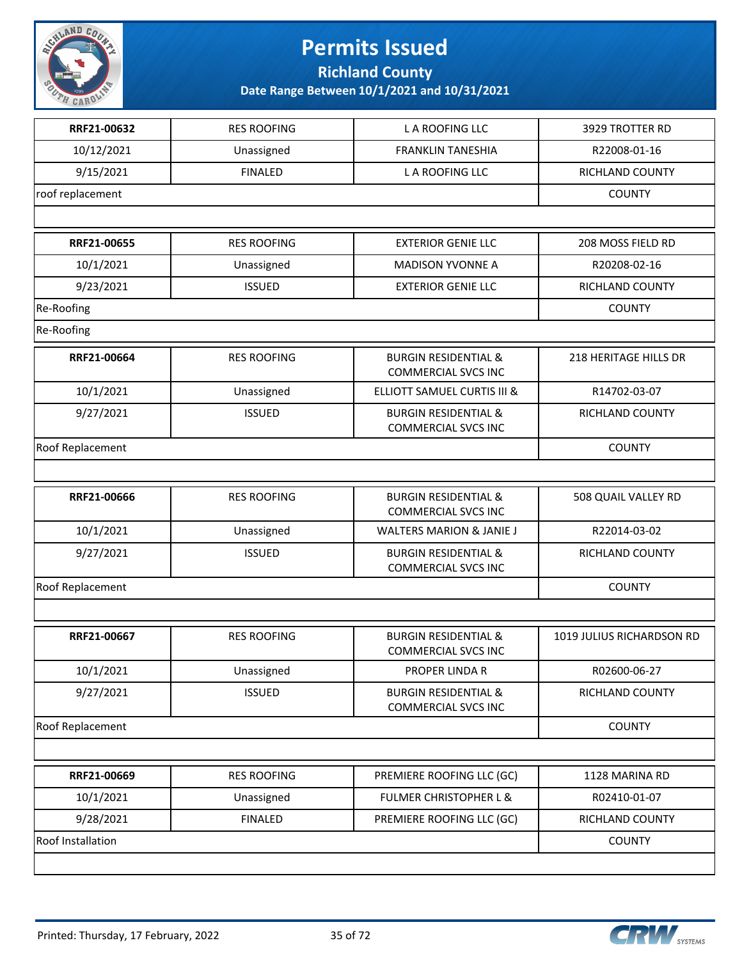

**Richland County**

| RRF21-00632              | <b>RES ROOFING</b> | L A ROOFING LLC                                               | 3929 TROTTER RD           |
|--------------------------|--------------------|---------------------------------------------------------------|---------------------------|
| 10/12/2021               | Unassigned         | <b>FRANKLIN TANESHIA</b>                                      | R22008-01-16              |
| 9/15/2021                | <b>FINALED</b>     | L A ROOFING LLC                                               | RICHLAND COUNTY           |
| roof replacement         | <b>COUNTY</b>      |                                                               |                           |
|                          |                    |                                                               |                           |
| RRF21-00655              | <b>RES ROOFING</b> | <b>EXTERIOR GENIE LLC</b>                                     | 208 MOSS FIELD RD         |
| 10/1/2021                | Unassigned         | <b>MADISON YVONNE A</b>                                       | R20208-02-16              |
| 9/23/2021                | <b>ISSUED</b>      | <b>EXTERIOR GENIE LLC</b>                                     | RICHLAND COUNTY           |
| Re-Roofing               |                    |                                                               | <b>COUNTY</b>             |
| Re-Roofing               |                    |                                                               |                           |
| RRF21-00664              | <b>RES ROOFING</b> | <b>BURGIN RESIDENTIAL &amp;</b><br><b>COMMERCIAL SVCS INC</b> | 218 HERITAGE HILLS DR     |
| 10/1/2021                | Unassigned         | ELLIOTT SAMUEL CURTIS III &                                   | R14702-03-07              |
| 9/27/2021                | <b>ISSUED</b>      | <b>BURGIN RESIDENTIAL &amp;</b><br><b>COMMERCIAL SVCS INC</b> | RICHLAND COUNTY           |
| Roof Replacement         |                    |                                                               | <b>COUNTY</b>             |
|                          |                    |                                                               |                           |
| RRF21-00666              | <b>RES ROOFING</b> | <b>BURGIN RESIDENTIAL &amp;</b><br><b>COMMERCIAL SVCS INC</b> | 508 QUAIL VALLEY RD       |
| 10/1/2021                | Unassigned         | <b>WALTERS MARION &amp; JANIE J</b>                           | R22014-03-02              |
| 9/27/2021                | <b>ISSUED</b>      | <b>BURGIN RESIDENTIAL &amp;</b><br><b>COMMERCIAL SVCS INC</b> | RICHLAND COUNTY           |
| Roof Replacement         | <b>COUNTY</b>      |                                                               |                           |
|                          |                    |                                                               |                           |
| RRF21-00667              | <b>RES ROOFING</b> | <b>BURGIN RESIDENTIAL &amp;</b><br><b>COMMERCIAL SVCS INC</b> | 1019 JULIUS RICHARDSON RD |
| 10/1/2021                | Unassigned         | PROPER LINDA R                                                | R02600-06-27              |
| 9/27/2021                | <b>ISSUED</b>      | <b>BURGIN RESIDENTIAL &amp;</b><br><b>COMMERCIAL SVCS INC</b> | RICHLAND COUNTY           |
| Roof Replacement         |                    |                                                               | <b>COUNTY</b>             |
|                          |                    |                                                               |                           |
| RRF21-00669              | <b>RES ROOFING</b> | PREMIERE ROOFING LLC (GC)                                     | 1128 MARINA RD            |
| 10/1/2021                | Unassigned         | <b>FULMER CHRISTOPHER L &amp;</b>                             | R02410-01-07              |
| 9/28/2021                | <b>FINALED</b>     | PREMIERE ROOFING LLC (GC)                                     | RICHLAND COUNTY           |
| <b>Roof Installation</b> |                    |                                                               | <b>COUNTY</b>             |
|                          |                    |                                                               |                           |

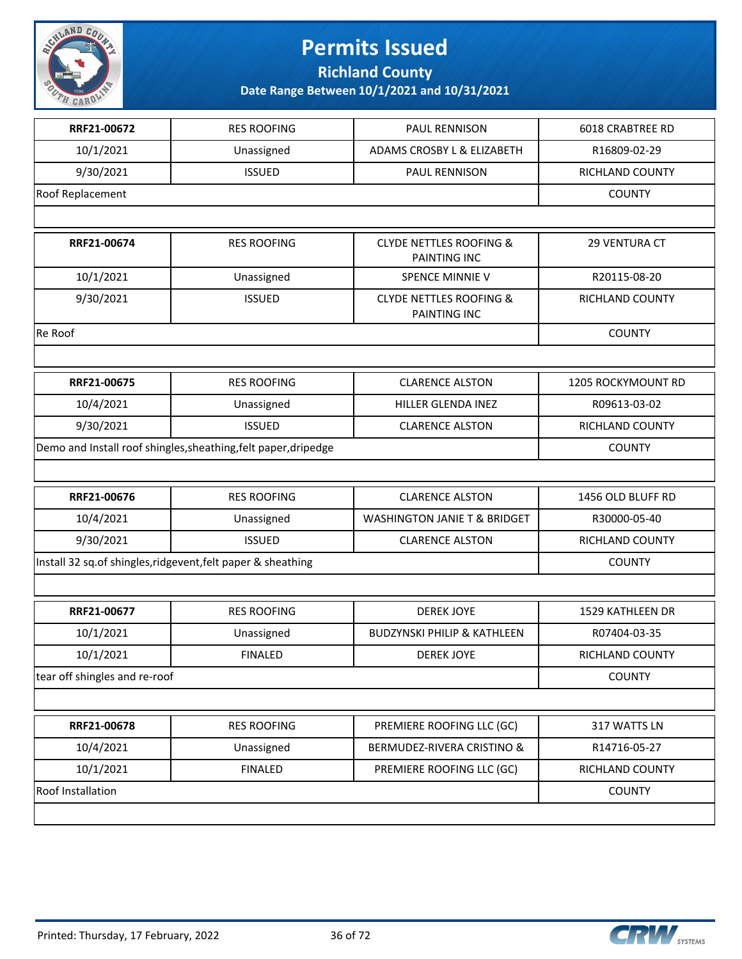

**Richland County**

| RRF21-00672                                                  | <b>RES ROOFING</b>                                              | PAUL RENNISON                                      | <b>6018 CRABTREE RD</b> |
|--------------------------------------------------------------|-----------------------------------------------------------------|----------------------------------------------------|-------------------------|
| 10/1/2021                                                    | Unassigned                                                      | ADAMS CROSBY L & ELIZABETH                         | R16809-02-29            |
| 9/30/2021                                                    | <b>ISSUED</b>                                                   | PAUL RENNISON                                      | RICHLAND COUNTY         |
| Roof Replacement                                             |                                                                 |                                                    | <b>COUNTY</b>           |
|                                                              |                                                                 |                                                    |                         |
| RRF21-00674                                                  | <b>RES ROOFING</b>                                              | <b>CLYDE NETTLES ROOFING &amp;</b><br>PAINTING INC | 29 VENTURA CT           |
| 10/1/2021                                                    | Unassigned                                                      | SPENCE MINNIE V                                    | R20115-08-20            |
| 9/30/2021                                                    | <b>ISSUED</b>                                                   | <b>CLYDE NETTLES ROOFING &amp;</b><br>PAINTING INC | RICHLAND COUNTY         |
| Re Roof                                                      |                                                                 |                                                    | <b>COUNTY</b>           |
|                                                              |                                                                 |                                                    |                         |
| RRF21-00675                                                  | <b>RES ROOFING</b>                                              | <b>CLARENCE ALSTON</b>                             | 1205 ROCKYMOUNT RD      |
| 10/4/2021                                                    | Unassigned                                                      | HILLER GLENDA INEZ                                 | R09613-03-02            |
| 9/30/2021                                                    | <b>ISSUED</b>                                                   | <b>CLARENCE ALSTON</b>                             | RICHLAND COUNTY         |
|                                                              | Demo and Install roof shingles, sheathing, felt paper, dripedge |                                                    | <b>COUNTY</b>           |
|                                                              |                                                                 |                                                    |                         |
| RRF21-00676                                                  | <b>RES ROOFING</b>                                              | <b>CLARENCE ALSTON</b>                             | 1456 OLD BLUFF RD       |
| 10/4/2021                                                    | Unassigned                                                      | <b>WASHINGTON JANIE T &amp; BRIDGET</b>            | R30000-05-40            |
| 9/30/2021                                                    | <b>ISSUED</b>                                                   | <b>CLARENCE ALSTON</b>                             | RICHLAND COUNTY         |
| Install 32 sq.of shingles, ridgevent, felt paper & sheathing | <b>COUNTY</b>                                                   |                                                    |                         |
|                                                              |                                                                 |                                                    |                         |
| RRF21-00677                                                  | <b>RES ROOFING</b>                                              | <b>DEREK JOYE</b>                                  | 1529 KATHLEEN DR        |
| 10/1/2021                                                    | Unassigned                                                      | <b>BUDZYNSKI PHILIP &amp; KATHLEEN</b>             | R07404-03-35            |
| 10/1/2021                                                    | <b>FINALED</b>                                                  | DEREK JOYE                                         | RICHLAND COUNTY         |
| tear off shingles and re-roof                                | <b>COUNTY</b>                                                   |                                                    |                         |
|                                                              |                                                                 |                                                    |                         |
| RRF21-00678                                                  | <b>RES ROOFING</b>                                              | PREMIERE ROOFING LLC (GC)                          | 317 WATTS LN            |
| 10/4/2021                                                    | Unassigned                                                      | BERMUDEZ-RIVERA CRISTINO &                         | R14716-05-27            |
| 10/1/2021                                                    | <b>FINALED</b>                                                  | PREMIERE ROOFING LLC (GC)                          | RICHLAND COUNTY         |
| Roof Installation                                            | <b>COUNTY</b>                                                   |                                                    |                         |
|                                                              |                                                                 |                                                    |                         |

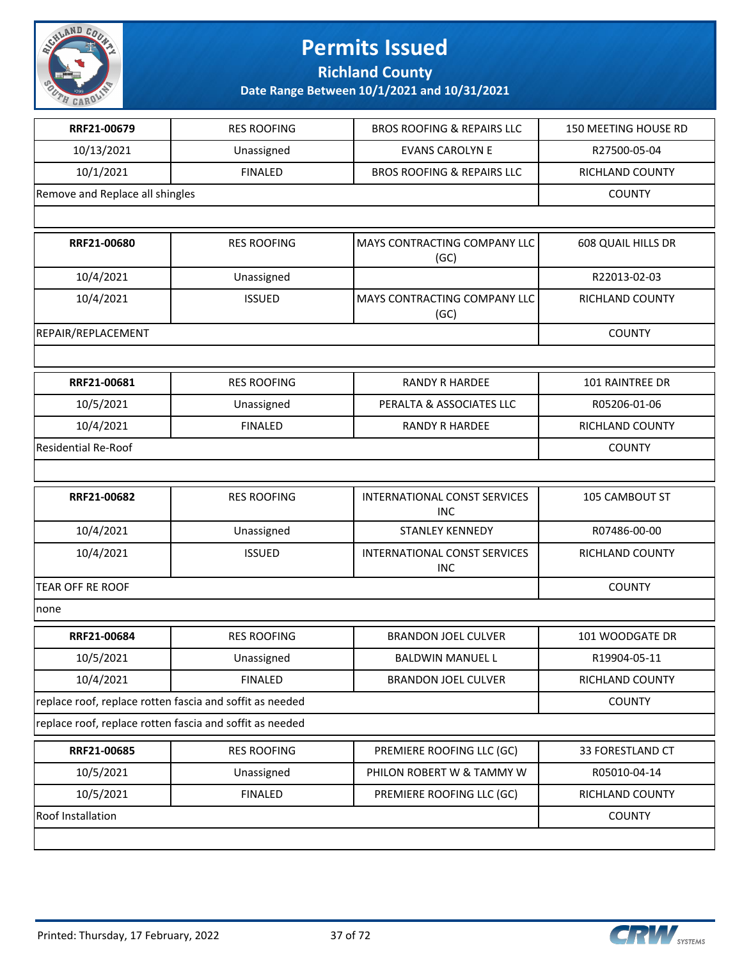

**Richland County**

| RRF21-00679                                              | <b>RES ROOFING</b> | <b>BROS ROOFING &amp; REPAIRS LLC</b>             | 150 MEETING HOUSE RD |  |
|----------------------------------------------------------|--------------------|---------------------------------------------------|----------------------|--|
| 10/13/2021                                               | Unassigned         | <b>EVANS CAROLYN E</b>                            | R27500-05-04         |  |
| 10/1/2021                                                | <b>FINALED</b>     | <b>BROS ROOFING &amp; REPAIRS LLC</b>             | RICHLAND COUNTY      |  |
| Remove and Replace all shingles                          |                    |                                                   | <b>COUNTY</b>        |  |
|                                                          |                    |                                                   |                      |  |
| RRF21-00680                                              | <b>RES ROOFING</b> | MAYS CONTRACTING COMPANY LLC<br>(GC)              | 608 QUAIL HILLS DR   |  |
| 10/4/2021                                                | Unassigned         |                                                   | R22013-02-03         |  |
| 10/4/2021                                                | <b>ISSUED</b>      | MAYS CONTRACTING COMPANY LLC<br>(GC)              | RICHLAND COUNTY      |  |
| REPAIR/REPLACEMENT                                       |                    |                                                   | <b>COUNTY</b>        |  |
|                                                          |                    |                                                   |                      |  |
| RRF21-00681                                              | <b>RES ROOFING</b> | <b>RANDY R HARDEE</b>                             | 101 RAINTREE DR      |  |
| 10/5/2021                                                | Unassigned         | PERALTA & ASSOCIATES LLC                          | R05206-01-06         |  |
| 10/4/2021                                                | <b>FINALED</b>     | <b>RANDY R HARDEE</b>                             | RICHLAND COUNTY      |  |
| <b>Residential Re-Roof</b>                               |                    |                                                   | <b>COUNTY</b>        |  |
|                                                          |                    |                                                   |                      |  |
| RRF21-00682                                              | <b>RES ROOFING</b> | <b>INTERNATIONAL CONST SERVICES</b><br><b>INC</b> | 105 CAMBOUT ST       |  |
| 10/4/2021                                                | Unassigned         | <b>STANLEY KENNEDY</b>                            | R07486-00-00         |  |
| 10/4/2021                                                | <b>ISSUED</b>      | INTERNATIONAL CONST SERVICES<br><b>INC</b>        | RICHLAND COUNTY      |  |
| <b>TEAR OFF RE ROOF</b>                                  |                    |                                                   | <b>COUNTY</b>        |  |
| none                                                     |                    |                                                   |                      |  |
| RRF21-00684                                              | <b>RES ROOFING</b> | <b>BRANDON JOEL CULVER</b>                        | 101 WOODGATE DR      |  |
| 10/5/2021                                                | Unassigned         | BALDWIN MANUEL L                                  | R19904-05-11         |  |
| 10/4/2021                                                | <b>FINALED</b>     | <b>BRANDON JOEL CULVER</b>                        | RICHLAND COUNTY      |  |
| replace roof, replace rotten fascia and soffit as needed |                    |                                                   | <b>COUNTY</b>        |  |
| replace roof, replace rotten fascia and soffit as needed |                    |                                                   |                      |  |
| RRF21-00685                                              | <b>RES ROOFING</b> | PREMIERE ROOFING LLC (GC)                         | 33 FORESTLAND CT     |  |
| 10/5/2021                                                | Unassigned         | PHILON ROBERT W & TAMMY W                         | R05010-04-14         |  |
| 10/5/2021                                                | <b>FINALED</b>     | PREMIERE ROOFING LLC (GC)                         | RICHLAND COUNTY      |  |
| Roof Installation                                        |                    |                                                   | <b>COUNTY</b>        |  |
|                                                          |                    |                                                   |                      |  |

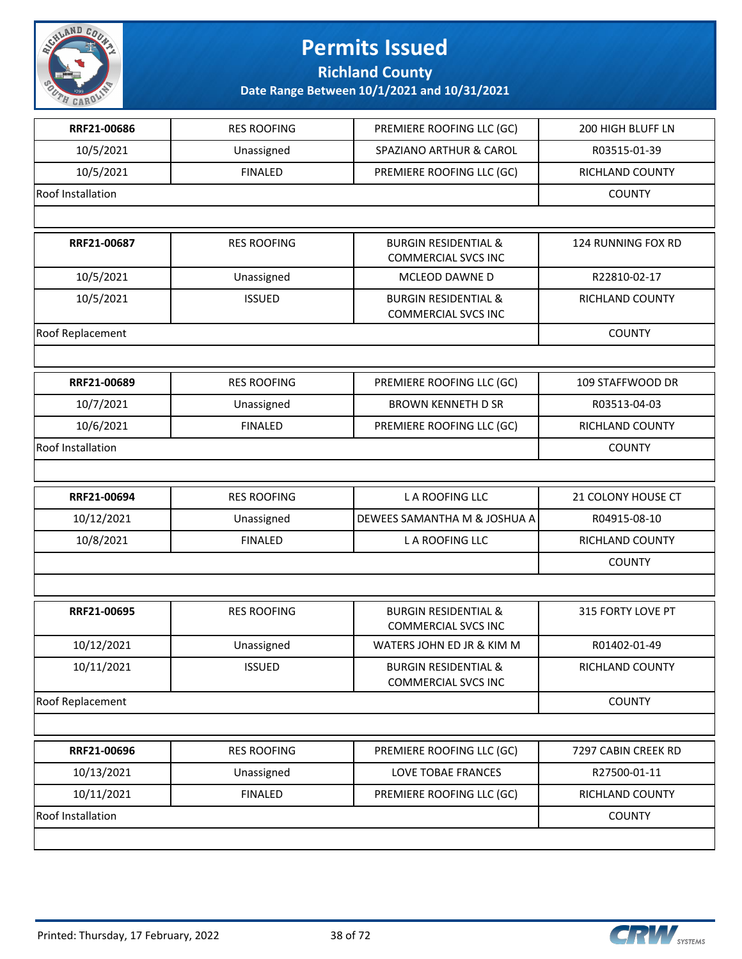

**Richland County**

| RRF21-00686              | <b>RES ROOFING</b> | PREMIERE ROOFING LLC (GC)                                     | 200 HIGH BLUFF LN         |
|--------------------------|--------------------|---------------------------------------------------------------|---------------------------|
| 10/5/2021                | Unassigned         | SPAZIANO ARTHUR & CAROL                                       | R03515-01-39              |
| 10/5/2021                | <b>FINALED</b>     | PREMIERE ROOFING LLC (GC)                                     | RICHLAND COUNTY           |
| <b>Roof Installation</b> |                    |                                                               | <b>COUNTY</b>             |
|                          |                    |                                                               |                           |
| RRF21-00687              | <b>RES ROOFING</b> | <b>BURGIN RESIDENTIAL &amp;</b><br><b>COMMERCIAL SVCS INC</b> | <b>124 RUNNING FOX RD</b> |
| 10/5/2021                | Unassigned         | MCLEOD DAWNE D                                                | R22810-02-17              |
| 10/5/2021                | <b>ISSUED</b>      | <b>BURGIN RESIDENTIAL &amp;</b><br><b>COMMERCIAL SVCS INC</b> | RICHLAND COUNTY           |
| Roof Replacement         |                    |                                                               | <b>COUNTY</b>             |
|                          |                    |                                                               |                           |
| RRF21-00689              | <b>RES ROOFING</b> | PREMIERE ROOFING LLC (GC)                                     | 109 STAFFWOOD DR          |
| 10/7/2021                | Unassigned         | <b>BROWN KENNETH D SR</b>                                     | R03513-04-03              |
| 10/6/2021                | <b>FINALED</b>     | PREMIERE ROOFING LLC (GC)                                     | RICHLAND COUNTY           |
| Roof Installation        |                    |                                                               | <b>COUNTY</b>             |
|                          |                    |                                                               |                           |
| RRF21-00694              | <b>RES ROOFING</b> | L A ROOFING LLC                                               | 21 COLONY HOUSE CT        |
| 10/12/2021               | Unassigned         | DEWEES SAMANTHA M & JOSHUA A                                  | R04915-08-10              |
| 10/8/2021                | <b>FINALED</b>     | L A ROOFING LLC                                               | RICHLAND COUNTY           |
|                          |                    |                                                               | <b>COUNTY</b>             |
|                          |                    |                                                               |                           |
| RRF21-00695              | <b>RES ROOFING</b> | <b>BURGIN RESIDENTIAL &amp;</b><br><b>COMMERCIAL SVCS INC</b> | 315 FORTY LOVE PT         |
| 10/12/2021               | Unassigned         | WATERS JOHN ED JR & KIM M                                     | R01402-01-49              |
| 10/11/2021               | <b>ISSUED</b>      | <b>BURGIN RESIDENTIAL &amp;</b><br><b>COMMERCIAL SVCS INC</b> | RICHLAND COUNTY           |
| Roof Replacement         |                    |                                                               | <b>COUNTY</b>             |
|                          |                    |                                                               |                           |
| RRF21-00696              | <b>RES ROOFING</b> | PREMIERE ROOFING LLC (GC)                                     | 7297 CABIN CREEK RD       |
| 10/13/2021               | Unassigned         | LOVE TOBAE FRANCES                                            | R27500-01-11              |
| 10/11/2021               | <b>FINALED</b>     | PREMIERE ROOFING LLC (GC)                                     | RICHLAND COUNTY           |
|                          |                    |                                                               |                           |
| Roof Installation        |                    |                                                               | <b>COUNTY</b>             |

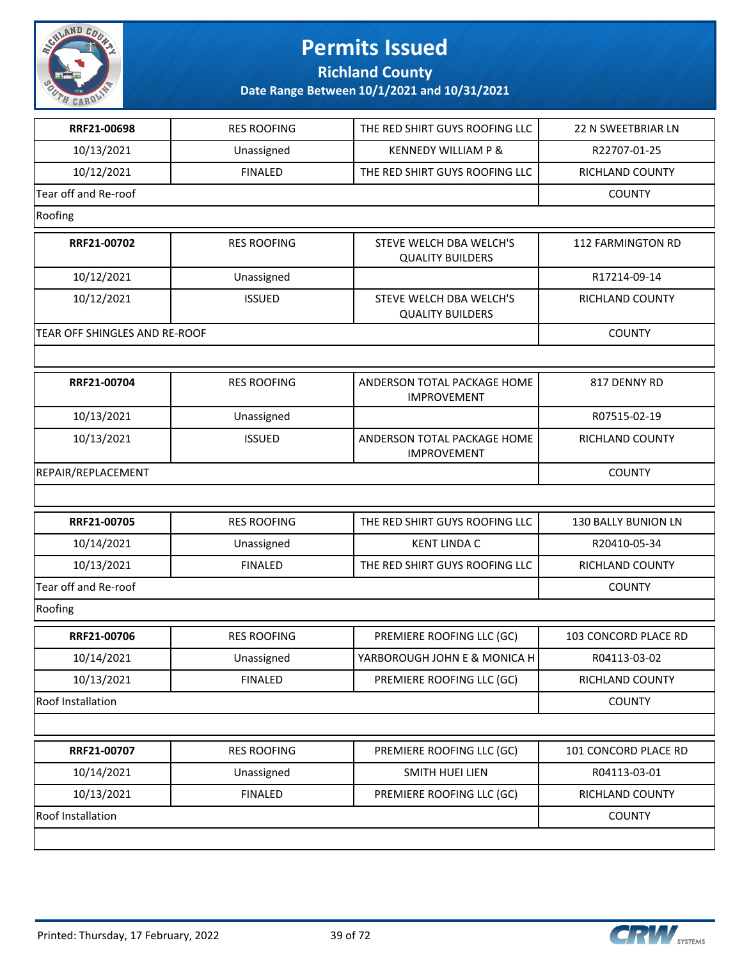

**Richland County**

| RRF21-00698                          | <b>RES ROOFING</b> | THE RED SHIRT GUYS ROOFING LLC                     | 22 N SWEETBRIAR LN   |
|--------------------------------------|--------------------|----------------------------------------------------|----------------------|
| 10/13/2021                           | Unassigned         | <b>KENNEDY WILLIAM P &amp;</b>                     | R22707-01-25         |
| 10/12/2021                           | <b>FINALED</b>     | THE RED SHIRT GUYS ROOFING LLC                     | RICHLAND COUNTY      |
| Tear off and Re-roof                 |                    |                                                    |                      |
|                                      |                    |                                                    | <b>COUNTY</b>        |
| Roofing                              |                    |                                                    |                      |
| RRF21-00702                          | <b>RES ROOFING</b> | STEVE WELCH DBA WELCH'S<br><b>QUALITY BUILDERS</b> | 112 FARMINGTON RD    |
| 10/12/2021                           | Unassigned         |                                                    | R17214-09-14         |
| 10/12/2021                           | <b>ISSUED</b>      | STEVE WELCH DBA WELCH'S<br><b>QUALITY BUILDERS</b> | RICHLAND COUNTY      |
| <b>TEAR OFF SHINGLES AND RE-ROOF</b> |                    |                                                    | <b>COUNTY</b>        |
|                                      |                    |                                                    |                      |
| RRF21-00704                          | <b>RES ROOFING</b> | ANDERSON TOTAL PACKAGE HOME<br><b>IMPROVEMENT</b>  | 817 DENNY RD         |
| 10/13/2021                           | Unassigned         |                                                    | R07515-02-19         |
| 10/13/2021                           | <b>ISSUED</b>      | ANDERSON TOTAL PACKAGE HOME<br><b>IMPROVEMENT</b>  | RICHLAND COUNTY      |
| REPAIR/REPLACEMENT                   |                    |                                                    | <b>COUNTY</b>        |
|                                      |                    |                                                    |                      |
| RRF21-00705                          | <b>RES ROOFING</b> | THE RED SHIRT GUYS ROOFING LLC                     | 130 BALLY BUNION LN  |
| 10/14/2021                           | Unassigned         | <b>KENT LINDA C</b>                                | R20410-05-34         |
| 10/13/2021                           | <b>FINALED</b>     | THE RED SHIRT GUYS ROOFING LLC                     | RICHLAND COUNTY      |
| Tear off and Re-roof                 |                    |                                                    | <b>COUNTY</b>        |
| Roofing                              |                    |                                                    |                      |
| RRF21-00706                          | <b>RES ROOFING</b> | PREMIERE ROOFING LLC (GC)                          | 103 CONCORD PLACE RD |
| 10/14/2021                           | Unassigned         | YARBOROUGH JOHN E & MONICA H                       | R04113-03-02         |
| 10/13/2021                           | <b>FINALED</b>     | PREMIERE ROOFING LLC (GC)                          | RICHLAND COUNTY      |
| Roof Installation                    |                    |                                                    | <b>COUNTY</b>        |
|                                      |                    |                                                    |                      |
| RRF21-00707                          | <b>RES ROOFING</b> | PREMIERE ROOFING LLC (GC)                          | 101 CONCORD PLACE RD |
| 10/14/2021                           | Unassigned         | SMITH HUEI LIEN                                    | R04113-03-01         |
| 10/13/2021                           | <b>FINALED</b>     | PREMIERE ROOFING LLC (GC)                          | RICHLAND COUNTY      |
| Roof Installation                    |                    |                                                    | <b>COUNTY</b>        |
|                                      |                    |                                                    |                      |

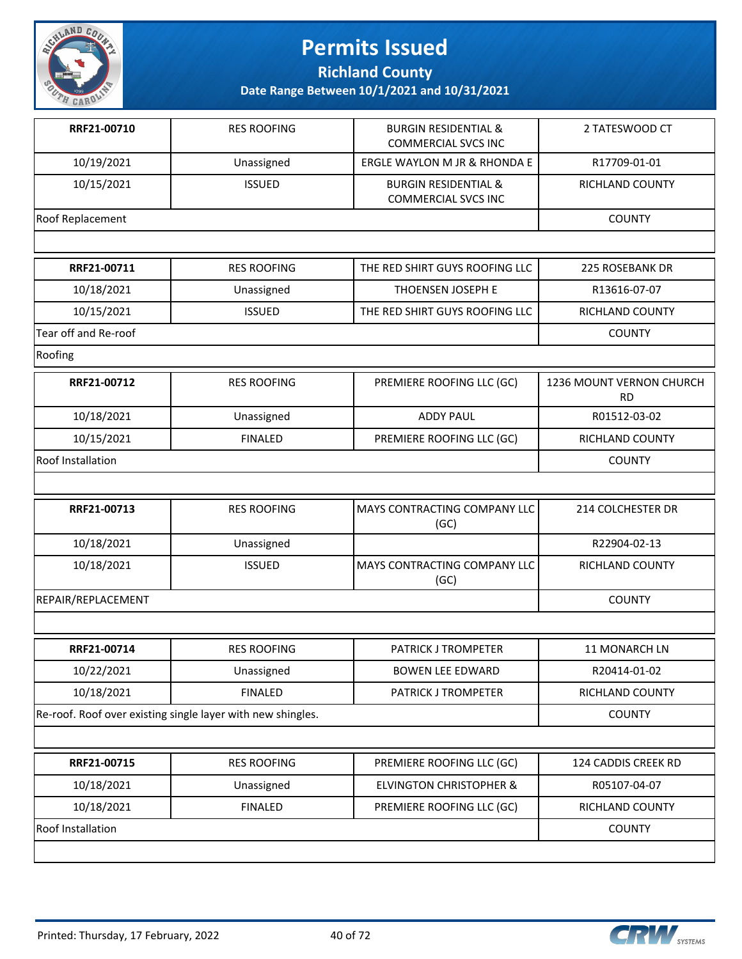

**Richland County**

| RRF21-00710          | <b>RES ROOFING</b>                                          | <b>BURGIN RESIDENTIAL &amp;</b><br><b>COMMERCIAL SVCS INC</b> | 2 TATESWOOD CT                        |
|----------------------|-------------------------------------------------------------|---------------------------------------------------------------|---------------------------------------|
| 10/19/2021           | Unassigned                                                  | ERGLE WAYLON M JR & RHONDA E                                  | R17709-01-01                          |
| 10/15/2021           | <b>ISSUED</b>                                               | <b>BURGIN RESIDENTIAL &amp;</b><br><b>COMMERCIAL SVCS INC</b> | RICHLAND COUNTY                       |
| Roof Replacement     |                                                             |                                                               | <b>COUNTY</b>                         |
|                      |                                                             |                                                               |                                       |
| RRF21-00711          | <b>RES ROOFING</b>                                          | THE RED SHIRT GUYS ROOFING LLC                                | <b>225 ROSEBANK DR</b>                |
| 10/18/2021           | Unassigned                                                  | THOENSEN JOSEPH E                                             | R13616-07-07                          |
| 10/15/2021           | <b>ISSUED</b>                                               | THE RED SHIRT GUYS ROOFING LLC                                | RICHLAND COUNTY                       |
| Tear off and Re-roof |                                                             |                                                               | <b>COUNTY</b>                         |
| Roofing              |                                                             |                                                               |                                       |
| RRF21-00712          | <b>RES ROOFING</b>                                          | PREMIERE ROOFING LLC (GC)                                     | 1236 MOUNT VERNON CHURCH<br><b>RD</b> |
| 10/18/2021           | Unassigned                                                  | <b>ADDY PAUL</b>                                              | R01512-03-02                          |
| 10/15/2021           | <b>FINALED</b>                                              | PREMIERE ROOFING LLC (GC)                                     | RICHLAND COUNTY                       |
| Roof Installation    |                                                             |                                                               | <b>COUNTY</b>                         |
|                      |                                                             |                                                               |                                       |
| RRF21-00713          | <b>RES ROOFING</b>                                          | MAYS CONTRACTING COMPANY LLC<br>(GC)                          | 214 COLCHESTER DR                     |
| 10/18/2021           | Unassigned                                                  |                                                               | R22904-02-13                          |
| 10/18/2021           | <b>ISSUED</b>                                               | MAYS CONTRACTING COMPANY LLC<br>(GC)                          | RICHLAND COUNTY                       |
| REPAIR/REPLACEMENT   |                                                             |                                                               | <b>COUNTY</b>                         |
|                      |                                                             |                                                               |                                       |
| RRF21-00714          | <b>RES ROOFING</b>                                          | PATRICK J TROMPETER                                           | 11 MONARCH LN                         |
| 10/22/2021           | Unassigned                                                  | <b>BOWEN LEE EDWARD</b>                                       | R20414-01-02                          |
| 10/18/2021           | <b>FINALED</b>                                              | PATRICK J TROMPETER                                           | RICHLAND COUNTY                       |
|                      | Re-roof. Roof over existing single layer with new shingles. |                                                               | <b>COUNTY</b>                         |
|                      |                                                             |                                                               |                                       |
| RRF21-00715          | <b>RES ROOFING</b>                                          | PREMIERE ROOFING LLC (GC)                                     | 124 CADDIS CREEK RD                   |
| 10/18/2021           | Unassigned                                                  | <b>ELVINGTON CHRISTOPHER &amp;</b>                            | R05107-04-07                          |
| 10/18/2021           | <b>FINALED</b>                                              | PREMIERE ROOFING LLC (GC)                                     | RICHLAND COUNTY                       |
| Roof Installation    |                                                             |                                                               | <b>COUNTY</b>                         |
|                      |                                                             |                                                               |                                       |

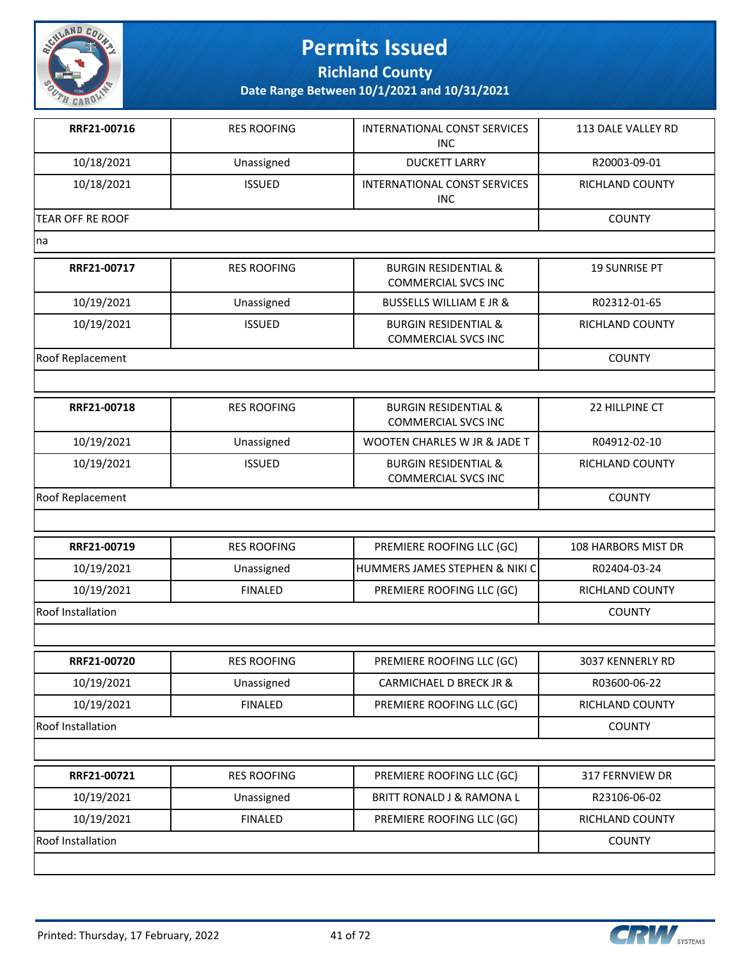

**Richland County**

**Date Range Between 10/1/2021 and 10/31/2021**

| RRF21-00716              | <b>RES ROOFING</b> | INTERNATIONAL CONST SERVICES<br><b>INC</b>                    | 113 DALE VALLEY RD     |
|--------------------------|--------------------|---------------------------------------------------------------|------------------------|
| 10/18/2021               | Unassigned         | <b>DUCKETT LARRY</b>                                          | R20003-09-01           |
| 10/18/2021               | <b>ISSUED</b>      | INTERNATIONAL CONST SERVICES<br><b>INC</b>                    | RICHLAND COUNTY        |
| TEAR OFF RE ROOF         |                    |                                                               | <b>COUNTY</b>          |
| na                       |                    |                                                               |                        |
| RRF21-00717              | <b>RES ROOFING</b> | <b>BURGIN RESIDENTIAL &amp;</b><br><b>COMMERCIAL SVCS INC</b> | <b>19 SUNRISE PT</b>   |
| 10/19/2021               | Unassigned         | <b>BUSSELLS WILLIAM E JR &amp;</b>                            | R02312-01-65           |
| 10/19/2021               | <b>ISSUED</b>      | <b>BURGIN RESIDENTIAL &amp;</b><br><b>COMMERCIAL SVCS INC</b> | RICHLAND COUNTY        |
| Roof Replacement         |                    |                                                               | <b>COUNTY</b>          |
|                          |                    |                                                               |                        |
| RRF21-00718              | <b>RES ROOFING</b> | <b>BURGIN RESIDENTIAL &amp;</b><br><b>COMMERCIAL SVCS INC</b> | 22 HILLPINE CT         |
| 10/19/2021               | Unassigned         | WOOTEN CHARLES W JR & JADE T                                  | R04912-02-10           |
| 10/19/2021               | <b>ISSUED</b>      | <b>BURGIN RESIDENTIAL &amp;</b><br><b>COMMERCIAL SVCS INC</b> | <b>RICHLAND COUNTY</b> |
| Roof Replacement         |                    |                                                               | <b>COUNTY</b>          |
|                          |                    |                                                               |                        |
| RRF21-00719              | <b>RES ROOFING</b> | PREMIERE ROOFING LLC (GC)                                     | 108 HARBORS MIST DR    |
| 10/19/2021               | Unassigned         | HUMMERS JAMES STEPHEN & NIKI C                                | R02404-03-24           |
| 10/19/2021               | <b>FINALED</b>     | PREMIERE ROOFING LLC (GC)                                     | RICHLAND COUNTY        |
| Roof Installation        |                    |                                                               | <b>COUNTY</b>          |
|                          |                    |                                                               |                        |
| RRF21-00720              | <b>RES ROOFING</b> | PREMIERE ROOFING LLC (GC)                                     | 3037 KENNERLY RD       |
| 10/19/2021               | Unassigned         | CARMICHAEL D BRECK JR &                                       | R03600-06-22           |
| 10/19/2021               | <b>FINALED</b>     | PREMIERE ROOFING LLC (GC)                                     | RICHLAND COUNTY        |
| Roof Installation        |                    |                                                               | <b>COUNTY</b>          |
|                          |                    |                                                               |                        |
| RRF21-00721              | <b>RES ROOFING</b> | PREMIERE ROOFING LLC (GC)                                     | 317 FERNVIEW DR        |
| 10/19/2021               | Unassigned         | BRITT RONALD J & RAMONA L                                     | R23106-06-02           |
| 10/19/2021               | <b>FINALED</b>     | PREMIERE ROOFING LLC (GC)                                     | RICHLAND COUNTY        |
| <b>Roof Installation</b> |                    |                                                               | <b>COUNTY</b>          |
|                          |                    |                                                               |                        |

Printed: Thursday, 17 February, 2022 41 of 72

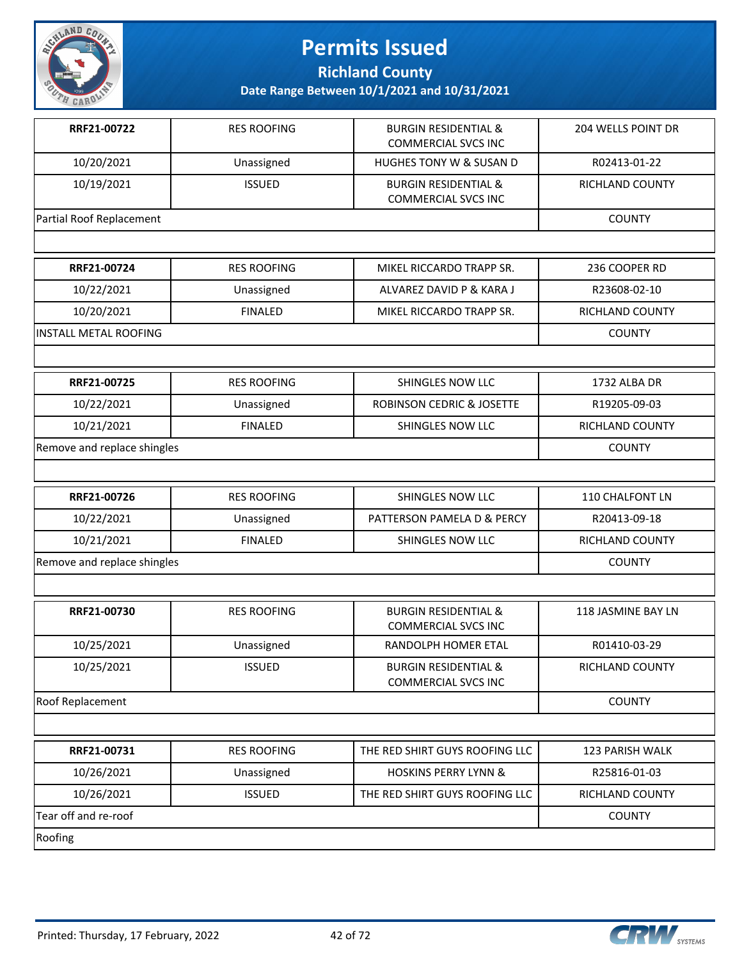

**Richland County**

| RRF21-00722                  | <b>RES ROOFING</b> | <b>BURGIN RESIDENTIAL &amp;</b><br><b>COMMERCIAL SVCS INC</b> | <b>204 WELLS POINT DR</b> |
|------------------------------|--------------------|---------------------------------------------------------------|---------------------------|
| 10/20/2021                   | Unassigned         | HUGHES TONY W & SUSAN D                                       | R02413-01-22              |
| 10/19/2021                   | <b>ISSUED</b>      | <b>BURGIN RESIDENTIAL &amp;</b><br><b>COMMERCIAL SVCS INC</b> | <b>RICHLAND COUNTY</b>    |
| Partial Roof Replacement     |                    |                                                               | <b>COUNTY</b>             |
|                              |                    |                                                               |                           |
| RRF21-00724                  | <b>RES ROOFING</b> | MIKEL RICCARDO TRAPP SR.                                      | 236 COOPER RD             |
| 10/22/2021                   | Unassigned         | ALVAREZ DAVID P & KARA J                                      | R23608-02-10              |
| 10/20/2021                   | <b>FINALED</b>     | MIKEL RICCARDO TRAPP SR.                                      | RICHLAND COUNTY           |
| <b>INSTALL METAL ROOFING</b> |                    |                                                               | <b>COUNTY</b>             |
|                              |                    |                                                               |                           |
| RRF21-00725                  | <b>RES ROOFING</b> | SHINGLES NOW LLC                                              | 1732 ALBA DR              |
| 10/22/2021                   | Unassigned         | ROBINSON CEDRIC & JOSETTE                                     | R19205-09-03              |
| 10/21/2021                   | <b>FINALED</b>     | SHINGLES NOW LLC                                              | <b>RICHLAND COUNTY</b>    |
| Remove and replace shingles  |                    |                                                               | <b>COUNTY</b>             |
|                              |                    |                                                               |                           |
| RRF21-00726                  | <b>RES ROOFING</b> | SHINGLES NOW LLC                                              | 110 CHALFONT LN           |
| 10/22/2021                   | Unassigned         | PATTERSON PAMELA D & PERCY                                    | R20413-09-18              |
| 10/21/2021                   | <b>FINALED</b>     | SHINGLES NOW LLC                                              | RICHLAND COUNTY           |
| Remove and replace shingles  |                    |                                                               | <b>COUNTY</b>             |
|                              |                    |                                                               |                           |
| RRF21-00730                  | <b>RES ROOFING</b> | <b>BURGIN RESIDENTIAL &amp;</b><br><b>COMMERCIAL SVCS INC</b> | 118 JASMINE BAY LN        |
| 10/25/2021                   | Unassigned         | RANDOLPH HOMER ETAL                                           | R01410-03-29              |
| 10/25/2021                   | <b>ISSUED</b>      | <b>BURGIN RESIDENTIAL &amp;</b><br><b>COMMERCIAL SVCS INC</b> | RICHLAND COUNTY           |
| Roof Replacement             |                    |                                                               | <b>COUNTY</b>             |
|                              |                    |                                                               |                           |
| RRF21-00731                  | <b>RES ROOFING</b> | THE RED SHIRT GUYS ROOFING LLC                                | 123 PARISH WALK           |
| 10/26/2021                   | Unassigned         | <b>HOSKINS PERRY LYNN &amp;</b>                               | R25816-01-03              |
| 10/26/2021                   | <b>ISSUED</b>      | THE RED SHIRT GUYS ROOFING LLC                                | RICHLAND COUNTY           |
| Tear off and re-roof         |                    |                                                               | <b>COUNTY</b>             |
| Roofing                      |                    |                                                               |                           |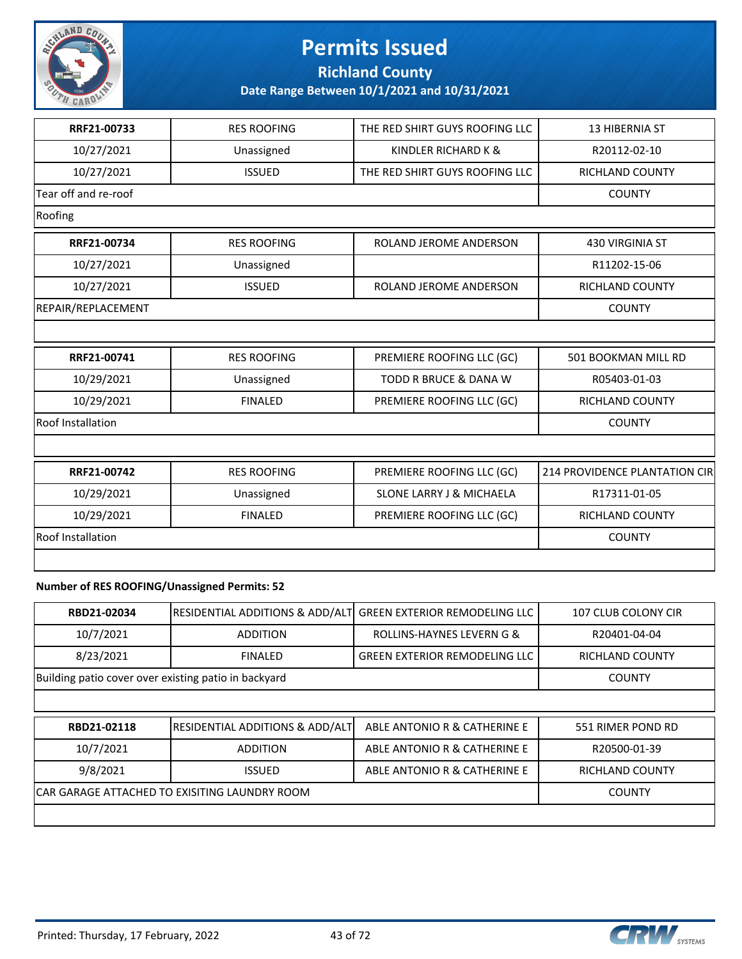

**Richland County**

**Date Range Between 10/1/2021 and 10/31/2021**

| RRF21-00733          | <b>RES ROOFING</b> | THE RED SHIRT GUYS ROOFING LLC      | <b>13 HIBERNIA ST</b>         |
|----------------------|--------------------|-------------------------------------|-------------------------------|
| 10/27/2021           | Unassigned         | KINDLER RICHARD K &                 | R20112-02-10                  |
| 10/27/2021           | <b>ISSUED</b>      | THE RED SHIRT GUYS ROOFING LLC      | <b>RICHLAND COUNTY</b>        |
| Tear off and re-roof |                    |                                     | <b>COUNTY</b>                 |
| Roofing              |                    |                                     |                               |
| RRF21-00734          | <b>RES ROOFING</b> | ROLAND JEROME ANDERSON              | <b>430 VIRGINIA ST</b>        |
| 10/27/2021           | Unassigned         |                                     | R11202-15-06                  |
| 10/27/2021           | <b>ISSUED</b>      | ROLAND JEROME ANDERSON              | <b>RICHLAND COUNTY</b>        |
| REPAIR/REPLACEMENT   |                    |                                     | <b>COUNTY</b>                 |
|                      |                    |                                     |                               |
| RRF21-00741          | <b>RES ROOFING</b> | PREMIERE ROOFING LLC (GC)           | 501 BOOKMAN MILL RD           |
| 10/29/2021           | Unassigned         | <b>TODD R BRUCE &amp; DANA W</b>    | R05403-01-03                  |
| 10/29/2021           | <b>FINALED</b>     | PREMIERE ROOFING LLC (GC)           | <b>RICHLAND COUNTY</b>        |
| Roof Installation    |                    |                                     | <b>COUNTY</b>                 |
|                      |                    |                                     |                               |
| RRF21-00742          | <b>RES ROOFING</b> | PREMIERE ROOFING LLC (GC)           | 214 PROVIDENCE PLANTATION CIR |
| 10/29/2021           | Unassigned         | <b>SLONE LARRY J &amp; MICHAELA</b> | R17311-01-05                  |
| 10/29/2021           | <b>FINALED</b>     | PREMIERE ROOFING LLC (GC)           | <b>RICHLAND COUNTY</b>        |
| Roof Installation    |                    |                                     | <b>COUNTY</b>                 |
|                      |                    |                                     |                               |

#### **Number of RES ROOFING/Unassigned Permits: 52**

| RBD21-02034                                          | <b>RESIDENTIAL ADDITIONS &amp; ADD/ALT</b> | <b>GREEN EXTERIOR REMODELING LLC</b> | 107 CLUB COLONY CIR    |
|------------------------------------------------------|--------------------------------------------|--------------------------------------|------------------------|
| 10/7/2021                                            | <b>ADDITION</b>                            | ROLLINS-HAYNES LEVERN G &            | R20401-04-04           |
| 8/23/2021                                            | <b>FINALED</b>                             | <b>GREEN EXTERIOR REMODELING LLC</b> | <b>RICHLAND COUNTY</b> |
| Building patio cover over existing patio in backyard | <b>COUNTY</b>                              |                                      |                        |
|                                                      |                                            |                                      |                        |
| RBD21-02118                                          | <b>RESIDENTIAL ADDITIONS &amp; ADD/ALT</b> | ABLE ANTONIO R & CATHERINE E         | 551 RIMER POND RD      |
| 10/7/2021                                            | R20500-01-39                               |                                      |                        |
| 9/8/2021                                             | <b>ISSUED</b>                              | ABLE ANTONIO R & CATHERINE E         | <b>RICHLAND COUNTY</b> |
| CAR GARAGE ATTACHED TO EXISITING LAUNDRY ROOM        | <b>COUNTY</b>                              |                                      |                        |

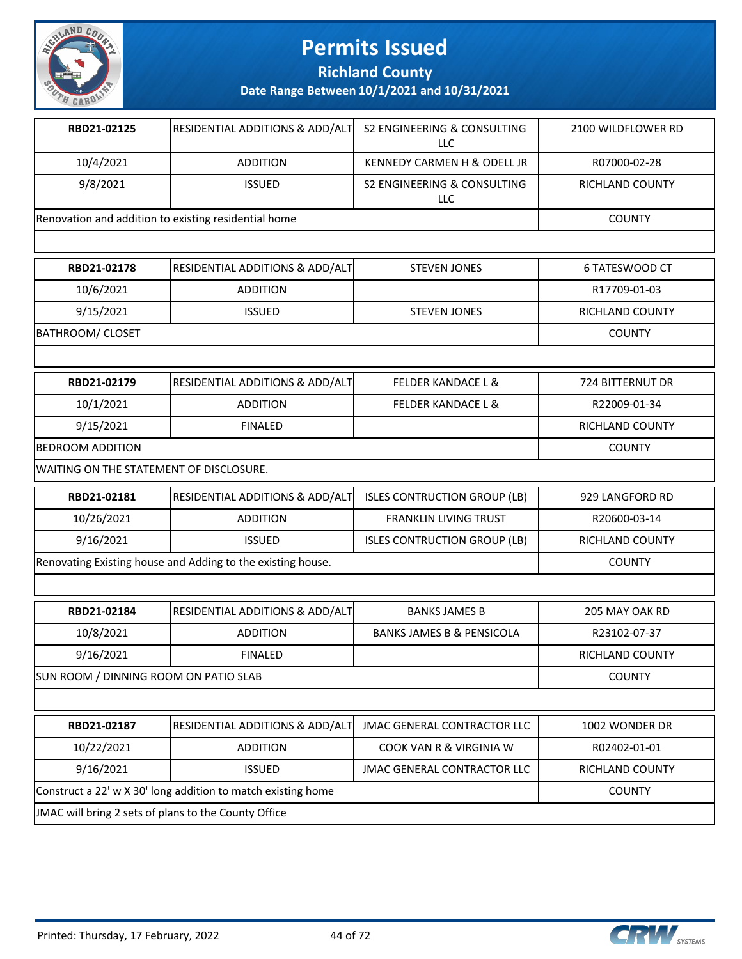

**Richland County**

**Date Range Between 10/1/2021 and 10/31/2021**

| RBD21-02125                                          | RESIDENTIAL ADDITIONS & ADD/ALT | S2 ENGINEERING & CONSULTING<br>LLC | 2100 WILDFLOWER RD     |
|------------------------------------------------------|---------------------------------|------------------------------------|------------------------|
| 10/4/2021                                            | <b>ADDITION</b>                 | KENNEDY CARMEN H & ODELL JR        | R07000-02-28           |
| 9/8/2021                                             | <b>ISSUED</b>                   | S2 ENGINEERING & CONSULTING<br>LLC | <b>RICHLAND COUNTY</b> |
| Renovation and addition to existing residential home |                                 |                                    | <b>COUNTY</b>          |

| RBD21-02178      | <b>RESIDENTIAL ADDITIONS &amp; ADD/ALT</b> | STEVEN JONES        | 6 TATESWOOD CT         |
|------------------|--------------------------------------------|---------------------|------------------------|
| 10/6/2021        | <b>ADDITION</b>                            |                     | R17709-01-03           |
| 9/15/2021        | <b>ISSUED</b>                              | <b>STEVEN JONES</b> | <b>RICHLAND COUNTY</b> |
| BATHROOM/ CLOSET |                                            |                     | <b>COUNTY</b>          |
|                  |                                            |                     |                        |

| <b>RESIDENTIAL ADDITIONS &amp; ADD/ALT</b> | <b>FELDER KANDACE L &amp;</b> | 724 BITTERNUT DR |
|--------------------------------------------|-------------------------------|------------------|
| <b>ADDITION</b>                            | <b>FELDER KANDACE L &amp;</b> | R22009-01-34     |
| <b>FINALED</b>                             |                               | RICHLAND COUNTY  |
| <b>BEDROOM ADDITION</b>                    |                               |                  |
|                                            |                               |                  |

WAITING ON THE STATEMENT OF DISCLOSURE.

| RBD21-02181                                                 | <b>RESIDENTIAL ADDITIONS &amp; ADD/ALT</b> | ISLES CONTRUCTION GROUP (LB) | 929 LANGFORD RD |
|-------------------------------------------------------------|--------------------------------------------|------------------------------|-----------------|
| 10/26/2021                                                  | <b>ADDITION</b>                            | <b>FRANKLIN LIVING TRUST</b> | R20600-03-14    |
| 9/16/2021                                                   | <b>ISSUED</b>                              | ISLES CONTRUCTION GROUP (LB) | RICHLAND COUNTY |
| Renovating Existing house and Adding to the existing house. |                                            |                              | <b>COUNTY</b>   |

| RBD21-02184 | <b>RESIDENTIAL ADDITIONS &amp; ADD/ALTI</b> | <b>BANKS JAMES B</b>                 | 205 MAY OAK RD  |
|-------------|---------------------------------------------|--------------------------------------|-----------------|
| 10/8/2021   | <b>ADDITION</b>                             | <b>BANKS JAMES B &amp; PENSICOLA</b> | R23102-07-37    |
| 9/16/2021   | <b>FINALED</b>                              |                                      | RICHLAND COUNTY |
|             |                                             |                                      | $\sim$          |

SUN ROOM / DINNING ROOM ON PATIO SLAB COUNTY

| RBD21-02187                                                                   | <b>RESIDENTIAL ADDITIONS &amp; ADD/ALT JMAC GENERAL CONTRACTOR LLC</b> |                                    | 1002 WONDER DR         |
|-------------------------------------------------------------------------------|------------------------------------------------------------------------|------------------------------------|------------------------|
| 10/22/2021                                                                    | <b>ADDITION</b>                                                        | COOK VAN R & VIRGINIA W            | R02402-01-01           |
| 9/16/2021                                                                     | <b>ISSUED</b>                                                          | <b>JMAC GENERAL CONTRACTOR LLC</b> | <b>RICHLAND COUNTY</b> |
| Construct a 22' w X 30' long addition to match existing home<br><b>COUNTY</b> |                                                                        |                                    |                        |
| JMAC will bring 2 sets of plans to the County Office                          |                                                                        |                                    |                        |

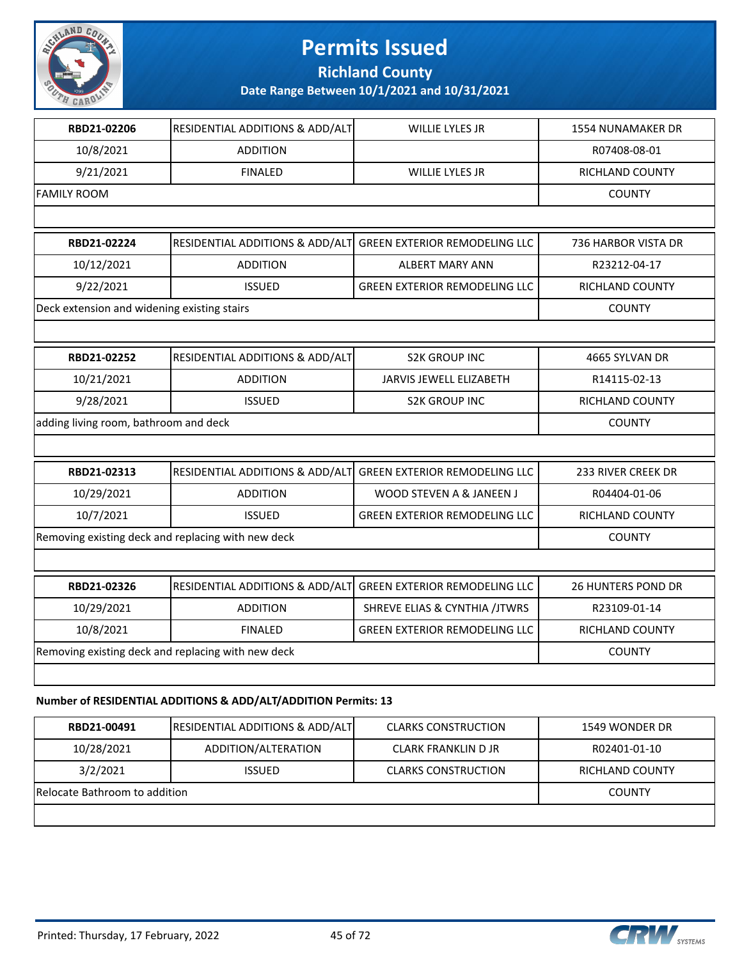

**Richland County**

| RBD21-02206                                        | RESIDENTIAL ADDITIONS & ADD/ALT                                | WILLIE LYLES JR                          | 1554 NUNAMAKER DR         |
|----------------------------------------------------|----------------------------------------------------------------|------------------------------------------|---------------------------|
| 10/8/2021                                          | <b>ADDITION</b>                                                |                                          | R07408-08-01              |
| 9/21/2021                                          | <b>FINALED</b>                                                 | <b>WILLIE LYLES JR</b>                   | RICHLAND COUNTY           |
| <b>FAMILY ROOM</b>                                 |                                                                |                                          | <b>COUNTY</b>             |
|                                                    |                                                                |                                          |                           |
| RBD21-02224                                        | RESIDENTIAL ADDITIONS & ADD/ALT                                | <b>GREEN EXTERIOR REMODELING LLC</b>     | 736 HARBOR VISTA DR       |
| 10/12/2021                                         | <b>ADDITION</b>                                                | <b>ALBERT MARY ANN</b>                   | R23212-04-17              |
| 9/22/2021                                          | <b>ISSUED</b>                                                  | <b>GREEN EXTERIOR REMODELING LLC</b>     | RICHLAND COUNTY           |
| Deck extension and widening existing stairs        |                                                                |                                          | <b>COUNTY</b>             |
|                                                    |                                                                |                                          |                           |
| RBD21-02252                                        | RESIDENTIAL ADDITIONS & ADD/ALT                                | <b>S2K GROUP INC</b>                     | 4665 SYLVAN DR            |
| 10/21/2021                                         | <b>ADDITION</b>                                                | <b>JARVIS JEWELL ELIZABETH</b>           | R14115-02-13              |
| 9/28/2021                                          | <b>ISSUED</b>                                                  | <b>S2K GROUP INC</b>                     | <b>RICHLAND COUNTY</b>    |
| adding living room, bathroom and deck              |                                                                |                                          | <b>COUNTY</b>             |
|                                                    |                                                                |                                          |                           |
| RBD21-02313                                        | RESIDENTIAL ADDITIONS & ADD/ALT                                | <b>GREEN EXTERIOR REMODELING LLC</b>     | 233 RIVER CREEK DR        |
| 10/29/2021                                         | <b>ADDITION</b>                                                | WOOD STEVEN A & JANEEN J                 | R04404-01-06              |
| 10/7/2021                                          | <b>ISSUED</b>                                                  | <b>GREEN EXTERIOR REMODELING LLC</b>     | <b>RICHLAND COUNTY</b>    |
|                                                    | Removing existing deck and replacing with new deck             |                                          | <b>COUNTY</b>             |
|                                                    |                                                                |                                          |                           |
| RBD21-02326                                        | RESIDENTIAL ADDITIONS & ADD/ALT                                | <b>GREEN EXTERIOR REMODELING LLC</b>     | <b>26 HUNTERS POND DR</b> |
| 10/29/2021                                         | <b>ADDITION</b>                                                | <b>SHREVE ELIAS &amp; CYNTHIA /JTWRS</b> | R23109-01-14              |
| 10/8/2021                                          | <b>FINALED</b>                                                 | <b>GREEN EXTERIOR REMODELING LLC</b>     | RICHLAND COUNTY           |
| Removing existing deck and replacing with new deck |                                                                |                                          | <b>COUNTY</b>             |
|                                                    |                                                                |                                          |                           |
|                                                    | Number of RESIDENTIAL ADDITIONS & ADD/ALT/ADDITION Permits: 13 |                                          |                           |
|                                                    |                                                                |                                          |                           |

| RBD21-00491                   | <b>RESIDENTIAL ADDITIONS &amp; ADD/ALT</b> | <b>CLARKS CONSTRUCTION</b> | 1549 WONDER DR  |
|-------------------------------|--------------------------------------------|----------------------------|-----------------|
| 10/28/2021                    | ADDITION/ALTERATION                        | CLARK FRANKLIN D JR        | R02401-01-10    |
| 3/2/2021                      | <b>ISSUED</b>                              | <b>CLARKS CONSTRUCTION</b> | RICHLAND COUNTY |
| Relocate Bathroom to addition | <b>COUNTY</b>                              |                            |                 |
|                               |                                            |                            |                 |

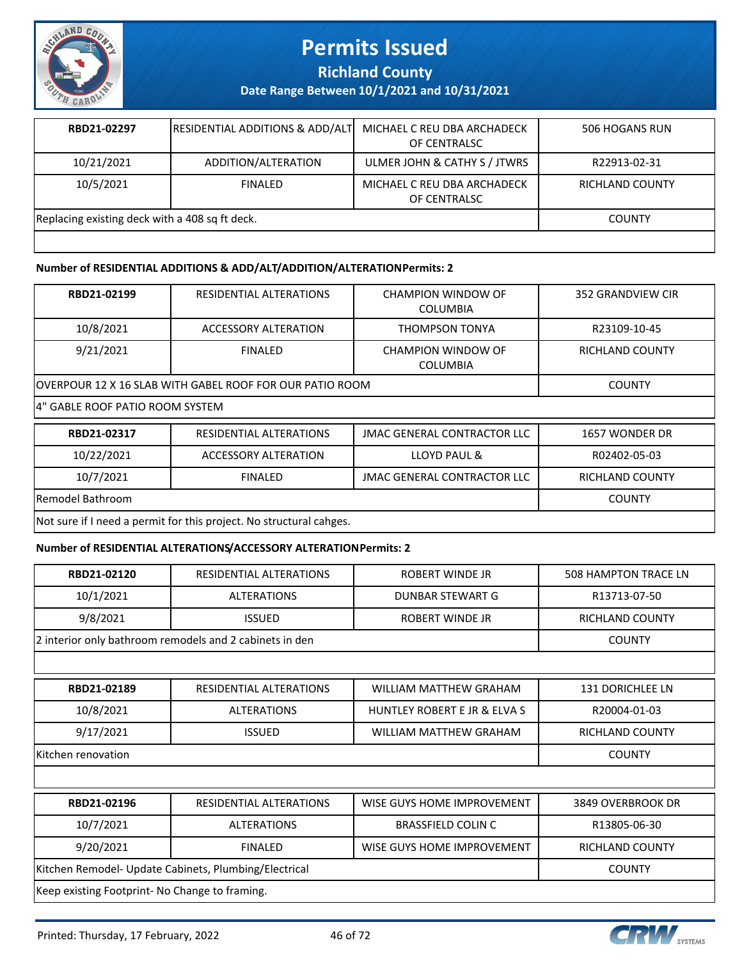

**Richland County**

**Date Range Between 10/1/2021 and 10/31/2021**

| RBD21-02297                                    | <b>RESIDENTIAL ADDITIONS &amp; ADD/ALTI</b> | MICHAEL C REU DBA ARCHADECK<br>OF CENTRALSC | 506 HOGANS RUN  |
|------------------------------------------------|---------------------------------------------|---------------------------------------------|-----------------|
| 10/21/2021                                     | ADDITION/ALTERATION                         | ULMER JOHN & CATHY S / JTWRS                | R22913-02-31    |
| 10/5/2021                                      | FINAL FD                                    | MICHAEL C REU DBA ARCHADECK<br>OF CENTRALSC | RICHLAND COUNTY |
| Replacing existing deck with a 408 sq ft deck. |                                             |                                             | <b>COUNTY</b>   |
|                                                |                                             |                                             |                 |

#### **Number of RESIDENTIAL ADDITIONS & ADD/ALT/ADDITION/ALTERATION Permits: 2**

| RBD21-02199                                                         | RESIDENTIAL ALTERATIONS                                   | CHAMPION WINDOW OF<br><b>COLUMBIA</b> | 352 GRANDVIEW CIR      |  |
|---------------------------------------------------------------------|-----------------------------------------------------------|---------------------------------------|------------------------|--|
| 10/8/2021                                                           | <b>ACCESSORY ALTERATION</b>                               | THOMPSON TONYA                        | R23109-10-45           |  |
| 9/21/2021                                                           | <b>FINALED</b>                                            | CHAMPION WINDOW OF<br><b>COLUMBIA</b> | <b>RICHLAND COUNTY</b> |  |
|                                                                     | lOVERPOUR 12 X 16 SLAB WITH GABEL ROOF FOR OUR PATIO ROOM |                                       |                        |  |
|                                                                     | 4" GABLE ROOF PATIO ROOM SYSTEM                           |                                       |                        |  |
| RBD21-02317                                                         | <b>RESIDENTIAL ALTERATIONS</b>                            | <b>JMAC GENERAL CONTRACTOR LLC</b>    | 1657 WONDER DR         |  |
| 10/22/2021                                                          | ACCESSORY ALTERATION                                      | LLOYD PAUL &                          | R02402-05-03           |  |
| 10/7/2021                                                           | <b>FINALED</b>                                            | <b>JMAC GENERAL CONTRACTOR LLC</b>    | RICHLAND COUNTY        |  |
| Remodel Bathroom                                                    | <b>COUNTY</b>                                             |                                       |                        |  |
| Not sure if I need a permit for this project. No structural cahges. |                                                           |                                       |                        |  |

#### **Number of RESIDENTIAL ALTERATIONS/ACCESSORY ALTERATION Permits: 2**

| RBD21-02120                                             | RESIDENTIAL ALTERATIONS | ROBERT WINDE JR              | <b>508 HAMPTON TRACE LN</b> |
|---------------------------------------------------------|-------------------------|------------------------------|-----------------------------|
| 10/1/2021                                               | <b>ALTERATIONS</b>      | DUNBAR STEWART G             | R13713-07-50                |
| 9/8/2021                                                | <b>ISSUED</b>           | ROBERT WINDE JR              | RICHLAND COUNTY             |
| 2 interior only bathroom remodels and 2 cabinets in den |                         |                              | <b>COUNTY</b>               |
|                                                         |                         |                              |                             |
| RBD21-02189                                             | RESIDENTIAL ALTERATIONS | WILLIAM MATTHEW GRAHAM       | <b>131 DORICHLEE LN</b>     |
| 10/8/2021                                               | <b>ALTERATIONS</b>      | HUNTLEY ROBERT E JR & ELVA S | R20004-01-03                |
| 9/17/2021                                               | <b>ISSUED</b>           | WILLIAM MATTHEW GRAHAM       | RICHLAND COUNTY             |

Kitchen renovation COUNTY

| RBD21-02196                                                            | RESIDENTIAL ALTERATIONS | WISE GUYS HOME IMPROVEMENT | 3849 OVERBROOK DR      |  |
|------------------------------------------------------------------------|-------------------------|----------------------------|------------------------|--|
| 10/7/2021                                                              | <b>ALTERATIONS</b>      | <b>BRASSFIELD COLIN C</b>  | R13805-06-30           |  |
| 9/20/2021                                                              | <b>FINALED</b>          | WISE GUYS HOME IMPROVEMENT | <b>RICHLAND COUNTY</b> |  |
| Kitchen Remodel- Update Cabinets, Plumbing/Electrical<br><b>COUNTY</b> |                         |                            |                        |  |
| Keep existing Footprint- No Change to framing.                         |                         |                            |                        |  |

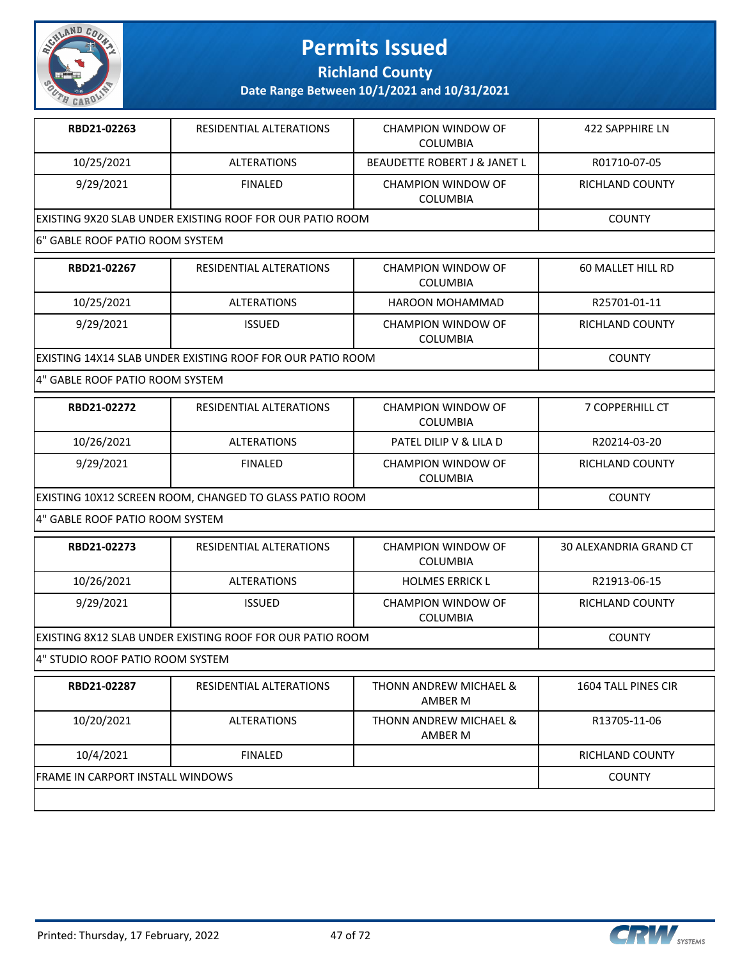

**Richland County**

**Date Range Between 10/1/2021 and 10/31/2021**

| RBD21-02263                                                       | RESIDENTIAL ALTERATIONS | CHAMPION WINDOW OF<br><b>COLUMBIA</b>   | 422 SAPPHIRE LN |
|-------------------------------------------------------------------|-------------------------|-----------------------------------------|-----------------|
| 10/25/2021                                                        | <b>ALTERATIONS</b>      | <b>BEAUDETTE ROBERT J &amp; JANET L</b> | R01710-07-05    |
| 9/29/2021                                                         | FINAL FD                | CHAMPION WINDOW OF<br><b>COLUMBIA</b>   | RICHLAND COUNTY |
| <u>IEXISTING 9X20 SLAB UNDER EXISTING ROOF FOR OUR PATIO ROOM</u> | <b>COUNTY</b>           |                                         |                 |
| 6" GABLE ROOF PATIO ROOM SYSTEM                                   |                         |                                         |                 |

| RBD21-02267                                                        | RESIDENTIAL ALTERATIONS | CHAMPION WINDOW OF<br><b>COLUMBIA</b>        | 60 MALLET HILL RD |
|--------------------------------------------------------------------|-------------------------|----------------------------------------------|-------------------|
| 10/25/2021                                                         | <b>ALTERATIONS</b>      | HAROON MOHAMMAD                              | R25701-01-11      |
| 9/29/2021                                                          | <b>ISSUED</b>           | <b>CHAMPION WINDOW OF</b><br><b>COLUMBIA</b> | RICHLAND COUNTY   |
| <u>IEXISTING 14X14 SLAB UNDER EXISTING ROOF FOR OUR PATIO ROOM</u> |                         |                                              | <b>COUNTY</b>     |

4" GABLE ROOF PATIO ROOM SYSTEM

| RBD21-02272                                             | RESIDENTIAL ALTERATIONS | CHAMPION WINDOW OF<br><b>COLUMBIA</b> | <b>7 COPPERHILL CT</b> |
|---------------------------------------------------------|-------------------------|---------------------------------------|------------------------|
| 10/26/2021                                              | <b>ALTERATIONS</b>      | PATEL DILIP V & LILA D                | R20214-03-20           |
| 9/29/2021                                               | <b>FINALED</b>          | CHAMPION WINDOW OF<br><b>COLUMBIA</b> | RICHLAND COUNTY        |
| EXISTING 10X12 SCREEN ROOM, CHANGED TO GLASS PATIO ROOM |                         |                                       | <b>COUNTY</b>          |

4" GABLE ROOF PATIO ROOM SYSTEM

| RBD21-02273                                                       | RESIDENTIAL ALTERATIONS | CHAMPION WINDOW OF<br>COLUMBIA               | 30 ALEXANDRIA GRAND CT |
|-------------------------------------------------------------------|-------------------------|----------------------------------------------|------------------------|
| 10/26/2021                                                        | <b>ALTERATIONS</b>      | <b>HOLMES ERRICK L</b>                       | R21913-06-15           |
| 9/29/2021                                                         | <b>ISSUED</b>           | <b>CHAMPION WINDOW OF</b><br><b>COLUMBIA</b> | RICHLAND COUNTY        |
| <u>IEXISTING 8X12 SLAB UNDER EXISTING ROOF FOR OUR PATIO ROOM</u> |                         |                                              | <b>COUNTY</b>          |

4" STUDIO ROOF PATIO ROOM SYSTEM

| RBD21-02287                      | RESIDENTIAL ALTERATIONS | THONN ANDREW MICHAEL &<br>AMBER M | 1604 TALL PINES CIR |
|----------------------------------|-------------------------|-----------------------------------|---------------------|
| 10/20/2021                       | <b>ALTERATIONS</b>      | THONN ANDREW MICHAEL &<br>AMBER M | R13705-11-06        |
| 10/4/2021                        | <b>FINALED</b>          |                                   | RICHLAND COUNTY     |
| FRAME IN CARPORT INSTALL WINDOWS |                         |                                   | <b>COUNTY</b>       |
|                                  |                         |                                   |                     |

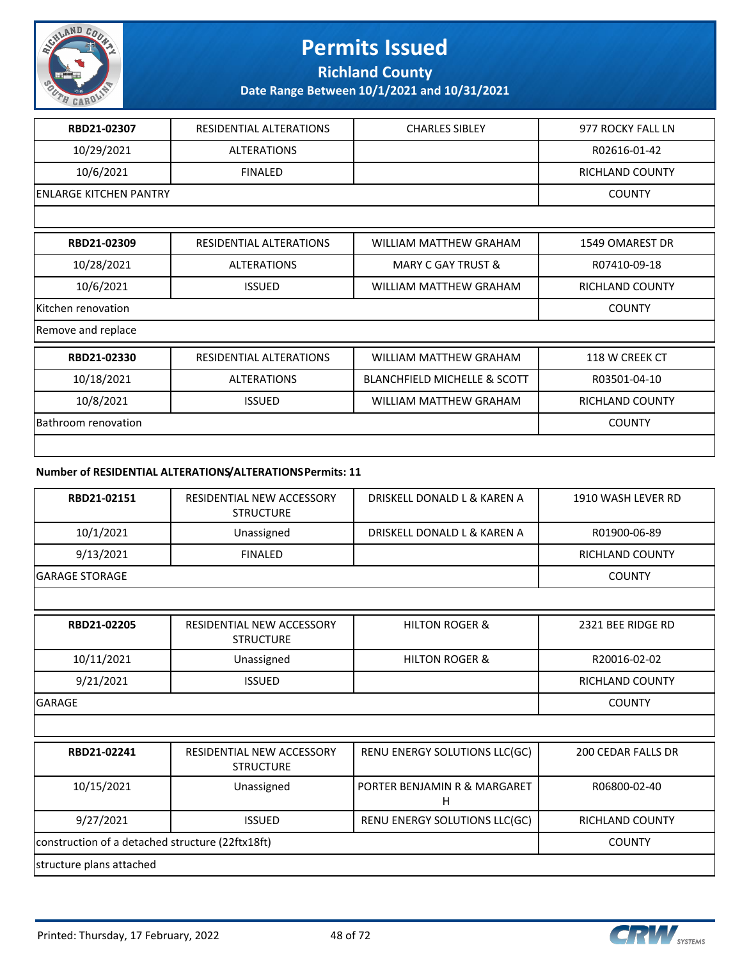

**Richland County**

**Date Range Between 10/1/2021 and 10/31/2021**

| RBD21-02307                   | RESIDENTIAL ALTERATIONS | <b>CHARLES SIBLEY</b>                   | 977 ROCKY FALL LN      |
|-------------------------------|-------------------------|-----------------------------------------|------------------------|
| 10/29/2021                    | <b>ALTERATIONS</b>      |                                         | R02616-01-42           |
| 10/6/2021                     | <b>FINALED</b>          |                                         | RICHLAND COUNTY        |
| <b>ENLARGE KITCHEN PANTRY</b> |                         |                                         | <b>COUNTY</b>          |
|                               |                         |                                         |                        |
| RBD21-02309                   | RESIDENTIAL ALTERATIONS | <b>WILLIAM MATTHEW GRAHAM</b>           | 1549 OMAREST DR        |
| 10/28/2021                    | <b>ALTERATIONS</b>      | MARY C GAY TRUST &                      | R07410-09-18           |
| 10/6/2021                     | <b>ISSUED</b>           | WILLIAM MATTHEW GRAHAM                  | <b>RICHLAND COUNTY</b> |
| Kitchen renovation            | <b>COUNTY</b>           |                                         |                        |
| Remove and replace            |                         |                                         |                        |
| RBD21-02330                   | RESIDENTIAL ALTERATIONS | <b>WILLIAM MATTHEW GRAHAM</b>           | 118 W CREEK CT         |
| 10/18/2021                    | <b>ALTERATIONS</b>      | <b>BLANCHFIELD MICHELLE &amp; SCOTT</b> | R03501-04-10           |
| 10/8/2021                     | <b>ISSUED</b>           | <b>WILLIAM MATTHEW GRAHAM</b>           | <b>RICHLAND COUNTY</b> |
| Bathroom renovation           |                         |                                         | <b>COUNTY</b>          |
|                               |                         |                                         |                        |

#### **Number of RESIDENTIAL ALTERATIONS/ALTERATIONS Permits: 11**

| RBD21-02151           | RESIDENTIAL NEW ACCESSORY<br><b>STRUCTURE</b> | DRISKELL DONALD L & KAREN A | 1910 WASH LEVER RD |
|-----------------------|-----------------------------------------------|-----------------------------|--------------------|
| 10/1/2021             | Unassigned                                    | DRISKELL DONALD L & KAREN A | R01900-06-89       |
| 9/13/2021             | <b>FINALED</b>                                |                             | RICHLAND COUNTY    |
| <b>GARAGE STORAGE</b> |                                               |                             | <b>COUNTY</b>      |

| RBD21-02205   | RESIDENTIAL NEW ACCESSORY<br><b>STRUCTURE</b> | <b>HILTON ROGER &amp;</b> | 2321 BEE RIDGE RD      |
|---------------|-----------------------------------------------|---------------------------|------------------------|
| 10/11/2021    | Unassigned                                    | <b>HILTON ROGER &amp;</b> | R20016-02-02           |
| 9/21/2021     | <b>ISSUED</b>                                 |                           | <b>RICHLAND COUNTY</b> |
| <b>GARAGE</b> |                                               |                           | <b>COUNTY</b>          |

| RBD21-02241                                      | RESIDENTIAL NEW ACCESSORY<br><b>STRUCTURE</b> | RENU ENERGY SOLUTIONS LLC(GC)     | 200 CEDAR FALLS DR |
|--------------------------------------------------|-----------------------------------------------|-----------------------------------|--------------------|
| 10/15/2021                                       | Unassigned                                    | PORTER BENJAMIN R & MARGARET<br>н | R06800-02-40       |
| 9/27/2021                                        | <b>ISSUED</b>                                 | RENU ENERGY SOLUTIONS LLC(GC)     | RICHLAND COUNTY    |
| construction of a detached structure (22ftx18ft) |                                               |                                   | <b>COUNTY</b>      |
| structure plans attached                         |                                               |                                   |                    |

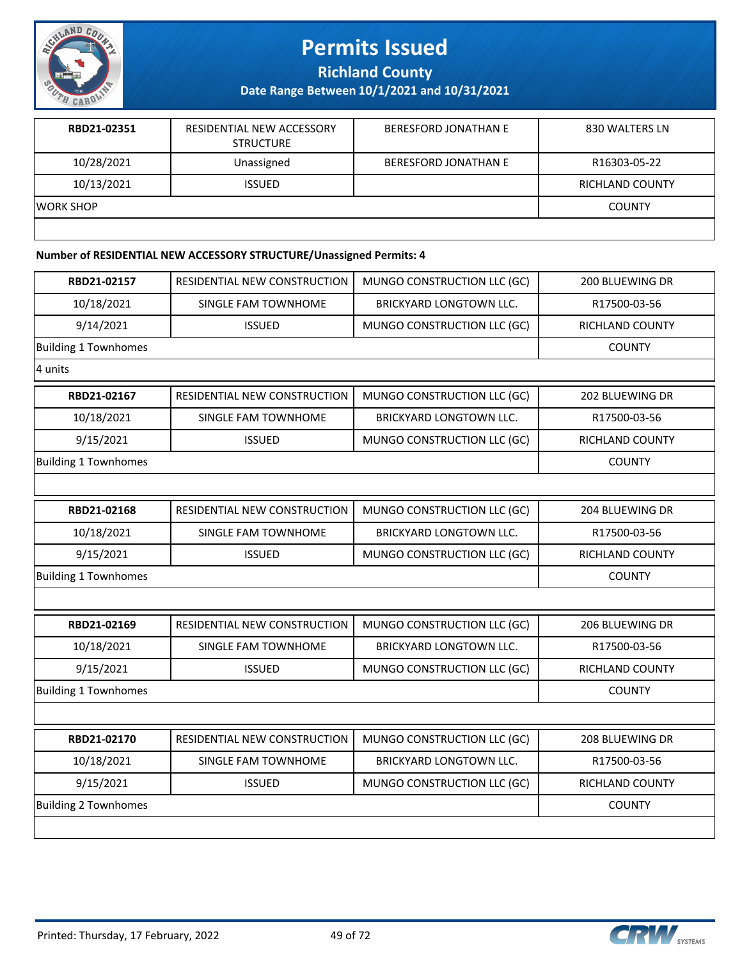

**Richland County**

**Date Range Between 10/1/2021 and 10/31/2021**

| RBD21-02351 | RESIDENTIAL NEW ACCESSORY<br><b>STRUCTURE</b> | <b>BERESFORD JONATHAN E</b> | 830 WALTERS LN  |
|-------------|-----------------------------------------------|-----------------------------|-----------------|
| 10/28/2021  | Unassigned                                    | BERESFORD JONATHAN E        | R16303-05-22    |
| 10/13/2021  | <b>ISSUED</b>                                 |                             | RICHLAND COUNTY |
| IWORK SHOP  |                                               |                             | <b>COUNTY</b>   |
|             |                                               |                             |                 |

#### **Number of RESIDENTIAL NEW ACCESSORY STRUCTURE/Unassigned Permits: 4**

| RBD21-02157                 | RESIDENTIAL NEW CONSTRUCTION | MUNGO CONSTRUCTION LLC (GC)    | 200 BLUEWING DR |
|-----------------------------|------------------------------|--------------------------------|-----------------|
| 10/18/2021                  | SINGLE FAM TOWNHOME          | BRICKYARD LONGTOWN LLC.        | R17500-03-56    |
| 9/14/2021                   | <b>ISSUED</b>                | MUNGO CONSTRUCTION LLC (GC)    | RICHLAND COUNTY |
| <b>Building 1 Townhomes</b> |                              |                                | <b>COUNTY</b>   |
| 4 units                     |                              |                                |                 |
| RBD21-02167                 | RESIDENTIAL NEW CONSTRUCTION | MUNGO CONSTRUCTION LLC (GC)    | 202 BLUEWING DR |
| 10/18/2021                  | SINGLE FAM TOWNHOME          | BRICKYARD LONGTOWN LLC.        | R17500-03-56    |
| 9/15/2021                   | <b>ISSUED</b>                | MUNGO CONSTRUCTION LLC (GC)    | RICHLAND COUNTY |
| <b>Building 1 Townhomes</b> |                              |                                | <b>COUNTY</b>   |
|                             |                              |                                |                 |
| RBD21-02168                 | RESIDENTIAL NEW CONSTRUCTION | MUNGO CONSTRUCTION LLC (GC)    | 204 BLUEWING DR |
| 10/18/2021                  | SINGLE FAM TOWNHOME          | BRICKYARD LONGTOWN LLC.        | R17500-03-56    |
| 9/15/2021                   | <b>ISSUED</b>                | MUNGO CONSTRUCTION LLC (GC)    | RICHLAND COUNTY |
| <b>Building 1 Townhomes</b> |                              |                                | <b>COUNTY</b>   |
|                             |                              |                                |                 |
| RBD21-02169                 | RESIDENTIAL NEW CONSTRUCTION | MUNGO CONSTRUCTION LLC (GC)    | 206 BLUEWING DR |
| 10/18/2021                  | SINGLE FAM TOWNHOME          | <b>BRICKYARD LONGTOWN LLC.</b> | R17500-03-56    |
| 9/15/2021                   | <b>ISSUED</b>                | MUNGO CONSTRUCTION LLC (GC)    | RICHLAND COUNTY |
| <b>Building 1 Townhomes</b> |                              |                                | <b>COUNTY</b>   |
|                             |                              |                                |                 |
| RBD21-02170                 | RESIDENTIAL NEW CONSTRUCTION | MUNGO CONSTRUCTION LLC (GC)    | 208 BLUEWING DR |
| 10/18/2021                  | SINGLE FAM TOWNHOME          | BRICKYARD LONGTOWN LLC.        | R17500-03-56    |
| 9/15/2021                   | <b>ISSUED</b>                | MUNGO CONSTRUCTION LLC (GC)    | RICHLAND COUNTY |
| <b>Building 2 Townhomes</b> |                              |                                | <b>COUNTY</b>   |
|                             |                              |                                |                 |

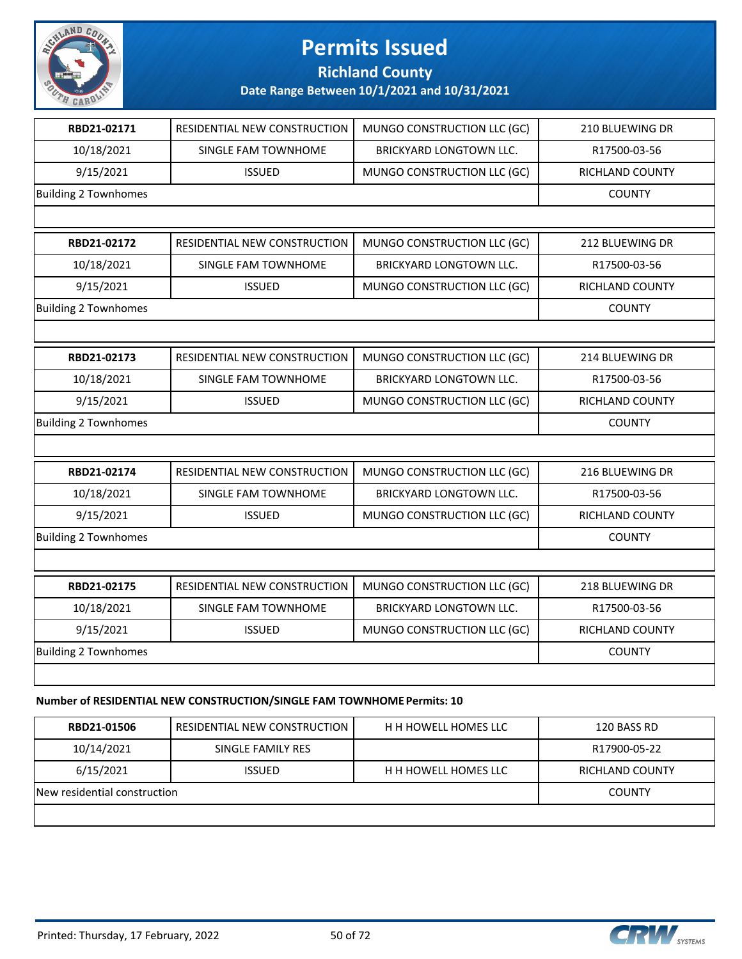

#### **Richland County**

**Date Range Between 10/1/2021 and 10/31/2021**

| RBD21-02171                 | RESIDENTIAL NEW CONSTRUCTION                                                                                                                                                                                                                                                                                                                                                                                                                                | MUNGO CONSTRUCTION LLC (GC)    | 210 BLUEWING DR |
|-----------------------------|-------------------------------------------------------------------------------------------------------------------------------------------------------------------------------------------------------------------------------------------------------------------------------------------------------------------------------------------------------------------------------------------------------------------------------------------------------------|--------------------------------|-----------------|
| 10/18/2021                  | SINGLE FAM TOWNHOME                                                                                                                                                                                                                                                                                                                                                                                                                                         | BRICKYARD LONGTOWN LLC.        | R17500-03-56    |
| 9/15/2021                   | <b>ISSUED</b>                                                                                                                                                                                                                                                                                                                                                                                                                                               | MUNGO CONSTRUCTION LLC (GC)    | RICHLAND COUNTY |
| <b>Building 2 Townhomes</b> |                                                                                                                                                                                                                                                                                                                                                                                                                                                             |                                | <b>COUNTY</b>   |
|                             |                                                                                                                                                                                                                                                                                                                                                                                                                                                             |                                |                 |
| RBD21-02172                 | RESIDENTIAL NEW CONSTRUCTION                                                                                                                                                                                                                                                                                                                                                                                                                                | MUNGO CONSTRUCTION LLC (GC)    | 212 BLUEWING DR |
| 10/18/2021                  | SINGLE FAM TOWNHOME                                                                                                                                                                                                                                                                                                                                                                                                                                         | BRICKYARD LONGTOWN LLC.        | R17500-03-56    |
| 9/15/2021                   | <b>ISSUED</b>                                                                                                                                                                                                                                                                                                                                                                                                                                               | MUNGO CONSTRUCTION LLC (GC)    | RICHLAND COUNTY |
| <b>Building 2 Townhomes</b> |                                                                                                                                                                                                                                                                                                                                                                                                                                                             |                                | <b>COUNTY</b>   |
|                             |                                                                                                                                                                                                                                                                                                                                                                                                                                                             |                                |                 |
| RBD21-02173                 | RESIDENTIAL NEW CONSTRUCTION                                                                                                                                                                                                                                                                                                                                                                                                                                | MUNGO CONSTRUCTION LLC (GC)    | 214 BLUEWING DR |
| 10/18/2021                  | SINGLE FAM TOWNHOME                                                                                                                                                                                                                                                                                                                                                                                                                                         | <b>BRICKYARD LONGTOWN LLC.</b> | R17500-03-56    |
| 9/15/2021                   | <b>ISSUED</b>                                                                                                                                                                                                                                                                                                                                                                                                                                               | MUNGO CONSTRUCTION LLC (GC)    | RICHLAND COUNTY |
| <b>Building 2 Townhomes</b> |                                                                                                                                                                                                                                                                                                                                                                                                                                                             |                                | <b>COUNTY</b>   |
|                             |                                                                                                                                                                                                                                                                                                                                                                                                                                                             |                                |                 |
| RBD21-02174                 | RESIDENTIAL NEW CONSTRUCTION                                                                                                                                                                                                                                                                                                                                                                                                                                | MUNGO CONSTRUCTION LLC (GC)    | 216 BLUEWING DR |
| 10/18/2021                  | SINGLE FAM TOWNHOME                                                                                                                                                                                                                                                                                                                                                                                                                                         | <b>BRICKYARD LONGTOWN LLC.</b> | R17500-03-56    |
| 9/15/2021                   | <b>ISSUED</b>                                                                                                                                                                                                                                                                                                                                                                                                                                               | MUNGO CONSTRUCTION LLC (GC)    | RICHLAND COUNTY |
| <b>Building 2 Townhomes</b> |                                                                                                                                                                                                                                                                                                                                                                                                                                                             |                                | <b>COUNTY</b>   |
|                             |                                                                                                                                                                                                                                                                                                                                                                                                                                                             |                                |                 |
| RBD21-02175                 | RESIDENTIAL NEW CONSTRUCTION                                                                                                                                                                                                                                                                                                                                                                                                                                | MUNGO CONSTRUCTION LLC (GC)    | 218 BLUEWING DR |
| 10/18/2021                  | SINGLE FAM TOWNHOME                                                                                                                                                                                                                                                                                                                                                                                                                                         | BRICKYARD LONGTOWN LLC.        | R17500-03-56    |
| 9/15/2021                   | <b>ISSUED</b>                                                                                                                                                                                                                                                                                                                                                                                                                                               | MUNGO CONSTRUCTION LLC (GC)    | RICHLAND COUNTY |
| <b>Building 2 Townhomes</b> |                                                                                                                                                                                                                                                                                                                                                                                                                                                             |                                | <b>COUNTY</b>   |
|                             |                                                                                                                                                                                                                                                                                                                                                                                                                                                             |                                |                 |
|                             | $\mathcal{L}(\mathcal{L}(\mathcal{L}(\mathcal{L}(\mathcal{L}(\mathcal{L}(\mathcal{L}(\mathcal{L}(\mathcal{L}(\mathcal{L}(\mathcal{L}(\mathcal{L}(\mathcal{L}(\mathcal{L}(\mathcal{L}(\mathcal{L}(\mathcal{L}(\mathcal{L}(\mathcal{L}(\mathcal{L}(\mathcal{L}(\mathcal{L}(\mathcal{L}(\mathcal{L}(\mathcal{L}(\mathcal{L}(\mathcal{L}(\mathcal{L}(\mathcal{L}(\mathcal{L}(\mathcal{L}(\mathcal{L}(\mathcal{L}(\mathcal{L}(\mathcal{L}(\mathcal{L}(\mathcal{$ |                                |                 |

#### **Number of RESIDENTIAL NEW CONSTRUCTION/SINGLE FAM TOWNHOME Permits: 10**

| RBD21-01506                  | <b>RESIDENTIAL NEW CONSTRUCTION</b> | <b>H H HOWELL HOMES LLC</b> | 120 BASS RD     |
|------------------------------|-------------------------------------|-----------------------------|-----------------|
| 10/14/2021                   | SINGLE FAMILY RES                   |                             | R17900-05-22    |
| 6/15/2021                    | <b>ISSUED</b>                       | <b>H H HOWELL HOMES LLC</b> | RICHLAND COUNTY |
| New residential construction |                                     |                             | <b>COUNTY</b>   |
|                              |                                     |                             |                 |

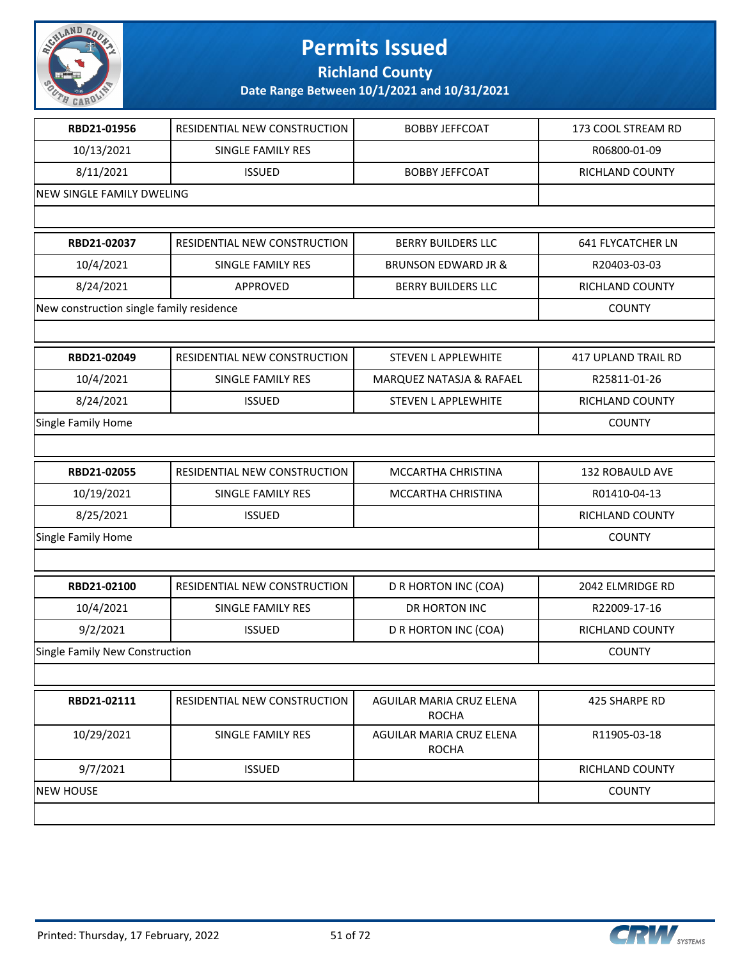

**Richland County**

| RBD21-01956                              | RESIDENTIAL NEW CONSTRUCTION | <b>BOBBY JEFFCOAT</b>                    | 173 COOL STREAM RD         |
|------------------------------------------|------------------------------|------------------------------------------|----------------------------|
| 10/13/2021                               | SINGLE FAMILY RES            |                                          | R06800-01-09               |
| 8/11/2021                                | <b>ISSUED</b>                | <b>BOBBY JEFFCOAT</b>                    | RICHLAND COUNTY            |
| NEW SINGLE FAMILY DWELING                |                              |                                          |                            |
|                                          |                              |                                          |                            |
| RBD21-02037                              | RESIDENTIAL NEW CONSTRUCTION | <b>BERRY BUILDERS LLC</b>                | <b>641 FLYCATCHER LN</b>   |
| 10/4/2021                                | SINGLE FAMILY RES            | <b>BRUNSON EDWARD JR &amp;</b>           | R20403-03-03               |
| 8/24/2021                                | <b>APPROVED</b>              | <b>BERRY BUILDERS LLC</b>                | RICHLAND COUNTY            |
| New construction single family residence |                              |                                          | <b>COUNTY</b>              |
|                                          |                              |                                          |                            |
| RBD21-02049                              | RESIDENTIAL NEW CONSTRUCTION | <b>STEVEN L APPLEWHITE</b>               | <b>417 UPLAND TRAIL RD</b> |
| 10/4/2021                                | SINGLE FAMILY RES            | MARQUEZ NATASJA & RAFAEL                 | R25811-01-26               |
| 8/24/2021                                | <b>ISSUED</b>                | <b>STEVEN L APPLEWHITE</b>               | RICHLAND COUNTY            |
| Single Family Home                       |                              |                                          | <b>COUNTY</b>              |
|                                          |                              |                                          |                            |
| RBD21-02055                              | RESIDENTIAL NEW CONSTRUCTION | MCCARTHA CHRISTINA                       | 132 ROBAULD AVE            |
| 10/19/2021                               | SINGLE FAMILY RES            | MCCARTHA CHRISTINA                       | R01410-04-13               |
| 8/25/2021                                | <b>ISSUED</b>                |                                          | RICHLAND COUNTY            |
| Single Family Home                       |                              |                                          | <b>COUNTY</b>              |
|                                          |                              |                                          |                            |
| RBD21-02100                              | RESIDENTIAL NEW CONSTRUCTION | D R HORTON INC (COA)                     | 2042 ELMRIDGE RD           |
| 10/4/2021                                | SINGLE FAMILY RES            | DR HORTON INC                            | R22009-17-16               |
| 9/2/2021                                 | <b>ISSUED</b>                | D R HORTON INC (COA)                     | RICHLAND COUNTY            |
| Single Family New Construction           |                              |                                          | <b>COUNTY</b>              |
|                                          |                              |                                          |                            |
| RBD21-02111                              | RESIDENTIAL NEW CONSTRUCTION | AGUILAR MARIA CRUZ ELENA<br><b>ROCHA</b> | 425 SHARPE RD              |
| 10/29/2021                               | SINGLE FAMILY RES            | AGUILAR MARIA CRUZ ELENA<br><b>ROCHA</b> | R11905-03-18               |
| 9/7/2021                                 | <b>ISSUED</b>                |                                          | RICHLAND COUNTY            |
| <b>NEW HOUSE</b>                         | <b>COUNTY</b>                |                                          |                            |
|                                          |                              |                                          |                            |

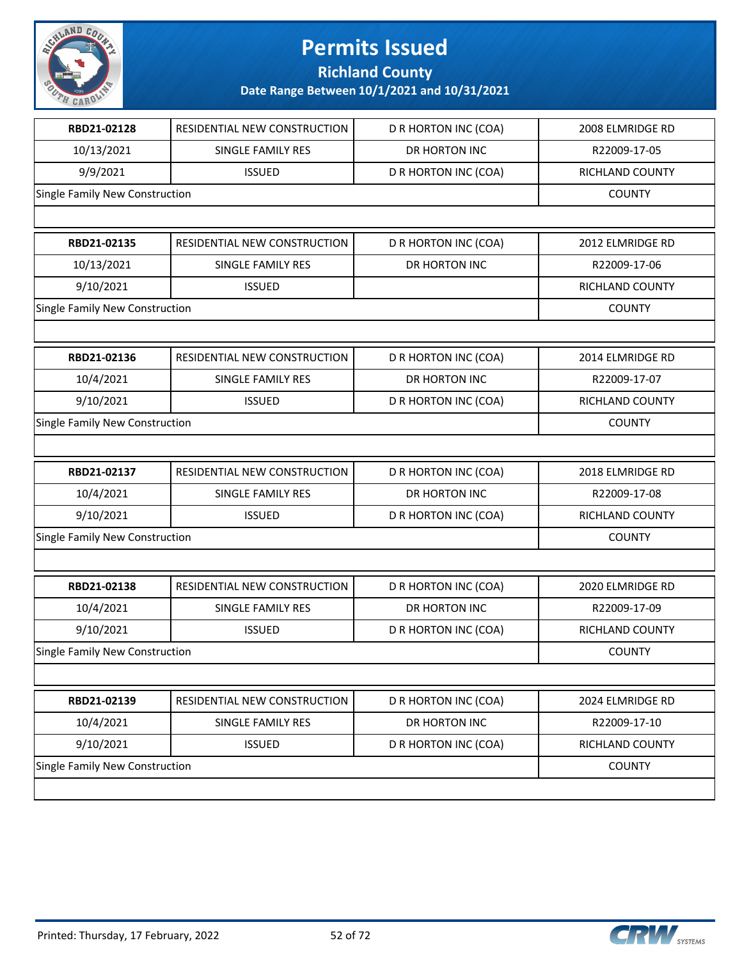

**Richland County**

| RBD21-02128                    | RESIDENTIAL NEW CONSTRUCTION   | D R HORTON INC (COA) | 2008 ELMRIDGE RD       |
|--------------------------------|--------------------------------|----------------------|------------------------|
| 10/13/2021                     | SINGLE FAMILY RES              | DR HORTON INC        | R22009-17-05           |
| 9/9/2021                       | <b>ISSUED</b>                  | D R HORTON INC (COA) | RICHLAND COUNTY        |
| Single Family New Construction |                                |                      | <b>COUNTY</b>          |
|                                |                                |                      |                        |
| RBD21-02135                    | RESIDENTIAL NEW CONSTRUCTION   | D R HORTON INC (COA) | 2012 ELMRIDGE RD       |
| 10/13/2021                     | SINGLE FAMILY RES              | DR HORTON INC        | R22009-17-06           |
| 9/10/2021                      | <b>ISSUED</b>                  |                      | RICHLAND COUNTY        |
| Single Family New Construction |                                |                      | <b>COUNTY</b>          |
|                                |                                |                      |                        |
| RBD21-02136                    | RESIDENTIAL NEW CONSTRUCTION   | D R HORTON INC (COA) | 2014 ELMRIDGE RD       |
| 10/4/2021                      | SINGLE FAMILY RES              | DR HORTON INC        | R22009-17-07           |
| 9/10/2021                      | <b>ISSUED</b>                  | D R HORTON INC (COA) | <b>RICHLAND COUNTY</b> |
| Single Family New Construction |                                |                      | <b>COUNTY</b>          |
|                                |                                |                      |                        |
| RBD21-02137                    | RESIDENTIAL NEW CONSTRUCTION   | D R HORTON INC (COA) | 2018 ELMRIDGE RD       |
| 10/4/2021                      | SINGLE FAMILY RES              | DR HORTON INC        | R22009-17-08           |
| 9/10/2021                      | <b>ISSUED</b>                  | D R HORTON INC (COA) | RICHLAND COUNTY        |
| Single Family New Construction |                                |                      | <b>COUNTY</b>          |
|                                |                                |                      |                        |
| RBD21-02138                    | RESIDENTIAL NEW CONSTRUCTION   | D R HORTON INC (COA) | 2020 ELMRIDGE RD       |
| 10/4/2021                      | SINGLE FAMILY RES              | DR HORTON INC        | R22009-17-09           |
| 9/10/2021                      | <b>ISSUED</b>                  | D R HORTON INC (COA) | <b>RICHLAND COUNTY</b> |
| Single Family New Construction |                                |                      | <b>COUNTY</b>          |
|                                |                                |                      |                        |
| RBD21-02139                    | RESIDENTIAL NEW CONSTRUCTION   | D R HORTON INC (COA) | 2024 ELMRIDGE RD       |
| 10/4/2021                      | SINGLE FAMILY RES              | DR HORTON INC        | R22009-17-10           |
| 9/10/2021                      | <b>ISSUED</b>                  | D R HORTON INC (COA) | RICHLAND COUNTY        |
|                                | Single Family New Construction |                      |                        |
|                                |                                |                      |                        |

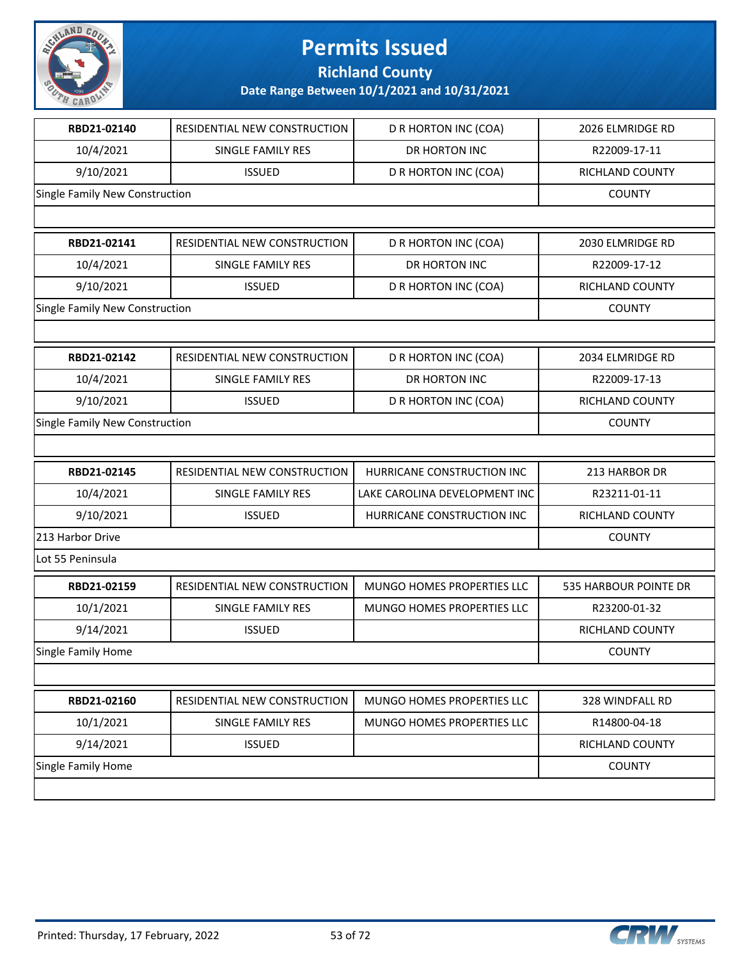

**Richland County**

| RBD21-02140                    | RESIDENTIAL NEW CONSTRUCTION | D R HORTON INC (COA)          | 2026 ELMRIDGE RD      |
|--------------------------------|------------------------------|-------------------------------|-----------------------|
| 10/4/2021                      | SINGLE FAMILY RES            | DR HORTON INC                 | R22009-17-11          |
| 9/10/2021                      | <b>ISSUED</b>                | D R HORTON INC (COA)          | RICHLAND COUNTY       |
| Single Family New Construction |                              |                               | <b>COUNTY</b>         |
|                                |                              |                               |                       |
| RBD21-02141                    | RESIDENTIAL NEW CONSTRUCTION | D R HORTON INC (COA)          | 2030 ELMRIDGE RD      |
| 10/4/2021                      | <b>SINGLE FAMILY RES</b>     | DR HORTON INC                 | R22009-17-12          |
| 9/10/2021                      | <b>ISSUED</b>                | D R HORTON INC (COA)          | RICHLAND COUNTY       |
| Single Family New Construction |                              |                               | <b>COUNTY</b>         |
|                                |                              |                               |                       |
| RBD21-02142                    | RESIDENTIAL NEW CONSTRUCTION | D R HORTON INC (COA)          | 2034 ELMRIDGE RD      |
| 10/4/2021                      | <b>SINGLE FAMILY RES</b>     | DR HORTON INC                 | R22009-17-13          |
| 9/10/2021                      | <b>ISSUED</b>                | D R HORTON INC (COA)          | RICHLAND COUNTY       |
| Single Family New Construction |                              |                               | <b>COUNTY</b>         |
|                                |                              |                               |                       |
| RBD21-02145                    | RESIDENTIAL NEW CONSTRUCTION | HURRICANE CONSTRUCTION INC    | 213 HARBOR DR         |
| 10/4/2021                      | SINGLE FAMILY RES            | LAKE CAROLINA DEVELOPMENT INC | R23211-01-11          |
| 9/10/2021                      | <b>ISSUED</b>                | HURRICANE CONSTRUCTION INC    | RICHLAND COUNTY       |
| 213 Harbor Drive               |                              |                               | <b>COUNTY</b>         |
| Lot 55 Peninsula               |                              |                               |                       |
| RBD21-02159                    | RESIDENTIAL NEW CONSTRUCTION | MUNGO HOMES PROPERTIES LLC    | 535 HARBOUR POINTE DR |
| 10/1/2021                      | SINGLE FAMILY RES            | MUNGO HOMES PROPERTIES LLC    | R23200-01-32          |
| 9/14/2021                      | <b>ISSUED</b>                |                               | RICHLAND COUNTY       |
| Single Family Home             |                              |                               | <b>COUNTY</b>         |
|                                |                              |                               |                       |
| RBD21-02160                    | RESIDENTIAL NEW CONSTRUCTION | MUNGO HOMES PROPERTIES LLC    | 328 WINDFALL RD       |
| 10/1/2021                      | SINGLE FAMILY RES            | MUNGO HOMES PROPERTIES LLC    | R14800-04-18          |
| 9/14/2021                      | <b>ISSUED</b>                |                               | RICHLAND COUNTY       |
| Single Family Home             |                              |                               | <b>COUNTY</b>         |
|                                |                              |                               |                       |
|                                |                              |                               |                       |

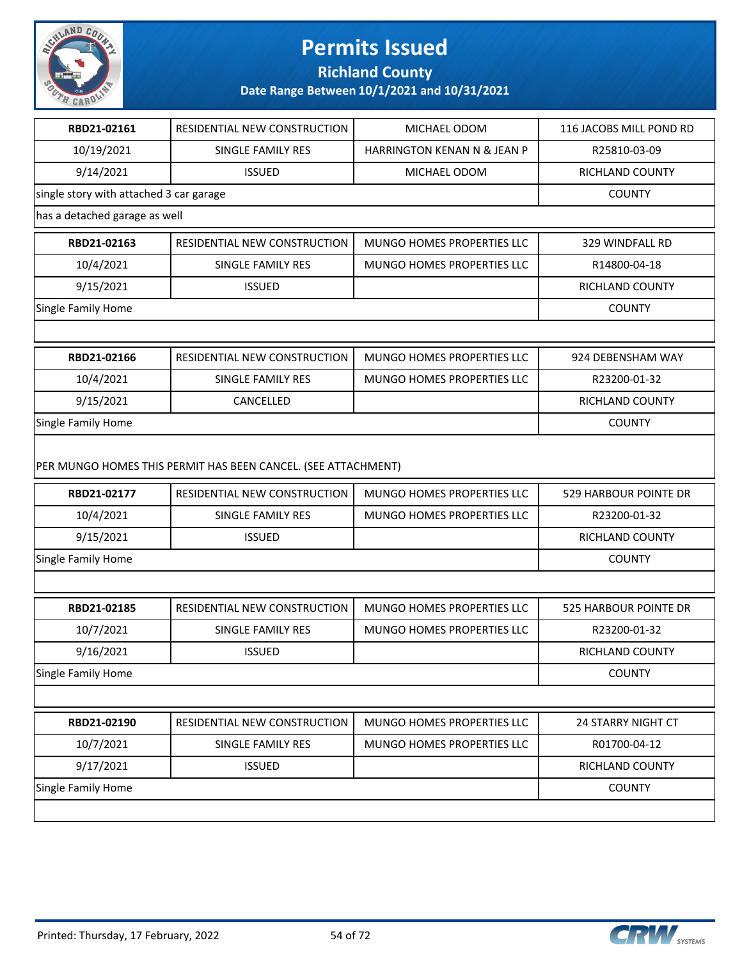

**Richland County**

| RBD21-02161                             | RESIDENTIAL NEW CONSTRUCTION                                  | MICHAEL ODOM                      | 116 JACOBS MILL POND RD   |
|-----------------------------------------|---------------------------------------------------------------|-----------------------------------|---------------------------|
| 10/19/2021                              | SINGLE FAMILY RES                                             | HARRINGTON KENAN N & JEAN P       | R25810-03-09              |
| 9/14/2021                               | <b>ISSUED</b>                                                 | MICHAEL ODOM                      | RICHLAND COUNTY           |
| single story with attached 3 car garage |                                                               |                                   | <b>COUNTY</b>             |
| has a detached garage as well           |                                                               |                                   |                           |
| RBD21-02163                             | RESIDENTIAL NEW CONSTRUCTION                                  | MUNGO HOMES PROPERTIES LLC        | 329 WINDFALL RD           |
| 10/4/2021                               | <b>SINGLE FAMILY RES</b>                                      | <b>MUNGO HOMES PROPERTIES LLC</b> | R14800-04-18              |
| 9/15/2021                               | <b>ISSUED</b>                                                 |                                   | RICHLAND COUNTY           |
| Single Family Home                      |                                                               |                                   | <b>COUNTY</b>             |
|                                         |                                                               |                                   |                           |
| RBD21-02166                             | RESIDENTIAL NEW CONSTRUCTION                                  | MUNGO HOMES PROPERTIES LLC        | 924 DEBENSHAM WAY         |
| 10/4/2021                               | SINGLE FAMILY RES                                             | MUNGO HOMES PROPERTIES LLC        | R23200-01-32              |
| 9/15/2021                               | CANCELLED                                                     |                                   | <b>RICHLAND COUNTY</b>    |
| <b>Single Family Home</b>               |                                                               | <b>COUNTY</b>                     |                           |
|                                         | PER MUNGO HOMES THIS PERMIT HAS BEEN CANCEL. (SEE ATTACHMENT) |                                   |                           |
| RBD21-02177                             | RESIDENTIAL NEW CONSTRUCTION                                  | MUNGO HOMES PROPERTIES LLC        | 529 HARBOUR POINTE DR     |
| 10/4/2021                               | SINGLE FAMILY RES                                             | MUNGO HOMES PROPERTIES LLC        | R23200-01-32              |
| 9/15/2021                               | <b>ISSUED</b>                                                 |                                   | RICHLAND COUNTY           |
| Single Family Home                      |                                                               |                                   | <b>COUNTY</b>             |
|                                         |                                                               |                                   |                           |
| RBD21-02185                             | RESIDENTIAL NEW CONSTRUCTION                                  | MUNGO HOMES PROPERTIES LLC        | 525 HARBOUR POINTE DR     |
| 10/7/2021                               | <b>SINGLE FAMILY RES</b>                                      | MUNGO HOMES PROPERTIES LLC        | R23200-01-32              |
| 9/16/2021                               | <b>ISSUED</b>                                                 |                                   | RICHLAND COUNTY           |
| Single Family Home                      |                                                               |                                   | <b>COUNTY</b>             |
|                                         |                                                               |                                   |                           |
| RBD21-02190                             | RESIDENTIAL NEW CONSTRUCTION                                  | MUNGO HOMES PROPERTIES LLC        | <b>24 STARRY NIGHT CT</b> |
| 10/7/2021                               | SINGLE FAMILY RES                                             | MUNGO HOMES PROPERTIES LLC        | R01700-04-12              |
| 9/17/2021                               | <b>ISSUED</b>                                                 |                                   | RICHLAND COUNTY           |
| Single Family Home                      |                                                               |                                   | <b>COUNTY</b>             |
|                                         |                                                               |                                   |                           |

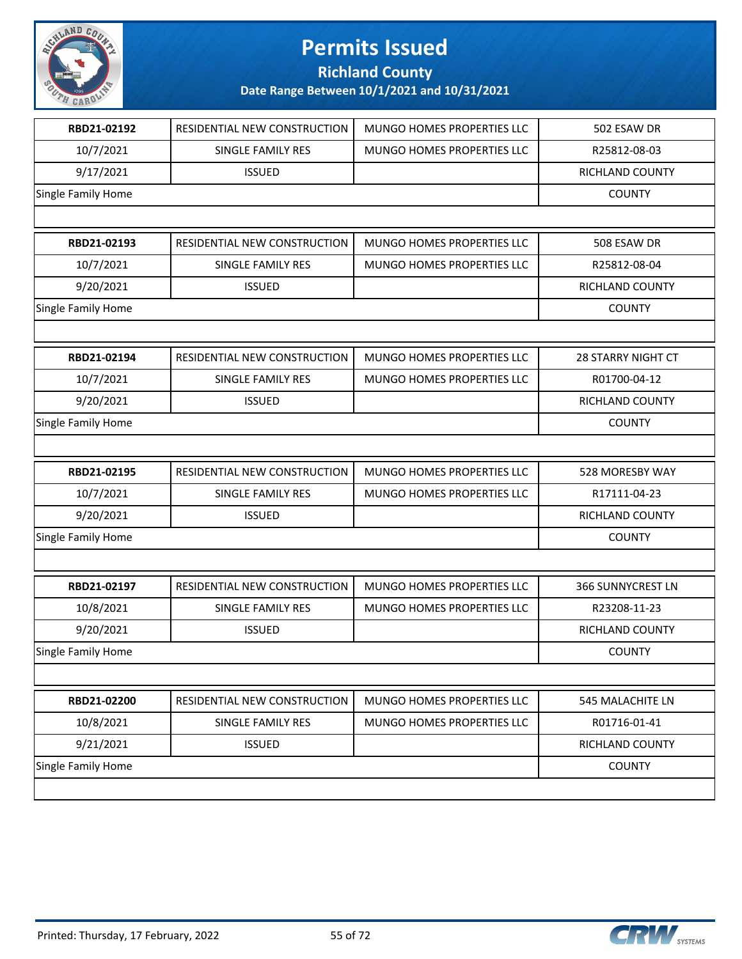

**Richland County**

| RBD21-02192        | RESIDENTIAL NEW CONSTRUCTION | MUNGO HOMES PROPERTIES LLC | 502 ESAW DR               |
|--------------------|------------------------------|----------------------------|---------------------------|
| 10/7/2021          | SINGLE FAMILY RES            | MUNGO HOMES PROPERTIES LLC | R25812-08-03              |
| 9/17/2021          | <b>ISSUED</b>                |                            | RICHLAND COUNTY           |
| Single Family Home |                              |                            | <b>COUNTY</b>             |
|                    |                              |                            |                           |
| RBD21-02193        | RESIDENTIAL NEW CONSTRUCTION | MUNGO HOMES PROPERTIES LLC | 508 ESAW DR               |
| 10/7/2021          | SINGLE FAMILY RES            | MUNGO HOMES PROPERTIES LLC | R25812-08-04              |
| 9/20/2021          | <b>ISSUED</b>                |                            | RICHLAND COUNTY           |
| Single Family Home |                              |                            | <b>COUNTY</b>             |
|                    |                              |                            |                           |
| RBD21-02194        | RESIDENTIAL NEW CONSTRUCTION | MUNGO HOMES PROPERTIES LLC | <b>28 STARRY NIGHT CT</b> |
| 10/7/2021          | SINGLE FAMILY RES            | MUNGO HOMES PROPERTIES LLC | R01700-04-12              |
| 9/20/2021          | <b>ISSUED</b>                |                            | RICHLAND COUNTY           |
| Single Family Home |                              |                            | <b>COUNTY</b>             |
|                    |                              |                            |                           |
| RBD21-02195        | RESIDENTIAL NEW CONSTRUCTION | MUNGO HOMES PROPERTIES LLC | 528 MORESBY WAY           |
| 10/7/2021          | SINGLE FAMILY RES            | MUNGO HOMES PROPERTIES LLC | R17111-04-23              |
| 9/20/2021          | <b>ISSUED</b>                |                            | RICHLAND COUNTY           |
| Single Family Home |                              |                            | <b>COUNTY</b>             |
|                    |                              |                            |                           |
| RBD21-02197        | RESIDENTIAL NEW CONSTRUCTION | MUNGO HOMES PROPERTIES LLC | 366 SUNNYCREST LN         |
| 10/8/2021          | SINGLE FAMILY RES            | MUNGO HOMES PROPERTIES LLC | R23208-11-23              |
| 9/20/2021          | <b>ISSUED</b>                |                            | RICHLAND COUNTY           |
| Single Family Home |                              |                            | <b>COUNTY</b>             |
|                    |                              |                            |                           |
| RBD21-02200        | RESIDENTIAL NEW CONSTRUCTION | MUNGO HOMES PROPERTIES LLC | 545 MALACHITE LN          |
| 10/8/2021          | SINGLE FAMILY RES            | MUNGO HOMES PROPERTIES LLC | R01716-01-41              |
| 9/21/2021          | <b>ISSUED</b>                |                            | RICHLAND COUNTY           |
| Single Family Home |                              |                            | <b>COUNTY</b>             |
|                    |                              |                            |                           |
|                    |                              |                            |                           |

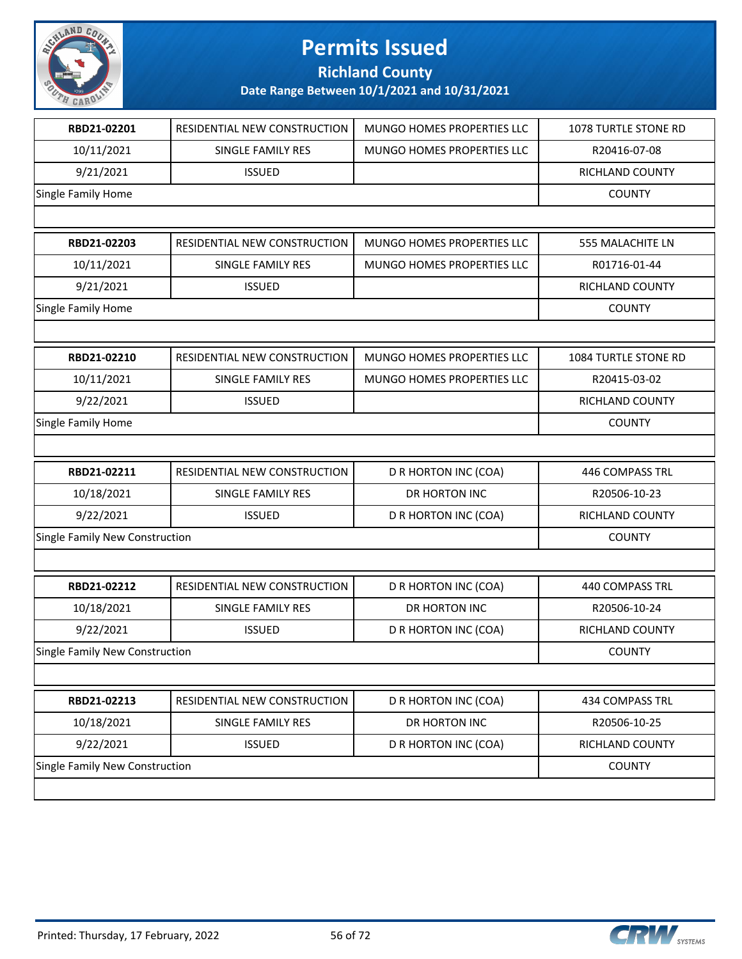

**Richland County**

| RBD21-02201                           | RESIDENTIAL NEW CONSTRUCTION | MUNGO HOMES PROPERTIES LLC | 1078 TURTLE STONE RD |
|---------------------------------------|------------------------------|----------------------------|----------------------|
| 10/11/2021                            | SINGLE FAMILY RES            | MUNGO HOMES PROPERTIES LLC | R20416-07-08         |
| 9/21/2021                             | <b>ISSUED</b>                |                            | RICHLAND COUNTY      |
| Single Family Home                    |                              |                            | <b>COUNTY</b>        |
|                                       |                              |                            |                      |
| RBD21-02203                           | RESIDENTIAL NEW CONSTRUCTION | MUNGO HOMES PROPERTIES LLC | 555 MALACHITE LN     |
| 10/11/2021                            | <b>SINGLE FAMILY RES</b>     | MUNGO HOMES PROPERTIES LLC | R01716-01-44         |
| 9/21/2021                             | <b>ISSUED</b>                |                            | RICHLAND COUNTY      |
| Single Family Home                    |                              |                            | <b>COUNTY</b>        |
|                                       |                              |                            |                      |
| RBD21-02210                           | RESIDENTIAL NEW CONSTRUCTION | MUNGO HOMES PROPERTIES LLC | 1084 TURTLE STONE RD |
| 10/11/2021                            | SINGLE FAMILY RES            | MUNGO HOMES PROPERTIES LLC | R20415-03-02         |
| 9/22/2021                             | <b>ISSUED</b>                |                            | RICHLAND COUNTY      |
| Single Family Home                    |                              |                            | <b>COUNTY</b>        |
|                                       |                              |                            |                      |
| RBD21-02211                           | RESIDENTIAL NEW CONSTRUCTION | D R HORTON INC (COA)       | 446 COMPASS TRL      |
| 10/18/2021                            | SINGLE FAMILY RES            | DR HORTON INC              | R20506-10-23         |
| 9/22/2021                             | <b>ISSUED</b>                | D R HORTON INC (COA)       | RICHLAND COUNTY      |
| Single Family New Construction        |                              |                            | <b>COUNTY</b>        |
|                                       |                              |                            |                      |
| RBD21-02212                           | RESIDENTIAL NEW CONSTRUCTION | D R HORTON INC (COA)       | 440 COMPASS TRL      |
| 10/18/2021                            | SINGLE FAMILY RES            | DR HORTON INC              | R20506-10-24         |
| 9/22/2021                             | <b>ISSUED</b>                | D R HORTON INC (COA)       | RICHLAND COUNTY      |
| <b>Single Family New Construction</b> |                              |                            | <b>COUNTY</b>        |
|                                       |                              |                            |                      |
| RBD21-02213                           | RESIDENTIAL NEW CONSTRUCTION | D R HORTON INC (COA)       | 434 COMPASS TRL      |
| 10/18/2021                            | SINGLE FAMILY RES            | DR HORTON INC              | R20506-10-25         |
| 9/22/2021                             | <b>ISSUED</b>                | D R HORTON INC (COA)       | RICHLAND COUNTY      |
| Single Family New Construction        |                              |                            | <b>COUNTY</b>        |
|                                       |                              |                            |                      |

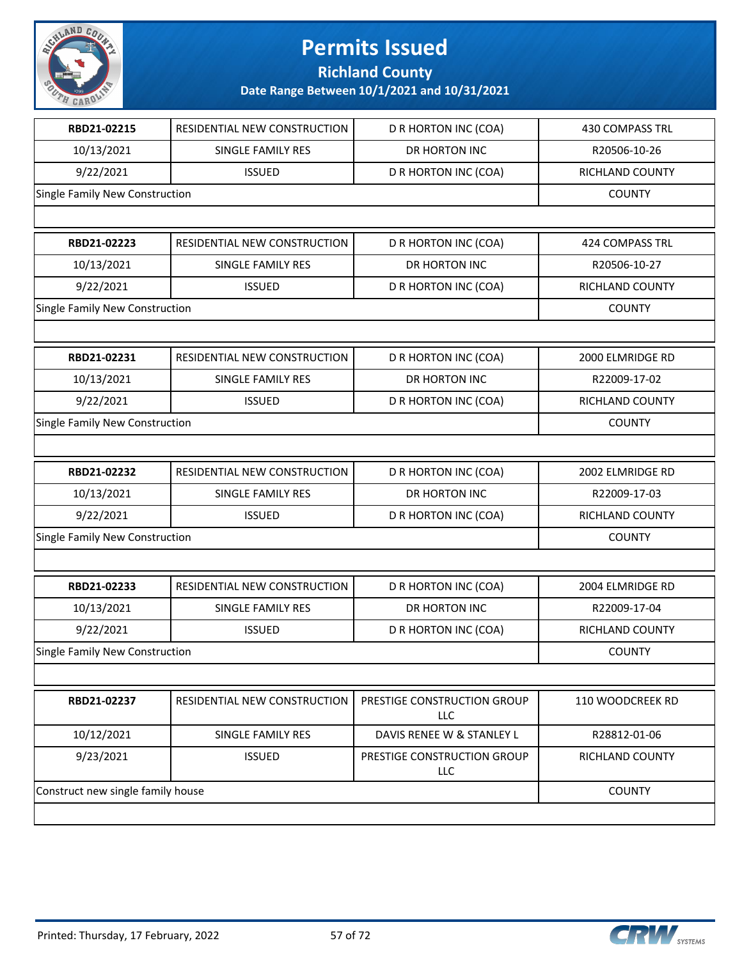

**Richland County**

| RBD21-02215                       | RESIDENTIAL NEW CONSTRUCTION | D R HORTON INC (COA)                      | <b>430 COMPASS TRL</b> |
|-----------------------------------|------------------------------|-------------------------------------------|------------------------|
| 10/13/2021                        | SINGLE FAMILY RES            | DR HORTON INC                             | R20506-10-26           |
| 9/22/2021                         | <b>ISSUED</b>                | D R HORTON INC (COA)                      | RICHLAND COUNTY        |
| Single Family New Construction    |                              |                                           | <b>COUNTY</b>          |
|                                   |                              |                                           |                        |
| RBD21-02223                       | RESIDENTIAL NEW CONSTRUCTION | D R HORTON INC (COA)                      | 424 COMPASS TRL        |
| 10/13/2021                        | SINGLE FAMILY RES            | DR HORTON INC                             | R20506-10-27           |
| 9/22/2021                         | <b>ISSUED</b>                | D R HORTON INC (COA)                      | <b>RICHLAND COUNTY</b> |
| Single Family New Construction    |                              |                                           | <b>COUNTY</b>          |
|                                   |                              |                                           |                        |
| RBD21-02231                       | RESIDENTIAL NEW CONSTRUCTION | D R HORTON INC (COA)                      | 2000 ELMRIDGE RD       |
| 10/13/2021                        | SINGLE FAMILY RES            | DR HORTON INC                             | R22009-17-02           |
| 9/22/2021                         | <b>ISSUED</b>                | D R HORTON INC (COA)                      | RICHLAND COUNTY        |
| Single Family New Construction    |                              |                                           | <b>COUNTY</b>          |
|                                   |                              |                                           |                        |
| RBD21-02232                       | RESIDENTIAL NEW CONSTRUCTION | D R HORTON INC (COA)                      | 2002 ELMRIDGE RD       |
| 10/13/2021                        | SINGLE FAMILY RES            | DR HORTON INC                             | R22009-17-03           |
| 9/22/2021                         | <b>ISSUED</b>                | D R HORTON INC (COA)                      | RICHLAND COUNTY        |
| Single Family New Construction    |                              |                                           | <b>COUNTY</b>          |
|                                   |                              |                                           |                        |
| RBD21-02233                       | RESIDENTIAL NEW CONSTRUCTION | D R HORTON INC (COA)                      | 2004 ELMRIDGE RD       |
| 10/13/2021                        | SINGLE FAMILY RES            | DR HORTON INC                             | R22009-17-04           |
| 9/22/2021                         | <b>ISSUED</b>                | D R HORTON INC (COA)                      | RICHLAND COUNTY        |
| Single Family New Construction    |                              |                                           | <b>COUNTY</b>          |
|                                   |                              |                                           |                        |
| RBD21-02237                       | RESIDENTIAL NEW CONSTRUCTION | PRESTIGE CONSTRUCTION GROUP<br><b>LLC</b> | 110 WOODCREEK RD       |
| 10/12/2021                        | <b>SINGLE FAMILY RES</b>     | DAVIS RENEE W & STANLEY L                 | R28812-01-06           |
| 9/23/2021                         | <b>ISSUED</b>                | PRESTIGE CONSTRUCTION GROUP<br>LLC        | RICHLAND COUNTY        |
| Construct new single family house |                              |                                           | <b>COUNTY</b>          |
|                                   |                              |                                           |                        |

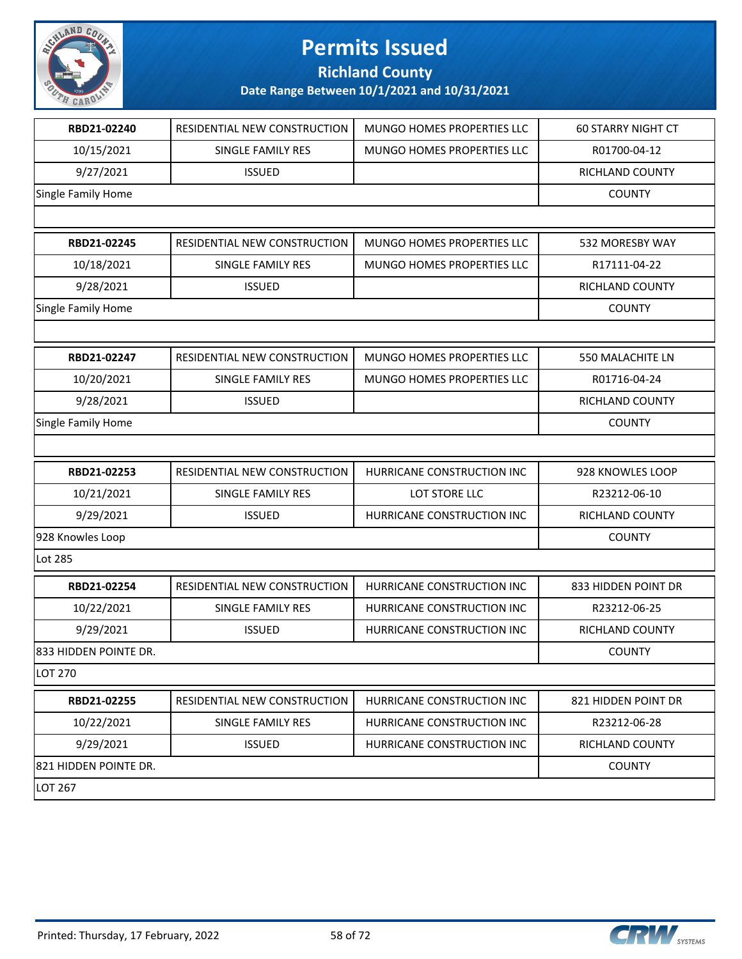

**Richland County**

| RBD21-02240           | RESIDENTIAL NEW CONSTRUCTION | <b>MUNGO HOMES PROPERTIES LLC</b> | <b>60 STARRY NIGHT CT</b> |
|-----------------------|------------------------------|-----------------------------------|---------------------------|
| 10/15/2021            | SINGLE FAMILY RES            | MUNGO HOMES PROPERTIES LLC        | R01700-04-12              |
| 9/27/2021             | <b>ISSUED</b>                |                                   | RICHLAND COUNTY           |
| Single Family Home    |                              |                                   | <b>COUNTY</b>             |
|                       |                              |                                   |                           |
| RBD21-02245           | RESIDENTIAL NEW CONSTRUCTION | MUNGO HOMES PROPERTIES LLC        | 532 MORESBY WAY           |
| 10/18/2021            | SINGLE FAMILY RES            | MUNGO HOMES PROPERTIES LLC        | R17111-04-22              |
| 9/28/2021             | <b>ISSUED</b>                |                                   | RICHLAND COUNTY           |
| Single Family Home    |                              |                                   | <b>COUNTY</b>             |
|                       |                              |                                   |                           |
| RBD21-02247           | RESIDENTIAL NEW CONSTRUCTION | MUNGO HOMES PROPERTIES LLC        | 550 MALACHITE LN          |
| 10/20/2021            | SINGLE FAMILY RES            | MUNGO HOMES PROPERTIES LLC        | R01716-04-24              |
| 9/28/2021             | <b>ISSUED</b>                |                                   | RICHLAND COUNTY           |
| Single Family Home    |                              |                                   | <b>COUNTY</b>             |
|                       |                              |                                   |                           |
| RBD21-02253           | RESIDENTIAL NEW CONSTRUCTION | HURRICANE CONSTRUCTION INC        | 928 KNOWLES LOOP          |
| 10/21/2021            | SINGLE FAMILY RES            | LOT STORE LLC                     | R23212-06-10              |
| 9/29/2021             | <b>ISSUED</b>                | HURRICANE CONSTRUCTION INC        | RICHLAND COUNTY           |
| 928 Knowles Loop      |                              |                                   | <b>COUNTY</b>             |
| Lot 285               |                              |                                   |                           |
| RBD21-02254           | RESIDENTIAL NEW CONSTRUCTION | HURRICANE CONSTRUCTION INC        | 833 HIDDEN POINT DR       |
| 10/22/2021            | <b>SINGLE FAMILY RES</b>     | HURRICANE CONSTRUCTION INC        | R23212-06-25              |
| 9/29/2021             | <b>ISSUED</b>                | HURRICANE CONSTRUCTION INC        | RICHLAND COUNTY           |
| 833 HIDDEN POINTE DR. |                              |                                   | <b>COUNTY</b>             |
| <b>LOT 270</b>        |                              |                                   |                           |
| RBD21-02255           | RESIDENTIAL NEW CONSTRUCTION | HURRICANE CONSTRUCTION INC        | 821 HIDDEN POINT DR       |
| 10/22/2021            | <b>SINGLE FAMILY RES</b>     | HURRICANE CONSTRUCTION INC        | R23212-06-28              |
| 9/29/2021             | <b>ISSUED</b>                | HURRICANE CONSTRUCTION INC        | RICHLAND COUNTY           |
| 821 HIDDEN POINTE DR. |                              |                                   | <b>COUNTY</b>             |
| LOT 267               |                              |                                   |                           |

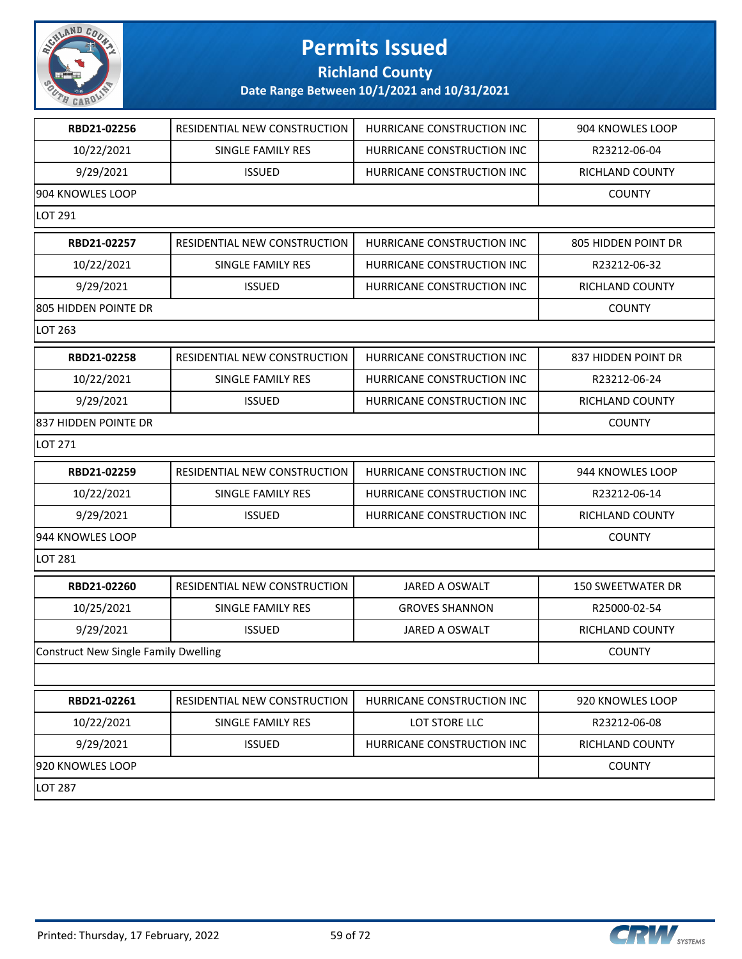

#### **Richland County**

| 10/22/2021<br>SINGLE FAMILY RES<br>HURRICANE CONSTRUCTION INC<br>R23212-06-04<br>9/29/2021<br><b>ISSUED</b><br>HURRICANE CONSTRUCTION INC<br>RICHLAND COUNTY<br><b>COUNTY</b><br>RBD21-02257<br>RESIDENTIAL NEW CONSTRUCTION<br>HURRICANE CONSTRUCTION INC<br>805 HIDDEN POINT DR<br>10/22/2021<br>HURRICANE CONSTRUCTION INC<br>R23212-06-32<br>SINGLE FAMILY RES<br>9/29/2021<br><b>ISSUED</b><br>HURRICANE CONSTRUCTION INC<br>RICHLAND COUNTY<br><b>COUNTY</b><br>RESIDENTIAL NEW CONSTRUCTION<br>RBD21-02258<br>HURRICANE CONSTRUCTION INC<br>837 HIDDEN POINT DR<br>10/22/2021<br><b>SINGLE FAMILY RES</b><br>HURRICANE CONSTRUCTION INC<br>R23212-06-24<br>9/29/2021<br><b>ISSUED</b><br>HURRICANE CONSTRUCTION INC<br><b>RICHLAND COUNTY</b><br><b>COUNTY</b><br>RBD21-02259<br>RESIDENTIAL NEW CONSTRUCTION<br>HURRICANE CONSTRUCTION INC<br>944 KNOWLES LOOP<br>10/22/2021<br>HURRICANE CONSTRUCTION INC<br>R23212-06-14<br>SINGLE FAMILY RES<br>9/29/2021<br><b>ISSUED</b><br>HURRICANE CONSTRUCTION INC<br>RICHLAND COUNTY<br><b>COUNTY</b><br>RESIDENTIAL NEW CONSTRUCTION<br>RBD21-02260<br><b>JARED A OSWALT</b><br><b>150 SWEETWATER DR</b><br>10/25/2021<br>SINGLE FAMILY RES<br><b>GROVES SHANNON</b><br>R25000-02-54<br>9/29/2021<br><b>ISSUED</b><br>RICHLAND COUNTY<br><b>JARED A OSWALT</b><br><b>Construct New Single Family Dwelling</b><br><b>COUNTY</b><br>RBD21-02261<br>RESIDENTIAL NEW CONSTRUCTION<br>HURRICANE CONSTRUCTION INC<br>920 KNOWLES LOOP<br>10/22/2021<br>LOT STORE LLC<br>SINGLE FAMILY RES<br>R23212-06-08<br>9/29/2021<br><b>ISSUED</b><br>HURRICANE CONSTRUCTION INC<br>RICHLAND COUNTY<br><b>COUNTY</b> | RBD21-02256          | RESIDENTIAL NEW CONSTRUCTION | HURRICANE CONSTRUCTION INC | 904 KNOWLES LOOP |
|--------------------------------------------------------------------------------------------------------------------------------------------------------------------------------------------------------------------------------------------------------------------------------------------------------------------------------------------------------------------------------------------------------------------------------------------------------------------------------------------------------------------------------------------------------------------------------------------------------------------------------------------------------------------------------------------------------------------------------------------------------------------------------------------------------------------------------------------------------------------------------------------------------------------------------------------------------------------------------------------------------------------------------------------------------------------------------------------------------------------------------------------------------------------------------------------------------------------------------------------------------------------------------------------------------------------------------------------------------------------------------------------------------------------------------------------------------------------------------------------------------------------------------------------------------------------------------------------------------------------------------------------------------|----------------------|------------------------------|----------------------------|------------------|
|                                                                                                                                                                                                                                                                                                                                                                                                                                                                                                                                                                                                                                                                                                                                                                                                                                                                                                                                                                                                                                                                                                                                                                                                                                                                                                                                                                                                                                                                                                                                                                                                                                                        |                      |                              |                            |                  |
|                                                                                                                                                                                                                                                                                                                                                                                                                                                                                                                                                                                                                                                                                                                                                                                                                                                                                                                                                                                                                                                                                                                                                                                                                                                                                                                                                                                                                                                                                                                                                                                                                                                        |                      |                              |                            |                  |
|                                                                                                                                                                                                                                                                                                                                                                                                                                                                                                                                                                                                                                                                                                                                                                                                                                                                                                                                                                                                                                                                                                                                                                                                                                                                                                                                                                                                                                                                                                                                                                                                                                                        | 904 KNOWLES LOOP     |                              |                            |                  |
|                                                                                                                                                                                                                                                                                                                                                                                                                                                                                                                                                                                                                                                                                                                                                                                                                                                                                                                                                                                                                                                                                                                                                                                                                                                                                                                                                                                                                                                                                                                                                                                                                                                        | LOT 291              |                              |                            |                  |
|                                                                                                                                                                                                                                                                                                                                                                                                                                                                                                                                                                                                                                                                                                                                                                                                                                                                                                                                                                                                                                                                                                                                                                                                                                                                                                                                                                                                                                                                                                                                                                                                                                                        |                      |                              |                            |                  |
|                                                                                                                                                                                                                                                                                                                                                                                                                                                                                                                                                                                                                                                                                                                                                                                                                                                                                                                                                                                                                                                                                                                                                                                                                                                                                                                                                                                                                                                                                                                                                                                                                                                        |                      |                              |                            |                  |
|                                                                                                                                                                                                                                                                                                                                                                                                                                                                                                                                                                                                                                                                                                                                                                                                                                                                                                                                                                                                                                                                                                                                                                                                                                                                                                                                                                                                                                                                                                                                                                                                                                                        |                      |                              |                            |                  |
|                                                                                                                                                                                                                                                                                                                                                                                                                                                                                                                                                                                                                                                                                                                                                                                                                                                                                                                                                                                                                                                                                                                                                                                                                                                                                                                                                                                                                                                                                                                                                                                                                                                        | 805 HIDDEN POINTE DR |                              |                            |                  |
|                                                                                                                                                                                                                                                                                                                                                                                                                                                                                                                                                                                                                                                                                                                                                                                                                                                                                                                                                                                                                                                                                                                                                                                                                                                                                                                                                                                                                                                                                                                                                                                                                                                        | LOT 263              |                              |                            |                  |
|                                                                                                                                                                                                                                                                                                                                                                                                                                                                                                                                                                                                                                                                                                                                                                                                                                                                                                                                                                                                                                                                                                                                                                                                                                                                                                                                                                                                                                                                                                                                                                                                                                                        |                      |                              |                            |                  |
|                                                                                                                                                                                                                                                                                                                                                                                                                                                                                                                                                                                                                                                                                                                                                                                                                                                                                                                                                                                                                                                                                                                                                                                                                                                                                                                                                                                                                                                                                                                                                                                                                                                        |                      |                              |                            |                  |
|                                                                                                                                                                                                                                                                                                                                                                                                                                                                                                                                                                                                                                                                                                                                                                                                                                                                                                                                                                                                                                                                                                                                                                                                                                                                                                                                                                                                                                                                                                                                                                                                                                                        |                      |                              |                            |                  |
|                                                                                                                                                                                                                                                                                                                                                                                                                                                                                                                                                                                                                                                                                                                                                                                                                                                                                                                                                                                                                                                                                                                                                                                                                                                                                                                                                                                                                                                                                                                                                                                                                                                        | 837 HIDDEN POINTE DR |                              |                            |                  |
|                                                                                                                                                                                                                                                                                                                                                                                                                                                                                                                                                                                                                                                                                                                                                                                                                                                                                                                                                                                                                                                                                                                                                                                                                                                                                                                                                                                                                                                                                                                                                                                                                                                        | LOT 271              |                              |                            |                  |
|                                                                                                                                                                                                                                                                                                                                                                                                                                                                                                                                                                                                                                                                                                                                                                                                                                                                                                                                                                                                                                                                                                                                                                                                                                                                                                                                                                                                                                                                                                                                                                                                                                                        |                      |                              |                            |                  |
|                                                                                                                                                                                                                                                                                                                                                                                                                                                                                                                                                                                                                                                                                                                                                                                                                                                                                                                                                                                                                                                                                                                                                                                                                                                                                                                                                                                                                                                                                                                                                                                                                                                        |                      |                              |                            |                  |
|                                                                                                                                                                                                                                                                                                                                                                                                                                                                                                                                                                                                                                                                                                                                                                                                                                                                                                                                                                                                                                                                                                                                                                                                                                                                                                                                                                                                                                                                                                                                                                                                                                                        |                      |                              |                            |                  |
|                                                                                                                                                                                                                                                                                                                                                                                                                                                                                                                                                                                                                                                                                                                                                                                                                                                                                                                                                                                                                                                                                                                                                                                                                                                                                                                                                                                                                                                                                                                                                                                                                                                        | 944 KNOWLES LOOP     |                              |                            |                  |
|                                                                                                                                                                                                                                                                                                                                                                                                                                                                                                                                                                                                                                                                                                                                                                                                                                                                                                                                                                                                                                                                                                                                                                                                                                                                                                                                                                                                                                                                                                                                                                                                                                                        | LOT 281              |                              |                            |                  |
|                                                                                                                                                                                                                                                                                                                                                                                                                                                                                                                                                                                                                                                                                                                                                                                                                                                                                                                                                                                                                                                                                                                                                                                                                                                                                                                                                                                                                                                                                                                                                                                                                                                        |                      |                              |                            |                  |
|                                                                                                                                                                                                                                                                                                                                                                                                                                                                                                                                                                                                                                                                                                                                                                                                                                                                                                                                                                                                                                                                                                                                                                                                                                                                                                                                                                                                                                                                                                                                                                                                                                                        |                      |                              |                            |                  |
|                                                                                                                                                                                                                                                                                                                                                                                                                                                                                                                                                                                                                                                                                                                                                                                                                                                                                                                                                                                                                                                                                                                                                                                                                                                                                                                                                                                                                                                                                                                                                                                                                                                        |                      |                              |                            |                  |
|                                                                                                                                                                                                                                                                                                                                                                                                                                                                                                                                                                                                                                                                                                                                                                                                                                                                                                                                                                                                                                                                                                                                                                                                                                                                                                                                                                                                                                                                                                                                                                                                                                                        |                      |                              |                            |                  |
|                                                                                                                                                                                                                                                                                                                                                                                                                                                                                                                                                                                                                                                                                                                                                                                                                                                                                                                                                                                                                                                                                                                                                                                                                                                                                                                                                                                                                                                                                                                                                                                                                                                        |                      |                              |                            |                  |
|                                                                                                                                                                                                                                                                                                                                                                                                                                                                                                                                                                                                                                                                                                                                                                                                                                                                                                                                                                                                                                                                                                                                                                                                                                                                                                                                                                                                                                                                                                                                                                                                                                                        |                      |                              |                            |                  |
|                                                                                                                                                                                                                                                                                                                                                                                                                                                                                                                                                                                                                                                                                                                                                                                                                                                                                                                                                                                                                                                                                                                                                                                                                                                                                                                                                                                                                                                                                                                                                                                                                                                        |                      |                              |                            |                  |
|                                                                                                                                                                                                                                                                                                                                                                                                                                                                                                                                                                                                                                                                                                                                                                                                                                                                                                                                                                                                                                                                                                                                                                                                                                                                                                                                                                                                                                                                                                                                                                                                                                                        |                      |                              |                            |                  |
|                                                                                                                                                                                                                                                                                                                                                                                                                                                                                                                                                                                                                                                                                                                                                                                                                                                                                                                                                                                                                                                                                                                                                                                                                                                                                                                                                                                                                                                                                                                                                                                                                                                        | 920 KNOWLES LOOP     |                              |                            |                  |
|                                                                                                                                                                                                                                                                                                                                                                                                                                                                                                                                                                                                                                                                                                                                                                                                                                                                                                                                                                                                                                                                                                                                                                                                                                                                                                                                                                                                                                                                                                                                                                                                                                                        | LOT 287              |                              |                            |                  |

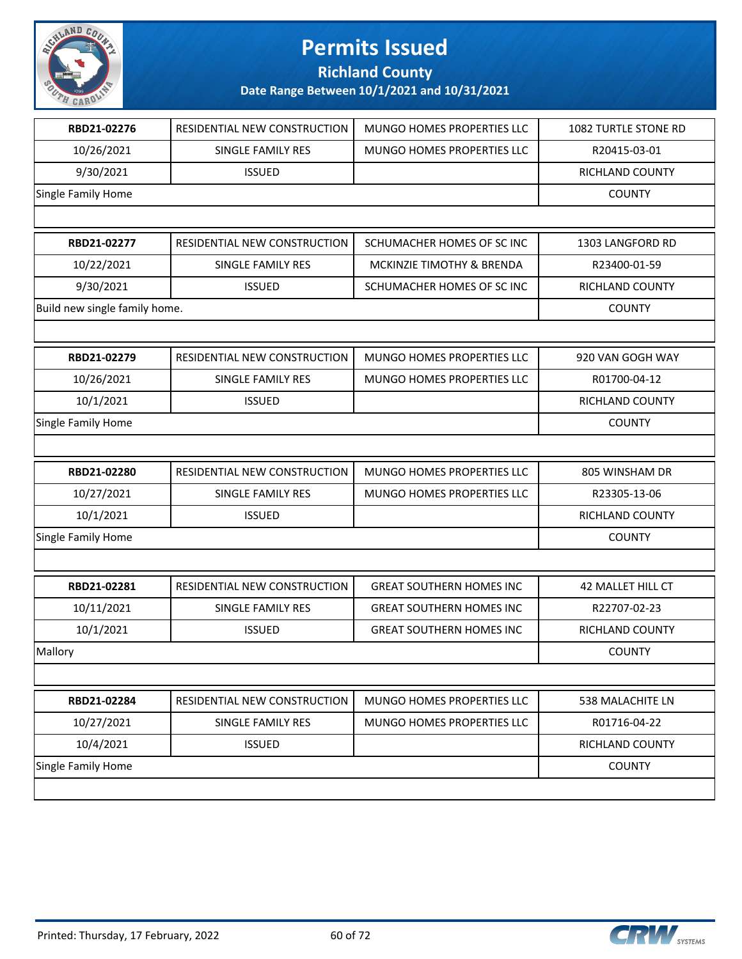

**Richland County**

| RBD21-02276<br>RESIDENTIAL NEW CONSTRUCTION<br>MUNGO HOMES PROPERTIES LLC<br>1082 TURTLE STONE RD<br>10/26/2021<br>SINGLE FAMILY RES<br>MUNGO HOMES PROPERTIES LLC<br>R20415-03-01<br>9/30/2021<br><b>ISSUED</b><br>RICHLAND COUNTY<br>Single Family Home<br>COUNTY<br>SCHUMACHER HOMES OF SC INC<br>RBD21-02277<br>RESIDENTIAL NEW CONSTRUCTION<br>1303 LANGFORD RD<br>10/22/2021<br><b>SINGLE FAMILY RES</b><br>MCKINZIE TIMOTHY & BRENDA<br>R23400-01-59<br>9/30/2021<br><b>ISSUED</b><br>SCHUMACHER HOMES OF SC INC<br><b>RICHLAND COUNTY</b> |
|---------------------------------------------------------------------------------------------------------------------------------------------------------------------------------------------------------------------------------------------------------------------------------------------------------------------------------------------------------------------------------------------------------------------------------------------------------------------------------------------------------------------------------------------------|
|                                                                                                                                                                                                                                                                                                                                                                                                                                                                                                                                                   |
|                                                                                                                                                                                                                                                                                                                                                                                                                                                                                                                                                   |
|                                                                                                                                                                                                                                                                                                                                                                                                                                                                                                                                                   |
|                                                                                                                                                                                                                                                                                                                                                                                                                                                                                                                                                   |
|                                                                                                                                                                                                                                                                                                                                                                                                                                                                                                                                                   |
|                                                                                                                                                                                                                                                                                                                                                                                                                                                                                                                                                   |
|                                                                                                                                                                                                                                                                                                                                                                                                                                                                                                                                                   |
|                                                                                                                                                                                                                                                                                                                                                                                                                                                                                                                                                   |
| Build new single family home.<br><b>COUNTY</b>                                                                                                                                                                                                                                                                                                                                                                                                                                                                                                    |
|                                                                                                                                                                                                                                                                                                                                                                                                                                                                                                                                                   |
| RBD21-02279<br>RESIDENTIAL NEW CONSTRUCTION<br>MUNGO HOMES PROPERTIES LLC<br>920 VAN GOGH WAY                                                                                                                                                                                                                                                                                                                                                                                                                                                     |
| 10/26/2021<br><b>SINGLE FAMILY RES</b><br>MUNGO HOMES PROPERTIES LLC<br>R01700-04-12                                                                                                                                                                                                                                                                                                                                                                                                                                                              |
| 10/1/2021<br><b>ISSUED</b><br>RICHLAND COUNTY                                                                                                                                                                                                                                                                                                                                                                                                                                                                                                     |
| Single Family Home<br><b>COUNTY</b>                                                                                                                                                                                                                                                                                                                                                                                                                                                                                                               |
|                                                                                                                                                                                                                                                                                                                                                                                                                                                                                                                                                   |
| RBD21-02280<br>RESIDENTIAL NEW CONSTRUCTION<br>MUNGO HOMES PROPERTIES LLC<br>805 WINSHAM DR                                                                                                                                                                                                                                                                                                                                                                                                                                                       |
|                                                                                                                                                                                                                                                                                                                                                                                                                                                                                                                                                   |
| 10/27/2021<br>SINGLE FAMILY RES<br>MUNGO HOMES PROPERTIES LLC<br>R23305-13-06                                                                                                                                                                                                                                                                                                                                                                                                                                                                     |
| 10/1/2021<br><b>ISSUED</b><br>RICHLAND COUNTY                                                                                                                                                                                                                                                                                                                                                                                                                                                                                                     |
| Single Family Home<br><b>COUNTY</b>                                                                                                                                                                                                                                                                                                                                                                                                                                                                                                               |
|                                                                                                                                                                                                                                                                                                                                                                                                                                                                                                                                                   |
| RESIDENTIAL NEW CONSTRUCTION<br>42 MALLET HILL CT<br>RBD21-02281<br><b>GREAT SOUTHERN HOMES INC</b>                                                                                                                                                                                                                                                                                                                                                                                                                                               |
| 10/11/2021<br>R22707-02-23<br>SINGLE FAMILY RES<br><b>GREAT SOUTHERN HOMES INC</b>                                                                                                                                                                                                                                                                                                                                                                                                                                                                |
| 10/1/2021<br><b>ISSUED</b><br>RICHLAND COUNTY<br><b>GREAT SOUTHERN HOMES INC</b>                                                                                                                                                                                                                                                                                                                                                                                                                                                                  |
| Mallory<br><b>COUNTY</b>                                                                                                                                                                                                                                                                                                                                                                                                                                                                                                                          |
|                                                                                                                                                                                                                                                                                                                                                                                                                                                                                                                                                   |
| MUNGO HOMES PROPERTIES LLC<br>RBD21-02284<br>RESIDENTIAL NEW CONSTRUCTION<br>538 MALACHITE LN                                                                                                                                                                                                                                                                                                                                                                                                                                                     |
| MUNGO HOMES PROPERTIES LLC<br>R01716-04-22<br>10/27/2021<br>SINGLE FAMILY RES                                                                                                                                                                                                                                                                                                                                                                                                                                                                     |
| 10/4/2021<br><b>ISSUED</b><br>RICHLAND COUNTY                                                                                                                                                                                                                                                                                                                                                                                                                                                                                                     |
| Single Family Home<br><b>COUNTY</b>                                                                                                                                                                                                                                                                                                                                                                                                                                                                                                               |

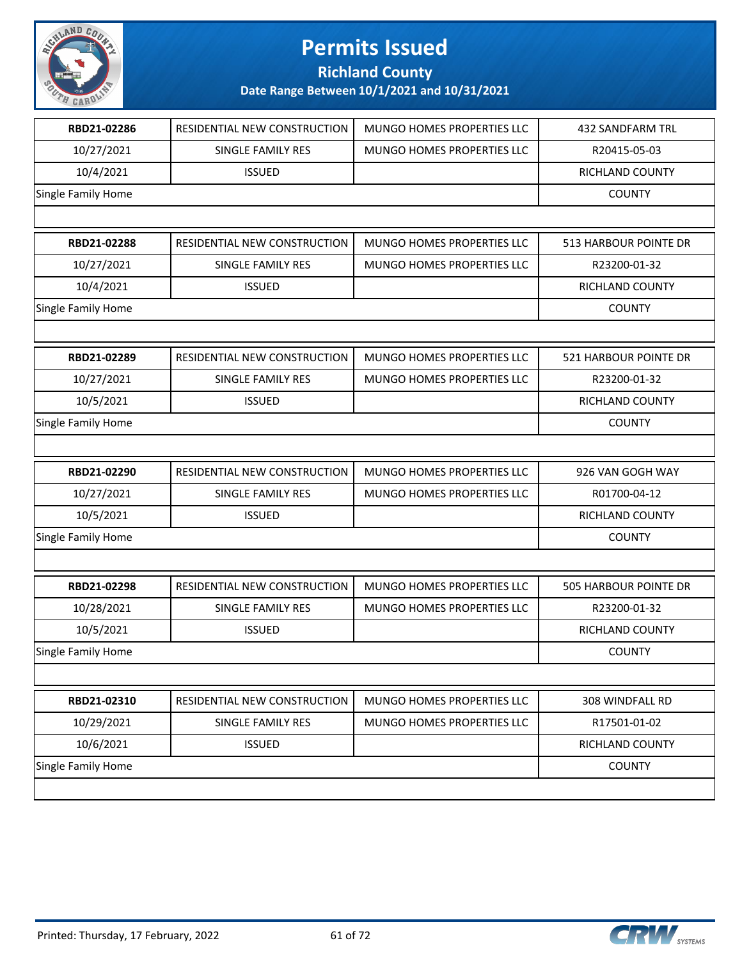

**Richland County**

| RBD21-02286               | RESIDENTIAL NEW CONSTRUCTION | MUNGO HOMES PROPERTIES LLC        | 432 SANDFARM TRL             |
|---------------------------|------------------------------|-----------------------------------|------------------------------|
| 10/27/2021                | SINGLE FAMILY RES            | <b>MUNGO HOMES PROPERTIES LLC</b> | R20415-05-03                 |
| 10/4/2021                 | <b>ISSUED</b>                |                                   | RICHLAND COUNTY              |
| Single Family Home        |                              |                                   | COUNTY                       |
|                           |                              |                                   |                              |
| RBD21-02288               | RESIDENTIAL NEW CONSTRUCTION | MUNGO HOMES PROPERTIES LLC        | 513 HARBOUR POINTE DR        |
| 10/27/2021                | SINGLE FAMILY RES            | MUNGO HOMES PROPERTIES LLC        | R23200-01-32                 |
| 10/4/2021                 | <b>ISSUED</b>                |                                   | RICHLAND COUNTY              |
| Single Family Home        |                              |                                   | <b>COUNTY</b>                |
|                           |                              |                                   |                              |
| RBD21-02289               | RESIDENTIAL NEW CONSTRUCTION | MUNGO HOMES PROPERTIES LLC        | 521 HARBOUR POINTE DR        |
| 10/27/2021                | SINGLE FAMILY RES            | MUNGO HOMES PROPERTIES LLC        | R23200-01-32                 |
| 10/5/2021                 | <b>ISSUED</b>                |                                   | RICHLAND COUNTY              |
| Single Family Home        |                              |                                   | <b>COUNTY</b>                |
|                           |                              |                                   |                              |
| RBD21-02290               | RESIDENTIAL NEW CONSTRUCTION | MUNGO HOMES PROPERTIES LLC        | 926 VAN GOGH WAY             |
| 10/27/2021                | SINGLE FAMILY RES            | MUNGO HOMES PROPERTIES LLC        | R01700-04-12                 |
| 10/5/2021                 | <b>ISSUED</b>                |                                   | RICHLAND COUNTY              |
| Single Family Home        |                              |                                   | <b>COUNTY</b>                |
|                           |                              |                                   |                              |
| RBD21-02298               | RESIDENTIAL NEW CONSTRUCTION | <b>MUNGO HOMES PROPERTIES LLC</b> | <b>505 HARBOUR POINTE DR</b> |
| 10/28/2021                | SINGLE FAMILY RES            | MUNGO HOMES PROPERTIES LLC        | R23200-01-32                 |
| 10/5/2021                 | <b>ISSUED</b>                |                                   | <b>RICHLAND COUNTY</b>       |
| <b>Single Family Home</b> |                              |                                   | <b>COUNTY</b>                |
|                           |                              |                                   |                              |
| RBD21-02310               | RESIDENTIAL NEW CONSTRUCTION | MUNGO HOMES PROPERTIES LLC        | 308 WINDFALL RD              |
| 10/29/2021                | SINGLE FAMILY RES            | MUNGO HOMES PROPERTIES LLC        | R17501-01-02                 |
| 10/6/2021                 | <b>ISSUED</b>                |                                   | RICHLAND COUNTY              |
| Single Family Home        |                              |                                   | <b>COUNTY</b>                |
|                           |                              |                                   |                              |
|                           |                              |                                   |                              |

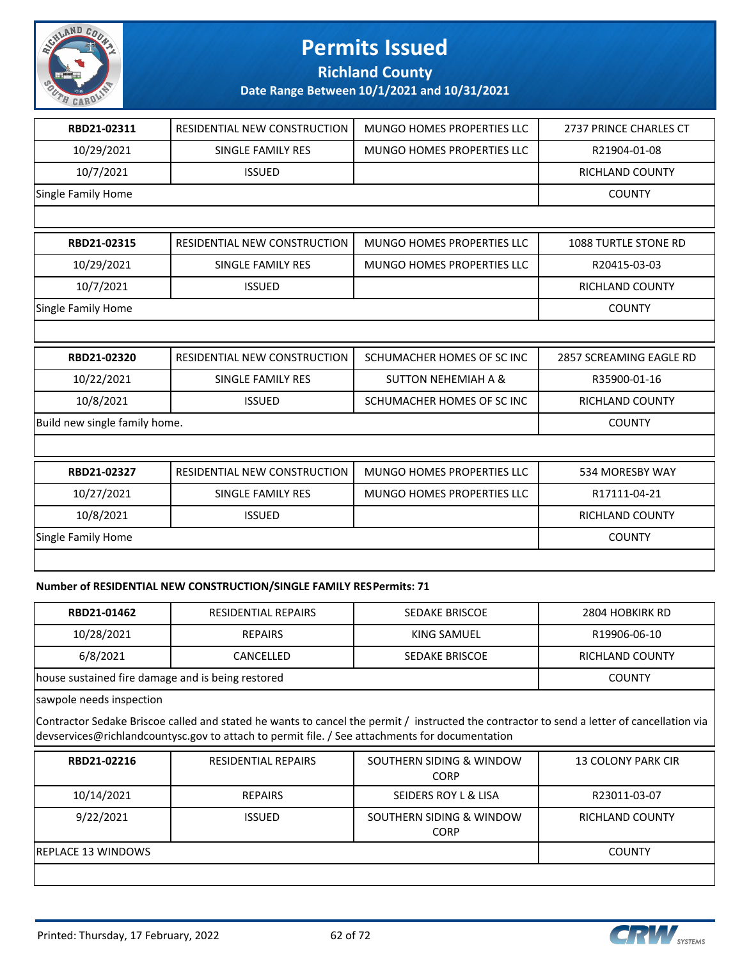

**Richland County**

**Date Range Between 10/1/2021 and 10/31/2021**

| RBD21-02311                   | <b>RESIDENTIAL NEW CONSTRUCTION</b> | MUNGO HOMES PROPERTIES LLC        | 2737 PRINCE CHARLES CT  |
|-------------------------------|-------------------------------------|-----------------------------------|-------------------------|
| 10/29/2021                    | SINGLE FAMILY RES                   | MUNGO HOMES PROPERTIES LLC        | R21904-01-08            |
| 10/7/2021                     | <b>ISSUED</b>                       |                                   | <b>RICHLAND COUNTY</b>  |
| Single Family Home            |                                     |                                   | <b>COUNTY</b>           |
|                               |                                     |                                   |                         |
| RBD21-02315                   | RESIDENTIAL NEW CONSTRUCTION        | MUNGO HOMES PROPERTIES LLC        | 1088 TURTLE STONE RD    |
| 10/29/2021                    | <b>SINGLE FAMILY RES</b>            | <b>MUNGO HOMES PROPERTIES LLC</b> | R20415-03-03            |
| 10/7/2021                     | <b>ISSUED</b>                       |                                   | <b>RICHLAND COUNTY</b>  |
| Single Family Home            |                                     |                                   | <b>COUNTY</b>           |
|                               |                                     |                                   |                         |
| RBD21-02320                   | RESIDENTIAL NEW CONSTRUCTION        | SCHUMACHER HOMES OF SC INC        | 2857 SCREAMING EAGLE RD |
| 10/22/2021                    | SINGLE FAMILY RES                   | <b>SUTTON NEHEMIAH A &amp;</b>    | R35900-01-16            |
| 10/8/2021                     | <b>ISSUED</b>                       | SCHUMACHER HOMES OF SC INC        | <b>RICHLAND COUNTY</b>  |
| Build new single family home. |                                     |                                   | <b>COUNTY</b>           |
|                               |                                     |                                   |                         |
|                               |                                     |                                   |                         |
| RBD21-02327                   | RESIDENTIAL NEW CONSTRUCTION        | <b>MUNGO HOMES PROPERTIES LLC</b> | 534 MORESBY WAY         |
| 10/27/2021                    | <b>SINGLE FAMILY RES</b>            | <b>MUNGO HOMES PROPERTIES LLC</b> | R17111-04-21            |
| 10/8/2021                     | <b>ISSUED</b>                       |                                   | RICHLAND COUNTY         |
| Single Family Home            |                                     |                                   | <b>COUNTY</b>           |

#### **Number of RESIDENTIAL NEW CONSTRUCTION/SINGLE FAMILY RES Permits: 71**

| RBD21-01462                                       | RESIDENTIAL REPAIRS | SEDAKE BRISCOE | 2804 HOBKIRK RD        |
|---------------------------------------------------|---------------------|----------------|------------------------|
| 10/28/2021                                        | <b>REPAIRS</b>      | KING SAMUEL    | R19906-06-10           |
| 6/8/2021                                          | CANCELLED           | SEDAKE BRISCOE | <b>RICHLAND COUNTY</b> |
| house sustained fire damage and is being restored |                     |                | <b>COUNTY</b>          |

sawpole needs inspection

Contractor Sedake Briscoe called and stated he wants to cancel the permit / instructed the contractor to send a letter of cancellation via devservices@richlandcountysc.gov to attach to permit file. / See attachments for documentation

| RBD21-02216               | <b>RESIDENTIAL REPAIRS</b> | SOUTHERN SIDING & WINDOW<br><b>CORP</b> | <b>13 COLONY PARK CIR</b> |
|---------------------------|----------------------------|-----------------------------------------|---------------------------|
| 10/14/2021                | <b>REPAIRS</b>             | SEIDERS ROY L & LISA                    | R23011-03-07              |
| 9/22/2021                 | <b>ISSUED</b>              | SOUTHERN SIDING & WINDOW<br><b>CORP</b> | RICHLAND COUNTY           |
| <b>REPLACE 13 WINDOWS</b> |                            |                                         | <b>COUNTY</b>             |
|                           |                            |                                         |                           |

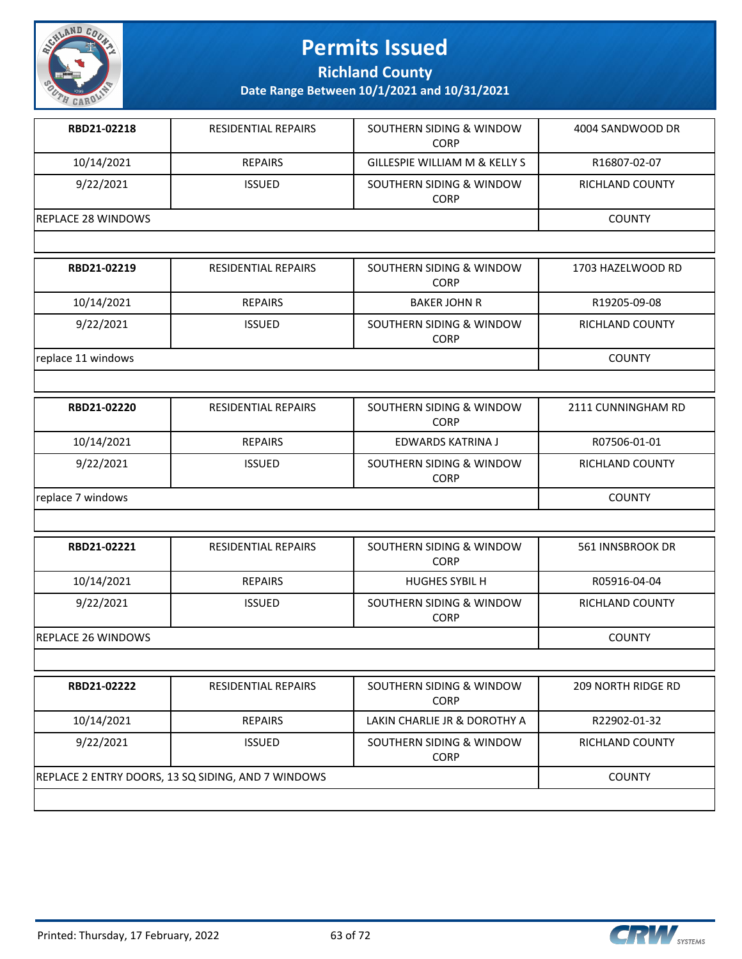

**Richland County**

| RBD21-02218        | <b>RESIDENTIAL REPAIRS</b> | SOUTHERN SIDING & WINDOW<br><b>CORP</b>  | 4004 SANDWOOD DR |
|--------------------|----------------------------|------------------------------------------|------------------|
| 10/14/2021         | <b>REPAIRS</b>             | <b>GILLESPIE WILLIAM M &amp; KELLY S</b> | R16807-02-07     |
| 9/22/2021          | <b>ISSUED</b>              | SOUTHERN SIDING & WINDOW<br><b>CORP</b>  | RICHLAND COUNTY  |
| REPLACE 28 WINDOWS |                            |                                          | <b>COUNTY</b>    |
|                    |                            |                                          |                  |

| RBD21-02219        | <b>RESIDENTIAL REPAIRS</b> | SOUTHERN SIDING & WINDOW<br><b>CORP</b> | 1703 HAZELWOOD RD |
|--------------------|----------------------------|-----------------------------------------|-------------------|
| 10/14/2021         | <b>REPAIRS</b>             | <b>BAKER JOHN R</b>                     | R19205-09-08      |
| 9/22/2021          | <b>ISSUED</b>              | SOUTHERN SIDING & WINDOW<br><b>CORP</b> | RICHLAND COUNTY   |
| replace 11 windows | <b>COUNTY</b>              |                                         |                   |

| RBD21-02220       | <b>RESIDENTIAL REPAIRS</b> | SOUTHERN SIDING & WINDOW<br><b>CORP</b> | 2111 CUNNINGHAM RD |
|-------------------|----------------------------|-----------------------------------------|--------------------|
| 10/14/2021        | <b>REPAIRS</b>             | EDWARDS KATRINA J                       | R07506-01-01       |
| 9/22/2021         | <b>ISSUED</b>              | SOUTHERN SIDING & WINDOW<br><b>CORP</b> | RICHLAND COUNTY    |
| replace 7 windows |                            |                                         | <b>COUNTY</b>      |

| RBD21-02221         | RESIDENTIAL REPAIRS | SOUTHERN SIDING & WINDOW<br><b>CORP</b> | 561 INNSBROOK DR |
|---------------------|---------------------|-----------------------------------------|------------------|
| 10/14/2021          | <b>REPAIRS</b>      | <b>HUGHES SYBIL H</b>                   | R05916-04-04     |
| 9/22/2021           | <b>ISSUED</b>       | SOUTHERN SIDING & WINDOW<br><b>CORP</b> | RICHLAND COUNTY  |
| IREPLACE 26 WINDOWS |                     |                                         | <b>COUNTY</b>    |

| RBD21-02222 | <b>RESIDENTIAL REPAIRS</b>                         | SOUTHERN SIDING & WINDOW<br><b>CORP</b> | 209 NORTH RIDGE RD |
|-------------|----------------------------------------------------|-----------------------------------------|--------------------|
| 10/14/2021  | <b>REPAIRS</b>                                     | LAKIN CHARLIE JR & DOROTHY A            | R22902-01-32       |
| 9/22/2021   | <b>ISSUED</b>                                      | SOUTHERN SIDING & WINDOW<br><b>CORP</b> | RICHLAND COUNTY    |
|             | REPLACE 2 ENTRY DOORS, 13 SQ SIDING, AND 7 WINDOWS |                                         | <b>COUNTY</b>      |
|             |                                                    |                                         |                    |



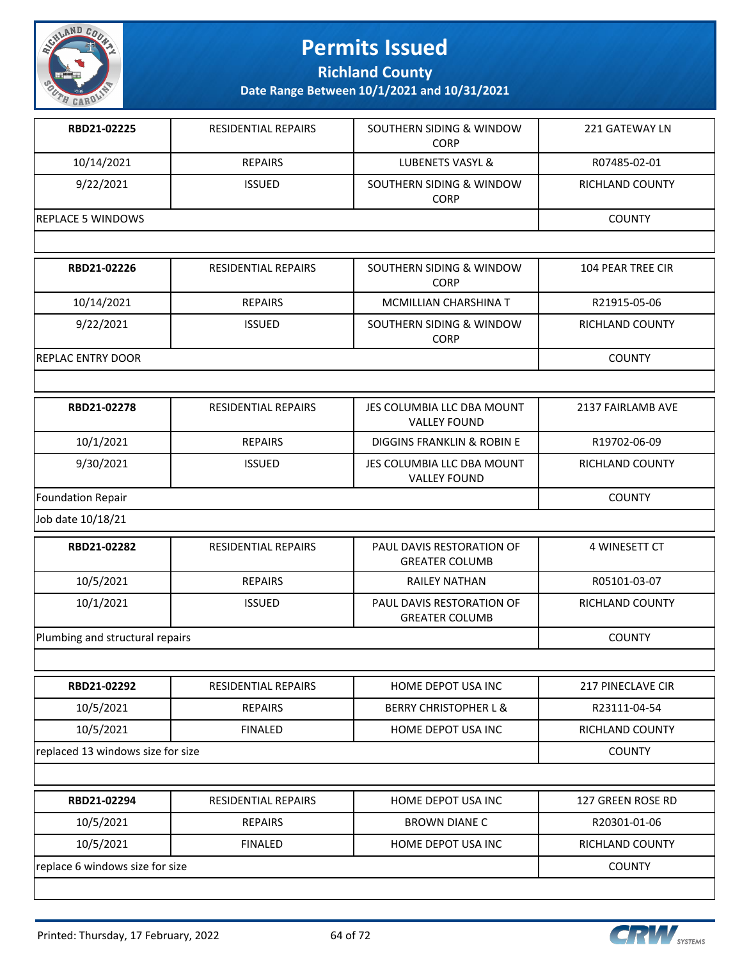

**Richland County**

| RBD21-02225              | <b>RESIDENTIAL REPAIRS</b> | SOUTHERN SIDING & WINDOW<br><b>CORP</b>           | <b>221 GATEWAY LN</b>    |
|--------------------------|----------------------------|---------------------------------------------------|--------------------------|
| 10/14/2021               | <b>REPAIRS</b>             | <b>LUBENETS VASYL &amp;</b>                       | R07485-02-01             |
| 9/22/2021                | <b>ISSUED</b>              | SOUTHERN SIDING & WINDOW<br>CORP                  | <b>RICHLAND COUNTY</b>   |
| <b>REPLACE 5 WINDOWS</b> |                            |                                                   | <b>COUNTY</b>            |
|                          |                            |                                                   |                          |
| RBD21-02226              | <b>RESIDENTIAL REPAIRS</b> | SOUTHERN SIDING & WINDOW<br><b>CORP</b>           | <b>104 PEAR TREE CIR</b> |
| 10/14/2021               | <b>REPAIRS</b>             | <b>MCMILLIAN CHARSHINA T</b>                      | R21915-05-06             |
| 9/22/2021                | <b>ISSUED</b>              | SOUTHERN SIDING & WINDOW<br><b>CORP</b>           | <b>RICHLAND COUNTY</b>   |
| <b>REPLAC ENTRY DOOR</b> |                            |                                                   | <b>COUNTY</b>            |
|                          |                            |                                                   |                          |
| RBD21-02278              | <b>RESIDENTIAL REPAIRS</b> | JES COLUMBIA LLC DBA MOUNT<br><b>VALLEY FOUND</b> | 2137 FAIRLAMB AVF        |
| 10/1/2021                | <b>REPAIRS</b>             | DIGGINS FRANKLIN & ROBIN E                        | R19702-06-09             |
| 9/30/2021                | <b>ISSUED</b>              | JES COLUMBIA LLC DBA MOUNT<br><b>VALLEY FOUND</b> | <b>RICHLAND COUNTY</b>   |
| Foundation Repair        |                            |                                                   | <b>COUNTY</b>            |
| Job date 10/18/21        |                            |                                                   |                          |
| RBD21-02282              | <b>RESIDENTIAL REPAIRS</b> | PAUL DAVIS RESTORATION OF                         | 4 WINESETT CT            |

| INDDEL VEEUE                    | 11231221111AL1121 A1113 | , AUL DAVIJ NLJTUNATION UT<br><b>GREATER COLUMB</b> | <b>T WINLJLII UI</b> |
|---------------------------------|-------------------------|-----------------------------------------------------|----------------------|
| 10/5/2021                       | <b>REPAIRS</b>          | RAILEY NATHAN                                       | R05101-03-07         |
| 10/1/2021                       | <b>ISSUED</b>           | PAUL DAVIS RESTORATION OF<br><b>GREATER COLUMB</b>  | RICHLAND COUNTY      |
| Plumbing and structural repairs |                         |                                                     | <b>COUNTY</b>        |

| RBD21-02292                     | <b>RESIDENTIAL REPAIRS</b>        | HOME DEPOT USA INC               | 217 PINECLAVE CIR      |
|---------------------------------|-----------------------------------|----------------------------------|------------------------|
| 10/5/2021                       | <b>REPAIRS</b>                    | <b>BERRY CHRISTOPHER L &amp;</b> | R23111-04-54           |
| 10/5/2021                       | <b>FINALED</b>                    | HOME DEPOT USA INC               | <b>RICHLAND COUNTY</b> |
|                                 | replaced 13 windows size for size |                                  |                        |
|                                 |                                   |                                  |                        |
| RBD21-02294                     | <b>RESIDENTIAL REPAIRS</b>        | HOME DEPOT USA INC               | 127 GREEN ROSE RD      |
| 10/5/2021                       | <b>REPAIRS</b>                    | <b>BROWN DIANE C</b>             | R20301-01-06           |
| 10/5/2021                       | <b>FINALED</b>                    | HOME DEPOT USA INC               | <b>RICHLAND COUNTY</b> |
| replace 6 windows size for size |                                   |                                  | <b>COUNTY</b>          |

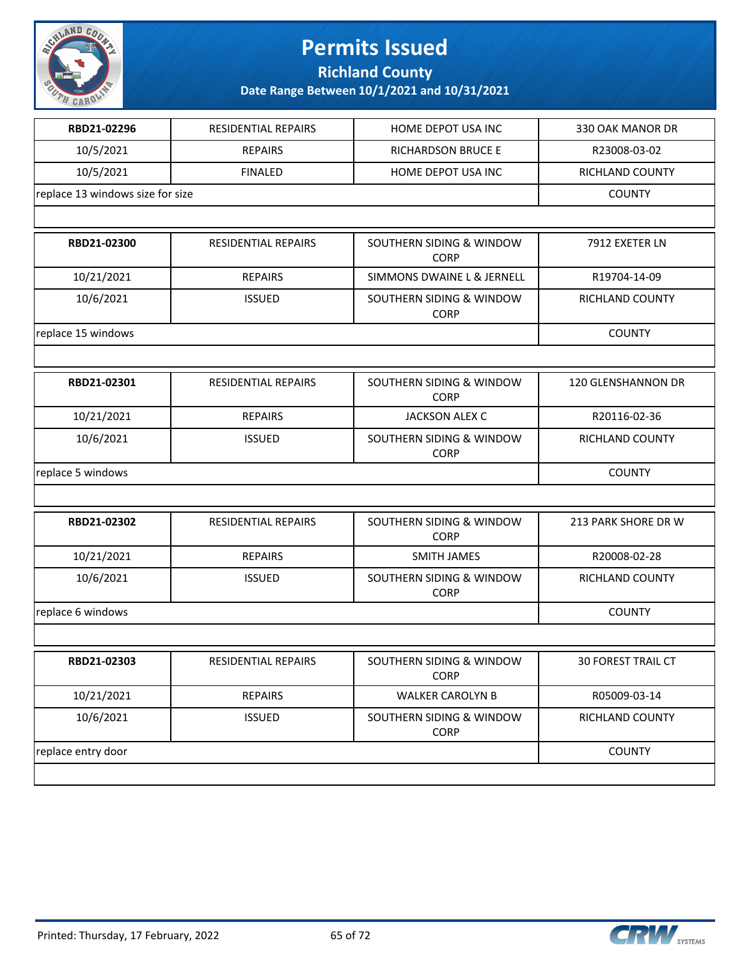

**Richland County**

| RBD21-02296                      | <b>RESIDENTIAL REPAIRS</b> | HOME DEPOT USA INC                      | 330 OAK MANOR DR    |
|----------------------------------|----------------------------|-----------------------------------------|---------------------|
| 10/5/2021                        | <b>REPAIRS</b>             | <b>RICHARDSON BRUCE E</b>               | R23008-03-02        |
| 10/5/2021                        | <b>FINALED</b>             | HOME DEPOT USA INC                      | RICHLAND COUNTY     |
| replace 13 windows size for size |                            |                                         | <b>COUNTY</b>       |
|                                  |                            |                                         |                     |
| RBD21-02300                      | <b>RESIDENTIAL REPAIRS</b> | SOUTHERN SIDING & WINDOW<br><b>CORP</b> | 7912 EXETER LN      |
| 10/21/2021                       | <b>REPAIRS</b>             | SIMMONS DWAINE L & JERNELL              | R19704-14-09        |
| 10/6/2021                        | <b>ISSUED</b>              | SOUTHERN SIDING & WINDOW<br><b>CORP</b> | RICHLAND COUNTY     |
| replace 15 windows               |                            |                                         | <b>COUNTY</b>       |
|                                  |                            |                                         |                     |
| RBD21-02301                      | <b>RESIDENTIAL REPAIRS</b> | SOUTHERN SIDING & WINDOW<br><b>CORP</b> | 120 GLENSHANNON DR  |
| 10/21/2021                       | <b>REPAIRS</b>             | JACKSON ALEX C                          | R20116-02-36        |
| 10/6/2021                        | <b>ISSUED</b>              | SOUTHERN SIDING & WINDOW<br><b>CORP</b> | RICHLAND COUNTY     |
| replace 5 windows                | <b>COUNTY</b>              |                                         |                     |
|                                  |                            |                                         |                     |
| RBD21-02302                      | <b>RESIDENTIAL REPAIRS</b> | SOUTHERN SIDING & WINDOW<br><b>CORP</b> | 213 PARK SHORE DR W |
| 10/21/2021                       | <b>REPAIRS</b>             | <b>SMITH JAMES</b>                      | R20008-02-28        |
| 10/6/2021                        | <b>ISSUED</b>              | SOUTHERN SIDING & WINDOW<br><b>CORP</b> | RICHLAND COUNTY     |
| replace 6 windows                |                            |                                         | <b>COUNTY</b>       |
|                                  |                            |                                         |                     |
| <b>RBD21-02303</b>               | RESIDENTIAL REPAIRS        | SOUTHERN SIDING & WINDOW<br><b>CORP</b> | 30 FOREST TRAIL CT  |
| 10/21/2021                       | <b>REPAIRS</b>             | <b>WALKER CAROLYN B</b>                 | R05009-03-14        |
| 10/6/2021                        | <b>ISSUED</b>              | SOUTHERN SIDING & WINDOW<br><b>CORP</b> | RICHLAND COUNTY     |
| replace entry door               |                            |                                         | <b>COUNTY</b>       |
|                                  |                            |                                         |                     |

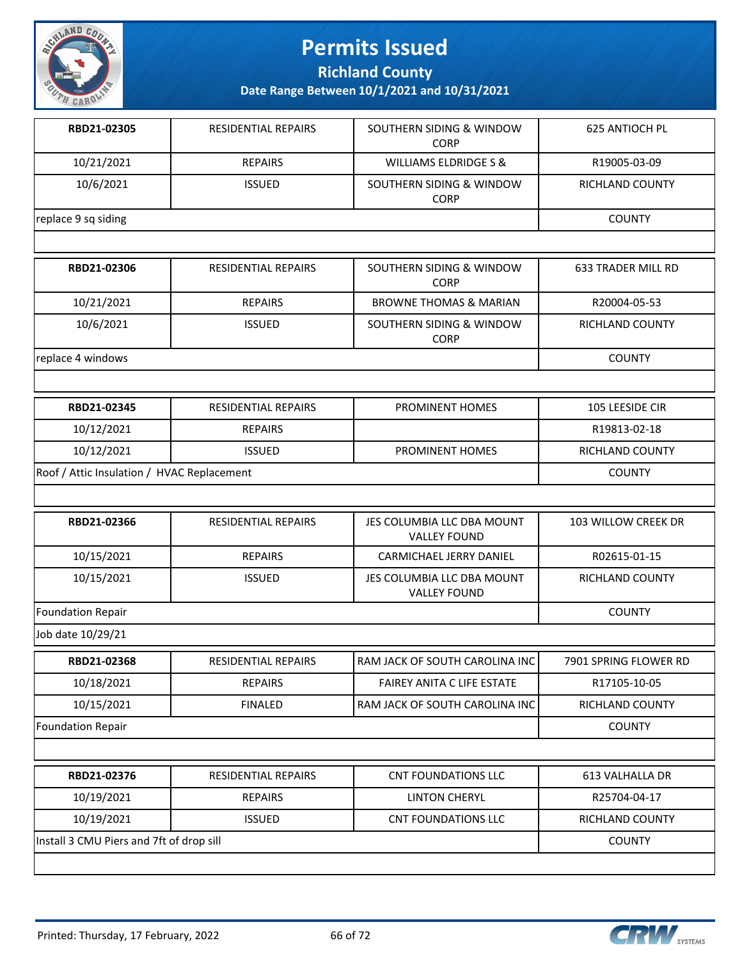

**Richland County**

**Date Range Between 10/1/2021 and 10/31/2021**

| RBD21-02305         | <b>RESIDENTIAL REPAIRS</b> | SOUTHERN SIDING & WINDOW<br><b>CORP</b> | <b>625 ANTIOCH PL</b> |
|---------------------|----------------------------|-----------------------------------------|-----------------------|
| 10/21/2021          | <b>REPAIRS</b>             | WILLIAMS ELDRIDGE S &                   | R19005-03-09          |
| 10/6/2021           | <b>ISSUED</b>              | SOUTHERN SIDING & WINDOW<br><b>CORP</b> | RICHLAND COUNTY       |
| replace 9 sq siding |                            |                                         | <b>COUNTY</b>         |
|                     |                            |                                         |                       |
| RBD21-02306         | RESIDENTIAL REPAIRS        | SOUTHERN SIDING & WINDOW                | 633 TRADER MILL RD    |

| RDUZI-UZ3U0       | RESIDENTIAL REPAIRS | <b>SUUTHERIN SIDIING &amp; WINDUW</b><br><b>CORP</b> | 033 IRAUER IVIILL RU |
|-------------------|---------------------|------------------------------------------------------|----------------------|
| 10/21/2021        | <b>REPAIRS</b>      | <b>BROWNE THOMAS &amp; MARIAN</b>                    | R20004-05-53         |
| 10/6/2021         | <b>ISSUED</b>       | SOUTHERN SIDING & WINDOW<br><b>CORP</b>              | RICHLAND COUNTY      |
| replace 4 windows |                     |                                                      | <b>COUNTY</b>        |

| RBD21-02345                                | RESIDENTIAL REPAIRS | <b>PROMINENT HOMES</b> | 105 LEESIDE CIR |
|--------------------------------------------|---------------------|------------------------|-----------------|
| 10/12/2021                                 | <b>REPAIRS</b>      |                        | R19813-02-18    |
| 10/12/2021                                 | <b>ISSUED</b>       | <b>PROMINENT HOMES</b> | RICHLAND COUNTY |
| Roof / Attic Insulation / HVAC Replacement |                     |                        | <b>COUNTY</b>   |

| RBD21-02366       | <b>RESIDENTIAL REPAIRS</b> | JES COLUMBIA LLC DBA MOUNT<br><b>VALLEY FOUND</b> | 103 WILLOW CREEK DR |
|-------------------|----------------------------|---------------------------------------------------|---------------------|
| 10/15/2021        | <b>REPAIRS</b>             | CARMICHAEL JERRY DANIEL                           | R02615-01-15        |
| 10/15/2021        | <b>ISSUED</b>              | JES COLUMBIA LLC DBA MOUNT<br><b>VALLEY FOUND</b> | RICHLAND COUNTY     |
| Foundation Repair |                            |                                                   | <b>COUNTY</b>       |

Job date 10/29/21

| RBD21-02368                              | <b>RESIDENTIAL REPAIRS</b> | RAM JACK OF SOUTH CAROLINA INC    | 7901 SPRING FLOWER RD  |
|------------------------------------------|----------------------------|-----------------------------------|------------------------|
| 10/18/2021                               | <b>REPAIRS</b>             | <b>FAIREY ANITA C LIFE ESTATE</b> | R17105-10-05           |
| 10/15/2021                               | <b>FINALED</b>             | RAM JACK OF SOUTH CAROLINA INC    | RICHLAND COUNTY        |
| Foundation Repair                        |                            |                                   |                        |
|                                          |                            |                                   |                        |
| RBD21-02376                              | <b>RESIDENTIAL REPAIRS</b> | <b>CNT FOUNDATIONS LLC</b>        | 613 VALHALLA DR        |
| 10/19/2021                               | <b>REPAIRS</b>             | <b>LINTON CHERYL</b>              | R25704-04-17           |
| 10/19/2021                               | <b>ISSUED</b>              | <b>CNT FOUNDATIONS LLC</b>        | <b>RICHLAND COUNTY</b> |
| Install 3 CMU Piers and 7ft of drop sill |                            |                                   | <b>COUNTY</b>          |

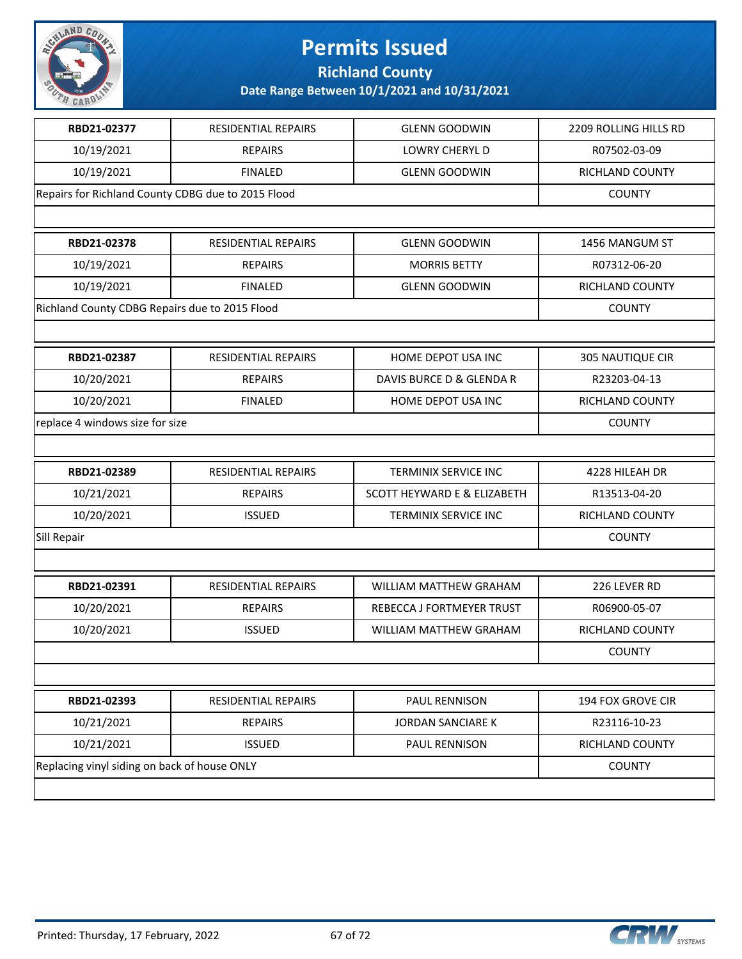

**Richland County**

| RBD21-02377                                        | <b>RESIDENTIAL REPAIRS</b> | <b>GLENN GOODWIN</b>        | 2209 ROLLING HILLS RD   |
|----------------------------------------------------|----------------------------|-----------------------------|-------------------------|
| 10/19/2021                                         | <b>REPAIRS</b>             | <b>LOWRY CHERYL D</b>       | R07502-03-09            |
| 10/19/2021                                         | <b>FINALED</b>             | <b>GLENN GOODWIN</b>        | RICHLAND COUNTY         |
| Repairs for Richland County CDBG due to 2015 Flood |                            |                             | <b>COUNTY</b>           |
|                                                    |                            |                             |                         |
| RBD21-02378                                        | RESIDENTIAL REPAIRS        | <b>GLENN GOODWIN</b>        | 1456 MANGUM ST          |
| 10/19/2021                                         | <b>REPAIRS</b>             | <b>MORRIS BETTY</b>         | R07312-06-20            |
| 10/19/2021                                         | <b>FINALED</b>             | <b>GLENN GOODWIN</b>        | RICHLAND COUNTY         |
| Richland County CDBG Repairs due to 2015 Flood     |                            |                             | <b>COUNTY</b>           |
|                                                    |                            |                             |                         |
| RBD21-02387                                        | <b>RESIDENTIAL REPAIRS</b> | HOME DEPOT USA INC          | <b>305 NAUTIQUE CIR</b> |
| 10/20/2021                                         | <b>REPAIRS</b>             | DAVIS BURCE D & GLENDA R    | R23203-04-13            |
| 10/20/2021                                         | <b>FINALED</b>             | HOME DEPOT USA INC          | RICHLAND COUNTY         |
| replace 4 windows size for size                    |                            |                             | <b>COUNTY</b>           |
|                                                    |                            |                             |                         |
| RBD21-02389                                        | RESIDENTIAL REPAIRS        | <b>TERMINIX SERVICE INC</b> | 4228 HILEAH DR          |
| 10/21/2021                                         | <b>REPAIRS</b>             | SCOTT HEYWARD E & ELIZABETH | R13513-04-20            |
| 10/20/2021                                         | <b>ISSUED</b>              | TERMINIX SERVICE INC        | RICHLAND COUNTY         |
| Sill Repair                                        |                            |                             | <b>COUNTY</b>           |
|                                                    |                            |                             |                         |
| RBD21-02391                                        | <b>RESIDENTIAL REPAIRS</b> | WILLIAM MATTHEW GRAHAM      | 226 LEVER RD            |
| 10/20/2021                                         | <b>REPAIRS</b>             | REBECCA J FORTMEYER TRUST   | R06900-05-07            |
| 10/20/2021                                         | <b>ISSUED</b>              | WILLIAM MATTHEW GRAHAM      | RICHLAND COUNTY         |
|                                                    |                            |                             | <b>COUNTY</b>           |
|                                                    |                            |                             |                         |
| RBD21-02393                                        | RESIDENTIAL REPAIRS        | PAUL RENNISON               | 194 FOX GROVE CIR       |
| 10/21/2021                                         | <b>REPAIRS</b>             | <b>JORDAN SANCIARE K</b>    | R23116-10-23            |
| 10/21/2021                                         | <b>ISSUED</b>              | PAUL RENNISON               | RICHLAND COUNTY         |
| Replacing vinyl siding on back of house ONLY       |                            |                             | <b>COUNTY</b>           |
|                                                    |                            |                             |                         |

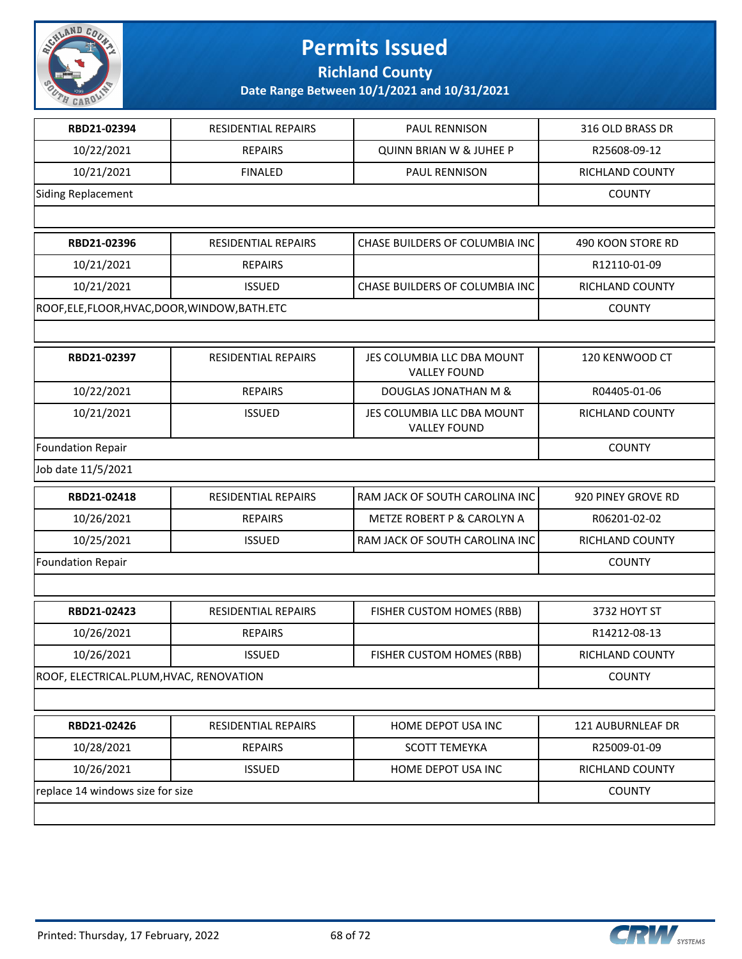

**Richland County**

| RESIDENTIAL REPAIRS<br><b>REPAIRS</b><br><b>FINALED</b><br>RESIDENTIAL REPAIRS<br><b>REPAIRS</b><br><b>ISSUED</b><br>ROOF, ELE, FLOOR, HVAC, DOOR, WINDOW, BATH. ETC | PAUL RENNISON<br><b>QUINN BRIAN W &amp; JUHEE P</b><br>PAUL RENNISON<br>CHASE BUILDERS OF COLUMBIA INC<br>CHASE BUILDERS OF COLUMBIA INC | 316 OLD BRASS DR<br>R25608-09-12<br>RICHLAND COUNTY<br><b>COUNTY</b><br>490 KOON STORE RD<br>R12110-01-09<br>RICHLAND COUNTY<br><b>COUNTY</b> |  |
|----------------------------------------------------------------------------------------------------------------------------------------------------------------------|------------------------------------------------------------------------------------------------------------------------------------------|-----------------------------------------------------------------------------------------------------------------------------------------------|--|
|                                                                                                                                                                      |                                                                                                                                          |                                                                                                                                               |  |
|                                                                                                                                                                      |                                                                                                                                          |                                                                                                                                               |  |
|                                                                                                                                                                      |                                                                                                                                          |                                                                                                                                               |  |
|                                                                                                                                                                      |                                                                                                                                          |                                                                                                                                               |  |
|                                                                                                                                                                      |                                                                                                                                          |                                                                                                                                               |  |
|                                                                                                                                                                      |                                                                                                                                          |                                                                                                                                               |  |
|                                                                                                                                                                      |                                                                                                                                          |                                                                                                                                               |  |
|                                                                                                                                                                      |                                                                                                                                          |                                                                                                                                               |  |
|                                                                                                                                                                      |                                                                                                                                          |                                                                                                                                               |  |
|                                                                                                                                                                      |                                                                                                                                          |                                                                                                                                               |  |
| RESIDENTIAL REPAIRS                                                                                                                                                  | JES COLUMBIA LLC DBA MOUNT<br><b>VALLEY FOUND</b>                                                                                        | 120 KENWOOD CT                                                                                                                                |  |
| <b>REPAIRS</b>                                                                                                                                                       | <b>DOUGLAS JONATHAN M &amp;</b>                                                                                                          | R04405-01-06                                                                                                                                  |  |
| <b>ISSUED</b>                                                                                                                                                        | JES COLUMBIA LLC DBA MOUNT<br><b>VALLEY FOUND</b>                                                                                        | RICHLAND COUNTY                                                                                                                               |  |
| <b>Foundation Repair</b>                                                                                                                                             |                                                                                                                                          |                                                                                                                                               |  |
|                                                                                                                                                                      |                                                                                                                                          |                                                                                                                                               |  |
| RESIDENTIAL REPAIRS                                                                                                                                                  | RAM JACK OF SOUTH CAROLINA INC                                                                                                           | 920 PINEY GROVE RD                                                                                                                            |  |
| <b>REPAIRS</b>                                                                                                                                                       | METZE ROBERT P & CAROLYN A                                                                                                               | R06201-02-02                                                                                                                                  |  |
| <b>ISSUED</b>                                                                                                                                                        | RAM JACK OF SOUTH CAROLINA INC                                                                                                           | RICHLAND COUNTY                                                                                                                               |  |
|                                                                                                                                                                      |                                                                                                                                          | <b>COUNTY</b>                                                                                                                                 |  |
|                                                                                                                                                                      |                                                                                                                                          |                                                                                                                                               |  |
| <b>RESIDENTIAL REPAIRS</b>                                                                                                                                           | FISHER CUSTOM HOMES (RBB)                                                                                                                | 3732 HOYT ST                                                                                                                                  |  |
| <b>REPAIRS</b>                                                                                                                                                       |                                                                                                                                          | R14212-08-13                                                                                                                                  |  |
| <b>ISSUED</b>                                                                                                                                                        | FISHER CUSTOM HOMES (RBB)                                                                                                                | <b>RICHLAND COUNTY</b>                                                                                                                        |  |
| ROOF, ELECTRICAL.PLUM, HVAC, RENOVATION                                                                                                                              |                                                                                                                                          |                                                                                                                                               |  |
|                                                                                                                                                                      |                                                                                                                                          |                                                                                                                                               |  |
| RESIDENTIAL REPAIRS                                                                                                                                                  | HOME DEPOT USA INC                                                                                                                       | 121 AUBURNLEAF DR                                                                                                                             |  |
| <b>REPAIRS</b>                                                                                                                                                       | SCOTT TEMEYKA                                                                                                                            | R25009-01-09                                                                                                                                  |  |
| <b>ISSUED</b>                                                                                                                                                        | HOME DEPOT USA INC                                                                                                                       | RICHLAND COUNTY                                                                                                                               |  |
| replace 14 windows size for size                                                                                                                                     |                                                                                                                                          |                                                                                                                                               |  |
|                                                                                                                                                                      |                                                                                                                                          |                                                                                                                                               |  |

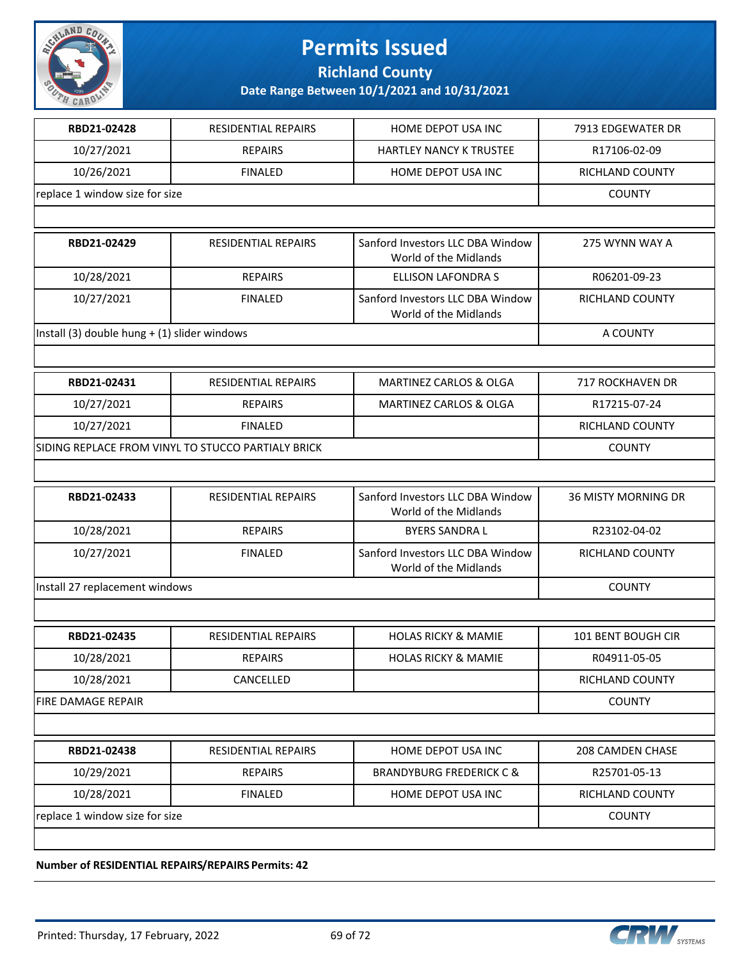

**Richland County**

**Date Range Between 10/1/2021 and 10/31/2021**

| RBD21-02428                                        | RESIDENTIAL REPAIRS        | HOME DEPOT USA INC                                        | 7913 EDGEWATER DR       |
|----------------------------------------------------|----------------------------|-----------------------------------------------------------|-------------------------|
| 10/27/2021                                         | <b>REPAIRS</b>             | HARTLEY NANCY K TRUSTEE                                   | R17106-02-09            |
| 10/26/2021                                         | <b>FINALED</b>             | HOME DEPOT USA INC                                        | RICHLAND COUNTY         |
| replace 1 window size for size                     |                            |                                                           | <b>COUNTY</b>           |
|                                                    |                            |                                                           |                         |
| RBD21-02429                                        | <b>RESIDENTIAL REPAIRS</b> | Sanford Investors LLC DBA Window<br>World of the Midlands | 275 WYNN WAY A          |
| 10/28/2021                                         | <b>REPAIRS</b>             | <b>ELLISON LAFONDRA S</b>                                 | R06201-09-23            |
| 10/27/2021                                         | <b>FINALED</b>             | Sanford Investors LLC DBA Window<br>World of the Midlands | RICHLAND COUNTY         |
| Install (3) double hung + (1) slider windows       |                            |                                                           | A COUNTY                |
|                                                    |                            |                                                           |                         |
| RBD21-02431                                        | RESIDENTIAL REPAIRS        | MARTINEZ CARLOS & OLGA                                    | 717 ROCKHAVEN DR        |
| 10/27/2021                                         | <b>REPAIRS</b>             | MARTINEZ CARLOS & OLGA                                    | R17215-07-24            |
| 10/27/2021                                         | <b>FINALED</b>             |                                                           | RICHLAND COUNTY         |
| SIDING REPLACE FROM VINYL TO STUCCO PARTIALY BRICK | <b>COUNTY</b>              |                                                           |                         |
|                                                    |                            |                                                           |                         |
| RBD21-02433                                        | RESIDENTIAL REPAIRS        | Sanford Investors LLC DBA Window<br>World of the Midlands | 36 MISTY MORNING DR     |
| 10/28/2021                                         | <b>REPAIRS</b>             | <b>BYERS SANDRA L</b>                                     | R23102-04-02            |
| 10/27/2021                                         | <b>FINALED</b>             | Sanford Investors LLC DBA Window<br>World of the Midlands | RICHLAND COUNTY         |
| Install 27 replacement windows                     |                            |                                                           | <b>COUNTY</b>           |
|                                                    |                            |                                                           |                         |
| RBD21-02435                                        | RESIDENTIAL REPAIRS        | <b>HOLAS RICKY &amp; MAMIE</b>                            | 101 BENT BOUGH CIR      |
| 10/28/2021                                         | REPAIRS                    | <b>HOLAS RICKY &amp; MAMIE</b>                            | R04911-05-05            |
| 10/28/2021                                         | CANCELLED                  |                                                           | RICHLAND COUNTY         |
| <b>FIRE DAMAGE REPAIR</b>                          |                            |                                                           | <b>COUNTY</b>           |
|                                                    |                            |                                                           |                         |
| RBD21-02438                                        | <b>RESIDENTIAL REPAIRS</b> | HOME DEPOT USA INC                                        | <b>208 CAMDEN CHASE</b> |
|                                                    |                            |                                                           |                         |
| 10/29/2021                                         | <b>REPAIRS</b>             | <b>BRANDYBURG FREDERICK C &amp;</b>                       | R25701-05-13            |
| 10/28/2021                                         | <b>FINALED</b>             | HOME DEPOT USA INC                                        | RICHLAND COUNTY         |

**Number of RESIDENTIAL REPAIRS/REPAIRS Permits: 42**

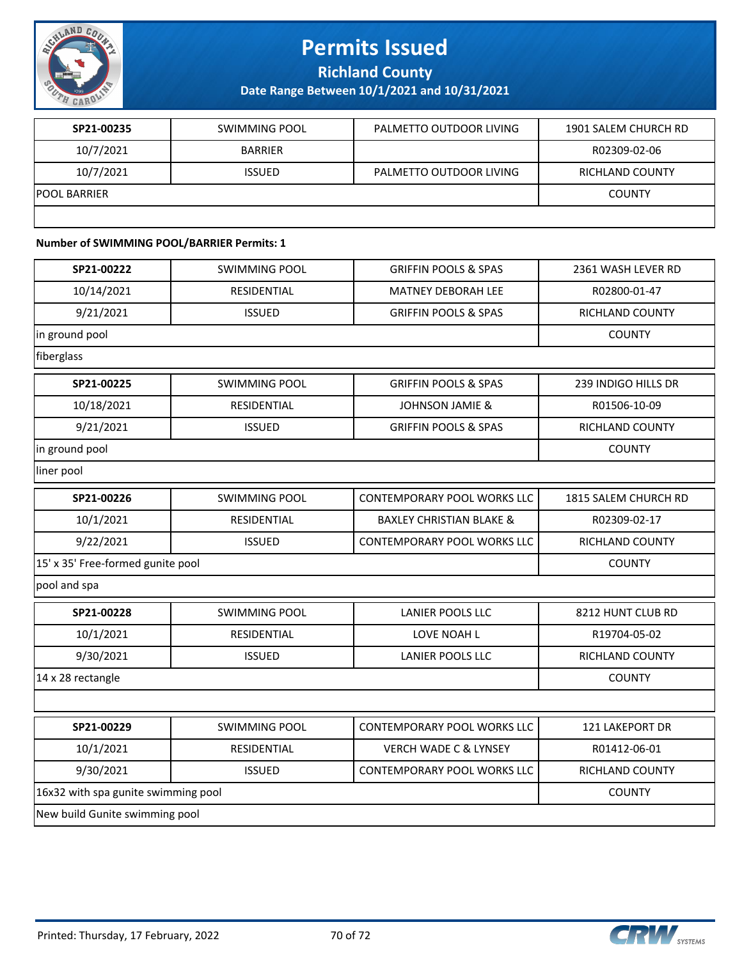

**Richland County**

**Date Range Between 10/1/2021 and 10/31/2021**

| SP21-00235          | SWIMMING POOL  | PALMETTO OUTDOOR LIVING | 1901 SALEM CHURCH RD |
|---------------------|----------------|-------------------------|----------------------|
| 10/7/2021           | <b>BARRIER</b> |                         | R02309-02-06         |
| 10/7/2021           | <b>ISSUED</b>  | PALMETTO OUTDOOR LIVING | RICHLAND COUNTY      |
| <b>POOL BARRIER</b> |                |                         | <b>COUNTY</b>        |
|                     |                |                         |                      |

#### **Number of SWIMMING POOL/BARRIER Permits: 1**

| SP21-00222                          | <b>SWIMMING POOL</b> | <b>GRIFFIN POOLS &amp; SPAS</b>     | 2361 WASH LEVER RD     |
|-------------------------------------|----------------------|-------------------------------------|------------------------|
| 10/14/2021                          | RESIDENTIAL          | <b>MATNEY DEBORAH LEE</b>           | R02800-01-47           |
| 9/21/2021                           | <b>ISSUED</b>        | <b>GRIFFIN POOLS &amp; SPAS</b>     | <b>RICHLAND COUNTY</b> |
| in ground pool                      | <b>COUNTY</b>        |                                     |                        |
| fiberglass                          |                      |                                     |                        |
| SP21-00225                          | <b>SWIMMING POOL</b> | <b>GRIFFIN POOLS &amp; SPAS</b>     | 239 INDIGO HILLS DR    |
| 10/18/2021                          | RESIDENTIAL          | <b>JOHNSON JAMIE &amp;</b>          | R01506-10-09           |
| 9/21/2021                           | <b>ISSUED</b>        | <b>GRIFFIN POOLS &amp; SPAS</b>     | RICHLAND COUNTY        |
| in ground pool                      |                      |                                     | <b>COUNTY</b>          |
| liner pool                          |                      |                                     |                        |
| SP21-00226                          | <b>SWIMMING POOL</b> | <b>CONTEMPORARY POOL WORKS LLC</b>  | 1815 SALEM CHURCH RD   |
| 10/1/2021                           | RESIDENTIAL          | <b>BAXLEY CHRISTIAN BLAKE &amp;</b> | R02309-02-17           |
| 9/22/2021                           | <b>ISSUED</b>        | CONTEMPORARY POOL WORKS LLC         | RICHLAND COUNTY        |
| 15' x 35' Free-formed gunite pool   |                      |                                     | <b>COUNTY</b>          |
| pool and spa                        |                      |                                     |                        |
| SP21-00228                          | <b>SWIMMING POOL</b> | LANIER POOLS LLC                    | 8212 HUNT CLUB RD      |
| 10/1/2021                           | RESIDENTIAL          | LOVE NOAH L                         | R19704-05-02           |
| 9/30/2021                           | <b>ISSUED</b>        | <b>LANIER POOLS LLC</b>             | RICHLAND COUNTY        |
| 14 x 28 rectangle                   |                      |                                     | <b>COUNTY</b>          |
|                                     |                      |                                     |                        |
| SP21-00229                          | <b>SWIMMING POOL</b> | <b>CONTEMPORARY POOL WORKS LLC</b>  | 121 LAKEPORT DR        |
| 10/1/2021                           | <b>RESIDENTIAL</b>   | <b>VERCH WADE C &amp; LYNSEY</b>    | R01412-06-01           |
| 9/30/2021                           | <b>ISSUED</b>        | CONTEMPORARY POOL WORKS LLC         | RICHLAND COUNTY        |
| 16x32 with spa gunite swimming pool |                      |                                     | <b>COUNTY</b>          |
| New build Gunite swimming pool      |                      |                                     |                        |

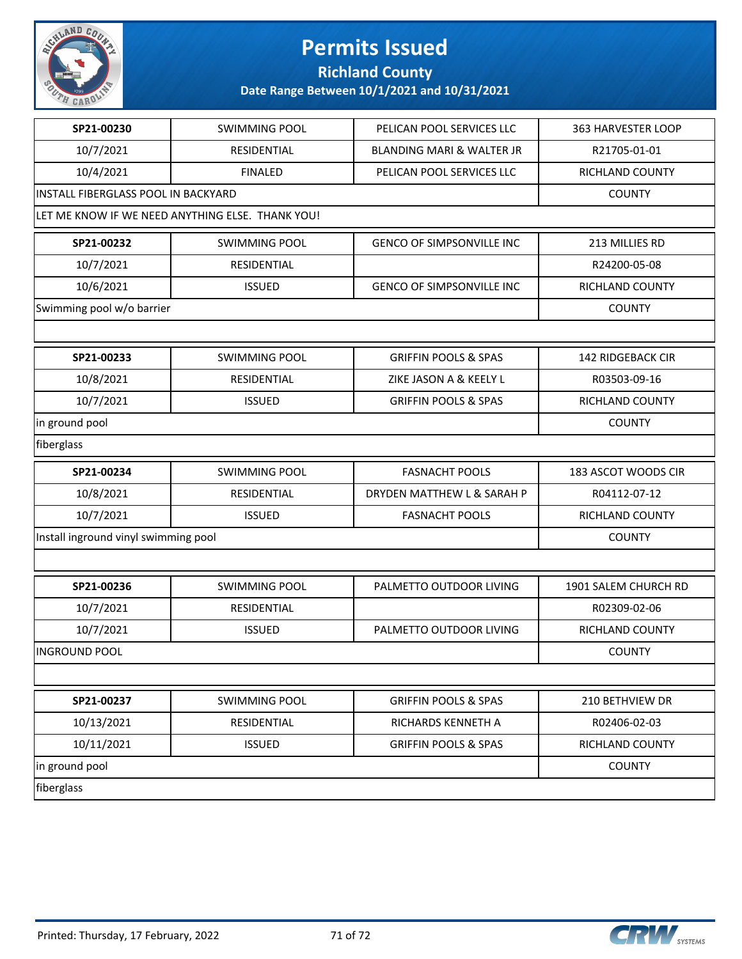

**Richland County**

| SP21-00230                                 | <b>SWIMMING POOL</b>                             | PELICAN POOL SERVICES LLC            | 363 HARVESTER LOOP       |
|--------------------------------------------|--------------------------------------------------|--------------------------------------|--------------------------|
| 10/7/2021                                  | RESIDENTIAL                                      | <b>BLANDING MARI &amp; WALTER JR</b> | R21705-01-01             |
| 10/4/2021                                  | <b>FINALED</b>                                   | PELICAN POOL SERVICES LLC            | RICHLAND COUNTY          |
| <b>INSTALL FIBERGLASS POOL IN BACKYARD</b> | <b>COUNTY</b>                                    |                                      |                          |
|                                            | LET ME KNOW IF WE NEED ANYTHING ELSE. THANK YOU! |                                      |                          |
| SP21-00232                                 | <b>SWIMMING POOL</b>                             | GENCO OF SIMPSONVILLE INC            | 213 MILLIES RD           |
| 10/7/2021                                  | RESIDENTIAL                                      |                                      | R24200-05-08             |
| 10/6/2021                                  | <b>ISSUED</b>                                    | GENCO OF SIMPSONVILLE INC            | RICHLAND COUNTY          |
| Swimming pool w/o barrier                  |                                                  |                                      | <b>COUNTY</b>            |
|                                            |                                                  |                                      |                          |
| SP21-00233                                 | <b>SWIMMING POOL</b>                             | <b>GRIFFIN POOLS &amp; SPAS</b>      | <b>142 RIDGEBACK CIR</b> |
| 10/8/2021                                  | RESIDENTIAL                                      | ZIKE JASON A & KEELY L               | R03503-09-16             |
| 10/7/2021                                  | <b>ISSUED</b>                                    | <b>GRIFFIN POOLS &amp; SPAS</b>      | RICHLAND COUNTY          |
| in ground pool                             | <b>COUNTY</b>                                    |                                      |                          |
| fiberglass                                 |                                                  |                                      |                          |
| SP21-00234                                 | <b>SWIMMING POOL</b>                             | <b>FASNACHT POOLS</b>                | 183 ASCOT WOODS CIR      |
| 10/8/2021                                  | RESIDENTIAL                                      | DRYDEN MATTHEW L & SARAH P           | R04112-07-12             |
| 10/7/2021                                  | <b>ISSUED</b>                                    | <b>FASNACHT POOLS</b>                | RICHLAND COUNTY          |
| Install inground vinyl swimming pool       |                                                  |                                      | <b>COUNTY</b>            |
|                                            |                                                  |                                      |                          |
| SP21-00236                                 | <b>SWIMMING POOL</b>                             | PALMETTO OUTDOOR LIVING              | 1901 SALEM CHURCH RD     |
| 10/7/2021                                  | RESIDENTIAL                                      |                                      | R02309-02-06             |
| 10/7/2021                                  | <b>ISSUED</b>                                    | PALMETTO OUTDOOR LIVING              | RICHLAND COUNTY          |
| <b>INGROUND POOL</b>                       |                                                  |                                      | <b>COUNTY</b>            |
|                                            |                                                  |                                      |                          |
| SP21-00237                                 | <b>SWIMMING POOL</b>                             | <b>GRIFFIN POOLS &amp; SPAS</b>      | 210 BETHVIEW DR          |
| 10/13/2021                                 | RESIDENTIAL                                      | RICHARDS KENNETH A                   | R02406-02-03             |
| 10/11/2021                                 | <b>ISSUED</b>                                    | <b>GRIFFIN POOLS &amp; SPAS</b>      | RICHLAND COUNTY          |
| in ground pool                             |                                                  |                                      |                          |
| fiberglass                                 |                                                  |                                      |                          |